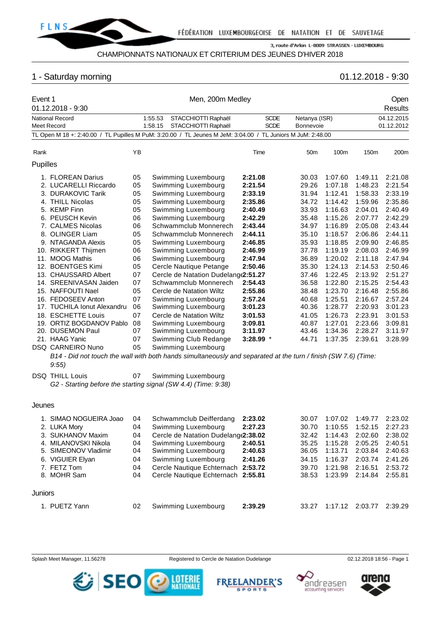

## 1 - Saturday morning 01.12.2018 - 9:30

| Event 1<br>01.12.2018 - 9:30 |                                |    | Men, 200m Medley                                                                                               |             |                 |         |                  | Open<br><b>Results</b> |
|------------------------------|--------------------------------|----|----------------------------------------------------------------------------------------------------------------|-------------|-----------------|---------|------------------|------------------------|
|                              | <b>National Record</b>         |    | 1:55.53<br>STACCHIOTTI Raphaël                                                                                 | <b>SCDE</b> | Netanya (ISR)   |         | 04.12.2015       |                        |
|                              | <b>Meet Record</b>             |    | STACCHIOTTI Raphaël<br>1:58.15                                                                                 | <b>SCDE</b> | Bonnevoie       |         | 01.12.2012       |                        |
|                              |                                |    | TL Open M 18 +: 2:40.00 / TL Pupilles M PuM: 3:20.00 / TL Jeunes M JeM: 3:04.00 / TL Juniors M JuM: 2:48.00    |             |                 |         |                  |                        |
| Rank                         |                                | YB |                                                                                                                | Time        | 50 <sub>m</sub> | 100m    | 150 <sub>m</sub> | 200m                   |
| Pupilles                     |                                |    |                                                                                                                |             |                 |         |                  |                        |
|                              | 1. FLOREAN Darius              | 05 | Swimming Luxembourg                                                                                            | 2:21.08     | 30.03           | 1:07.60 | 1:49.11          | 2:21.08                |
|                              | 2. LUCARELLI Riccardo          | 05 | Swimming Luxembourg                                                                                            | 2:21.54     | 29.26           | 1:07.18 | 1:48.23          | 2:21.54                |
| 3.                           | <b>DURAKOVIC Tarik</b>         | 05 | Swimming Luxembourg                                                                                            | 2:33.19     | 31.94           | 1:12.41 | 1:58.33          | 2:33.19                |
|                              | 4. THILL Nicolas               | 05 | Swimming Luxembourg                                                                                            | 2:35.86     | 34.72           | 1:14.42 | 1:59.96          | 2:35.86                |
|                              | 5. KEMP Finn                   | 05 | Swimming Luxembourg                                                                                            | 2:40.49     | 33.93           | 1:16.63 | 2:04.01          | 2:40.49                |
|                              | 6. PEUSCH Kevin                | 06 | Swimming Luxembourg                                                                                            | 2:42.29     | 35.48           | 1:15.26 | 2:07.77          | 2:42.29                |
| 7.                           | <b>CALMES Nicolas</b>          | 06 | Schwammclub Monnerech                                                                                          | 2:43.44     | 34.97           | 1:16.89 | 2:05.08          | 2:43.44                |
| 8.                           | <b>OLINGER Liam</b>            | 05 | Schwammclub Monnerech                                                                                          | 2:44.11     | 35.10           | 1:18.57 | 2:06.86          | 2:44.11                |
|                              | 9. NTAGANDA Alexis             | 05 | Swimming Luxembourg                                                                                            | 2:46.85     | 35.93           | 1:18.85 | 2:09.90          | 2:46.85                |
|                              | 10. RIKKERT Thijmen            | 06 | Swimming Luxembourg                                                                                            | 2:46.99     | 37.78           | 1:19.19 | 2:08.03          | 2:46.99                |
| 11.                          | <b>MOOG Mathis</b>             | 06 | Swimming Luxembourg                                                                                            | 2:47.94     | 36.89           | 1:20.02 | 2:11.18          | 2:47.94                |
| 12.                          | <b>BOENTGES Kimi</b>           | 05 | Cercle Nautique Petange                                                                                        | 2:50.46     | 35.30           | 1:24.13 | 2:14.53          | 2:50.46                |
| 13.                          | <b>CHAUSSARD Albert</b>        | 07 | Cercle de Natation Dudelang(2:51.27                                                                            |             | 37.46           | 1:22.45 | 2:13.92          | 2:51.27                |
|                              | 14. SREENIVASAN Jaiden         | 07 | Schwammclub Monnerech                                                                                          | 2:54.43     | 36.58           | 1:22.80 | 2:15.25          | 2:54.43                |
|                              | 15. NAFFOUTI Nael              | 05 | Cercle de Natation Wiltz                                                                                       | 2:55.86     | 38.48           | 1:23.70 | 2:16.48          | 2:55.86                |
|                              | 16. FEDOSEEV Anton             | 07 | Swimming Luxembourg                                                                                            | 2:57.24     | 40.68           | 1:25.51 | 2:16.67          | 2:57.24                |
| 17.                          | <b>TUCHILA Ionut Alexandru</b> | 06 | Swimming Luxembourg                                                                                            | 3:01.23     | 40.36           | 1:28.77 | 2:20.93          | 3:01.23                |
|                              | 18. ESCHETTE Louis             | 07 | Cercle de Natation Wiltz                                                                                       | 3:01.53     | 41.05           | 1:26.73 | 2:23.91          | 3:01.53                |
| 19.                          | <b>ORTIZ BOGDANOV Pablo</b>    | 08 | Swimming Luxembourg                                                                                            | 3:09.81     | 40.87           | 1:27.01 | 2:23.66          | 3:09.81                |
| 20.                          | <b>DUSEMON Paul</b>            | 07 | Swimming Luxembourg                                                                                            | 3:11.97     | 43.46           | 1:34.36 | 2:28.27          | 3:11.97                |
| 21.                          | <b>HAAG Yanic</b>              | 07 | Swimming Club Redange                                                                                          | $3:28.99$ * | 44.71           | 1:37.35 | 2:39.61          | 3:28.99                |
|                              | <b>DSQ CARNEIRO Nuno</b>       | 05 | Swimming Luxembourg                                                                                            |             |                 |         |                  |                        |
|                              |                                |    | B14 - Did not touch the wall with both hands simultaneously and separated at the turn / finish (SW 7.6) (Time: |             |                 |         |                  |                        |
|                              | 9:55                           |    |                                                                                                                |             |                 |         |                  |                        |

DSQ THILL Louis 07 Swimming Luxembourg *G2 - Starting before the starting signal (SW 4.4) (Time: 9:38)*

#### Jeunes

|                | 1. SIMAO NOGUEIRA Joao | 04 | Schwammclub Deifferdang             | 2:23.02 | 30.07 | 1:07.02 | 1:49.77 | 2:23.02 |
|----------------|------------------------|----|-------------------------------------|---------|-------|---------|---------|---------|
|                | 2. LUKA Mory           | 04 | Swimming Luxembourg                 | 2:27.23 | 30.70 | 1:10.55 | 1:52.15 | 2:27.23 |
|                | 3. SUKHANOV Maxim      | 04 | Cercle de Natation Dudelang(2:38.02 |         | 32.42 | 1:14.43 | 2:02.60 | 2:38.02 |
|                | 4. MILANOVSKI Nikola   | 04 | Swimming Luxembourg                 | 2:40.51 | 35.25 | 1:15.28 | 2:05.25 | 2:40.51 |
|                | 5. SIMEONOV Vladimir   | 04 | Swimming Luxembourg                 | 2:40.63 | 36.05 | 1:13.71 | 2:03.84 | 2:40.63 |
|                | 6. VIGUIER Elyan       | 04 | Swimming Luxembourg                 | 2:41.26 | 34.15 | 1:16.37 | 2:03.74 | 2:41.26 |
|                | 7. FETZ Tom            | 04 | Cercle Nautique Echternach 2:53.72  |         | 39.70 | 1:21.98 | 2:16.51 | 2:53.72 |
|                | 8. MOHR Sam            | 04 | Cercle Nautique Echternach 2:55.81  |         | 38.53 | 1:23.99 | 2:14.84 | 2:55.81 |
| <b>Juniors</b> |                        |    |                                     |         |       |         |         |         |
|                | 1. PUETZ Yann          | 02 | Swimming Luxembourg                 | 2:39.29 | 33.27 | 1:17.12 | 2:03.77 | 2:39.29 |





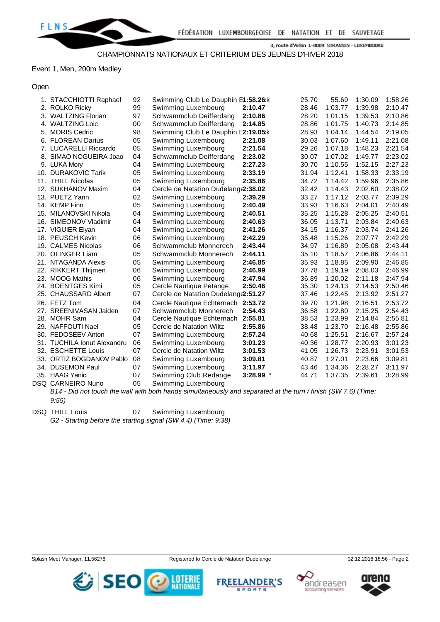## Event 1, Men, 200m Medley

### Open

| 1. STACCHIOTTI Raphael      | 92 | Swimming Club Le Dauphin E1:58.26:k  |           | 25.70 | 55.69   | 1:30.09 | 1:58.26 |
|-----------------------------|----|--------------------------------------|-----------|-------|---------|---------|---------|
| 2. ROLKO Ricky              | 99 | Swimming Luxembourg                  | 2:10.47   | 28.46 | 1:03.77 | 1:39.98 | 2:10.47 |
| 3. WALTZING Florian         | 97 | Schwammclub Deifferdang              | 2:10.86   | 28.20 | 1:01.15 | 1:39.53 | 2:10.86 |
| 4. WALTZING Loic            | 00 | Schwammclub Deifferdang              | 2:14.85   | 28.86 | 1:01.75 | 1:40.73 | 2:14.85 |
| 5. MORIS Cedric             | 98 | Swimming Club Le Dauphin E2:19.05:k  |           | 28.93 | 1:04.14 | 1:44.54 | 2:19.05 |
| 6. FLOREAN Darius           | 05 | Swimming Luxembourg                  | 2:21.08   | 30.03 | 1:07.60 | 1:49.11 | 2:21.08 |
| 7. LUCARELLI Riccardo       | 05 | Swimming Luxembourg                  | 2:21.54   | 29.26 | 1:07.18 | 1:48.23 | 2:21.54 |
| 8. SIMAO NOGUEIRA Joao      | 04 | Schwammclub Deifferdang              | 2:23.02   | 30.07 | 1:07.02 | 1:49.77 | 2:23.02 |
| 9. LUKA Mory                | 04 | Swimming Luxembourg                  | 2:27.23   | 30.70 | 1:10.55 | 1:52.15 | 2:27.23 |
| 10. DURAKOVIC Tarik         | 05 | Swimming Luxembourg                  | 2:33.19   | 31.94 | 1:12.41 | 1:58.33 | 2:33.19 |
| 11. THILL Nicolas           | 05 | Swimming Luxembourg                  | 2:35.86   | 34.72 | 1:14.42 | 1:59.96 | 2:35.86 |
| 12. SUKHANOV Maxim          | 04 | Cercle de Natation Dudelang (2:38.02 |           | 32.42 | 1:14.43 | 2:02.60 | 2:38.02 |
| 13. PUETZ Yann              | 02 | Swimming Luxembourg                  | 2:39.29   | 33.27 | 1:17.12 | 2:03.77 | 2:39.29 |
| 14. KEMP Finn               | 05 | Swimming Luxembourg                  | 2:40.49   | 33.93 | 1:16.63 | 2:04.01 | 2:40.49 |
| 15. MILANOVSKI Nikola       | 04 | Swimming Luxembourg                  | 2:40.51   | 35.25 | 1:15.28 | 2:05.25 | 2:40.51 |
| 16. SIMEONOV Vladimir       | 04 | Swimming Luxembourg                  | 2:40.63   | 36.05 | 1:13.71 | 2:03.84 | 2:40.63 |
| 17. VIGUIER Elyan           | 04 | Swimming Luxembourg                  | 2:41.26   | 34.15 | 1:16.37 | 2:03.74 | 2:41.26 |
| 18. PEUSCH Kevin            | 06 | Swimming Luxembourg                  | 2:42.29   | 35.48 | 1:15.26 | 2:07.77 | 2:42.29 |
| 19. CALMES Nicolas          | 06 | Schwammclub Monnerech                | 2:43.44   | 34.97 | 1:16.89 | 2:05.08 | 2:43.44 |
| 20. OLINGER Liam            | 05 | Schwammclub Monnerech                | 2:44.11   | 35.10 | 1:18.57 | 2:06.86 | 2:44.11 |
| 21. NTAGANDA Alexis         | 05 | Swimming Luxembourg                  | 2:46.85   | 35.93 | 1:18.85 | 2:09.90 | 2:46.85 |
| 22. RIKKERT Thijmen         | 06 | Swimming Luxembourg                  | 2:46.99   | 37.78 | 1:19.19 | 2:08.03 | 2:46.99 |
| 23. MOOG Mathis             | 06 | Swimming Luxembourg                  | 2:47.94   | 36.89 | 1:20.02 | 2:11.18 | 2:47.94 |
| 24. BOENTGES Kimi           | 05 | Cercle Nautique Petange              | 2:50.46   | 35.30 | 1:24.13 | 2:14.53 | 2:50.46 |
| 25. CHAUSSARD Albert        | 07 | Cercle de Natation Dudelang (2:51.27 |           | 37.46 | 1:22.45 | 2:13.92 | 2:51.27 |
| 26. FETZ Tom                | 04 | Cercle Nautique Echternach 2:53.72   |           | 39.70 | 1:21.98 | 2:16.51 | 2:53.72 |
| 27. SREENIVASAN Jaiden      | 07 | Schwammclub Monnerech                | 2:54.43   | 36.58 | 1:22.80 | 2:15.25 | 2:54.43 |
| 28. MOHR Sam                | 04 | Cercle Nautique Echternach           | 2:55.81   | 38.53 | 1:23.99 | 2:14.84 | 2:55.81 |
| 29. NAFFOUTI Nael           | 05 | Cercle de Natation Wiltz             | 2:55.86   | 38.48 | 1:23.70 | 2:16.48 | 2:55.86 |
| 30. FEDOSEEV Anton          | 07 | Swimming Luxembourg                  | 2:57.24   | 40.68 | 1:25.51 | 2:16.67 | 2:57.24 |
| 31. TUCHILA Ionut Alexandru | 06 | Swimming Luxembourg                  | 3:01.23   | 40.36 | 1:28.77 | 2:20.93 | 3:01.23 |
| 32. ESCHETTE Louis          | 07 | Cercle de Natation Wiltz             | 3:01.53   | 41.05 | 1:26.73 | 2:23.91 | 3:01.53 |
| 33. ORTIZ BOGDANOV Pablo    | 08 | Swimming Luxembourg                  | 3:09.81   | 40.87 | 1:27.01 | 2:23.66 | 3:09.81 |
| 34. DUSEMON Paul            | 07 | Swimming Luxembourg                  | 3:11.97   | 43.46 | 1:34.36 | 2:28.27 | 3:11.97 |
| 35. HAAG Yanic              | 07 | Swimming Club Redange                | 3:28.99 * | 44.71 | 1:37.35 | 2:39.61 | 3:28.99 |
| <b>DSQ CARNEIRO Nuno</b>    | 05 | Swimming Luxembourg                  |           |       |         |         |         |

*B14 - Did not touch the wall with both hands simultaneously and separated at the turn / finish (SW 7.6) (Time: 9:55)*

DSQ THILL Louis **07** Swimming Luxembourg *G2 - Starting before the starting signal (SW 4.4) (Time: 9:38)*









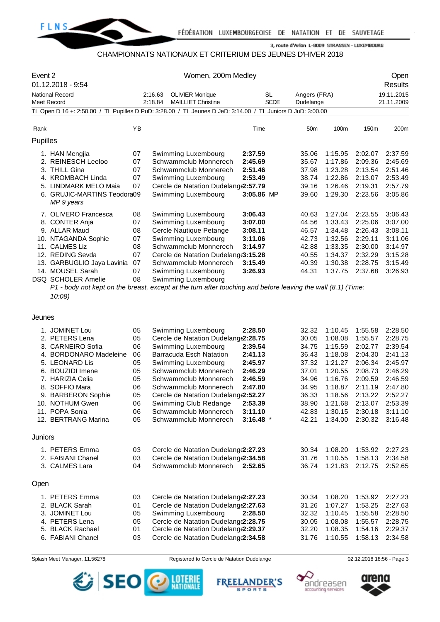

## CHAMPIONNATS NATIONAUX ET CRITERIUM DES JEUNES D'HIVER 2018

| Event 2  | 01.12.2018 - 9:54                                                                                            |    |         | Women, 200m Medley                   |             |             |                 |         |            | Open<br><b>Results</b> |  |
|----------|--------------------------------------------------------------------------------------------------------------|----|---------|--------------------------------------|-------------|-------------|-----------------|---------|------------|------------------------|--|
|          | <b>National Record</b>                                                                                       |    | 2:16.63 | <b>OLIVIER Monique</b>               | SL          |             | Angers (FRA)    |         |            | 19.11.2015             |  |
|          | Meet Record                                                                                                  |    | 2:18.84 | <b>MAILLIET Christine</b>            |             | <b>SCDE</b> | Dudelange       |         | 21.11.2009 |                        |  |
|          | TL Open D 16 +: 2:50.00 / TL Pupilles D PuD: 3:28.00 / TL Jeunes D JeD: 3:14.00 / TL Juniors D JuD: 3:00.00  |    |         |                                      |             |             |                 |         |            |                        |  |
|          |                                                                                                              |    |         |                                      |             |             |                 |         |            |                        |  |
| Rank     |                                                                                                              | YB |         |                                      | Time        |             | 50 <sub>m</sub> | 100m    | 150m       | 200m                   |  |
| Pupilles |                                                                                                              |    |         |                                      |             |             |                 |         |            |                        |  |
|          | 1. HAN Mengjia                                                                                               | 07 |         | Swimming Luxembourg                  | 2:37.59     |             | 35.06           | 1:15.95 | 2:02.07    | 2:37.59                |  |
|          | 2. REINESCH Leeloo                                                                                           | 07 |         | Schwammclub Monnerech                | 2:45.69     |             | 35.67           | 1:17.86 | 2:09.36    | 2:45.69                |  |
|          | 3. THILL Gina                                                                                                | 07 |         | Schwammclub Monnerech                | 2:51.46     |             | 37.98           | 1:23.28 | 2:13.54    | 2:51.46                |  |
|          | 4. KROMBACH Linda                                                                                            | 07 |         | Swimming Luxembourg                  | 2:53.49     |             | 38.74           | 1:22.86 | 2:13.07    | 2:53.49                |  |
|          | 5. LINDMARK MELO Maia                                                                                        | 07 |         | Cercle de Natation Dudelange2:57.79  |             |             | 39.16           | 1:26.46 | 2:19.31    | 2:57.79                |  |
|          | 6. GRUJIC-MARTINS Teodora09                                                                                  |    |         | Swimming Luxembourg                  | 3:05.86 MP  |             | 39.60           | 1:29.30 | 2:23.56    | 3:05.86                |  |
|          | MP 9 years                                                                                                   |    |         |                                      |             |             |                 |         |            |                        |  |
|          | 7. OLIVERO Francesca                                                                                         | 08 |         | Swimming Luxembourg                  | 3:06.43     |             | 40.63           | 1:27.04 | 2:23.55    | 3:06.43                |  |
|          | 8. CONTER Anja                                                                                               | 07 |         | Swimming Luxembourg                  | 3:07.00     |             | 44.56           | 1:33.43 | 2:25.06    | 3:07.00                |  |
|          | 9. ALLAR Maud                                                                                                | 08 |         | Cercle Nautique Petange              | 3:08.11     |             | 46.57           | 1:34.48 | 2:26.43    | 3:08.11                |  |
|          | 10. NTAGANDA Sophie                                                                                          | 07 |         | Swimming Luxembourg                  | 3:11.06     |             | 42.73           | 1:32.56 | 2:29.11    | 3:11.06                |  |
|          | 11. CALMES Liz                                                                                               | 08 |         | Schwammclub Monnerech                | 3:14.97     |             | 42.88           | 1:33.35 | 2:30.00    | 3:14.97                |  |
|          | 12. REDING Sevda                                                                                             | 07 |         | Cercle de Natation Dudelang 3:15.28  |             |             | 40.55           | 1:34.37 | 2:32.29    | 3:15.28                |  |
|          | 13. GARBUGLIO Jaya Lavinia                                                                                   | 07 |         | Schwammclub Monnerech                | 3:15.49     |             | 40.39           | 1:30.38 | 2:28.75    | 3:15.49                |  |
|          | 14. MOUSEL Sarah                                                                                             | 07 |         | Swimming Luxembourg                  | 3:26.93     |             | 44.31           | 1:37.75 | 2:37.68    | 3:26.93                |  |
|          | <b>DSQ SCHOLER Amelie</b>                                                                                    | 08 |         | Swimming Luxembourg                  |             |             |                 |         |            |                        |  |
|          | P1 - body not kept on the breast, except at the turn after touching and before leaving the wall (8.1) (Time: |    |         |                                      |             |             |                 |         |            |                        |  |
|          | 10:08)                                                                                                       |    |         |                                      |             |             |                 |         |            |                        |  |
|          |                                                                                                              |    |         |                                      |             |             |                 |         |            |                        |  |
| Jeunes   |                                                                                                              |    |         |                                      |             |             |                 |         |            |                        |  |
|          | 1. JOMINET Lou                                                                                               | 05 |         | Swimming Luxembourg                  | 2:28.50     |             | 32.32           | 1:10.45 | 1:55.58    | 2:28.50                |  |
|          | 2. PETERS Lena                                                                                               | 05 |         | Cercle de Natation Dudelang(2:28.75  |             |             | 30.05           | 1:08.08 | 1:55.57    | 2:28.75                |  |
|          | 3. CARNEIRO Sofia                                                                                            | 06 |         | Swimming Luxembourg                  | 2:39.54     |             | 34.75           | 1:15.59 | 2:02.77    | 2:39.54                |  |
|          | 4. BORDONARO Madeleine                                                                                       | 06 |         | <b>Barracuda Esch Natation</b>       | 2:41.13     |             | 36.43           | 1:18.08 | 2:04.30    | 2:41.13                |  |
|          | 5. LEONARD Lis                                                                                               | 05 |         | Swimming Luxembourg                  | 2:45.97     |             | 37.32           | 1:21.27 | 2:06.34    | 2:45.97                |  |
|          | 6. BOUZIDI Imene                                                                                             | 05 |         | Schwammclub Monnerech                | 2:46.29     |             | 37.01           | 1:20.55 | 2:08.73    | 2:46.29                |  |
|          | 7. HARIZIA Celia                                                                                             | 05 |         | Schwammclub Monnerech                | 2:46.59     |             | 34.96           | 1:16.76 | 2:09.59    | 2:46.59                |  |
|          | 8. SOFFIO Mara                                                                                               | 06 |         | Schwammclub Monnerech                | 2:47.80     |             | 34.95           | 1:18.87 | 2:11.19    | 2:47.80                |  |
|          | 9. BARBERON Sophie                                                                                           | 05 |         | Cercle de Natation Dudelang (2:52.27 |             |             | 36.33           | 1:18.56 | 2:13.22    | 2:52.27                |  |
|          | 10. NOTHUM Gwen                                                                                              | 06 |         | Swimming Club Redange                | 2:53.39     |             | 38.90           | 1:21.68 | 2:13.07    | 2:53.39                |  |
|          | 11. POPA Sonia                                                                                               | 06 |         | Schwammclub Monnerech                | 3:11.10     |             | 42.83           | 1:30.15 | 2:30.18    | 3:11.10                |  |
|          | 12. BERTRANG Marina                                                                                          | 05 |         | Schwammclub Monnerech                | $3:16.48$ * |             | 42.21           | 1:34.00 | 2:30.32    | 3:16.48                |  |

Juniors

| 1. PETERS Emma<br>2. FABIANI Chanel<br>3. CALMES Lara | 03<br>03<br>04 | Cercle de Natation Dudelang (2:27.23<br>Cercle de Natation Dudelang (2:34.58<br>Schwammclub Monnerech<br>2:52.65 | 30.34<br>31.76<br>36.74 | 1:08.20<br>1:10.55<br>1:21.83 | 1:53.92<br>1:58.13<br>2:12.75 | 2:27.23<br>2:34.58<br>2:52.65 |
|-------------------------------------------------------|----------------|------------------------------------------------------------------------------------------------------------------|-------------------------|-------------------------------|-------------------------------|-------------------------------|
| Open                                                  |                |                                                                                                                  |                         |                               |                               |                               |
| 1. PETERS Emma                                        | 03             | Cercle de Natation Dudelang(2:27.23                                                                              | 30.34                   | 1:08.20                       | 1:53.92                       | 2:27.23                       |
| 2. BLACK Sarah                                        | 01             | Cercle de Natation Dudelang (2:27.63                                                                             | 31.26                   | 1:07.27                       | 1:53.25                       | 2:27.63                       |
| 3. JOMINET Lou                                        | 05             | Swimming Luxembourg<br>2:28.50                                                                                   | 32.32                   | 1:10.45                       | 1:55.58                       | 2:28.50                       |
| 4. PETERS Lena                                        | 05             | Cercle de Natation Dudelang(2:28.75                                                                              | 30.05                   | 1:08.08                       | 1:55.57                       | 2:28.75                       |
| 5. BLACK Rachael                                      | 01             | Cercle de Natation Dudelang (2:29.37                                                                             | 32.20                   | 1:08.35                       | 1:54.16                       | 2:29.37                       |
| 6. FABIANI Chanel                                     | 03             | Cercle de Natation Dudelang(2:34.58                                                                              | 31.76                   | 1:10.55                       | 1:58.13                       | 2:34.58                       |

Splash Meet Manager, 11.56278 Registered to Cercle de Natation Dudelange **18.2018 18:56 - Page 3** C2.12.2018 18:56 - Page 3



**FREELANDER'S SPORTS** 



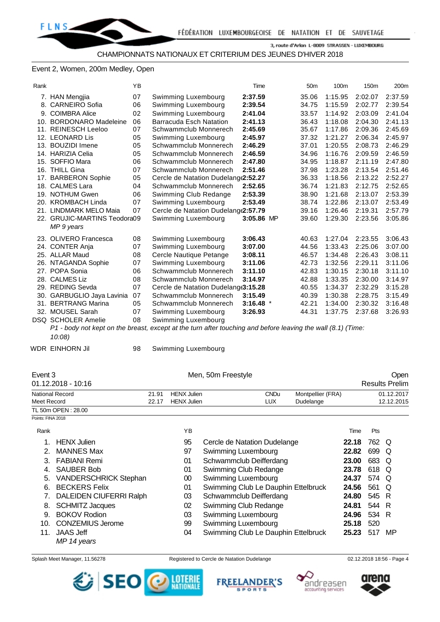## Event 2, Women, 200m Medley, Open

| ×<br>. . |  |
|----------|--|

| Rank |                              | YB |                                                                                                              | Time        | 50 <sub>m</sub> | 100m    | 150 <sub>m</sub> | 200m    |
|------|------------------------------|----|--------------------------------------------------------------------------------------------------------------|-------------|-----------------|---------|------------------|---------|
|      | 7. HAN Mengjia               | 07 | Swimming Luxembourg                                                                                          | 2:37.59     | 35.06           | 1:15.95 | 2:02.07          | 2:37.59 |
|      | 8. CARNEIRO Sofia            | 06 | Swimming Luxembourg                                                                                          | 2:39.54     | 34.75           | 1:15.59 | 2:02.77          | 2:39.54 |
|      | 9. COIMBRA Alice             | 02 | Swimming Luxembourg                                                                                          | 2:41.04     | 33.57           | 1:14.92 | 2:03.09          | 2:41.04 |
| 10.  | <b>BORDONARO Madeleine</b>   | 06 | <b>Barracuda Esch Natation</b>                                                                               | 2:41.13     | 36.43           | 1:18.08 | 2:04.30          | 2:41.13 |
| 11.  | <b>REINESCH Leeloo</b>       | 07 | Schwammclub Monnerech                                                                                        | 2:45.69     | 35.67           | 1:17.86 | 2:09.36          | 2:45.69 |
|      | 12. LEONARD Lis              | 05 | Swimming Luxembourg                                                                                          | 2:45.97     | 37.32           | 1:21.27 | 2:06.34          | 2:45.97 |
|      | 13. BOUZIDI Imene            | 05 | Schwammclub Monnerech                                                                                        | 2:46.29     | 37.01           | 1:20.55 | 2:08.73          | 2:46.29 |
|      | 14. HARIZIA Celia            | 05 | Schwammclub Monnerech                                                                                        | 2:46.59     | 34.96           | 1:16.76 | 2:09.59          | 2:46.59 |
|      | 15. SOFFIO Mara              | 06 | Schwammclub Monnerech                                                                                        | 2:47.80     | 34.95           | 1:18.87 | 2:11.19          | 2:47.80 |
|      | 16. THILL Gina               | 07 | Schwammclub Monnerech                                                                                        | 2:51.46     | 37.98           | 1:23.28 | 2:13.54          | 2:51.46 |
|      | 17. BARBERON Sophie          | 05 | Cercle de Natation Dudelang (2:52.27                                                                         |             | 36.33           | 1:18.56 | 2:13.22          | 2:52.27 |
|      | 18. CALMES Lara              | 04 | Schwammclub Monnerech                                                                                        | 2:52.65     | 36.74           | 1:21.83 | 2:12.75          | 2:52.65 |
|      | 19. NOTHUM Gwen              | 06 | Swimming Club Redange                                                                                        | 2:53.39     | 38.90           | 1:21.68 | 2:13.07          | 2:53.39 |
|      | 20. KROMBACH Linda           | 07 | Swimming Luxembourg                                                                                          | 2:53.49     | 38.74           | 1:22.86 | 2:13.07          | 2:53.49 |
| 21.  | <b>LINDMARK MELO Maia</b>    | 07 | Cercle de Natation Dudelang (2:57.79                                                                         |             | 39.16           | 1:26.46 | 2:19.31          | 2:57.79 |
|      | 22. GRUJIC-MARTINS Teodora09 |    | Swimming Luxembourg                                                                                          | 3:05.86 MP  | 39.60           | 1:29.30 | 2:23.56          | 3:05.86 |
|      | MP 9 years                   |    |                                                                                                              |             |                 |         |                  |         |
|      | 23. OLIVERO Francesca        | 08 | Swimming Luxembourg                                                                                          | 3:06.43     | 40.63           | 1:27.04 | 2:23.55          | 3:06.43 |
|      | 24. CONTER Anja              | 07 | Swimming Luxembourg                                                                                          | 3:07.00     | 44.56           | 1:33.43 | 2:25.06          | 3:07.00 |
|      | 25. ALLAR Maud               | 08 | Cercle Nautique Petange                                                                                      | 3:08.11     | 46.57           | 1:34.48 | 2:26.43          | 3:08.11 |
|      | 26. NTAGANDA Sophie          | 07 | Swimming Luxembourg                                                                                          | 3:11.06     | 42.73           | 1:32.56 | 2:29.11          | 3:11.06 |
|      | 27. POPA Sonia               | 06 | Schwammclub Monnerech                                                                                        | 3:11.10     | 42.83           | 1:30.15 | 2:30.18          | 3:11.10 |
|      | 28. CALMES Liz               | 08 | Schwammclub Monnerech                                                                                        | 3:14.97     | 42.88           | 1:33.35 | 2:30.00          | 3:14.97 |
|      | 29. REDING Sevda             | 07 | Cercle de Natation Dudelang 3:15.28                                                                          |             | 40.55           | 1:34.37 | 2:32.29          | 3:15.28 |
| 30.  | GARBUGLIO Jaya Lavinia       | 07 | Schwammclub Monnerech                                                                                        | 3:15.49     | 40.39           | 1:30.38 | 2:28.75          | 3:15.49 |
| 31.  | <b>BERTRANG Marina</b>       | 05 | Schwammclub Monnerech                                                                                        | $3:16.48$ * | 42.21           | 1:34.00 | 2:30.32          | 3:16.48 |
|      | 32. MOUSEL Sarah             | 07 | Swimming Luxembourg                                                                                          | 3:26.93     | 44.31           | 1:37.75 | 2:37.68          | 3:26.93 |
|      | DSQ SCHOLER Amelie           | 08 | Swimming Luxembourg                                                                                          |             |                 |         |                  |         |
|      |                              |    | P1 - body not kept on the breast, except at the turn after touching and before leaving the wall (8.1) (Time: |             |                 |         |                  |         |

*10:08)*

WDR EINHORN Jil 98 Swimming Luxembourg

| Event 3                | Men, 50m Freestyle |             |             |                   | Open                  |
|------------------------|--------------------|-------------|-------------|-------------------|-----------------------|
| $01.12.2018 - 10.16$   |                    |             |             |                   | <b>Results Prelim</b> |
| <b>National Record</b> | 21.91              | HENX Julien | <b>CNDu</b> | Montpellier (FRA) | 01.12.2017            |
| Meet Record            | 22.17              | HENX Julien | <b>LUX</b>  | Dudelange         | 12.12.2015            |
| TL 50m OPEN: 28.00     |                    |             |             |                   |                       |
| Points: FINA 2018      |                    |             |             |                   |                       |

| Rank |                                | ΥB |                                     | Time  | Pts   |    |
|------|--------------------------------|----|-------------------------------------|-------|-------|----|
|      | <b>HENX Julien</b>             | 95 | Cercle de Natation Dudelange        | 22.18 | 762 Q |    |
| 2.   | <b>MANNES Max</b>              | 97 | Swimming Luxembourg                 | 22.82 | 699 Q |    |
|      | 3. FABIANI Remi                | 01 | Schwammclub Deifferdang             | 23.00 | 683 Q |    |
| 4.   | <b>SAUBER Bob</b>              | 01 | Swimming Club Redange               | 23.78 | 618 Q |    |
|      | 5. VANDERSCHRICK Stephan       | 00 | Swimming Luxembourg                 | 24.37 | 574 Q |    |
| 6.   | <b>BECKERS Felix</b>           | 01 | Swimming Club Le Dauphin Ettelbruck | 24.56 | 561 Q |    |
|      | <b>DALEIDEN CIUFERRI Ralph</b> | 03 | Schwammclub Deifferdang             | 24.80 | 545 R |    |
| 8.   | <b>SCHMITZ Jacques</b>         | 02 | Swimming Club Redange               | 24.81 | 544 R |    |
|      | 9. BOKOV Rodion                | 03 | Swimming Luxembourg                 | 24.96 | 534 R |    |
| 10.  | <b>CONZEMIUS Jerome</b>        | 99 | Swimming Luxembourg                 | 25.18 | 520   |    |
| 11.  | JAAS Jeff                      | 04 | Swimming Club Le Dauphin Ettelbruck | 25.23 | 517   | MP |
|      | MP 14 years                    |    |                                     |       |       |    |







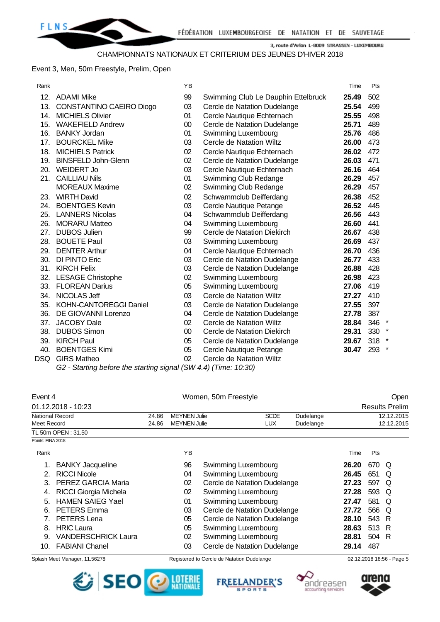## Event 3, Men, 50m Freestyle, Prelim, Open

| Rank       |                               | YB     |                                     | Time  | Pts            |  |
|------------|-------------------------------|--------|-------------------------------------|-------|----------------|--|
| 12.        | <b>ADAMI Mike</b>             | 99     | Swimming Club Le Dauphin Ettelbruck | 25.49 | 502            |  |
| 13.        | CONSTANTINO CAEIRO Diogo      | 03     | Cercle de Natation Dudelange        | 25.54 | 499            |  |
| 14.        | <b>MICHIELS Olivier</b>       | 01     | Cercle Nautique Echternach          | 25.55 | 498            |  |
| 15.        | <b>WAKEFIELD Andrew</b>       | $00\,$ | Cercle de Natation Dudelange        | 25.71 | 489            |  |
| 16.        | <b>BANKY Jordan</b>           | 01     | Swimming Luxembourg                 | 25.76 | 486            |  |
| 17.        | <b>BOURCKEL Mike</b>          | 03     | Cercle de Natation Wiltz            | 26.00 | 473            |  |
| 18.        | <b>MICHIELS Patrick</b>       | 02     | Cercle Nautique Echternach          | 26.02 | 472            |  |
| 19.        | <b>BINSFELD John-Glenn</b>    | 02     | Cercle de Natation Dudelange        | 26.03 | 471            |  |
| 20.        | <b>WEIDERT Jo</b>             | 03     | Cercle Nautique Echternach          | 26.16 | 464            |  |
| 21.        | <b>CAILLIAU Nils</b>          | 01     | Swimming Club Redange               | 26.29 | 457            |  |
|            | <b>MOREAUX Maxime</b>         | 02     | Swimming Club Redange               | 26.29 | 457            |  |
| 23.        | <b>WIRTH David</b>            | 02     | Schwammclub Deifferdang             | 26.38 | 452            |  |
| 24.        | <b>BOENTGES Kevin</b>         | 03     | Cercle Nautique Petange             | 26.52 | 445            |  |
| 25.        | <b>LANNERS Nicolas</b>        | 04     | Schwammclub Deifferdang             | 26.56 | 443            |  |
| 26.        | <b>MORARU Matteo</b>          | 04     | Swimming Luxembourg                 | 26.60 | 441            |  |
| 27.        | <b>DUBOS Julien</b>           | 99     | Cercle de Natation Diekirch         | 26.67 | 438            |  |
| 28.        | <b>BOUETE Paul</b>            | 03     | Swimming Luxembourg                 | 26.69 | 437            |  |
| 29.        | <b>DENTER Arthur</b>          | 04     | Cercle Nautique Echternach          | 26.70 | 436            |  |
| 30.        | DI PINTO Eric                 | 03     | Cercle de Natation Dudelange        | 26.77 | 433            |  |
| 31.        | <b>KIRCH Felix</b>            | 03     | Cercle de Natation Dudelange        | 26.88 | 428            |  |
| 32.        | <b>LESAGE Christophe</b>      | 02     | Swimming Luxembourg                 | 26.98 | 423            |  |
| 33.        | <b>FLOREAN Darius</b>         | 05     | Swimming Luxembourg                 | 27.06 | 419            |  |
| 34.        | NICOLAS Jeff                  | 03     | Cercle de Natation Wiltz            | 27.27 | 410            |  |
| 35.        | <b>KOHN-CANTOREGGI Daniel</b> | 03     | Cercle de Natation Dudelange        | 27.55 | 397            |  |
| 36.        | DE GIOVANNI Lorenzo           | 04     | Cercle de Natation Dudelange        | 27.78 | 387            |  |
| 37.        | <b>JACOBY Dale</b>            | 02     | Cercle de Natation Wiltz            | 28.84 | 346            |  |
| 38.        | <b>DUBOS Simon</b>            | $00\,$ | Cercle de Natation Diekirch         | 29.31 | 330<br>$\star$ |  |
| 39.        | <b>KIRCH Paul</b>             | 05     | Cercle de Natation Dudelange        | 29.67 | 318<br>$\ast$  |  |
| 40.        | <b>BOENTGES Kimi</b>          | 05     | Cercle Nautique Petange             | 30.47 | 293            |  |
| <b>DSQ</b> | <b>GIRS Matheo</b>            | 02     | Cercle de Natation Wiltz            |       |                |  |

*G2 - Starting before the starting signal (SW 4.4) (Time: 10:30)*

| Event 4                        |                              | Women, 50m Freestyle |                                                                        |                              |            |            | Open  |                       |            |  |
|--------------------------------|------------------------------|----------------------|------------------------------------------------------------------------|------------------------------|------------|------------|-------|-----------------------|------------|--|
|                                | 01.12.2018 - 10:23           |                      |                                                                        |                              |            |            |       | <b>Results Prelim</b> |            |  |
| National Record<br>Meet Record |                              | 24.86<br>24.86       | <b>MEYNEN Julie</b><br><b>SCDE</b><br>Dudelange<br><b>MEYNEN Julie</b> |                              |            | 12.12.2015 |       |                       |            |  |
| TL 50m OPEN: 31.50             |                              |                      |                                                                        |                              | <b>LUX</b> | Dudelange  |       |                       | 12.12.2015 |  |
| Points: FINA 2018              |                              |                      |                                                                        |                              |            |            |       |                       |            |  |
| Rank                           |                              |                      | YB                                                                     |                              |            |            | Time  | Pts                   |            |  |
|                                | <b>BANKY Jacqueline</b>      |                      | 96                                                                     | Swimming Luxembourg          |            |            | 26.20 | 670                   | O          |  |
| 2.                             | <b>RICCI Nicole</b>          |                      | 04                                                                     | Swimming Luxembourg          |            |            | 26.45 | 651                   | Q          |  |
| 3.                             | PEREZ GARCIA Maria           |                      | 02                                                                     | Cercle de Natation Dudelange |            |            | 27.23 | 597                   | O          |  |
| 4.                             | <b>RICCI Giorgia Michela</b> |                      | 02                                                                     | Swimming Luxembourg          |            |            | 27.28 | 593                   | O          |  |
| 5.                             | <b>HAMEN SAIEG Yael</b>      |                      | 01                                                                     | Swimming Luxembourg          |            |            | 27.47 | 581                   | O          |  |
| 6.                             | <b>PETERS Emma</b>           |                      | 03                                                                     | Cercle de Natation Dudelange |            |            | 27.72 | 566                   | O          |  |
|                                | PETERS Lena                  |                      | 05                                                                     | Cercle de Natation Dudelange |            |            | 28.10 | 543                   | -R         |  |
| 8.                             | <b>HRIC Laura</b>            |                      | 05                                                                     | Swimming Luxembourg          |            |            | 28.63 | 513                   | - R        |  |
| 9.                             | <b>VANDERSCHRICK Laura</b>   |                      | 02                                                                     | Swimming Luxembourg          |            |            | 28.81 | 504                   | R          |  |
| 10.                            | <b>FABIANI Chanel</b>        |                      | 03                                                                     | Cercle de Natation Dudelange |            |            | 29.14 | 487                   |            |  |

Splash Meet Manager, 11.56278 **Registered to Cercle de Natation Dudelange 12.12.2018 18:56 - Page 5** C2.12.2018 18:56 - Page 5







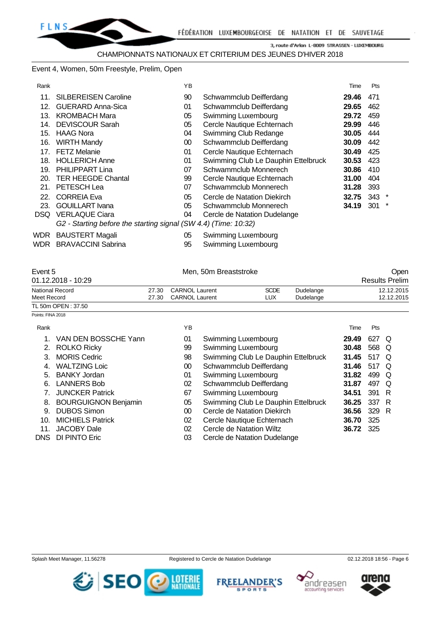## Event 4, Women, 50m Freestyle, Prelim, Open

| Rank            |                                                                 | ΥB |                                     | Time  | <b>Pts</b> |         |  |  |  |  |  |
|-----------------|-----------------------------------------------------------------|----|-------------------------------------|-------|------------|---------|--|--|--|--|--|
| 11 <sub>1</sub> | <b>SILBEREISEN Caroline</b>                                     | 90 | Schwammclub Deifferdang             | 29.46 | 471        |         |  |  |  |  |  |
| 12.             | <b>GUERARD Anna-Sica</b>                                        | 01 | Schwammclub Deifferdang             | 29.65 | 462        |         |  |  |  |  |  |
| 13.             | <b>KROMBACH Mara</b>                                            | 05 | Swimming Luxembourg                 | 29.72 | 459        |         |  |  |  |  |  |
| 14.             | <b>DEVISCOUR Sarah</b>                                          | 05 | Cercle Nautique Echternach          | 29.99 | 446        |         |  |  |  |  |  |
| 15.             | <b>HAAG Nora</b>                                                | 04 | Swimming Club Redange               | 30.05 | 444        |         |  |  |  |  |  |
| 16.             | <b>WIRTH Mandy</b>                                              | 00 | Schwammclub Deifferdang             | 30.09 | 442        |         |  |  |  |  |  |
| 17.             | <b>FETZ Melanie</b>                                             | 01 | Cercle Nautique Echternach          | 30.49 | 425        |         |  |  |  |  |  |
| 18.             | <b>HOLLERICH Anne</b>                                           | 01 | Swimming Club Le Dauphin Ettelbruck | 30.53 | 423        |         |  |  |  |  |  |
| 19.             | PHILIPPART Lina                                                 | 07 | Schwammclub Monnerech               | 30.86 | 410        |         |  |  |  |  |  |
| 20.             | <b>TER HEEGDE Chantal</b>                                       | 99 | Cercle Nautique Echternach          | 31.00 | 404        |         |  |  |  |  |  |
| 21.             | PETESCH Lea                                                     | 07 | Schwammclub Monnerech               | 31.28 | 393        |         |  |  |  |  |  |
| 22.             | <b>CORREIA Eva</b>                                              | 05 | Cercle de Natation Diekirch         | 32.75 | 343        | $\ast$  |  |  |  |  |  |
| 23.             | <b>GOUILLART</b> Ivana                                          | 05 | Schwammclub Monnerech               | 34.19 | 301        | $\star$ |  |  |  |  |  |
| DSQ.            | <b>VERLAQUE Ciara</b>                                           | 04 | Cercle de Natation Dudelange        |       |            |         |  |  |  |  |  |
|                 | G2 - Starting before the starting signal (SW 4.4) (Time: 10:32) |    |                                     |       |            |         |  |  |  |  |  |

WDR BAUSTERT Magali 05 Swimming Luxembourg

WDR BRAVACCINI Sabrina 95 Swimming Luxembourg

| Event 5                        |  | Men, 50m Breaststroke                          | <b>Open</b>        |                        |                          |
|--------------------------------|--|------------------------------------------------|--------------------|------------------------|--------------------------|
| 01.12.2018 - 10:29             |  |                                                |                    |                        | <b>Results Prelim</b>    |
| National Record<br>Meet Record |  | <b>CARNOL Laurent</b><br><b>CARNOL Laurent</b> | <b>SCDE</b><br>LUX | Dudelange<br>Dudelange | 12.12.2015<br>12.12.2015 |
| TL 50m OPEN: 37.50             |  |                                                |                    |                        |                          |
| Points: FINA 2018              |  |                                                |                    |                        |                          |
| Rank                           |  | ΥB                                             |                    |                        | <b>Pts</b><br>Time       |
| VAN DEN BOSSCHE Yann<br>1      |  | Swimming Luxembourg<br>01                      |                    |                        | 29.49<br>627<br>O        |

|     | 2. ROLKO Ricky          | 99              | Swimming Luxembourg                 | 30.48            | 568 Q |  |
|-----|-------------------------|-----------------|-------------------------------------|------------------|-------|--|
|     | 3. MORIS Cedric         | 98              | Swimming Club Le Dauphin Ettelbruck | 31.45            | 517 Q |  |
| 4.  | <b>WALTZING Loic</b>    | 00              | Schwammclub Deifferdang             | 31.46            | 517 Q |  |
|     | 5. BANKY Jordan         | 01              | Swimming Luxembourg                 | 31.82            | 499 Q |  |
| 6.  | <b>LANNERS Bob</b>      | 02              | Schwammclub Deifferdang             | 31.87            | 497 Q |  |
|     | 7. JUNCKER Patrick      | 67              | Swimming Luxembourg                 | 34.51            | 391 R |  |
|     | 8. BOURGUIGNON Benjamin | 05              | Swimming Club Le Dauphin Ettelbruck | 36.25            | 337 R |  |
|     | 9. DUBOS Simon          | 00 <sup>°</sup> | Cercle de Natation Diekirch         | 36.56            | 329 R |  |
|     | 10. MICHIELS Patrick    | 02              | Cercle Nautique Echternach          | 36.70            | - 325 |  |
| 11. | JACOBY Dale             | 02              | Cercle de Natation Wiltz            | <b>36.72</b> 325 |       |  |
|     | DNS DI PINTO Eric       | 03              | Cercle de Natation Dudelange        |                  |       |  |
|     |                         |                 |                                     |                  |       |  |





*<u>ジSEO</u>* **DESCRIPTION ALE** 

**FREELANDER'S** 

**SPORTS**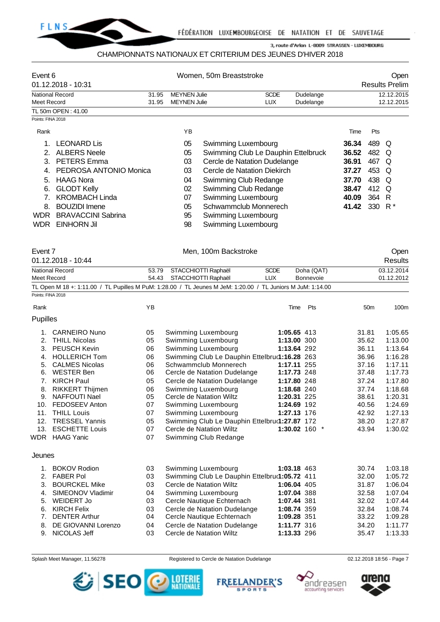

## CHAMPIONNATS NATIONAUX ET CRITERIUM DES JEUNES D'HIVER 2018

| Event 6           |                           |       |                                                 | Women, 50m Breaststroke |                                     |           | Open<br><b>Results Prelim</b> |                    |            |  |  |
|-------------------|---------------------------|-------|-------------------------------------------------|-------------------------|-------------------------------------|-----------|-------------------------------|--------------------|------------|--|--|
|                   | $01.12.2018 - 10.31$      |       |                                                 |                         |                                     |           |                               |                    |            |  |  |
|                   | <b>National Record</b>    | 31.95 | <b>SCDE</b><br><b>MEYNEN Julie</b><br>Dudelange |                         |                                     |           | 12.12.2015                    |                    |            |  |  |
| Meet Record       |                           | 31.95 | <b>MEYNEN Julie</b>                             |                         | <b>LUX</b>                          | Dudelange |                               |                    | 12.12.2015 |  |  |
|                   | TL 50m OPEN: 41.00        |       |                                                 |                         |                                     |           |                               |                    |            |  |  |
| Points: FINA 2018 |                           |       |                                                 |                         |                                     |           |                               |                    |            |  |  |
| Rank              |                           |       | ΥB                                              |                         |                                     |           | Time                          | Pts                |            |  |  |
|                   | <b>LEONARD Lis</b>        |       | 05                                              | Swimming Luxembourg     |                                     |           | 36.34                         | 489                | Q          |  |  |
| $\mathcal{P}$     | <b>ALBERS Neele</b>       |       | 05                                              |                         | Swimming Club Le Dauphin Ettelbruck |           | 36.52                         | 482                | O          |  |  |
| 3.                | <b>PETERS</b> Emma        |       | 03                                              |                         | Cercle de Natation Dudelange        |           | 36.91                         | 467                | O          |  |  |
| 4.                | PEDROSA ANTONIO Monica    |       | 03                                              |                         | Cercle de Natation Diekirch         |           | 37.27                         | 453                | Q          |  |  |
| 5.                | <b>HAAG Nora</b>          |       | 04                                              |                         | Swimming Club Redange               |           | 37.70                         | 438                | O          |  |  |
| 6.                | <b>GLODT Kelly</b>        |       | 02                                              |                         | Swimming Club Redange               |           | 38.47                         | 412                | O          |  |  |
|                   | <b>KROMBACH Linda</b>     |       | 07                                              | Swimming Luxembourg     |                                     |           | 40.09                         | 364                | R          |  |  |
| 8.                | <b>BOUZIDI</b> Imene      |       | 05                                              |                         | Schwammclub Monnerech               |           | 41.42                         | 330 R <sup>*</sup> |            |  |  |
| <b>WDR</b>        | <b>BRAVACCINI Sabrina</b> |       | 95                                              | Swimming Luxembourg     |                                     |           |                               |                    |            |  |  |
| WDR               | <b>EINHORN Jil</b>        |       | 98                                              | Swimming Luxembourg     |                                     |           |                               |                    |            |  |  |

| Event 7            | Open                   |       |                                                                                                             |               |                  |                 |                |  |
|--------------------|------------------------|-------|-------------------------------------------------------------------------------------------------------------|---------------|------------------|-----------------|----------------|--|
|                    | 01.12.2018 - 10:44     |       |                                                                                                             |               |                  |                 | <b>Results</b> |  |
|                    | <b>National Record</b> | 53.79 | STACCHIOTTI Raphaël                                                                                         | <b>SCDE</b>   | Doha (QAT)       |                 | 03.12.2014     |  |
| <b>Meet Record</b> |                        | 54.43 | STACCHIOTTI Raphaël                                                                                         | <b>LUX</b>    | <b>Bonnevoie</b> | 01.12.2012      |                |  |
|                    |                        |       | TL Open M 18 +: 1:11.00 / TL Pupilles M PuM: 1:28.00 / TL Jeunes M JeM: 1:20.00 / TL Juniors M JuM: 1:14.00 |               |                  |                 |                |  |
|                    | Points: FINA 2018      |       |                                                                                                             |               |                  |                 |                |  |
| Rank               |                        | YB    |                                                                                                             | Time          | Pts              | 50 <sub>m</sub> | 100m           |  |
| Pupilles           |                        |       |                                                                                                             |               |                  |                 |                |  |
| 1.                 | <b>CARNEIRO Nuno</b>   | 05    | Swimming Luxembourg                                                                                         | 1:05.65 413   |                  | 31.81           | 1:05.65        |  |
| 2.                 | <b>THILL Nicolas</b>   | 05    | Swimming Luxembourg                                                                                         | 1:13.00 300   |                  | 35.62           | 1:13.00        |  |
| 3.                 | <b>PEUSCH Kevin</b>    | 06    | Swimming Luxembourg                                                                                         | 1:13.64 292   |                  | 36.11           | 1:13.64        |  |
| 4.                 | <b>HOLLERICH Tom</b>   | 06    | Swimming Club Le Dauphin Ettelbru(1:16.28 263                                                               |               |                  | 36.96           | 1:16.28        |  |
| 5.                 | <b>CALMES Nicolas</b>  | 06    | Schwammclub Monnerech                                                                                       | 1:17.11 255   |                  | 37.16           | 1:17.11        |  |
| 6.                 | <b>WESTER Ben</b>      | 06    | Cercle de Natation Dudelange                                                                                | 1:17.73 248   |                  | 37.48           | 1:17.73        |  |
| 7.                 | <b>KIRCH Paul</b>      | 05    | Cercle de Natation Dudelange                                                                                | 1:17.80 248   |                  | 37.24           | 1:17.80        |  |
| 8.                 | <b>RIKKERT Thijmen</b> | 06    | Swimming Luxembourg                                                                                         | 1:18.68 240   |                  | 37.74           | 1:18.68        |  |
| 9.                 | NAFFOUTI Nael          | 05    | Cercle de Natation Wiltz                                                                                    | 1:20.31 225   |                  | 38.61           | 1:20.31        |  |
| 10.                | FEDOSEEV Anton         | 07    | Swimming Luxembourg                                                                                         | 1:24.69 192   |                  | 40.56           | 1:24.69        |  |
| 11.                | <b>THILL Louis</b>     | 07    | Swimming Luxembourg                                                                                         | 1:27.13 176   |                  | 42.92           | 1:27.13        |  |
| 12.                | <b>TRESSEL Yannis</b>  | 05    | Swimming Club Le Dauphin Ettelbru(1:27.87 172                                                               |               |                  | 38.20           | 1:27.87        |  |
| 13.                | <b>ESCHETTE Louis</b>  | 07    | Cercle de Natation Wiltz                                                                                    | 1:30.02 160 * |                  | 43.94           | 1:30.02        |  |
|                    | <b>WDR</b> HAAG Yanic  | 07    | Swimming Club Redange                                                                                       |               |                  |                 |                |  |
| Jeunes             |                        |       |                                                                                                             |               |                  |                 |                |  |
| 1.                 | <b>BOKOV Rodion</b>    | 03    | Swimming Luxembourg                                                                                         | 1:03.18 463   |                  | 30.74           | 1:03.18        |  |
|                    | 2. FABER Pol           | 03    | Swimming Club Le Dauphin Ettelbru(1:05.72 411                                                               |               |                  | 32.00           | 1:05.72        |  |
| 3.                 | <b>BOURCKEL Mike</b>   | 03    | Cercle de Natation Wiltz                                                                                    | 1:06.04 405   |                  | 31.87           | 1:06.04        |  |
| 4.                 | SIMEONOV Vladimir      | 04    | Swimming Luxembourg                                                                                         | 1:07.04 388   |                  | 32.58           | 1:07.04        |  |
| 5.                 | WEIDERT Jo             | 03    | Cercle Nautique Echternach                                                                                  | 1:07.44 381   |                  | 32.02           | 1:07.44        |  |
| 6.                 | <b>KIRCH Felix</b>     | 03    | Cercle de Natation Dudelange                                                                                | 1:08.74 359   |                  | 32.84           | 1:08.74        |  |
| 7.                 | <b>DENTER Arthur</b>   | 04    | Cercle Nautique Echternach                                                                                  | 1:09.28 351   |                  | 33.22           | 1:09.28        |  |
| 8.                 | DE GIOVANNI Lorenzo    | 04    | Cercle de Natation Dudelange                                                                                | 1:11.77 316   |                  | 34.20           | 1:11.77        |  |
| 9.                 | NICOLAS Jeff           | 03    | Cercle de Natation Wiltz                                                                                    | 1:13.33 296   |                  | 35.47           | 1:13.33        |  |

Splash Meet Manager, 11.56278 Registered to Cercle de Natation Dudelange **19.12.2018 18:56 - Page 7** CO2.12.2018 18:56 - Page 7









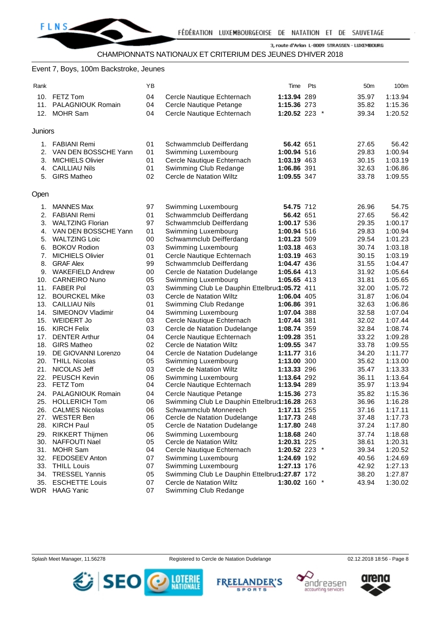## Event 7, Boys, 100m Backstroke, Jeunes

| Rank       |                                      | ΥB       |                                                 | Time                       | Pts | 50 <sub>m</sub> | 100m               |
|------------|--------------------------------------|----------|-------------------------------------------------|----------------------------|-----|-----------------|--------------------|
| 10.        | FETZ Tom                             | 04       | Cercle Nautique Echternach                      | 1:13.94 289                |     | 35.97           | 1:13.94            |
| 11.        | PALAGNIOUK Romain                    | 04       | Cercle Nautique Petange                         | 1:15.36 273                |     | 35.82           | 1:15.36            |
| 12.        | <b>MOHR Sam</b>                      | 04       | Cercle Nautique Echternach                      | 1:20.52 223 *              |     | 39.34           | 1:20.52            |
|            |                                      |          |                                                 |                            |     |                 |                    |
| Juniors    |                                      |          |                                                 |                            |     |                 |                    |
| 1.         | <b>FABIANI Remi</b>                  | 01       | Schwammclub Deifferdang                         | 56.42 651                  |     | 27.65           | 56.42              |
| 2.         | VAN DEN BOSSCHE Yann                 | 01       | Swimming Luxembourg                             | 1:00.94 516                |     | 29.83           | 1:00.94            |
| 3.         | <b>MICHIELS Olivier</b>              | 01       | Cercle Nautique Echternach                      | 1:03.19 463                |     | 30.15           | 1:03.19            |
| 4.         | <b>CAILLIAU Nils</b>                 | 01       | Swimming Club Redange                           | 1:06.86 391                |     | 32.63           | 1:06.86            |
| 5.         | <b>GIRS Matheo</b>                   | 02       | Cercle de Natation Wiltz                        | 1:09.55 347                |     | 33.78           | 1:09.55            |
| Open       |                                      |          |                                                 |                            |     |                 |                    |
| 1.         | <b>MANNES Max</b>                    | 97       | Swimming Luxembourg                             | 54.75 712                  |     | 26.96           | 54.75              |
| 2.         | <b>FABIANI Remi</b>                  | 01       | Schwammclub Deifferdang                         | 56.42 651                  |     | 27.65           | 56.42              |
| 3.         | <b>WALTZING Florian</b>              | 97       | Schwammclub Deifferdang                         | 1:00.17 536                |     | 29.35           | 1:00.17            |
| 4.         | VAN DEN BOSSCHE Yann                 | 01       | Swimming Luxembourg                             | 1:00.94 516                |     | 29.83           | 1:00.94            |
| 5.         | <b>WALTZING Loic</b>                 | 00       | Schwammclub Deifferdang                         | 1:01.23 509                |     | 29.54           | 1:01.23            |
| 6.         | <b>BOKOV Rodion</b>                  | 03       | Swimming Luxembourg                             | 1:03.18 463                |     | 30.74           | 1:03.18            |
| 7.         | <b>MICHIELS Olivier</b>              | 01       | Cercle Nautique Echternach                      | 1:03.19 463                |     | 30.15           | 1:03.19            |
| 8.         | <b>GRAF Alex</b>                     | 99       | Schwammclub Deifferdang                         | 1:04.47 436                |     | 31.55           | 1:04.47            |
|            | 9. WAKEFIELD Andrew                  | 00       | Cercle de Natation Dudelange                    | 1:05.64 413                |     | 31.92           | 1:05.64            |
|            | 10. CARNEIRO Nuno                    | 05       | Swimming Luxembourg                             | 1:05.65 413                |     | 31.81           | 1:05.65            |
| 11.        | <b>FABER Pol</b>                     | 03       | Swimming Club Le Dauphin Ettelbru(1:05.72 411   |                            |     | 32.00           | 1:05.72            |
| 12.        | <b>BOURCKEL Mike</b>                 | 03       | Cercle de Natation Wiltz                        | 1:06.04 405                |     | 31.87           | 1:06.04            |
| 13.        | <b>CAILLIAU Nils</b>                 | 01       | Swimming Club Redange                           | 1:06.86 391                |     | 32.63           | 1:06.86            |
| 14.        | SIMEONOV Vladimir                    | 04       | Swimming Luxembourg                             | 1:07.04 388                |     | 32.58           | 1:07.04            |
| 15.        | <b>WEIDERT Jo</b>                    | 03       | Cercle Nautique Echternach                      | 1:07.44 381                |     | 32.02           | 1:07.44            |
|            | 16. KIRCH Felix                      | 03       | Cercle de Natation Dudelange                    | 1:08.74 359                |     | 32.84           | 1:08.74            |
| 17.        | <b>DENTER Arthur</b>                 | 04       | Cercle Nautique Echternach                      | 1:09.28 351                |     | 33.22           | 1:09.28            |
| 18.        | <b>GIRS Matheo</b>                   | 02       | Cercle de Natation Wiltz                        | 1:09.55 347                |     | 33.78           | 1:09.55            |
| 19.        | DE GIOVANNI Lorenzo                  | 04       | Cercle de Natation Dudelange                    | 1:11.77 316                |     | 34.20           | 1:11.77            |
| 20.<br>21. | <b>THILL Nicolas</b><br>NICOLAS Jeff | 05<br>03 | Swimming Luxembourg<br>Cercle de Natation Wiltz | 1:13.00 300                |     | 35.62           | 1:13.00<br>1:13.33 |
| 22.        | PEUSCH Kevin                         | 06       | Swimming Luxembourg                             | 1:13.33 296<br>1:13.64 292 |     | 35.47<br>36.11  | 1:13.64            |
| 23.        | <b>FETZ Tom</b>                      | 04       | Cercle Nautique Echternach                      | 1:13.94 289                |     | 35.97           | 1:13.94            |
| 24.        | <b>PALAGNIOUK Romain</b>             | 04       | Cercle Nautique Petange                         | 1:15.36 273                |     | 35.82           | 1:15.36            |
| 25.        | <b>HOLLERICH Tom</b>                 | 06       | Swimming Club Le Dauphin Ettelbru(1:16.28 263   |                            |     | 36.96           | 1:16.28            |
| 26.        | CALMES Nicolas                       | 06       | Schwammclub Monnerech                           | 1:17.11 255                |     | 37.16           | 1:17.11            |
|            | 27. WESTER Ben                       | 06       | Cercle de Natation Dudelange                    | 1:17.73 248                |     | 37.48           | 1:17.73            |
|            | 28. KIRCH Paul                       | 05       | Cercle de Natation Dudelange                    | 1:17.80 248                |     | 37.24           | 1:17.80            |
| 29.        | RIKKERT Thijmen                      | 06       | Swimming Luxembourg                             | 1:18.68 240                |     | 37.74           | 1:18.68            |
|            | 30. NAFFOUTI Nael                    | 05       | Cercle de Natation Wiltz                        | 1:20.31 225                |     | 38.61           | 1:20.31            |
| 31.        | <b>MOHR Sam</b>                      | 04       | Cercle Nautique Echternach                      | 1:20.52 223 $*$            |     | 39.34           | 1:20.52            |
| 32.        | FEDOSEEV Anton                       | 07       | Swimming Luxembourg                             | 1:24.69 192                |     | 40.56           | 1:24.69            |
| 33.        | <b>THILL Louis</b>                   | 07       | Swimming Luxembourg                             | 1:27.13 176                |     | 42.92           | 1:27.13            |
| 34.        | <b>TRESSEL Yannis</b>                | 05       | Swimming Club Le Dauphin Ettelbru(1:27.87 172   |                            |     | 38.20           | 1:27.87            |
| 35.        | <b>ESCHETTE Louis</b>                | 07       | Cercle de Natation Wiltz                        | 1:30.02 160 $*$            |     | 43.94           | 1:30.02            |
|            | <b>WDR</b> HAAG Yanic                | 07       | Swimming Club Redange                           |                            |     |                 |                    |







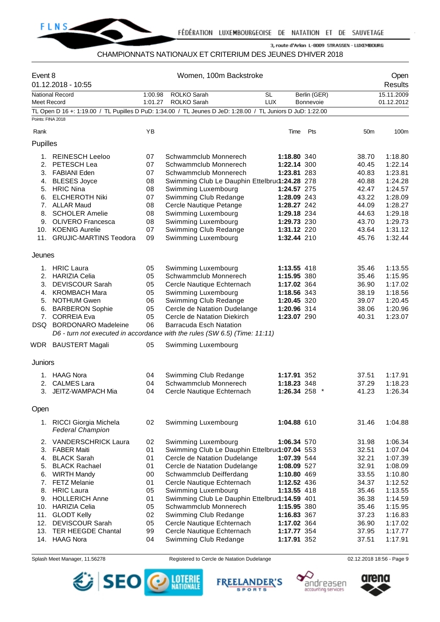

## CHAMPIONNATS NATIONAUX ET CRITERIUM DES JEUNES D'HIVER 2018

| Event 8           | 01.12.2018 - 10:55                                  |         | Women, 100m Backstroke                                                                                      |             |                           |                 | Open<br>Results |
|-------------------|-----------------------------------------------------|---------|-------------------------------------------------------------------------------------------------------------|-------------|---------------------------|-----------------|-----------------|
|                   | <b>National Record</b>                              | 1:00.98 | <b>SL</b><br><b>ROLKO Sarah</b><br><b>ROLKO Sarah</b>                                                       | <b>LUX</b>  | Berlin (GER)<br>Bonnevoie |                 | 15.11.2009      |
| Meet Record       |                                                     | 1:01.27 |                                                                                                             | 01.12.2012  |                           |                 |                 |
| Points: FINA 2018 |                                                     |         | TL Open D 16 +: 1:19.00 / TL Pupilles D PuD: 1:34.00 / TL Jeunes D JeD: 1:28.00 / TL Juniors D JuD: 1:22.00 |             |                           |                 |                 |
|                   |                                                     |         |                                                                                                             |             |                           |                 |                 |
| Rank              |                                                     | ΥB      |                                                                                                             | Time        | Pts                       | 50 <sub>m</sub> | 100m            |
| Pupilles          |                                                     |         |                                                                                                             |             |                           |                 |                 |
| 1.                | <b>REINESCH Leeloo</b>                              | 07      | Schwammclub Monnerech                                                                                       | 1:18.80 340 |                           | 38.70           | 1:18.80         |
| 2.                | PETESCH Lea                                         | 07      | Schwammclub Monnerech                                                                                       | 1:22.14 300 |                           | 40.45           | 1:22.14         |
| 3.                | <b>FABIANI Eden</b>                                 | 07      | Schwammclub Monnerech                                                                                       | 1:23.81 283 |                           | 40.83           | 1:23.81         |
| 4.                | <b>BLESES Joyce</b>                                 | 08      | Swimming Club Le Dauphin Ettelbru(1:24.28 278                                                               |             |                           | 40.88           | 1:24.28         |
|                   | 5. HRIC Nina                                        | 08      | Swimming Luxembourg                                                                                         | 1:24.57 275 |                           | 42.47           | 1:24.57         |
| 6.                | <b>ELCHEROTH Niki</b>                               | 07      | Swimming Club Redange                                                                                       | 1:28.09 243 |                           | 43.22           | 1:28.09         |
|                   | 7. ALLAR Maud                                       | 08      | Cercle Nautique Petange                                                                                     | 1:28.27 242 |                           | 44.09           | 1:28.27         |
| 8.                | <b>SCHOLER Amelie</b>                               | 08      | Swimming Luxembourg                                                                                         | 1:29.18 234 |                           | 44.63           | 1:29.18         |
| 9.                | <b>OLIVERO</b> Francesca                            | 08      | Swimming Luxembourg                                                                                         | 1:29.73 230 |                           | 43.70           | 1:29.73         |
| 10.               | <b>KOENIG Aurelie</b>                               | 07      | Swimming Club Redange                                                                                       | 1:31.12 220 |                           | 43.64           | 1:31.12         |
| 11.               | <b>GRUJIC-MARTINS Teodora</b>                       | 09      | Swimming Luxembourg                                                                                         | 1:32.44 210 |                           | 45.76           | 1:32.44         |
|                   |                                                     |         |                                                                                                             |             |                           |                 |                 |
| Jeunes            |                                                     |         |                                                                                                             |             |                           |                 |                 |
|                   | 1. HRIC Laura                                       | 05      | Swimming Luxembourg                                                                                         | 1:13.55 418 |                           | 35.46           | 1:13.55         |
|                   | 2. HARIZIA Celia                                    | 05      | Schwammclub Monnerech                                                                                       | 1:15.95 380 |                           | 35.46           | 1:15.95         |
| 3.                | <b>DEVISCOUR Sarah</b>                              | 05      | Cercle Nautique Echternach                                                                                  | 1:17.02 364 |                           | 36.90           | 1:17.02         |
| 4.                | <b>KROMBACH Mara</b>                                | 05      | Swimming Luxembourg                                                                                         | 1:18.56 343 |                           | 38.19           | 1:18.56         |
| 5.                | <b>NOTHUM Gwen</b>                                  | 06      | Swimming Club Redange                                                                                       | 1:20.45 320 |                           | 39.07           | 1:20.45         |
| 6.                | <b>BARBERON Sophie</b>                              | 05      | Cercle de Natation Dudelange                                                                                | 1:20.96 314 |                           | 38.06           | 1:20.96         |
| 7.                | <b>CORREIA Eva</b>                                  | 05      | Cercle de Natation Diekirch                                                                                 | 1:23.07 290 |                           | 40.31           | 1:23.07         |
|                   | DSQ BORDONARO Madeleine                             | 06      | <b>Barracuda Esch Natation</b>                                                                              |             |                           |                 |                 |
|                   |                                                     |         | D6 - turn not executed in accordance with the rules (SW 6.5) (Time: 11:11)                                  |             |                           |                 |                 |
|                   | WDR BAUSTERT Magali                                 | 05      | Swimming Luxembourg                                                                                         |             |                           |                 |                 |
| Juniors           |                                                     |         |                                                                                                             |             |                           |                 |                 |
|                   | 1. HAAG Nora                                        | 04      | Swimming Club Redange                                                                                       | 1:17.91 352 |                           | 37.51           | 1:17.91         |
| 2.                | <b>CALMES Lara</b>                                  | 04      | Schwammclub Monnerech                                                                                       | 1:18.23 348 |                           | 37.29           | 1:18.23         |
| 3.                | JEITZ-WAMPACH Mia                                   | 04      | Cercle Nautique Echternach                                                                                  |             | 1:26.34 258 *             | 41.23           | 1:26.34         |
|                   |                                                     |         |                                                                                                             |             |                           |                 |                 |
| Open              |                                                     |         |                                                                                                             |             |                           |                 |                 |
|                   | 1. RICCI Giorgia Michela<br><b>Federal Champion</b> | 02      | Swimming Luxembourg                                                                                         | 1:04.88 610 |                           | 31.46           | 1:04.88         |
|                   | 2. VANDERSCHRICK Laura                              | 02      | Swimming Luxembourg                                                                                         | 1:06.34 570 |                           | 31.98           | 1:06.34         |
| 3.                | <b>FABER Maiti</b>                                  | 01      | Swimming Club Le Dauphin Ettelbru(1:07.04 553                                                               |             |                           | 32.51           | 1:07.04         |
| 4.                | <b>BLACK Sarah</b>                                  | 01      | Cercle de Natation Dudelange                                                                                | 1:07.39 544 |                           | 32.21           | 1:07.39         |
| 5.                | <b>BLACK Rachael</b>                                | 01      | Cercle de Natation Dudelange                                                                                | 1:08.09 527 |                           | 32.91           | 1:08.09         |
| 6.                | <b>WIRTH Mandy</b>                                  | 00      | Schwammclub Deifferdang                                                                                     | 1:10.80 469 |                           | 33.55           | 1:10.80         |
| 7.                | <b>FETZ Melanie</b>                                 | 01      | Cercle Nautique Echternach                                                                                  | 1:12.52 436 |                           | 34.37           | 1:12.52         |
| 8.                | <b>HRIC Laura</b>                                   | 05      | Swimming Luxembourg                                                                                         | 1:13.55 418 |                           | 35.46           | 1:13.55         |
| 9.                | <b>HOLLERICH Anne</b>                               | 01      | Swimming Club Le Dauphin Ettelbru(1:14.59 401                                                               |             |                           | 36.38           | 1:14.59         |
| 10.               | <b>HARIZIA Celia</b>                                | 05      | Schwammclub Monnerech                                                                                       | 1:15.95 380 |                           | 35.46           | 1:15.95         |
| 11.               | <b>GLODT Kelly</b>                                  | 02      | Swimming Club Redange                                                                                       | 1:16.83 367 |                           | 37.23           | 1:16.83         |
| 12.               | <b>DEVISCOUR Sarah</b>                              | 05      | Cercle Nautique Echternach                                                                                  | 1:17.02 364 |                           | 36.90           | 1:17.02         |
| 13.               | <b>TER HEEGDE Chantal</b>                           | 99      | Cercle Nautique Echternach                                                                                  | 1:17.77 354 |                           | 37.95           | 1:17.77         |
| 14.               | <b>HAAG Nora</b>                                    | 04      | Swimming Club Redange                                                                                       | 1:17.91 352 |                           | 37.51           | 1:17.91         |

Splash Meet Manager, 11.56278 **Registered to Cercle de Natation Dudelange 12.12.0018 18:56 - Page 9** C2.12.2018 18:56 - Page 9



**FREELANDER'S** 

**SPORTS** 



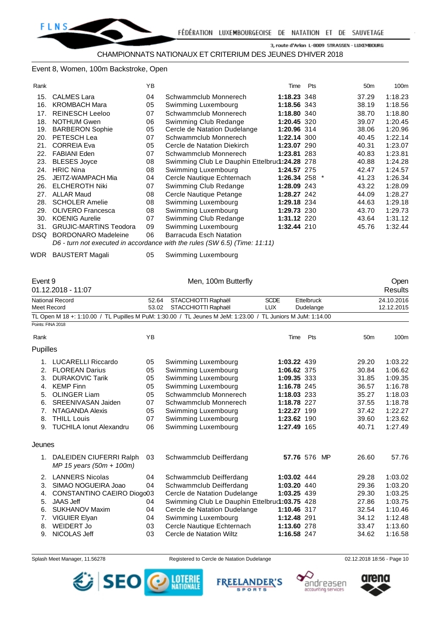## Event 8, Women, 100m Backstroke, Open

|                               | YB |                                | Time | Pts | 50 <sub>m</sub>                                                                                                                                                                                                                                                                               | 100 <sub>m</sub> |
|-------------------------------|----|--------------------------------|------|-----|-----------------------------------------------------------------------------------------------------------------------------------------------------------------------------------------------------------------------------------------------------------------------------------------------|------------------|
| <b>CALMES Lara</b>            | 04 | Schwammclub Monnerech          |      |     | 37.29                                                                                                                                                                                                                                                                                         | 1:18.23          |
| <b>KROMBACH Mara</b>          | 05 | Swimming Luxembourg            |      |     | 38.19                                                                                                                                                                                                                                                                                         | 1:18.56          |
| <b>REINESCH Leeloo</b>        | 07 | Schwammclub Monnerech          |      |     | 38.70                                                                                                                                                                                                                                                                                         | 1:18.80          |
| <b>NOTHUM Gwen</b>            | 06 | Swimming Club Redange          |      |     | 39.07                                                                                                                                                                                                                                                                                         | 1:20.45          |
| <b>BARBERON Sophie</b>        | 05 | Cercle de Natation Dudelange   |      |     | 38.06                                                                                                                                                                                                                                                                                         | 1:20.96          |
| <b>PETESCH Lea</b>            | 07 | Schwammclub Monnerech          |      |     | 40.45                                                                                                                                                                                                                                                                                         | 1:22.14          |
| <b>CORREIA Eva</b>            | 05 | Cercle de Natation Diekirch    |      |     | 40.31                                                                                                                                                                                                                                                                                         | 1:23.07          |
| <b>FABIANI Eden</b>           | 07 | Schwammclub Monnerech          |      |     | 40.83                                                                                                                                                                                                                                                                                         | 1:23.81          |
| <b>BLESES Joyce</b>           | 08 |                                |      |     | 40.88                                                                                                                                                                                                                                                                                         | 1:24.28          |
| <b>HRIC Nina</b>              | 08 | Swimming Luxembourg            |      |     | 42.47                                                                                                                                                                                                                                                                                         | 1:24.57          |
| <b>JEITZ-WAMPACH Mia</b>      | 04 | Cercle Nautique Echternach     |      |     | 41.23                                                                                                                                                                                                                                                                                         | 1:26.34          |
| <b>ELCHEROTH Niki</b>         | 07 | Swimming Club Redange          |      |     | 43.22                                                                                                                                                                                                                                                                                         | 1:28.09          |
| <b>ALLAR Maud</b>             | 08 | Cercle Nautique Petange        |      |     | 44.09                                                                                                                                                                                                                                                                                         | 1:28.27          |
| <b>SCHOLER Amelie</b>         | 08 | Swimming Luxembourg            |      |     | 44.63                                                                                                                                                                                                                                                                                         | 1:29.18          |
| <b>OLIVERO</b> Francesca      | 08 | Swimming Luxembourg            |      |     | 43.70                                                                                                                                                                                                                                                                                         | 1:29.73          |
| <b>KOENIG Aurelie</b>         | 07 | Swimming Club Redange          |      |     | 43.64                                                                                                                                                                                                                                                                                         | 1:31.12          |
| <b>GRUJIC-MARTINS Teodora</b> | 09 | Swimming Luxembourg            |      |     | 45.76                                                                                                                                                                                                                                                                                         | 1:32.44          |
| <b>BORDONARO Madeleine</b>    | 06 | <b>Barracuda Esch Natation</b> |      |     |                                                                                                                                                                                                                                                                                               |                  |
|                               |    |                                |      |     | 1:18.23 348<br>1:18.56 343<br>1:18.80 340<br>1:20.45 320<br>1:20.96 314<br>1:22.14 300<br>1:23.07 290<br>1:23.81 283<br>Swimming Club Le Dauphin Ettelbruc1:24.28 278<br>1:24.57 275<br>1:26.34 258<br>1:28.09 243<br>1:28.27 242<br>1:29.18 234<br>1:29.73 230<br>1:31.12 220<br>1:32.44 210 |                  |

*D6 - turn not executed in accordance with the rules (SW 6.5) (Time: 11:11)*

WDR BAUSTERT Magali 05 Swimming Luxembourg

| Event 9  | 01.12.2018 - 11:07                                                |       |                                                                                                             | Open<br><b>Results</b> |              |                 |            |
|----------|-------------------------------------------------------------------|-------|-------------------------------------------------------------------------------------------------------------|------------------------|--------------|-----------------|------------|
|          | <b>National Record</b>                                            | 52.64 | STACCHIOTTI Raphaël                                                                                         | <b>SCDE</b>            | Ettelbruck   |                 | 24.10.2016 |
|          | <b>Meet Record</b>                                                | 53.02 | STACCHIOTTI Raphaël                                                                                         | <b>LUX</b>             | Dudelange    |                 | 12.12.2015 |
|          |                                                                   |       | TL Open M 18 +: 1:10.00 / TL Pupilles M PuM: 1:30.00 / TL Jeunes M JeM: 1:23.00 / TL Juniors M JuM: 1:14.00 |                        |              |                 |            |
|          | Points: FINA 2018                                                 |       |                                                                                                             |                        |              |                 |            |
| Rank     |                                                                   | YB    |                                                                                                             | Time                   | Pts          | 50 <sub>m</sub> | 100m       |
| Pupilles |                                                                   |       |                                                                                                             |                        |              |                 |            |
| 1.       | <b>LUCARELLI Riccardo</b>                                         | 05    | Swimming Luxembourg                                                                                         | 1:03.22 439            |              | 29.20           | 1:03.22    |
| 2.       | <b>FLOREAN Darius</b>                                             | 05    | Swimming Luxembourg                                                                                         | 1:06.62 375            |              | 30.84           | 1:06.62    |
| 3.       | <b>DURAKOVIC Tarik</b>                                            | 05    | Swimming Luxembourg                                                                                         | 1:09.35 333            |              | 31.85           | 1:09.35    |
| 4.       | <b>KEMP Finn</b>                                                  | 05    | Swimming Luxembourg                                                                                         | 1:16.78 245            |              | 36.57           | 1:16.78    |
| 5.       | <b>OLINGER Liam</b>                                               | 05    | Schwammclub Monnerech                                                                                       | 1:18.03 233            |              | 35.27           | 1:18.03    |
| 6.       | <b>SREENIVASAN Jaiden</b>                                         | 07    | Schwammclub Monnerech                                                                                       | 1:18.78 227            |              | 37.55           | 1:18.78    |
| 7.       | NTAGANDA Alexis                                                   | 05    | Swimming Luxembourg                                                                                         | 1:22.27 199            |              | 37.42           | 1:22.27    |
| 8.       | <b>THILL Louis</b>                                                | 07    | Swimming Luxembourg                                                                                         | 1:23.62 190            |              | 39.60           | 1:23.62    |
| 9.       | <b>TUCHILA Ionut Alexandru</b>                                    | 06    | Swimming Luxembourg                                                                                         | 1:27.49 165            |              | 40.71           | 1:27.49    |
| Jeunes   |                                                                   |       |                                                                                                             |                        |              |                 |            |
|          | 1. DALEIDEN CIUFERRI Ralph<br>$MP 15 \text{ years } (50m + 100m)$ | 03    | Schwammclub Deifferdang                                                                                     |                        | 57.76 576 MP | 26.60           | 57.76      |
| 2.       | <b>LANNERS Nicolas</b>                                            | 04    | Schwammclub Deifferdang                                                                                     | 1:03.02 444            |              | 29.28           | 1:03.02    |
| 3.       | SIMAO NOGUEIRA Joao                                               | 04    | Schwammclub Deifferdang                                                                                     | 1:03.20 440            |              | 29.36           | 1:03.20    |
| 4.       | CONSTANTINO CAEIRO Diogo03                                        |       | Cercle de Natation Dudelange                                                                                | 1:03.25 439            |              | 29.30           | 1:03.25    |
| 5.       | <b>JAAS Jeff</b>                                                  | 04    | Swimming Club Le Dauphin Ettelbru(1:03.75 428                                                               |                        |              | 27.86           | 1:03.75    |
| 6.       | <b>SUKHANOV Maxim</b>                                             | 04    | Cercle de Natation Dudelange                                                                                | 1:10.46 317            |              | 32.54           | 1:10.46    |
| 7.       | <b>VIGUIER Elyan</b>                                              | 04    | Swimming Luxembourg                                                                                         | 1:12.48 291            |              | 34.12           | 1:12.48    |
| 8.       | <b>WEIDERT Jo</b>                                                 | 03    | Cercle Nautique Echternach                                                                                  | 1:13.60 278            |              | 33.47           | 1:13.60    |
| 9.       | NICOLAS Jeff                                                      | 03    | Cercle de Natation Wiltz                                                                                    | 1:16.58 247            |              | 34.62           | 1:16.58    |

Splash Meet Manager, 11.56278 Registered to Cercle de Natation Dudelange **10 Cercle 18:56 - Page 10** Cercle de Natation Dudelange







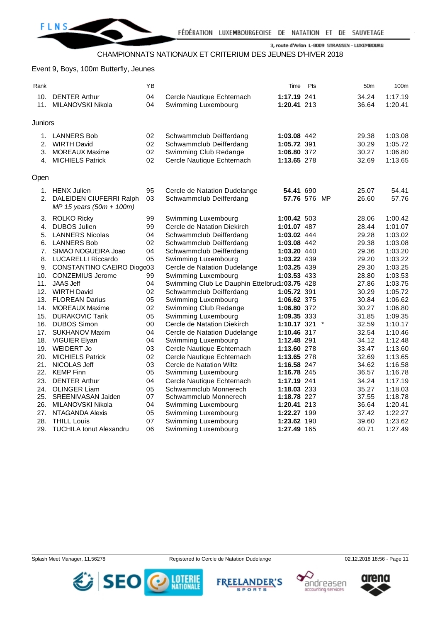## Event 9, Boys, 100m Butterfly, Jeunes

| Rank    |                                     | YB |                                               | Time            | Pts | 50 <sub>m</sub> | 100m    |
|---------|-------------------------------------|----|-----------------------------------------------|-----------------|-----|-----------------|---------|
| 10.     | <b>DENTER Arthur</b>                | 04 | Cercle Nautique Echternach                    | 1:17.19 241     |     | 34.24           | 1:17.19 |
| 11.     | MILANOVSKI Nikola                   | 04 | Swimming Luxembourg                           | 1:20.41 213     |     | 36.64           | 1:20.41 |
|         |                                     |    |                                               |                 |     |                 |         |
| Juniors |                                     |    |                                               |                 |     |                 |         |
|         | 1. LANNERS Bob                      | 02 | Schwammclub Deifferdang                       | 1:03.08 442     |     | 29.38           | 1:03.08 |
| 2.      | <b>WIRTH David</b>                  | 02 | Schwammclub Deifferdang                       | 1:05.72 391     |     | 30.29           | 1:05.72 |
|         | 3. MOREAUX Maxime                   | 02 | Swimming Club Redange                         | 1:06.80 372     |     | 30.27           | 1:06.80 |
| 4.      | <b>MICHIELS Patrick</b>             | 02 | Cercle Nautique Echternach                    | 1:13.65 278     |     | 32.69           | 1:13.65 |
|         |                                     |    |                                               |                 |     |                 |         |
| Open    |                                     |    |                                               |                 |     |                 |         |
|         | 1. HENX Julien                      | 95 | Cercle de Natation Dudelange                  | 54.41 690       |     | 25.07           | 54.41   |
| 2.      | DALEIDEN CIUFERRI Ralph             | 03 | Schwammclub Deifferdang                       | 57.76 576 MP    |     | 26.60           | 57.76   |
|         | $MP 15 \text{ years } (50m + 100m)$ |    |                                               |                 |     |                 |         |
| 3.      | <b>ROLKO Ricky</b>                  | 99 | Swimming Luxembourg                           | 1:00.42 503     |     | 28.06           | 1:00.42 |
| 4.      | <b>DUBOS Julien</b>                 | 99 | Cercle de Natation Diekirch                   | 1:01.07 487     |     | 28.44           | 1:01.07 |
| 5.      | <b>LANNERS Nicolas</b>              | 04 | Schwammclub Deifferdang                       | 1:03.02 444     |     | 29.28           | 1:03.02 |
|         | 6. LANNERS Bob                      | 02 | Schwammclub Deifferdang                       | 1:03.08 442     |     | 29.38           | 1:03.08 |
| 7.      | SIMAO NOGUEIRA Joao                 | 04 | Schwammclub Deifferdang                       | 1:03.20 440     |     | 29.36           | 1:03.20 |
| 8.      | <b>LUCARELLI Riccardo</b>           | 05 | Swimming Luxembourg                           | 1:03.22 439     |     | 29.20           | 1:03.22 |
|         | 9. CONSTANTINO CAEIRO Diogo03       |    | Cercle de Natation Dudelange                  | 1:03.25 439     |     | 29.30           | 1:03.25 |
|         | 10. CONZEMIUS Jerome                | 99 | Swimming Luxembourg                           | 1:03.53 433     |     | 28.80           | 1:03.53 |
| 11.     | <b>JAAS Jeff</b>                    | 04 | Swimming Club Le Dauphin Ettelbru(1:03.75 428 |                 |     | 27.86           | 1:03.75 |
|         | 12. WIRTH David                     | 02 | Schwammclub Deifferdang                       | 1:05.72 391     |     | 30.29           | 1:05.72 |
| 13.     | <b>FLOREAN Darius</b>               | 05 | Swimming Luxembourg                           | 1:06.62 375     |     | 30.84           | 1:06.62 |
| 14.     | <b>MOREAUX Maxime</b>               | 02 | Swimming Club Redange                         | 1:06.80 372     |     | 30.27           | 1:06.80 |
| 15.     | <b>DURAKOVIC Tarik</b>              | 05 | Swimming Luxembourg                           | 1:09.35 333     |     | 31.85           | 1:09.35 |
| 16.     | <b>DUBOS Simon</b>                  | 00 | Cercle de Natation Diekirch                   | 1:10.17 321 $*$ |     | 32.59           | 1:10.17 |
|         | 17. SUKHANOV Maxim                  | 04 | Cercle de Natation Dudelange                  | 1:10.46 317     |     | 32.54           | 1:10.46 |
|         | 18. VIGUIER Elyan                   | 04 | Swimming Luxembourg                           | 1:12.48 291     |     | 34.12           | 1:12.48 |
|         | 19. WEIDERT Jo                      | 03 | Cercle Nautique Echternach                    | 1:13.60 278     |     | 33.47           | 1:13.60 |
| 20.     | <b>MICHIELS Patrick</b>             | 02 | Cercle Nautique Echternach                    | 1:13.65 278     |     | 32.69           | 1:13.65 |
| 21.     | NICOLAS Jeff                        | 03 | Cercle de Natation Wiltz                      | 1:16.58 247     |     | 34.62           | 1:16.58 |
|         | 22. KEMP Finn                       | 05 | Swimming Luxembourg                           | 1:16.78 245     |     | 36.57           | 1:16.78 |
| 23.     | <b>DENTER Arthur</b>                | 04 | Cercle Nautique Echternach                    | 1:17.19 241     |     | 34.24           | 1:17.19 |
| 24.     | <b>OLINGER Liam</b>                 | 05 | Schwammclub Monnerech                         | 1:18.03 233     |     | 35.27           | 1:18.03 |
|         | 25. SREENIVASAN Jaiden              | 07 | Schwammclub Monnerech                         | 1:18.78 227     |     | 37.55           | 1:18.78 |
| 26.     | MILANOVSKI Nikola                   | 04 | Swimming Luxembourg                           | 1:20.41 213     |     | 36.64           | 1:20.41 |
| 27.     | NTAGANDA Alexis                     | 05 | Swimming Luxembourg                           | 1:22.27 199     |     | 37.42           | 1:22.27 |
| 28.     | <b>THILL Louis</b>                  | 07 | Swimming Luxembourg                           | 1:23.62 190     |     | 39.60           | 1:23.62 |
|         | 29. TUCHILA Ionut Alexandru         | 06 | Swimming Luxembourg                           | 1:27.49 165     |     | 40.71           | 1:27.49 |





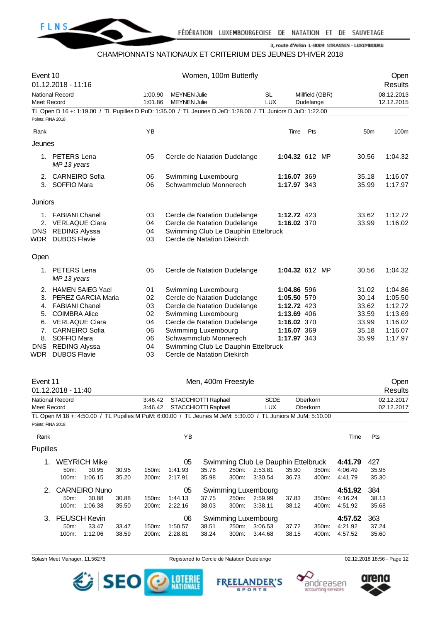

## CHAMPIONNATS NATIONAUX ET CRITERIUM DES JEUNES D'HIVER 2018

| Event 10          | 01.12.2018 - 11:16                                                                                          |                    |                                            | Women, 100m Butterfly                               |                         |                            |                              |       |         |                 | Open<br>Results          |
|-------------------|-------------------------------------------------------------------------------------------------------------|--------------------|--------------------------------------------|-----------------------------------------------------|-------------------------|----------------------------|------------------------------|-------|---------|-----------------|--------------------------|
| Meet Record       | <b>National Record</b>                                                                                      | 1:00.90<br>1:01.86 | <b>MEYNEN Julie</b><br><b>MEYNEN Julie</b> |                                                     | <b>SL</b><br><b>LUX</b> |                            | Millfield (GBR)<br>Dudelange |       |         |                 | 08.12.2013<br>12.12.2015 |
|                   | TL Open D 16 +: 1:19.00 / TL Pupilles D PuD: 1:35.00 / TL Jeunes D JeD: 1:28.00 / TL Juniors D JuD: 1:22.00 |                    |                                            |                                                     |                         |                            |                              |       |         |                 |                          |
| Points: FINA 2018 |                                                                                                             |                    |                                            |                                                     |                         |                            |                              |       |         |                 |                          |
| Rank              |                                                                                                             | YB                 |                                            |                                                     |                         | Time                       | Pts                          |       |         | 50 <sub>m</sub> | 100m                     |
| Jeunes            |                                                                                                             |                    |                                            |                                                     |                         |                            |                              |       |         |                 |                          |
|                   | 1. PETERS Lena<br>MP 13 years                                                                               | 05                 |                                            | Cercle de Natation Dudelange                        |                         | 1:04.32 612 MP             |                              |       |         | 30.56           | 1:04.32                  |
|                   | 2. CARNEIRO Sofia                                                                                           | 06                 |                                            | Swimming Luxembourg                                 |                         | 1:16.07 369                |                              |       |         | 35.18           | 1:16.07                  |
|                   | 3. SOFFIO Mara                                                                                              | 06                 |                                            | Schwammclub Monnerech                               |                         | 1:17.97 343                |                              |       |         | 35.99           | 1:17.97                  |
| Juniors           |                                                                                                             |                    |                                            |                                                     |                         |                            |                              |       |         |                 |                          |
|                   | 1. FABIANI Chanel                                                                                           | 03                 |                                            | Cercle de Natation Dudelange                        |                         | 1:12.72 423                |                              |       |         | 33.62           | 1:12.72                  |
|                   | 2. VERLAQUE Ciara                                                                                           | 04                 |                                            | Cercle de Natation Dudelange                        |                         | 1:16.02 370                |                              |       |         | 33.99           | 1:16.02                  |
| DNS               | <b>REDING Alyssa</b>                                                                                        | 04                 |                                            | Swimming Club Le Dauphin Ettelbruck                 |                         |                            |                              |       |         |                 |                          |
|                   | <b>WDR</b> DUBOS Flavie                                                                                     | 03                 | Cercle de Natation Diekirch                |                                                     |                         |                            |                              |       |         |                 |                          |
| Open              |                                                                                                             |                    |                                            |                                                     |                         |                            |                              |       |         |                 |                          |
|                   | 1. PETERS Lena<br>MP 13 years                                                                               | 05                 |                                            | Cercle de Natation Dudelange                        |                         | 1:04.32 612 MP             |                              |       |         | 30.56           | 1:04.32                  |
|                   | 2. HAMEN SAIEG Yael                                                                                         | 01                 |                                            | Swimming Luxembourg                                 |                         | 1:04.86 596                |                              |       |         | 31.02           | 1:04.86                  |
| 3.                | PEREZ GARCIA Maria                                                                                          | 02                 |                                            | Cercle de Natation Dudelange                        |                         | 1:05.50 579                |                              |       |         | 30.14           | 1:05.50                  |
|                   | 4. FABIANI Chanel                                                                                           | 03                 |                                            | Cercle de Natation Dudelange                        |                         | 1:12.72 423                |                              |       |         | 33.62           | 1:12.72                  |
|                   | 5. COIMBRA Alice                                                                                            | 02                 |                                            | Swimming Luxembourg                                 |                         | 1:13.69 406                |                              |       |         | 33.59           | 1:13.69                  |
|                   | 6. VERLAQUE Ciara<br>7. CARNEIRO Sofia                                                                      | 04<br>06           |                                            | Cercle de Natation Dudelange<br>Swimming Luxembourg |                         | 1:16.02 370<br>1:16.07 369 |                              |       |         | 33.99<br>35.18  | 1:16.02<br>1:16.07       |
| 8.                | <b>SOFFIO Mara</b>                                                                                          | 06                 |                                            | Schwammclub Monnerech                               |                         | 1:17.97 343                |                              |       |         | 35.99           | 1:17.97                  |
| <b>DNS</b>        | <b>REDING Alyssa</b>                                                                                        | 04                 |                                            | Swimming Club Le Dauphin Ettelbruck                 |                         |                            |                              |       |         |                 |                          |
| WDR               | <b>DUBOS Flavie</b>                                                                                         | 03                 |                                            | Cercle de Natation Diekirch                         |                         |                            |                              |       |         |                 |                          |
|                   |                                                                                                             |                    |                                            |                                                     |                         |                            |                              |       |         |                 |                          |
| Event 11          | 01.12.2018 - 11:40                                                                                          |                    |                                            | Men, 400m Freestyle                                 |                         |                            |                              |       |         |                 | Open<br>Results          |
|                   | National Record                                                                                             | 3:46.42            |                                            | STACCHIOTTI Raphaël                                 | <b>SCDE</b>             |                            | Oberkorn                     |       |         |                 | 02.12.2017               |
| Meet Record       |                                                                                                             | 3:46.42            |                                            | STACCHIOTTI Raphaël                                 | <b>LUX</b>              |                            | Oberkorn                     |       |         |                 | 02.12.2017               |
|                   | TL Open M 18 +: 4:50.00 / TL Pupilles M PuM: 6:00.00 / TL Jeunes M JeM: 5:30.00 / TL Juniors M JuM: 5:10.00 |                    |                                            |                                                     |                         |                            |                              |       |         |                 |                          |
| Points: FINA 2018 |                                                                                                             |                    |                                            |                                                     |                         |                            |                              |       |         |                 |                          |
| Rank              |                                                                                                             |                    | YB                                         |                                                     |                         |                            |                              |       | Time    | Pts             |                          |
| Pupilles          |                                                                                                             |                    |                                            |                                                     |                         |                            |                              |       |         |                 |                          |
| 1.                | <b>WEYRICH Mike</b>                                                                                         |                    | 05                                         | Swimming Club Le Dauphin Ettelbruck                 |                         |                            |                              |       | 4:41.79 | 427             |                          |
|                   | 50m:<br>30.95<br>30.95                                                                                      | 150m:              | 1:41.93                                    | 250m:<br>35.78                                      | 2:53.81                 | 35.90                      |                              | 350m: | 4:06.49 | 35.95           |                          |
|                   | 1:06.15<br>100m:<br>35.20                                                                                   | 200m:              | 2:17.91                                    | 35.98<br>300m:                                      | 3:30.54                 | 36.73                      |                              | 400m: | 4:41.79 | 35.30           |                          |
| 2.                | <b>CARNEIRO Nuno</b>                                                                                        |                    | 05                                         | Swimming Luxembourg                                 |                         |                            |                              |       | 4:51.92 | 384             |                          |
|                   | 30.88<br>50m:<br>30.88                                                                                      | 150m:              | 1:44.13                                    | 37.75<br>250m:                                      | 2:59.99                 | 37.83                      |                              | 350m: | 4:16.24 | 38.13           |                          |
|                   | 100m:<br>1:06.38<br>35.50                                                                                   | 200m:              | 2:22.16                                    | 38.03<br>300m:                                      | 3:38.11                 | 38.12                      |                              | 400m: | 4:51.92 | 35.68           |                          |
| 3.                | <b>PEUSCH Kevin</b>                                                                                         |                    | 06                                         | Swimming Luxembourg                                 |                         |                            |                              |       | 4:57.52 | 363             |                          |
|                   | 50m:<br>33.47<br>33.47                                                                                      | 150m:              | 1:50.57                                    | 38.51<br>250m:                                      | 3:06.53                 | 37.72                      |                              | 350m: | 4:21.92 | 37.24           |                          |
|                   | 100m:<br>1:12.06<br>38.59                                                                                   | 200m:              | 2:28.81                                    | 38.24<br>300m:                                      | 3:44.68                 | 38.15                      |                              | 400m: | 4:57.52 | 35.60           |                          |

Splash Meet Manager, 11.56278 **Registered to Cercle de Natation Dudelange** 02.12.2018 18:56 - Page 12



**FREELANDER'S** 

**SPORTS** 



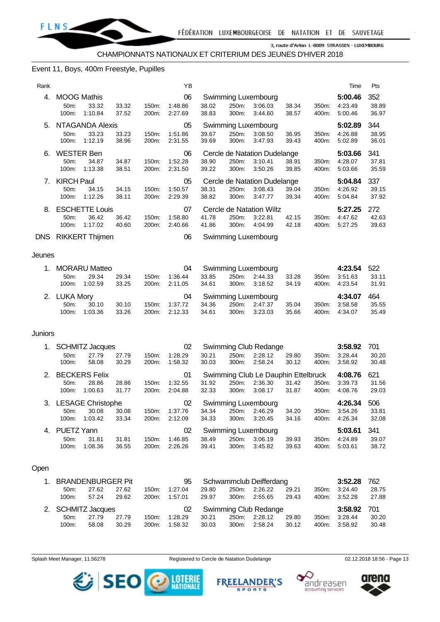

## Event 11, Boys, 400m Freestyle, Pupilles

| Rank           |                                     |                                           |                |                | YB                       |                |                |                                                           |                |                | Time                          | Pts                   |
|----------------|-------------------------------------|-------------------------------------------|----------------|----------------|--------------------------|----------------|----------------|-----------------------------------------------------------|----------------|----------------|-------------------------------|-----------------------|
| 4.             | <b>MOOG Mathis</b><br>50m:<br>100m: | 33.32<br>1:10.84                          | 33.32<br>37.52 | 150m:<br>200m: | 06<br>1:48.86<br>2:27.69 | 38.02<br>38.83 | 250m:<br>300m: | Swimming Luxembourg<br>3:06.03<br>3:44.60                 | 38.34<br>38.57 | 350m:<br>400m: | 5:00.46<br>4:23.49<br>5:00.46 | 352<br>38.89<br>36.97 |
|                | 50m:<br>100m:                       | 5. NTAGANDA Alexis<br>33.23<br>1:12.19    | 33.23<br>38.96 | 150m:<br>200m: | 05<br>1:51.86<br>2:31.55 | 39.67<br>39.69 | 250m:<br>300m: | Swimming Luxembourg<br>3:08.50<br>3:47.93                 | 36.95<br>39.43 | 350m:<br>400m: | 5:02.89<br>4:26.88<br>5:02.89 | 344<br>38.95<br>36.01 |
|                | 6. WESTER Ben<br>50m:<br>100m:      | 34.87<br>1:13.38                          | 34.87<br>38.51 | 150m:<br>200m: | 06<br>1:52.28<br>2:31.50 | 38.90<br>39.22 | 250m:<br>300m: | Cercle de Natation Dudelange<br>3:10.41<br>3:50.26        | 38.91<br>39.85 | 350m:<br>400m: | 5:03.66<br>4:28.07<br>5:03.66 | 341<br>37.81<br>35.59 |
|                | 7. KIRCH Paul<br>50m:<br>100m:      | 34.15<br>1:12.26                          | 34.15<br>38.11 | 150m:<br>200m: | 05<br>1:50.57<br>2:29.39 | 38.31<br>38.82 | 250m:<br>300m: | Cercle de Natation Dudelange<br>3:08.43<br>3:47.77        | 39.04<br>39.34 | 350m:<br>400m: | 5:04.84<br>4:26.92<br>5:04.84 | 337<br>39.15<br>37.92 |
| 8.             | 50m:<br>100m:                       | <b>ESCHETTE Louis</b><br>36.42<br>1:17.02 | 36.42<br>40.60 | 150m:<br>200m: | 07<br>1:58.80<br>2:40.66 | 41.78<br>41.86 | 250m:<br>300m: | Cercle de Natation Wiltz<br>3:22.81<br>4:04.99            | 42.15<br>42.18 | 350m:<br>400m: | 5:27.25<br>4:47.62<br>5:27.25 | 272<br>42.63<br>39.63 |
|                | DNS RIKKERT Thijmen<br>06           |                                           |                |                |                          |                |                | Swimming Luxembourg                                       |                |                |                               |                       |
| Jeunes         |                                     |                                           |                |                |                          |                |                |                                                           |                |                |                               |                       |
|                | 50m:<br>100m:                       | 1. MORARU Matteo<br>29.34<br>1:02.59      | 29.34<br>33.25 | 150m:<br>200m: | 04<br>1:36.44<br>2:11.05 | 33.85<br>34.61 | 250m:<br>300m: | Swimming Luxembourg<br>2:44.33<br>3:18.52                 | 33.28<br>34.19 | 350m:<br>400m: | 4:23.54<br>3:51.63<br>4:23.54 | 522<br>33.11<br>31.91 |
|                | 2. LUKA Mory<br>50m:<br>100m:       | 30.10<br>1:03.36                          | 30.10<br>33.26 | 150m:<br>200m: | 04<br>1:37.72<br>2:12.33 | 34.36<br>34.61 | 250m:<br>300m: | Swimming Luxembourg<br>2:47.37<br>3:23.03                 | 35.04<br>35.66 | 350m:<br>400m: | 4:34.07<br>3:58.58<br>4:34.07 | 464<br>35.55<br>35.49 |
| <b>Juniors</b> |                                     |                                           |                |                |                          |                |                |                                                           |                |                |                               |                       |
| 1.             | 50m:<br>100m:                       | <b>SCHMITZ Jacques</b><br>27.79<br>58.08  | 27.79<br>30.29 | 150m:<br>200m: | 02<br>1:28.29<br>1:58.32 | 30.21<br>30.03 | 250m:<br>300m: | Swimming Club Redange<br>2:28.12<br>2:58.24               | 29.80<br>30.12 | 350m:<br>400m: | 3:58.92<br>3:28.44<br>3:58.92 | 701<br>30.20<br>30.48 |
| 2.             | 50m:<br>100m:                       | <b>BECKERS Felix</b><br>28.86<br>1:00.63  | 28.86<br>31.77 | 150m:<br>200m: | 01<br>1:32.55<br>2:04.88 | 31.92<br>32.33 | 250m:<br>300m: | Swimming Club Le Dauphin Ettelbruck<br>2:36.30<br>3:08.17 | 31.42<br>31.87 | 350m:<br>400m: | 4:08.76<br>3:39.73<br>4:08.76 | 621<br>31.56<br>29.03 |
|                | 50m:<br>100m:                       | 3. LESAGE Christophe<br>30.08<br>1:03.42  | 30.08<br>33.34 | 150m:<br>200m: | 02<br>1:37.76<br>2:12.09 | 34.34<br>34.33 | 250m:<br>300m: | Swimming Luxembourg<br>2:46.29<br>3:20.45                 | 34.20<br>34.16 | 350m:<br>400m: | 4:26.34<br>3:54.26<br>4:26.34 | 506<br>33.81<br>32.08 |

| 4. PUETZ Yann |                     |       |                                   |  | 02 Swimming Luxembourg |       | 5:03.61 341   |         |
|---------------|---------------------|-------|-----------------------------------|--|------------------------|-------|---------------|---------|
| 50m:          | 31.81               | 31.81 | 150m: 1:46.85 38.49 250m: 3:06.19 |  |                        | 39.93 | 350m: 4:24.89 | - 39.07 |
|               | 100m: 1:08.36 36.55 |       | 200m: 2:26.26 39.41               |  | 300m: 3:45.82          | 39.63 | 400m: 5:03.61 | 38.72   |

#### Open

| 1. BRANDENBURGER Pit |       |       |       |         | 95 Schwammclub Deifferdang |       |                          |       |       | 3:52.28       | 762   |
|----------------------|-------|-------|-------|---------|----------------------------|-------|--------------------------|-------|-------|---------------|-------|
| $50m$ :              | 27.62 | 27.62 | 150m: | 1:27.04 | 29.80                      | 250m: | 2:26.22                  | 29.21 |       | 350m: 3:24.40 | 28.75 |
| 100m:                | 57.24 | 29.62 | 200m: | 1:57.01 | 29.97                      |       | 300m: 2:55.65            | 29.43 |       | 400m: 3:52.28 | 27.88 |
|                      |       |       |       |         |                            |       |                          |       |       |               |       |
| 2. SCHMITZ Jacques   |       |       |       |         |                            |       | 02 Swimming Club Redange |       |       | 3:58.92 701   |       |
| $50m$ :              | 27.79 | 27.79 | 150m: | 1:28.29 | 30.21                      | 250m: | 2:28.12                  | 29.80 | 350m: | 3:28.44       | 30.20 |

Splash Meet Manager, 11.56278 Registered to Cercle de Natation Dudelange **12.12.2018 18:56 - Page 13** CO2.12.2018 18:56 - Page 13







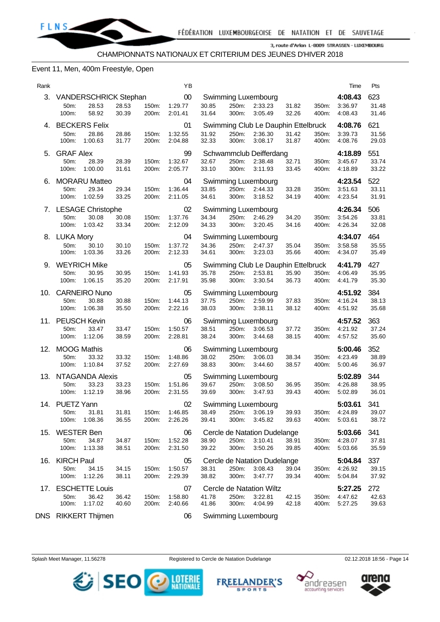

## Event 11, Men, 400m Freestyle, Open

| Rank |                                                             |                |                | ΥB                                 |                |                |                                                           |                |                | Time                                      | Pts                   |
|------|-------------------------------------------------------------|----------------|----------------|------------------------------------|----------------|----------------|-----------------------------------------------------------|----------------|----------------|-------------------------------------------|-----------------------|
|      | 3. VANDERSCHRICK Stephan<br>28.53<br>50m:<br>100m:<br>58.92 | 28.53<br>30.39 | 150m:<br>200m: | $00\,$<br>1:29.77<br>2:01.41       | 30.85<br>31.64 | 250m:<br>300m: | Swimming Luxembourg<br>2:33.23<br>3:05.49                 | 31.82<br>32.26 | 350m:<br>400m: | 4:08.43<br>3:36.97<br>4:08.43             | 623<br>31.48<br>31.46 |
|      | 4. BECKERS Felix<br>28.86<br>50m:<br>1:00.63<br>100m:       | 28.86<br>31.77 | 150m:<br>200m: | 01<br>1:32.55<br>2:04.88           | 31.92<br>32.33 | 250m:<br>300m: | Swimming Club Le Dauphin Ettelbruck<br>2:36.30<br>3:08.17 | 31.42<br>31.87 | 350m:<br>400m: | 4:08.76<br>3:39.73<br>4:08.76             | 621<br>31.56<br>29.03 |
|      | 5. GRAF Alex<br>28.39<br>50m:<br>100m:<br>1:00.00           | 28.39<br>31.61 | 150m:<br>200m: | 99<br>1:32.67<br>2:05.77           | 32.67<br>33.10 | 250m:<br>300m: | Schwammclub Deifferdang<br>2:38.48<br>3:11.93             | 32.71<br>33.45 | 350m:<br>400m: | 4:18.89<br>3:45.67<br>4:18.89             | 551<br>33.74<br>33.22 |
| 6.   | <b>MORARU Matteo</b><br>29.34<br>50m:<br>100m: 1:02.59      | 29.34<br>33.25 | 150m:<br>200m: | 04<br>1:36.44<br>2:11.05           | 33.85<br>34.61 | 250m:<br>300m: | Swimming Luxembourg<br>2:44.33<br>3:18.52                 | 33.28<br>34.19 | 350m:<br>400m: | 4:23.54<br>3:51.63<br>4:23.54             | 522<br>33.11<br>31.91 |
|      | 7. LESAGE Christophe<br>50m:<br>30.08<br>100m:<br>1:03.42   | 30.08<br>33.34 | 150m:<br>200m: | 02<br>1:37.76<br>2:12.09           | 34.34<br>34.33 | 250m:<br>300m: | Swimming Luxembourg<br>2:46.29<br>3:20.45                 | 34.20<br>34.16 | 350m:<br>400m: | 4:26.34<br>3:54.26<br>4:26.34             | 506<br>33.81<br>32.08 |
|      | 8. LUKA Mory<br>30.10<br>50m:<br>1:03.36<br>100m:           | 30.10<br>33.26 | 150m:<br>200m: | 04<br>1:37.72<br>2:12.33           | 34.36<br>34.61 | 250m:<br>300m: | <b>Swimming Luxembourg</b><br>2:47.37<br>3:23.03          | 35.04<br>35.66 | 350m:<br>400m: | 4:34.07<br>3:58.58<br>4:34.07             | 464<br>35.55<br>35.49 |
|      | 9. WEYRICH Mike<br>50m:<br>30.95<br>1:06.15<br>100m:        | 30.95<br>35.20 | 150m:<br>200m: | 05<br>1:41.93<br>2:17.91           | 35.78<br>35.98 | 250m:<br>300m: | Swimming Club Le Dauphin Ettelbruck<br>2:53.81<br>3:30.54 | 35.90<br>36.73 | 350m:<br>400m: | 4:41.79<br>4:06.49<br>4:41.79             | 427<br>35.95<br>35.30 |
| 10.  | <b>CARNEIRO Nuno</b><br>50m:<br>30.88<br>100m:<br>1:06.38   | 30.88<br>35.50 | 150m:<br>200m: | 05<br>1:44.13<br>2:22.16           | 37.75<br>38.03 | 250m:<br>300m: | Swimming Luxembourg<br>2:59.99<br>3:38.11                 | 37.83<br>38.12 | 350m:<br>400m: | 4:51.92<br>4:16.24<br>4:51.92             | 384<br>38.13<br>35.68 |
|      | 11. PEUSCH Kevin<br>33.47<br>50m:<br>100m:<br>1:12.06       | 33.47<br>38.59 | 150m:<br>200m: | 06<br>1:50.57<br>2:28.81           | 38.51<br>38.24 | 250m:<br>300m: | <b>Swimming Luxembourg</b><br>3:06.53<br>3:44.68          | 37.72<br>38.15 | 350m:<br>400m: | 4:57.52<br>4:21.92<br>4:57.52             | 363<br>37.24<br>35.60 |
| 12.  | <b>MOOG Mathis</b><br>33.32<br>50m:<br>100m: 1:10.84        | 33.32<br>37.52 | 150m:<br>200m: | 06<br>1:48.86<br>2:27.69           | 38.02<br>38.83 | 250m:<br>300m: | Swimming Luxembourg<br>3:06.03<br>3:44.60                 | 38.34<br>38.57 | 350m:<br>400m: | 5:00.46<br>4:23.49<br>5:00.46             | 352<br>38.89<br>36.97 |
| 13.  | NTAGANDA Alexis<br>33.23<br>50m:<br>1:12.19<br>100m:        | 33.23<br>38.96 | 150m:<br>200m: | 05<br>1:51.86<br>2:31.55           | 39.67<br>39.69 | 250m:<br>300m: | Swimming Luxembourg<br>3:08.50<br>3:47.93                 | 36.95<br>39.43 | 350m:<br>400m: | 5:02.89<br>4:26.88<br>5:02.89             | 344<br>38.95<br>36.01 |
|      | 14. PUETZ Yann<br>50m: 31.81<br>100m: 1:08.36               | 31.81<br>36.55 | 200m:          | $02\,$<br>150m: 1:46.85<br>2:26.26 | 39.41          | 300m:          | Swimming Luxembourg<br>38.49 250m: 3:06.19<br>3:45.82     | 39.93<br>39.63 |                | 5:03.61<br>350m: 4:24.89<br>400m: 5:03.61 | 341<br>39.07<br>38.72 |
|      | 15. WESTER Ben<br>50m:<br>34.87<br>100m: 1:13.38            | 34.87<br>38.51 | 150m:<br>200m: | 06<br>1:52.28<br>2:31.50           | 38.90<br>39.22 | 250m:<br>300m: | Cercle de Natation Dudelange<br>3:10.41<br>3:50.26        | 38.91<br>39.85 | 400m:          | 5:03.66<br>350m: 4:28.07<br>5:03.66       | 341<br>37.81<br>35.59 |
|      | 16. KIRCH Paul<br>50m:<br>34.15<br>1:12.26<br>100m:         | 34.15<br>38.11 | 150m:<br>200m: | 05<br>1:50.57<br>2:29.39           | 38.31<br>38.82 | 250m:<br>300m: | Cercle de Natation Dudelange<br>3:08.43<br>3:47.77        | 39.04<br>39.34 | 350m:<br>400m: | 5:04.84<br>4:26.92<br>5:04.84             | 337<br>39.15<br>37.92 |
|      | 17. ESCHETTE Louis<br>36.42<br>50m:<br>1:17.02<br>100m:     | 36.42<br>40.60 | 150m:<br>200m: | 07<br>1:58.80<br>2:40.66           | 41.78<br>41.86 | 250m:<br>300m: | Cercle de Natation Wiltz<br>3:22.81<br>4:04.99            | 42.15<br>42.18 | 350m:<br>400m: | 5:27.25<br>4:47.62<br>5:27.25             | 272<br>42.63<br>39.63 |
|      |                                                             |                |                |                                    |                |                |                                                           |                |                |                                           |                       |

DNS RIKKERT Thijmen 06 Swimming Luxembourg



accounting services



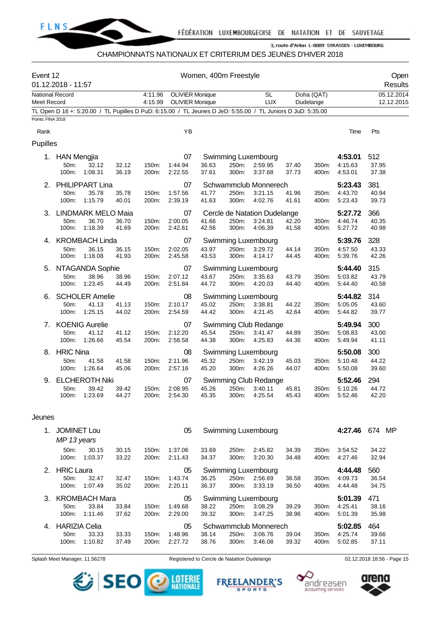

## CHAMPIONNATS NATIONAUX ET CRITERIUM DES JEUNES D'HIVER 2018

| Event 12<br>01.12.2018 - 11:57        |                                 |                                           |                | Women, 400m Freestyle |                                                  |                |                |                                                                                                             |                |                         |                               | Open<br>Results          |  |
|---------------------------------------|---------------------------------|-------------------------------------------|----------------|-----------------------|--------------------------------------------------|----------------|----------------|-------------------------------------------------------------------------------------------------------------|----------------|-------------------------|-------------------------------|--------------------------|--|
| <b>National Record</b><br>Meet Record |                                 |                                           |                | 4:11.96<br>4:15.99    | <b>OLIVIER Monique</b><br><b>OLIVIER Monique</b> |                |                | <b>SL</b><br><b>LUX</b>                                                                                     |                | Doha (QAT)<br>Dudelange |                               | 05.12.2014<br>12.12.2015 |  |
| Points: FINA 2018                     |                                 |                                           |                |                       |                                                  |                |                | TL Open D 16 +: 5:20.00 / TL Pupilles D PuD: 6:15.00 / TL Jeunes D JeD: 5:55.00 / TL Juniors D JuD: 5:35.00 |                |                         |                               |                          |  |
| Rank                                  |                                 |                                           |                |                       | YB                                               |                |                |                                                                                                             |                |                         |                               | Pts                      |  |
|                                       |                                 |                                           |                |                       |                                                  |                |                |                                                                                                             |                |                         | Time                          |                          |  |
| Pupilles                              |                                 |                                           |                |                       |                                                  |                |                |                                                                                                             |                |                         |                               |                          |  |
|                                       | 1. HAN Mengjia<br>50m:<br>100m: | 32.12<br>1:08.31                          | 32.12<br>36.19 | 150m:<br>200m:        | 07<br>1:44.94<br>2:22.55                         | 36.63<br>37.61 | 250m:<br>300m: | <b>Swimming Luxembourg</b><br>2:59.95<br>3:37.68                                                            | 37.40<br>37.73 | 350m:<br>400m:          | 4:53.01<br>4:15.63<br>4:53.01 | 512<br>37.95<br>37.38    |  |
| 2.                                    |                                 | PHILIPPART Lina                           |                |                       | 07                                               |                |                | Schwammclub Monnerech                                                                                       |                |                         | 5:23.43                       | 381                      |  |
|                                       | 50m:<br>100m:                   | 35.78<br>1:15.79                          | 35.78<br>40.01 | 150m:<br>200m:        | 1:57.56<br>2:39.19                               | 41.77<br>41.63 | 250m:<br>300m: | 3:21.15<br>4:02.76                                                                                          | 41.96<br>41.61 | 350m:<br>400m:          | 4:43.70<br>5:23.43            | 40.94<br>39.73           |  |
|                                       |                                 | 3. LINDMARK MELO Maia                     |                |                       | 07                                               |                |                | Cercle de Natation Dudelange                                                                                |                |                         | 5:27.72                       | 366                      |  |
|                                       | 50m:<br>100m:                   | 36.70<br>1:18.39                          | 36.70<br>41.69 | 150m:<br>200m:        | 2:00.05<br>2:42.61                               | 41.66<br>42.56 | 250m:<br>300m: | 3:24.81<br>4:06.39                                                                                          | 42.20<br>41.58 | 350m:<br>400m:          | 4:46.74<br>5:27.72            | 40.35<br>40.98           |  |
| 4.                                    |                                 | <b>KROMBACH Linda</b>                     |                |                       | 07                                               |                |                | <b>Swimming Luxembourg</b>                                                                                  |                |                         | 5:39.76                       | 328                      |  |
|                                       | 50m:<br>100m:                   | 36.15<br>1:18.08                          | 36.15<br>41.93 | 150m:<br>200m:        | 2:02.05<br>2:45.58                               | 43.97<br>43.53 | 250m:<br>300m: | 3:29.72<br>4:14.17                                                                                          | 44.14<br>44.45 | 350m:<br>400m:          | 4:57.50<br>5:39.76            | 43.33<br>42.26           |  |
| 5.                                    |                                 | NTAGANDA Sophie                           |                |                       | 07                                               |                |                | <b>Swimming Luxembourg</b>                                                                                  |                |                         | 5:44.40                       | 315                      |  |
|                                       | 50m:<br>100m:                   | 38.96<br>1:23.45                          | 38.96<br>44.49 | 150m:<br>200m:        | 2:07.12<br>2:51.84                               | 43.67<br>44.72 | 250m:<br>300m: | 3:35.63<br>4:20.03                                                                                          | 43.79<br>44.40 | 350m:<br>400m:          | 5:03.82<br>5:44.40            | 43.79<br>40.58           |  |
| 6.                                    |                                 | <b>SCHOLER Amelie</b>                     |                |                       | 08                                               |                |                | Swimming Luxembourg                                                                                         |                |                         | 5:44.82                       | 314                      |  |
|                                       | 50m:<br>100m:                   | 41.13<br>1:25.15                          | 41.13<br>44.02 | 150m:<br>200m:        | 2:10.17<br>2:54.59                               | 45.02<br>44.42 | 250m:<br>300m: | 3:38.81<br>4:21.45                                                                                          | 44.22<br>42.64 | 350m:<br>400m:          | 5:05.05<br>5:44.82            | 43.60<br>39.77           |  |
| 7.                                    | 50m:<br>100m:                   | <b>KOENIG Aurelie</b><br>41.12<br>1:26.66 | 41.12<br>45.54 | 150m:<br>200m:        | 07<br>2:12.20<br>2:56.58                         | 45.54<br>44.38 | 250m:<br>300m: | Swimming Club Redange<br>3.41.47<br>4:25.83                                                                 | 44.89<br>44.36 | 350m:<br>400m:          | 5:49.94<br>5:08.83<br>5.49.94 | 300<br>43.00<br>41.11    |  |
| 8.                                    | <b>HRIC Nina</b>                |                                           |                |                       | 08                                               |                |                | Swimming Luxembourg                                                                                         |                |                         | 5:50.08                       | 300                      |  |
|                                       | 50m:<br>100m:                   | 41.58<br>1:26.64                          | 41.58<br>45.06 | 150m:<br>200m:        | 2:11.96<br>2:57.16                               | 45.32<br>45.20 | 250m:<br>300m: | 3:42.19<br>4:26.26                                                                                          | 45.03<br>44.07 | 350m:<br>400m:          | 5:10.48<br>5:50.08            | 44.22<br>39.60           |  |
| 9.                                    |                                 | <b>ELCHEROTH Niki</b>                     |                |                       | 07                                               |                |                | Swimming Club Redange                                                                                       |                |                         | 5:52.46                       | 294                      |  |
|                                       | 50m:<br>100m:                   | 39.42<br>1:23.69                          | 39.42<br>44.27 | 150m:<br>200m:        | 2:08.95<br>2:54.30                               | 45.26<br>45.35 | 250m:<br>300m: | 3.40.11<br>4:25.54                                                                                          | 45.81<br>45.43 | 350m:<br>400m:          | 5:10.26<br>5:52.46            | 44.72<br>42.20           |  |
| Jeunes                                |                                 |                                           |                |                       |                                                  |                |                |                                                                                                             |                |                         |                               |                          |  |
| 1.                                    | <b>JOMINET Lou</b>              |                                           |                |                       | 05                                               |                |                | Swimming Luxembourg                                                                                         |                |                         | 4:27.46                       | 674 MP                   |  |

|    | <b>JUIVIIINET LUU</b><br>MP 13 years |                      |       |                    | w       |       |       | <b>OWINDING LUXERIDOUIG</b> |       |                    | 4.ZL.40 | 074<br>- IVII |
|----|--------------------------------------|----------------------|-------|--------------------|---------|-------|-------|-----------------------------|-------|--------------------|---------|---------------|
|    | 50 <sub>m</sub> :                    | 30.15                | 30.15 | $150m$ :           | 1:37.06 | 33.69 | 250m: | 2:45.82                     | 34.39 | 350 <sub>m</sub> : | 3:54.52 | 34.22         |
|    | $100m$ :                             | 1:03.37              | 33.22 | 200m:              | 2:11.43 | 34.37 | 300m. | 3:20.30                     | 34.48 | 400m:              | 4:27.46 | 32.94         |
| 2. | <b>HRIC Laura</b>                    |                      |       |                    | 05      |       |       | Swimming Luxembourg         |       |                    | 4:44.48 | 560           |
|    | 50 <sub>m</sub> :                    | 32.47                | 32.47 | $150m$ :           | 1:43.74 | 36.25 | 250m: | 2:56.69                     | 36.58 | 350m:              | 4:09.73 | 36.54         |
|    | 100m:                                | 1:07.49              | 35.02 | 200 <sub>m</sub> : | 2:20.11 | 36.37 | 300m: | 3:33.19                     | 36.50 | 400m:              | 4:44.48 | 34.75         |
| 3. |                                      | <b>KROMBACH Mara</b> |       |                    | 05      |       |       | Swimming Luxembourg         |       |                    | 5:01.39 | 471           |
|    | 50m                                  | 33.84                | 33.84 | 150m:              | 1:49.68 | 38.22 | 250m: | 3:08.29                     | 39.29 | 350m:              | 4:25.41 | 38.16         |
|    | 100m:                                | 1:11.46              | 37.62 | 200 <sub>m</sub> : | 2:29.00 | 39.32 | 300m: | 3:47.25                     | 38.96 | 400m:              | 5:01.39 | 35.98         |
| 4. | HARIZIA Celia                        |                      |       |                    | 05      |       |       | Schwammclub Monnerech       |       |                    | 5:02.85 | 464           |
|    | 50m                                  | 33.33                | 33.33 | $150m$ :           | 1:48.96 | 38.14 | 250m: | 3:06.76                     | 39.04 | 350m:              | 4:25.74 | 39.66         |
|    | 100m:                                | 1:10.82              | 37.49 | 200m:              | 2:27.72 | 38.76 | 300m: | 3:46.08                     | 39.32 | 400m:              | 5:02.85 | 37.11         |

Splash Meet Manager, 11.56278 **Registered to Cercle de Natation Dudelange** 02.12.2018 18:56 - Page 15





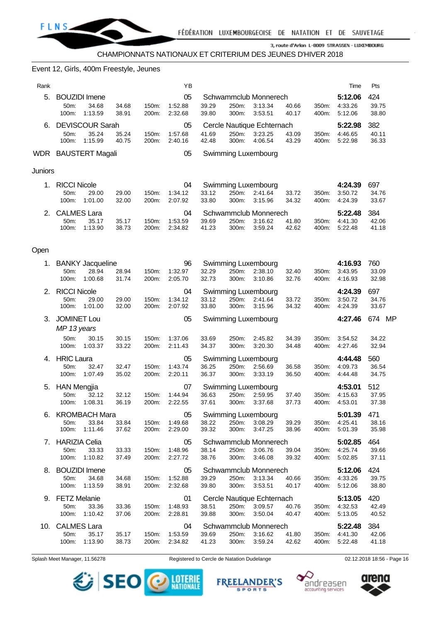

## Event 12, Girls, 400m Freestyle, Jeunes

| Rank |          |                        |       |          | ΥB      |       |          |                            |       |       | Time    | Pts   |
|------|----------|------------------------|-------|----------|---------|-------|----------|----------------------------|-------|-------|---------|-------|
| 5.   |          | <b>BOUZIDI</b> Imene   |       |          | 05      |       |          | Schwammclub Monnerech      |       |       | 5:12.06 | 424   |
|      | 50m      | 34.68                  | 34.68 | 150m:    | 1:52.88 | 39.29 | 250m:    | 3:13.34                    | 40.66 | 350m: | 4:33.26 | 39.75 |
|      | $100m$ : | 1:13.59                | 38.91 | 200m:    | 2:32.68 | 39.80 | $300m$ : | 3:53.51                    | 40.17 | 400m: | 5:12.06 | 38.80 |
| 6.   |          | <b>DEVISCOUR Sarah</b> |       |          | 05      |       |          | Cercle Nautique Echternach |       |       | 5:22.98 | 382   |
|      | 50m      | 35.24                  | 35.24 | 150m:    | 1:57.68 | 41.69 | 250m:    | 3:23.25                    | 43.09 | 350m: | 4:46.65 | 40.11 |
|      | $100m$ : | 1:15.99                | 40.75 | $200m$ : | 2:40.16 | 42.48 | $300m$ : | 4:06.54                    | 43.29 | 400m: | 5:22.98 | 36.33 |
| WDR  |          | <b>BAUSTERT Magali</b> |       |          | 05      |       |          | <b>Swimming Luxembourg</b> |       |       |         |       |

#### Juniors

| 1. RICCI Nicole  |                  | Swimming Luxembourg<br>04 |                             |                    |                |                |                       |                |                | 4:24.39            | 697            |
|------------------|------------------|---------------------------|-----------------------------|--------------------|----------------|----------------|-----------------------|----------------|----------------|--------------------|----------------|
| $50m$ :          | 29.00            | 29.00                     | 150m:                       | 1.34.12            | 33.12          | 250m:          | 2:41.64               | 33.72          | 350m:          | 3:50.72            | 34.76          |
| 100m:            | 1:01.00          | 32.00                     | 200m:                       | 2:07.92            | 33.80          |                | 300m: 3:15.96         | 34.32          | 400m:          | 4.24.39            | 33.67          |
|                  |                  |                           |                             |                    |                |                |                       |                |                |                    |                |
| 2. CALMES Lara   |                  |                           |                             | 04                 |                |                | Schwammclub Monnerech |                |                | 5:22.48 384        |                |
| $50m$ :<br>100m: | 35.17<br>1:13.90 | 35.17<br>38.73            | 150m:<br>200 <sub>m</sub> : | 1:53.59<br>2:34.82 | 39.69<br>41.23 | 250m:<br>300m: | 3:16.62<br>3:59.24    | 41.80<br>42.62 | 350m:<br>400m: | 4:41.30<br>5:22.48 | 42.06<br>41.18 |

#### Open

|     |                                       | 1. BANKY Jacqueline                      |                |                | 96                       |                |                | Swimming Luxembourg                              |                |                | 4:16.93                             | 760                   |
|-----|---------------------------------------|------------------------------------------|----------------|----------------|--------------------------|----------------|----------------|--------------------------------------------------|----------------|----------------|-------------------------------------|-----------------------|
|     | 50m:<br>100m:                         | 28.94<br>1:00.68                         | 28.94<br>31.74 | 150m:<br>200m: | 1:32.97<br>2:05.70       | 32.29<br>32.73 | 250m:<br>300m: | 2:38.10<br>3:10.86                               | 32.40<br>32.76 | 350m:<br>400m: | 3:43.95<br>4:16.93                  | 33.09<br>32.98        |
| 2.  | <b>RICCI Nicole</b><br>50m:<br>100m:  | 29.00<br>1:01.00                         | 29.00<br>32.00 | 150m:<br>200m: | 04<br>1:34.12<br>2:07.92 | 33.12<br>33.80 | 250m:<br>300m: | Swimming Luxembourg<br>2:41.64<br>3:15.96        | 33.72<br>34.32 | 350m:<br>400m: | 4:24.39<br>3:50.72<br>4:24.39       | 697<br>34.76<br>33.67 |
|     | 3. JOMINET Lou<br>MP 13 years         |                                          |                |                | 05                       |                |                | Swimming Luxembourg                              |                |                | 4:27.46                             | 674 MP                |
|     | 50 <sub>m</sub><br>100m:              | 30.15<br>1:03.37                         | 30.15<br>33.22 | 150m:<br>200m: | 1:37.06<br>2:11.43       | 33.69<br>34.37 | 250m:<br>300m: | 2:45.82<br>3:20.30                               | 34.39<br>34.48 | 350m:<br>400m: | 3:54.52<br>4:27.46                  | 34.22<br>32.94        |
|     | 4. HRIC Laura<br>50m:                 | 32.47<br>100m: 1:07.49                   | 32.47<br>35.02 | 150m:<br>200m: | 05<br>1:43.74<br>2:20.11 | 36.25<br>36.37 | 250m:<br>300m: | Swimming Luxembourg<br>2:56.69<br>3:33.19        | 36.58<br>36.50 | 400m:          | 4:44.48<br>350m: 4:09.73<br>4:44.48 | 560<br>36.54<br>34.75 |
|     | 5. HAN Mengjia<br>50m:<br>100m:       | 32.12<br>1:08.31                         | 32.12<br>36.19 | 150m:<br>200m: | 07<br>1:44.94<br>2:22.55 | 36.63<br>37.61 | 250m:<br>300m: | Swimming Luxembourg<br>2:59.95<br>3:37.68        | 37.40<br>37.73 | 350m:<br>400m: | 4:53.01<br>4:15.63<br>4:53.01       | 512<br>37.95<br>37.38 |
| 6.  | 50 <sub>m</sub> :<br>100m:            | <b>KROMBACH Mara</b><br>33.84<br>1:11.46 | 33.84<br>37.62 | 150m:<br>200m: | 05<br>1:49.68<br>2:29.00 | 38.22<br>39.32 | 250m:<br>300m: | Swimming Luxembourg<br>3:08.29<br>3:47.25        | 39.29<br>38.96 | 350m:<br>400m: | 5:01.39<br>4:25.41<br>5:01.39       | 471<br>38.16<br>35.98 |
| 7.  | <b>HARIZIA Celia</b><br>50m:<br>100m: | 33.33<br>1:10.82                         | 33.33<br>37.49 | 150m:<br>200m: | 05<br>1:48.96<br>2:27.72 | 38.14<br>38.76 | 250m:<br>300m: | Schwammclub Monnerech<br>3:06.76<br>3:46.08      | 39.04<br>39.32 | 350m:<br>400m: | 5:02.85<br>4:25.74<br>5:02.85       | 464<br>39.66<br>37.11 |
| 8.  | <b>BOUZIDI</b> Imene<br>50m:<br>100m: | 34.68<br>1:13.59                         | 34.68<br>38.91 | 150m:<br>200m: | 05<br>1:52.88<br>2:32.68 | 39.29<br>39.80 | 250m:<br>300m: | Schwammclub Monnerech<br>3:13.34<br>3:53.51      | 40.66<br>40.17 | 350m:<br>400m: | 5:12.06<br>4:33.26<br>5:12.06       | 424<br>39.75<br>38.80 |
|     | 9. FETZ Melanie<br>50m:<br>100m:      | 33.36<br>1:10.42                         | 33.36<br>37.06 | 150m:<br>200m: | 01<br>1:48.93<br>2:28.81 | 38.51<br>39.88 | 250m:<br>300m: | Cercle Nautique Echternach<br>3:09.57<br>3:50.04 | 40.76<br>40.47 | 350m:<br>400m: | 5:13.05<br>4:32.53<br>5:13.05       | 420<br>42.49<br>40.52 |
| 10. | <b>CALMES Lara</b><br>50m:<br>100m:   | 35.17<br>1:13.90                         | 35.17<br>38.73 | 150m:<br>200m: | 04<br>1:53.59<br>2:34.82 | 39.69<br>41.23 | 250m:<br>300m: | Schwammclub Monnerech<br>3:16.62<br>3:59.24      | 41.80<br>42.62 | 350m:<br>400m: | 5:22.48<br>4:41.30<br>5:22.48       | 384<br>42.06<br>41.18 |

Splash Meet Manager, 11.56278 Registered to Cercle de Natation Dudelange **18.12.2018 18:56 - Page 16** Splash Meet Manager, 11.56278





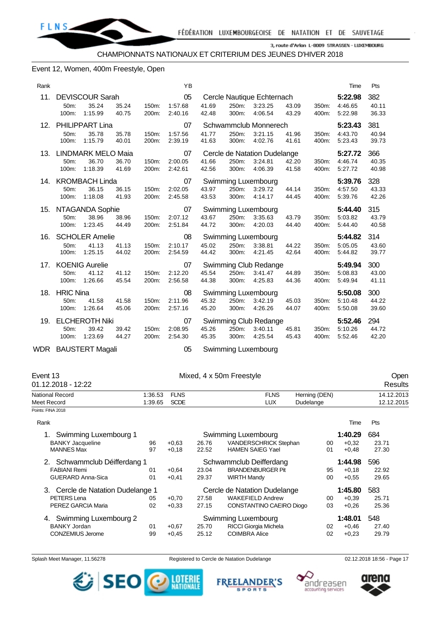## Event 12, Women, 400m Freestyle, Open

| Rank |                                                                             |                |                | YB                       |                |                |                                                    |                |                | Time                          | Pts                   |
|------|-----------------------------------------------------------------------------|----------------|----------------|--------------------------|----------------|----------------|----------------------------------------------------|----------------|----------------|-------------------------------|-----------------------|
| 11.  | <b>DEVISCOUR Sarah</b><br>50m:<br>35.24<br>1:15.99<br>100m:                 | 35.24<br>40.75 | 150m:<br>200m: | 05<br>1:57.68<br>2:40.16 | 41.69<br>42.48 | 250m:<br>300m: | Cercle Nautique Echternach<br>3:23.25<br>4:06.54   | 43.09<br>43.29 | 350m:<br>400m: | 5:22.98<br>4:46.65<br>5:22.98 | 382<br>40.11<br>36.33 |
| 12.  | <b>PHILIPPART Lina</b><br>50m:<br>35.78<br>1:15.79<br>100m:                 | 35.78<br>40.01 | 150m:<br>200m: | 07<br>1:57.56<br>2:39.19 | 41.77<br>41.63 | 250m:<br>300m: | Schwammclub Monnerech<br>3:21.15<br>4:02.76        | 41.96<br>41.61 | 350m:<br>400m: | 5:23.43<br>4:43.70<br>5:23.43 | 381<br>40.94<br>39.73 |
| 13.  | <b>LINDMARK MELO Maia</b><br>36.70<br>50 <sub>m</sub> :<br>1:18.39<br>100m: | 36.70<br>41.69 | 150m:<br>200m: | 07<br>2:00.05<br>2:42.61 | 41.66<br>42.56 | 250m:<br>300m: | Cercle de Natation Dudelange<br>3:24.81<br>4:06.39 | 42.20<br>41.58 | 350m:<br>400m: | 5:27.72<br>4:46.74<br>5:27.72 | 366<br>40.35<br>40.98 |
| 14.  | <b>KROMBACH Linda</b><br>36.15<br>$50m$ :<br>1:18.08<br>100m:               | 36.15<br>41.93 | 150m:<br>200m: | 07<br>2:02.05<br>2:45.58 | 43.97<br>43.53 | 250m:<br>300m: | Swimming Luxembourg<br>3:29.72<br>4:14.17          | 44.14<br>44.45 | 350m:<br>400m: | 5:39.76<br>4:57.50<br>5:39.76 | 328<br>43.33<br>42.26 |
| 15.  | NTAGANDA Sophie<br>38.96<br>50m:<br>1:23.45<br>100m:                        | 38.96<br>44.49 | 150m:<br>200m: | 07<br>2:07.12<br>2:51.84 | 43.67<br>44.72 | 250m:<br>300m: | Swimming Luxembourg<br>3:35.63<br>4:20.03          | 43.79<br>44.40 | 350m:<br>400m: | 5:44.40<br>5:03.82<br>5:44.40 | 315<br>43.79<br>40.58 |
| 16.  | <b>SCHOLER Amelie</b><br>50m:<br>41.13<br>1:25.15<br>100m:                  | 41.13<br>44.02 | 150m:<br>200m: | 08<br>2:10.17<br>2:54.59 | 45.02<br>44.42 | 250m:<br>300m: | Swimming Luxembourg<br>3:38.81<br>4:21.45          | 44.22<br>42.64 | 350m:<br>400m: | 5:44.82<br>5:05.05<br>5:44.82 | 314<br>43.60<br>39.77 |
| 17.  | <b>KOENIG Aurelie</b><br>50m:<br>41.12<br>1:26.66<br>100m:                  | 41.12<br>45.54 | 150m:<br>200m: | 07<br>2:12.20<br>2:56.58 | 45.54<br>44.38 | 250m:<br>300m: | Swimming Club Redange<br>3:41.47<br>4:25.83        | 44.89<br>44.36 | 350m:<br>400m: | 5:49.94<br>5:08.83<br>5:49.94 | 300<br>43.00<br>41.11 |
| 18.  | <b>HRIC Nina</b><br>50m:<br>41.58<br>100m:<br>1:26.64                       | 41.58<br>45.06 | 150m:<br>200m: | 08<br>2:11.96<br>2:57.16 | 45.32<br>45.20 | 250m:<br>300m: | Swimming Luxembourg<br>3:42.19<br>4:26.26          | 45.03<br>44.07 | 350m:<br>400m: | 5:50.08<br>5:10.48<br>5:50.08 | 300<br>44.22<br>39.60 |
| 19.  | <b>ELCHEROTH Niki</b><br>50 <sub>m</sub> :<br>39.42<br>1:23.69<br>100m:     | 39.42<br>44.27 | 150m:<br>200m: | 07<br>2:08.95<br>2:54.30 | 45.26<br>45.35 | 250m:<br>300m: | Swimming Club Redange<br>3:40.11<br>4:25.54        | 45.81<br>45.43 | 350m:<br>400m: | 5:52.46<br>5:10.26<br>5:52.46 | 294<br>44.72<br>42.20 |

WDR BAUSTERT Magali 05 Swimming Luxembourg

| Event 13<br>Mixed, 4 x 50m Freestyle<br>01.12.2018 - 12:22 |                |             |       |                              |               |         | Open<br>Results |
|------------------------------------------------------------|----------------|-------------|-------|------------------------------|---------------|---------|-----------------|
| National Record                                            | 1:36.53        | <b>FLNS</b> |       | <b>FLNS</b>                  | Herning (DEN) |         | 14.12.2013      |
| Meet Record                                                | 1:39.65        | <b>SCDE</b> |       | <b>LUX</b>                   | Dudelange     |         | 12.12.2015      |
| Points: FINA 2018                                          |                |             |       |                              |               |         |                 |
| Rank                                                       |                |             |       |                              |               | Time    | Pts             |
| Swimming Luxembourg 1                                      |                |             |       | Swimming Luxembourg          |               | 1:40.29 | 684             |
| <b>BANKY Jacqueline</b>                                    | 96             | $+0.63$     | 26.76 | VANDERSCHRICK Stephan        | 00            | $+0.32$ | 23.71           |
| <b>MANNES Max</b>                                          | 97             | $+0,18$     | 22.52 | <b>HAMEN SAIEG Yael</b>      | 01            | $+0.48$ | 27.30           |
| Schwammclub Déifferdang 1                                  |                |             |       | Schwammclub Deifferdang      |               | 1:44.98 | 596             |
| <b>FABIANI Remi</b>                                        | 01             | $+0,64$     | 23.04 | <b>BRANDENBURGER Pit</b>     | 95            | $+0.18$ | 22.92           |
| <b>GUERARD Anna-Sica</b>                                   | 0 <sub>1</sub> | $+0.41$     | 29.37 | <b>WIRTH Mandy</b>           | $00 \,$       | $+0.55$ | 29.65           |
| Cercle de Natation Dudelange 1<br>3.                       |                |             |       | Cercle de Natation Dudelange |               | 1:45.80 | 583             |
| PETERS Lena                                                | 05             | $+0.70$     | 27.58 | <b>WAKEFIELD Andrew</b>      | 00            | $+0.39$ | 25.71           |
| PEREZ GARCIA Maria                                         | 02             | $+0.33$     | 27.15 | CONSTANTINO CAEIRO Diogo     | 03            | $+0,26$ | 25.36           |
| Swimming Luxembourg 2<br>4.                                |                |             |       | Swimming Luxembourg          |               | 1:48.01 | 548             |
| <b>BANKY Jordan</b>                                        | 01             | $+0,67$     | 25.70 | RICCI Giorgia Michela        | 02            | $+0.46$ | 27.40           |
| <b>CONZEMIUS Jerome</b>                                    | 99             | $+0.45$     | 25.12 | <b>COIMBRA Alice</b>         | 02            | $+0,23$ | 29.79           |

Splash Meet Manager, 11.56278 Registered to Cercle de Natation Dudelange **17** 2012.2018 18:56 - Page 17





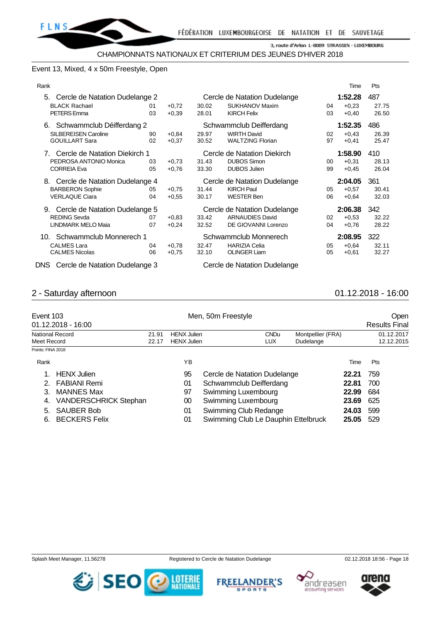## Event 13, Mixed, 4 x 50m Freestyle, Open

| Rank                              |    |         |       |                              |    | Time    | Pts   |
|-----------------------------------|----|---------|-------|------------------------------|----|---------|-------|
| 5. Cercle de Natation Dudelange 2 |    |         |       | Cercle de Natation Dudelange |    | 1:52.28 | 487   |
| <b>BLACK Rachael</b>              | 01 | $+0,72$ | 30.02 | <b>SUKHANOV Maxim</b>        | 04 | $+0.23$ | 27.75 |
| PETERS Emma                       | 03 | $+0.39$ | 28.01 | <b>KIRCH Felix</b>           | 03 | $+0,40$ | 26.50 |
| 6. Schwammclub Déifferdang 2      |    |         |       | Schwammclub Deifferdang      |    | 1:52.35 | 486   |
| <b>SILBEREISEN Caroline</b>       | 90 | $+0.84$ | 29.97 | <b>WIRTH David</b>           | 02 | $+0,43$ | 26.39 |
| <b>GOUILLART Sara</b>             | 02 | $+0,37$ | 30.52 | <b>WALTZING Florian</b>      | 97 | $+0,41$ | 25.47 |
| 7. Cercle de Natation Diekirch 1  |    |         |       | Cercle de Natation Diekirch  |    | 1:58.90 | 410   |
| PEDROSA ANTONIO Monica            | 03 | $+0,73$ | 31.43 | <b>DUBOS Simon</b>           | 00 | $+0,31$ | 28.13 |
| <b>CORREIA Eva</b>                | 05 | $+0.76$ | 33.30 | <b>DUBOS Julien</b>          | 99 | $+0.45$ | 26.04 |
| 8. Cercle de Natation Dudelange 4 |    |         |       | Cercle de Natation Dudelange |    | 2:04.05 | 361   |
| <b>BARBERON Sophie</b>            | 05 | $+0.75$ | 31.44 | <b>KIRCH Paul</b>            | 05 | $+0.57$ | 30.41 |
| <b>VERLAQUE Ciara</b>             | 04 | $+0.55$ | 30.17 | <b>WESTER Ben</b>            | 06 | $+0.64$ | 32.03 |
| 9. Cercle de Natation Dudelange 5 |    |         |       | Cercle de Natation Dudelange |    | 2:06.38 | 342   |
| <b>REDING Sevda</b>               | 07 | $+0.83$ | 33.42 | <b>ARNAUDIES David</b>       | 02 | $+0.53$ | 32.22 |
| <b>LINDMARK MELO Maia</b>         | 07 | $+0,24$ | 32.52 | DE GIOVANNI Lorenzo          | 04 | $+0,76$ | 28.22 |
| 10. Schwammclub Monnerech 1       |    |         |       | Schwammclub Monnerech        |    | 2:08.95 | 322   |
| <b>CALMES Lara</b>                | 04 | $+0,78$ | 32.47 | <b>HARIZIA Celia</b>         | 05 | $+0.64$ | 32.11 |
| <b>CALMES Nicolas</b>             | 06 | $+0.75$ | 32.10 | <b>OLINGER Liam</b>          | 05 | $+0.61$ | 32.27 |
| $D = 0$                           |    |         |       | Osaele de Metetian Dudelenne |    |         |       |

DNS Cercle de Natation Dudelange 3 Cercle de Natation Dudelange

## 2 - Saturday afternoon 01.12.2018 - 16:00

| Event 103                        | 01.12.2018 - 16:00           |       |                    | Men, 50m Freestyle                  |                   |       | Open<br><b>Results Final</b> |
|----------------------------------|------------------------------|-------|--------------------|-------------------------------------|-------------------|-------|------------------------------|
|                                  | National Record              | 21.91 | <b>HENX Julien</b> | <b>CNDu</b>                         | Montpellier (FRA) |       | 01.12.2017                   |
| Meet Record<br>Points: FINA 2018 |                              | 22.17 | <b>HENX Julien</b> | <b>LUX</b>                          | Dudelange         |       | 12.12.2015                   |
| Rank                             |                              |       | ΥB                 |                                     |                   | Time  | Pts                          |
|                                  | <b>HENX</b> Julien           |       | 95                 | Cercle de Natation Dudelange        |                   | 22.21 | 759                          |
| 2.                               | <b>FABIANI Remi</b>          |       | 01                 | Schwammclub Deifferdang             |                   | 22.81 | 700                          |
| 3.                               | <b>MANNES Max</b>            |       | 97                 | Swimming Luxembourg                 |                   | 22.99 | 684                          |
| 4.                               | <b>VANDERSCHRICK Stephan</b> |       | 00                 | Swimming Luxembourg                 |                   | 23.69 | 625                          |
| 5.                               | <b>SAUBER Bob</b>            |       | 01                 | Swimming Club Redange               |                   | 24.03 | 599                          |
| 6.                               | <b>BECKERS Felix</b>         |       | 01                 | Swimming Club Le Dauphin Ettelbruck |                   | 25.05 | 529                          |









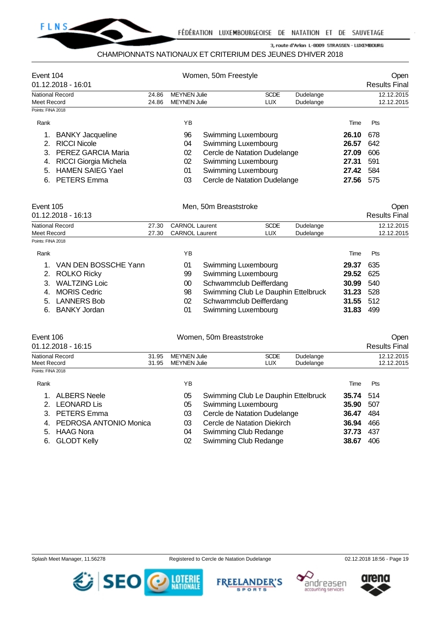

## CHAMPIONNATS NATIONAUX ET CRITERIUM DES JEUNES D'HIVER 2018

| Event 104<br>01.12.2018 - 16:01 |                              | Women, 50m Freestyle |                     |                              |             |           | Open<br><b>Results Final</b> |            |  |
|---------------------------------|------------------------------|----------------------|---------------------|------------------------------|-------------|-----------|------------------------------|------------|--|
|                                 | National Record              | 24.86                | <b>MEYNEN Julie</b> |                              | <b>SCDE</b> | Dudelange |                              | 12.12.2015 |  |
| Meet Record                     |                              | 24.86                | <b>MEYNEN Julie</b> |                              | <b>LUX</b>  | Dudelange |                              | 12.12.2015 |  |
| Points: FINA 2018               |                              |                      |                     |                              |             |           |                              |            |  |
| Rank                            |                              |                      | ΥB                  |                              |             |           | Time                         | Pts        |  |
|                                 | <b>BANKY Jacqueline</b>      |                      | 96                  | Swimming Luxembourg          |             |           | 26.10                        | 678        |  |
|                                 | <b>RICCI Nicole</b>          |                      | 04                  | Swimming Luxembourg          |             |           | 26.57                        | 642        |  |
| 3.                              | PEREZ GARCIA Maria           |                      | 02                  | Cercle de Natation Dudelange |             |           | 27.09                        | 606        |  |
| 4.                              | <b>RICCI Giorgia Michela</b> |                      | 02                  | Swimming Luxembourg          |             |           | 27.31                        | 591        |  |
| 5.                              | <b>HAMEN SAIEG Yael</b>      |                      | 01                  | Swimming Luxembourg          |             |           | 27.42                        | 584        |  |
| 6.                              | <b>PETERS</b> Emma           |                      | 03                  | Cercle de Natation Dudelange |             |           | 27.56                        | 575        |  |

| Event 105         | $01.12.2018 - 16:13$ |       |                       | Men, 50m Breaststroke               |             |           |       | Open<br><b>Results Final</b> |
|-------------------|----------------------|-------|-----------------------|-------------------------------------|-------------|-----------|-------|------------------------------|
| National Record   |                      | 27.30 | <b>CARNOL Laurent</b> |                                     | <b>SCDE</b> | Dudelange |       | 12.12.2015                   |
| Meet Record       |                      | 27.30 | <b>CARNOL Laurent</b> |                                     | <b>LUX</b>  | Dudelange |       | 12.12.2015                   |
| Points: FINA 2018 |                      |       |                       |                                     |             |           |       |                              |
| Rank              |                      |       | ΥB                    |                                     |             |           | Time  | Pts                          |
|                   | VAN DEN BOSSCHE Yann |       | 01                    | Swimming Luxembourg                 |             |           | 29.37 | 635                          |
|                   | <b>ROLKO Ricky</b>   |       | 99                    | Swimming Luxembourg                 |             |           | 29.52 | 625                          |
|                   | <b>WALTZING Loic</b> |       | 00                    | Schwammclub Deifferdang             |             |           | 30.99 | 540                          |
| 4.                | <b>MORIS Cedric</b>  |       | 98                    | Swimming Club Le Dauphin Ettelbruck |             |           | 31.23 | 528                          |
| 5.                | <b>LANNERS Bob</b>   |       | 02                    | Schwammclub Deifferdang             |             |           | 31.55 | 512                          |
| 6.                | <b>BANKY Jordan</b>  |       | 01                    | Swimming Luxembourg                 |             |           | 31.83 | 499                          |

| Event 106<br>$01.12.2018 - 16:15$ |       | Women, 50m Breaststroke | Open<br><b>Results Final</b> |           |            |
|-----------------------------------|-------|-------------------------|------------------------------|-----------|------------|
| National Record                   | 31.95 | MEYNEN Julie            | <b>SCDE</b>                  | Dudelange | 12.12.2015 |
| Meet Record                       | 31.95 | MEYNEN Julie            | LUX                          | Dudelange | 12.12.2015 |
| Points: FINA 2018                 |       |                         |                              |           |            |

| Rank |                           | YΒ |                                     | Time      | Pts  |  |
|------|---------------------------|----|-------------------------------------|-----------|------|--|
|      | 1. ALBERS Neele           | 05 | Swimming Club Le Dauphin Ettelbruck | 35.74 514 |      |  |
|      | 2. LEONARD Lis            | 05 | Swimming Luxembourg                 | 35.90 507 |      |  |
|      | 3. PETERS Emma            | 03 | Cercle de Natation Dudelange        | 36.47     | -484 |  |
|      | 4. PEDROSA ANTONIO Monica | 03 | Cercle de Natation Diekirch         | 36.94     | 466  |  |
|      | 5. HAAG Nora              | 04 | Swimming Club Redange               | 37.73     | 437  |  |
|      | 6. GLODT Kelly            | 02 | <b>Swimming Club Redange</b>        | 38.67     | 406  |  |
|      |                           |    |                                     |           |      |  |







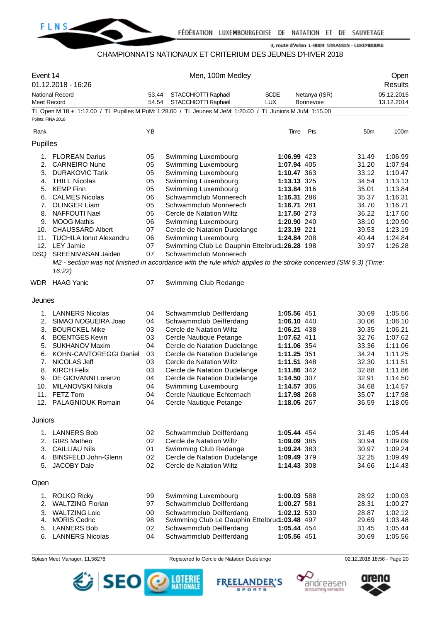

## CHAMPIONNATS NATIONAUX ET CRITERIUM DES JEUNES D'HIVER 2018

| Event 14          | 01.12.2018 - 16:26                       |                | Men, 100m Medley                                                                                                |                           |                                   |                 | Open<br><b>Results</b>   |
|-------------------|------------------------------------------|----------------|-----------------------------------------------------------------------------------------------------------------|---------------------------|-----------------------------------|-----------------|--------------------------|
| Meet Record       | <b>National Record</b>                   | 53.44<br>54.54 | STACCHIOTTI Raphaël<br>STACCHIOTTI Raphaël                                                                      | <b>SCDE</b><br><b>LUX</b> | Netanya (ISR)<br><b>Bonnevoie</b> |                 | 05.12.2015<br>13.12.2014 |
|                   |                                          |                | TL Open M 18 +: 1:12.00 / TL Pupilles M PuM: 1:28.00 / TL Jeunes M JeM: 1:20.00 / TL Juniors M JuM: 1:15.00     |                           |                                   |                 |                          |
| Points: FINA 2018 |                                          |                |                                                                                                                 |                           |                                   |                 |                          |
| Rank              |                                          | ΥB             |                                                                                                                 |                           | Pts<br>Time                       | 50 <sub>m</sub> | 100m                     |
|                   |                                          |                |                                                                                                                 |                           |                                   |                 |                          |
| Pupilles          |                                          |                |                                                                                                                 |                           |                                   |                 |                          |
| 1.                | <b>FLOREAN Darius</b>                    | 05             | Swimming Luxembourg                                                                                             |                           | 1:06.99 423                       | 31.49           | 1:06.99                  |
| 2.                | <b>CARNEIRO Nuno</b>                     | 05             | Swimming Luxembourg                                                                                             |                           | 1:07.94 405                       | 31.20           | 1:07.94                  |
| 3.                | <b>DURAKOVIC Tarik</b>                   | 05             | Swimming Luxembourg                                                                                             |                           | 1:10.47 363                       | 33.12           | 1:10.47                  |
| 4.                | <b>THILL Nicolas</b>                     | 05             | Swimming Luxembourg                                                                                             |                           | 1:13.13 325                       | 34.54           | 1:13.13                  |
|                   | 5. KEMP Finn                             | 05             | Swimming Luxembourg                                                                                             |                           | 1:13.84 316                       | 35.01           | 1:13.84                  |
|                   | 6. CALMES Nicolas                        | 06             | Schwammclub Monnerech                                                                                           |                           | 1:16.31 286                       | 35.37           | 1:16.31                  |
|                   | 7. OLINGER Liam                          | 05             | Schwammclub Monnerech                                                                                           |                           | 1:16.71 281                       | 34.70           | 1:16.71                  |
| 8.                | NAFFOUTI Nael                            | 05             | Cercle de Natation Wiltz                                                                                        |                           | 1:17.50 273                       | 36.22           | 1:17.50                  |
| 9.                | MOOG Mathis<br><b>CHAUSSARD Albert</b>   | 06<br>07       | Swimming Luxembourg<br>Cercle de Natation Dudelange                                                             |                           | 1:20.90 240<br>1:23.19 221        | 38.10<br>39.53  | 1:20.90<br>1:23.19       |
| 10.<br>11.        | <b>TUCHILA Ionut Alexandru</b>           | 06             | Swimming Luxembourg                                                                                             |                           | 1:24.84 208                       | 40.44           | 1:24.84                  |
|                   | 12. LEY Jamie                            | 07             | Swimming Club Le Dauphin Ettelbru(1:26.28 198                                                                   |                           |                                   | 39.97           | 1:26.28                  |
|                   | DSQ SREENIVASAN Jaiden                   | 07             | Schwammclub Monnerech                                                                                           |                           |                                   |                 |                          |
|                   | 16:22)                                   |                | M2 - section was not finished in accordance with the rule which applies to the stroke concerned (SW 9.3) (Time: |                           |                                   |                 |                          |
|                   | WDR HAAG Yanic                           | 07             | Swimming Club Redange                                                                                           |                           |                                   |                 |                          |
| Jeunes            |                                          |                |                                                                                                                 |                           |                                   |                 |                          |
| 1.                | <b>LANNERS Nicolas</b>                   | 04             | Schwammclub Deifferdang                                                                                         |                           | 1:05.56 451                       | 30.69           | 1:05.56                  |
| 2.                | SIMAO NOGUEIRA Joao                      | 04             | Schwammclub Deifferdang                                                                                         |                           | 1:06.10 440                       | 30.06           | 1:06.10                  |
| 3.                | <b>BOURCKEL Mike</b>                     | 03             | Cercle de Natation Wiltz                                                                                        |                           | 1:06.21 438                       | 30.35           | 1:06.21                  |
| 4.                | <b>BOENTGES Kevin</b>                    | 03             | Cercle Nautique Petange                                                                                         |                           | 1:07.62 411                       | 32.76           | 1:07.62                  |
| 5.                | <b>SUKHANOV Maxim</b>                    | 04             | Cercle de Natation Dudelange                                                                                    |                           | 1:11.06 354                       | 33.36           | 1:11.06                  |
| 6.                | <b>KOHN-CANTOREGGI Daniel</b>            | 03             | Cercle de Natation Dudelange                                                                                    |                           | 1:11.25 351                       | 34.24           | 1:11.25                  |
| 7.                | NICOLAS Jeff                             | 03             | Cercle de Natation Wiltz                                                                                        |                           | 1:11.51 348                       | 32.30           | 1:11.51                  |
| 8.                | <b>KIRCH Felix</b>                       | 03             | Cercle de Natation Dudelange                                                                                    |                           | 1:11.86 342                       | 32.88           | 1:11.86                  |
| 9.                | DE GIOVANNI Lorenzo                      | 04             | Cercle de Natation Dudelange                                                                                    |                           | 1:14.50 307                       | 32.91           | 1:14.50                  |
| 11.               | 10. MILANOVSKI Nikola                    | 04             | Swimming Luxembourg                                                                                             |                           | 1:14.57 306                       | 34.68           | 1:14.57                  |
|                   | <b>FETZ Tom</b><br>12. PALAGNIOUK Romain | 04<br>04       | Cercle Nautique Echternach<br>Cercle Nautique Petange                                                           |                           | 1:17.98 268<br>1:18.05 267        | 35.07<br>36.59  | 1:17.98<br>1:18.05       |
|                   |                                          |                |                                                                                                                 |                           |                                   |                 |                          |
| Juniors           |                                          |                |                                                                                                                 |                           |                                   |                 |                          |
|                   | 1. LANNERS Bob                           | 02             | Schwammclub Deifferdang                                                                                         |                           | 1:05.44 454                       | 31.45           | 1:05.44                  |
|                   | 2. GIRS Matheo                           | 02             | Cercle de Natation Wiltz                                                                                        |                           | 1:09.09 385                       | 30.94           | 1:09.09                  |
|                   | 3. CAILLIAU Nils                         | 01             | Swimming Club Redange                                                                                           |                           | 1:09.24 383                       | 30.97           | 1:09.24                  |
|                   | 4. BINSFELD John-Glenn                   | 02             | Cercle de Natation Dudelange                                                                                    |                           | 1:09.49 379                       | 32.25           | 1:09.49                  |
|                   | 5. JACOBY Dale                           | 02             | Cercle de Natation Wiltz                                                                                        |                           | 1:14.43 308                       | 34.66           | 1:14.43                  |
| Open              |                                          |                |                                                                                                                 |                           |                                   |                 |                          |
| 1.                | ROLKO Ricky                              | 99             | Swimming Luxembourg                                                                                             |                           | 1:00.03 588                       | 28.92           | 1:00.03                  |
|                   | 2. WALTZING Florian                      | 97             | Schwammclub Deifferdang                                                                                         |                           | 1:00.27 581                       | 28.31           | 1:00.27                  |
|                   | 3. WALTZING Loic                         | 00             | Schwammclub Deifferdang                                                                                         |                           | 1:02.12 530                       | 28.87           | 1:02.12                  |
|                   | 4. MORIS Cedric                          | 98             | Swimming Club Le Dauphin Ettelbru(1:03.48 497                                                                   |                           |                                   | 29.69           | 1:03.48                  |
|                   | 5. LANNERS Bob                           | 02             | Schwammclub Deifferdang                                                                                         |                           | 1:05.44 454                       | 31.45           | 1:05.44                  |
|                   | 6. LANNERS Nicolas                       | 04             | Schwammclub Deifferdang                                                                                         |                           | 1:05.56 451                       | 30.69           | 1:05.56                  |

Splash Meet Manager, 11.56278 **Registered to Cercle de Natation Dudelange 12.2018 18:56 - Page 20** C9.12.2018 18:56 - Page 20







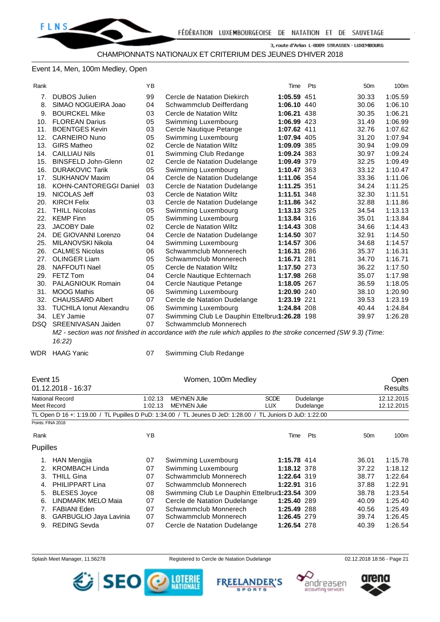## Event 14, Men, 100m Medley, Open

| Rank |                                | YB |                                                                                                                 | Time        | Pts | 50 <sub>m</sub> | 100m    |
|------|--------------------------------|----|-----------------------------------------------------------------------------------------------------------------|-------------|-----|-----------------|---------|
| 7.   | <b>DUBOS Julien</b>            | 99 | Cercle de Natation Diekirch                                                                                     | 1:05.59 451 |     | 30.33           | 1:05.59 |
| 8.   | SIMAO NOGUEIRA Joao            | 04 | Schwammclub Deifferdang                                                                                         | 1:06.10 440 |     | 30.06           | 1:06.10 |
| 9.   | <b>BOURCKEL Mike</b>           | 03 | Cercle de Natation Wiltz                                                                                        | 1:06.21 438 |     | 30.35           | 1:06.21 |
| 10.  | <b>FLOREAN Darius</b>          | 05 | Swimming Luxembourg                                                                                             | 1:06.99 423 |     | 31.49           | 1:06.99 |
| 11.  | <b>BOENTGES Kevin</b>          | 03 | Cercle Nautique Petange                                                                                         | 1:07.62 411 |     | 32.76           | 1:07.62 |
| 12.  | <b>CARNEIRO Nuno</b>           | 05 | Swimming Luxembourg                                                                                             | 1:07.94 405 |     | 31.20           | 1:07.94 |
| 13.  | <b>GIRS Matheo</b>             | 02 | Cercle de Natation Wiltz                                                                                        | 1:09.09 385 |     | 30.94           | 1:09.09 |
| 14.  | <b>CAILLIAU Nils</b>           | 01 | Swimming Club Redange                                                                                           | 1:09.24 383 |     | 30.97           | 1:09.24 |
| 15.  | <b>BINSFELD John-Glenn</b>     | 02 | Cercle de Natation Dudelange                                                                                    | 1:09.49 379 |     | 32.25           | 1:09.49 |
| 16.  | <b>DURAKOVIC Tarik</b>         | 05 | Swimming Luxembourg                                                                                             | 1:10.47 363 |     | 33.12           | 1:10.47 |
| 17.  | <b>SUKHANOV Maxim</b>          | 04 | Cercle de Natation Dudelange                                                                                    | 1:11.06 354 |     | 33.36           | 1:11.06 |
| 18.  | <b>KOHN-CANTOREGGI Daniel</b>  | 03 | Cercle de Natation Dudelange                                                                                    | 1:11.25 351 |     | 34.24           | 1:11.25 |
| 19.  | NICOLAS Jeff                   | 03 | Cercle de Natation Wiltz                                                                                        | 1:11.51 348 |     | 32.30           | 1:11.51 |
| 20.  | <b>KIRCH Felix</b>             | 03 | Cercle de Natation Dudelange                                                                                    | 1:11.86 342 |     | 32.88           | 1:11.86 |
| 21.  | <b>THILL Nicolas</b>           | 05 | Swimming Luxembourg                                                                                             | 1:13.13 325 |     | 34.54           | 1:13.13 |
| 22.  | <b>KEMP Finn</b>               | 05 | Swimming Luxembourg                                                                                             | 1:13.84 316 |     | 35.01           | 1:13.84 |
| 23.  | <b>JACOBY Dale</b>             | 02 | Cercle de Natation Wiltz                                                                                        | 1:14.43 308 |     | 34.66           | 1:14.43 |
| 24.  | DE GIOVANNI Lorenzo            | 04 | Cercle de Natation Dudelange                                                                                    | 1:14.50 307 |     | 32.91           | 1:14.50 |
| 25.  | MILANOVSKI Nikola              | 04 | Swimming Luxembourg                                                                                             | 1:14.57 306 |     | 34.68           | 1:14.57 |
| 26.  | <b>CALMES Nicolas</b>          | 06 | Schwammclub Monnerech                                                                                           | 1:16.31 286 |     | 35.37           | 1:16.31 |
| 27.  | <b>OLINGER Liam</b>            | 05 | Schwammclub Monnerech                                                                                           | 1:16.71 281 |     | 34.70           | 1:16.71 |
| 28.  | <b>NAFFOUTI Nael</b>           | 05 | Cercle de Natation Wiltz                                                                                        | 1:17.50 273 |     | 36.22           | 1:17.50 |
| 29.  | FETZ Tom                       | 04 | Cercle Nautique Echternach                                                                                      | 1:17.98 268 |     | 35.07           | 1:17.98 |
| 30.  | <b>PALAGNIOUK Romain</b>       | 04 | Cercle Nautique Petange                                                                                         | 1:18.05 267 |     | 36.59           | 1:18.05 |
| 31.  | <b>MOOG Mathis</b>             | 06 | Swimming Luxembourg                                                                                             | 1:20.90 240 |     | 38.10           | 1:20.90 |
| 32.  | <b>CHAUSSARD Albert</b>        | 07 | Cercle de Natation Dudelange                                                                                    | 1:23.19 221 |     | 39.53           | 1:23.19 |
| 33.  | <b>TUCHILA Ionut Alexandru</b> | 06 | Swimming Luxembourg                                                                                             | 1:24.84 208 |     | 40.44           | 1:24.84 |
| 34.  | <b>LEY Jamie</b>               | 07 | Swimming Club Le Dauphin Ettelbru(1:26.28 198                                                                   |             |     | 39.97           | 1:26.28 |
| DSQ  | SREENIVASAN Jaiden             | 07 | Schwammclub Monnerech                                                                                           |             |     |                 |         |
|      |                                |    | M2 - section was not finished in accordance with the rule which applies to the stroke concerned (SW 9.3) (Time: |             |     |                 |         |

*16:22)*

WDR HAAG Yanic 07 Swimming Club Redange

| Event 15               | $01.12.2018 - 16:37$   |         |                                                                                                             |             | Open<br><b>Results</b> |                 |            |  |
|------------------------|------------------------|---------|-------------------------------------------------------------------------------------------------------------|-------------|------------------------|-----------------|------------|--|
| <b>National Record</b> |                        | 1:02.13 | <b>SCDE</b><br><b>MEYNEN JUlie</b>                                                                          |             | Dudelange              |                 | 12.12.2015 |  |
| Meet Record            |                        | 1:02.13 | <b>MEYNEN Julie</b>                                                                                         | <b>LUX</b>  | Dudelange              |                 | 12.12.2015 |  |
|                        |                        |         | TL Open D 16 +: 1:19.00 / TL Pupilles D PuD: 1:34.00 / TL Jeunes D JeD: 1:28.00 / TL Juniors D JuD: 1:22.00 |             |                        |                 |            |  |
|                        | Points: FINA 2018      |         |                                                                                                             |             |                        |                 |            |  |
| Rank                   |                        | ΥB      |                                                                                                             | Time        | Pts                    | 50 <sub>m</sub> | 100m       |  |
| <b>Pupilles</b>        |                        |         |                                                                                                             |             |                        |                 |            |  |
| 1.                     | <b>HAN Mengjia</b>     | 07      | Swimming Luxembourg                                                                                         | 1:15.78 414 |                        | 36.01           | 1:15.78    |  |
| 2.                     | <b>KROMBACH Linda</b>  | 07      | Swimming Luxembourg                                                                                         | 1:18.12 378 |                        | 37.22           | 1:18.12    |  |
| 3.                     | <b>THILL Gina</b>      | 07      | Schwammclub Monnerech                                                                                       | 1:22.64 319 |                        | 38.77           | 1:22.64    |  |
| 4.                     | PHILIPPART Lina        | 07      | Schwammclub Monnerech                                                                                       | 1:22.91 316 |                        | 37.88           | 1:22.91    |  |
| 5.                     | <b>BLESES Joyce</b>    | 08      | Swimming Club Le Dauphin Ettelbru(1:23.54 309                                                               |             |                        | 38.78           | 1:23.54    |  |
| 6.                     | LINDMARK MELO Maia     | 07      | Cercle de Natation Dudelange                                                                                | 1:25.40 289 |                        | 40.09           | 1:25.40    |  |
|                        | <b>FABIANI Eden</b>    | 07      | Schwammclub Monnerech                                                                                       | 1:25.49 288 |                        | 40.56           | 1:25.49    |  |
| 8.                     | GARBUGLIO Jaya Lavinia | 07      | Schwammclub Monnerech                                                                                       | 1:26.45 279 |                        | 39.74           | 1:26.45    |  |
| 9.                     | <b>REDING Sevda</b>    | 07      | Cercle de Natation Dudelange                                                                                | 1:26.54 278 |                        | 40.39           | 1:26.54    |  |

Splash Meet Manager, 11.56278 Registered to Cercle de Natation Dudelange **12.12.2018 18:56 - Page 21** CO2.12.2018 18:56 - Page 21









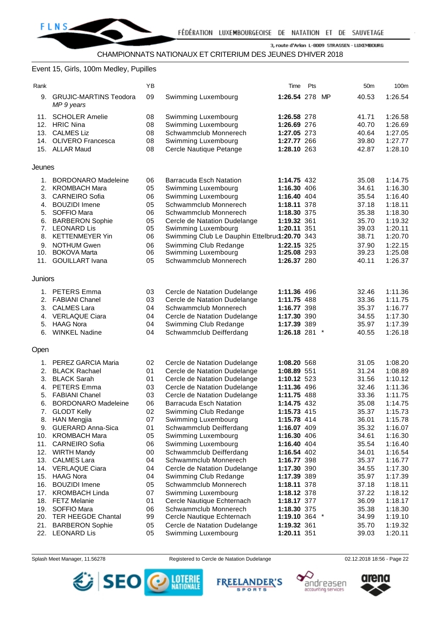## Event 15, Girls, 100m Medley, Pupilles

| Rank    |                                             | YB |                                               | Time               | Pts | 50 <sub>m</sub> | 100m    |
|---------|---------------------------------------------|----|-----------------------------------------------|--------------------|-----|-----------------|---------|
| 9.      | <b>GRUJIC-MARTINS Teodora</b><br>MP 9 years | 09 | Swimming Luxembourg                           | 1:26.54 278 MP     |     | 40.53           | 1:26.54 |
| 11.     | <b>SCHOLER Amelie</b>                       | 08 | Swimming Luxembourg                           | 1:26.58 278        |     | 41.71           | 1:26.58 |
| 12.     | <b>HRIC Nina</b>                            | 08 | Swimming Luxembourg                           | 1:26.69 276        |     | 40.70           | 1:26.69 |
| 13.     | <b>CALMES Liz</b>                           | 08 | Schwammclub Monnerech                         | 1:27.05 273        |     | 40.64           | 1:27.05 |
| 14.     | <b>OLIVERO Francesca</b>                    | 08 | Swimming Luxembourg                           | 1:27.77 266        |     | 39.80           | 1:27.77 |
|         | 15. ALLAR Maud                              | 08 | Cercle Nautique Petange                       | 1:28.10 263        |     | 42.87           | 1:28.10 |
| Jeunes  |                                             |    |                                               |                    |     |                 |         |
| 1.      | BORDONARO Madeleine                         | 06 | <b>Barracuda Esch Natation</b>                | 1:14.75 432        |     | 35.08           | 1:14.75 |
| 2.      | <b>KROMBACH Mara</b>                        | 05 | Swimming Luxembourg                           | 1:16.30 406        |     | 34.61           | 1:16.30 |
| 3.      | <b>CARNEIRO Sofia</b>                       | 06 | Swimming Luxembourg                           | 1:16.40 404        |     | 35.54           | 1:16.40 |
| 4.      | <b>BOUZIDI</b> Imene                        | 05 | Schwammclub Monnerech                         | 1:18.11 378        |     | 37.18           | 1:18.11 |
| 5.      | SOFFIO Mara                                 | 06 | Schwammclub Monnerech                         | 1:18.30 375        |     | 35.38           | 1:18.30 |
| 6.      | <b>BARBERON Sophie</b>                      | 05 | Cercle de Natation Dudelange                  | 1:19.32 361        |     | 35.70           | 1:19.32 |
| 7.      | <b>LEONARD Lis</b>                          | 05 | Swimming Luxembourg                           | 1:20.11 351        |     | 39.03           | 1:20.11 |
| 8.      | <b>KETTENMEYER Yin</b>                      | 06 | Swimming Club Le Dauphin Ettelbru(1:20.70 343 |                    |     | 38.71           | 1:20.70 |
| 9.      | <b>NOTHUM Gwen</b>                          | 06 | Swimming Club Redange                         | 1:22.15 325        |     | 37.90           | 1:22.15 |
| 10.     | <b>BOKOVA Marta</b>                         | 06 | Swimming Luxembourg                           | 1:25.08 293        |     | 39.23           | 1:25.08 |
| 11.     | <b>GOUILLART</b> Ivana                      | 05 | Schwammclub Monnerech                         | 1:26.37 280        |     | 40.11           | 1:26.37 |
| Juniors |                                             |    |                                               |                    |     |                 |         |
|         | 1. PETERS Emma                              | 03 | Cercle de Natation Dudelange                  | 1:11.36 496        |     | 32.46           | 1:11.36 |
| 2.      | <b>FABIANI Chanel</b>                       | 03 | Cercle de Natation Dudelange                  | 1:11.75 488        |     | 33.36           | 1:11.75 |
| 3.      | <b>CALMES Lara</b>                          | 04 | Schwammclub Monnerech                         | 1:16.77 398        |     | 35.37           | 1:16.77 |
| 4.      | <b>VERLAQUE Ciara</b>                       | 04 | Cercle de Natation Dudelange                  | 1:17.30 390        |     | 34.55           | 1:17.30 |
| 5.      | <b>HAAG Nora</b>                            | 04 | Swimming Club Redange                         | 1:17.39 389        |     | 35.97           | 1:17.39 |
| 6.      | <b>WINKEL Nadine</b>                        | 04 | Schwammclub Deifferdang                       | 1:26.18 281 *      |     | 40.55           | 1:26.18 |
| Open    |                                             |    |                                               |                    |     |                 |         |
| 1.      | PEREZ GARCIA Maria                          | 02 | Cercle de Natation Dudelange                  | 1:08.20 568        |     | 31.05           | 1:08.20 |
| 2.      | <b>BLACK Rachael</b>                        | 01 | Cercle de Natation Dudelange                  | 1:08.89 551        |     | 31.24           | 1:08.89 |
| 3.      | <b>BLACK Sarah</b>                          | 01 | Cercle de Natation Dudelange                  | 1:10.12 523        |     | 31.56           | 1:10.12 |
| 4.      | <b>PETERS Emma</b>                          | 03 | Cercle de Natation Dudelange                  | 1:11.36 496        |     | 32.46           | 1:11.36 |
| 5.      | <b>FABIANI Chanel</b>                       | 03 | Cercle de Natation Dudelange                  | 1:11.75 488        |     | 33.36           | 1:11.75 |
| 6.      | <b>BORDONARO Madeleine</b>                  | 06 | <b>Barracuda Esch Natation</b>                | 1:14.75 432        |     | 35.08           | 1:14.75 |
| 7.      | GLODI Kelly                                 | 02 | Swimming Club Redange                         | <b>1:15.73</b> 415 |     | 35.37           | 1:15.73 |
| 8.      | <b>HAN Mengjia</b>                          | 07 | Swimming Luxembourg                           | 1:15.78 414        |     | 36.01           | 1:15.78 |
| 9.      | <b>GUERARD Anna-Sica</b>                    | 01 | Schwammclub Deifferdang                       | 1:16.07 409        |     | 35.32           | 1:16.07 |
| 10.     | <b>KROMBACH Mara</b>                        | 05 | Swimming Luxembourg                           | 1:16.30 406        |     | 34.61           | 1:16.30 |
| 11.     | <b>CARNEIRO Sofia</b>                       | 06 | Swimming Luxembourg                           | 1:16.40 404        |     | 35.54           | 1:16.40 |
| 12.     | <b>WIRTH Mandy</b>                          | 00 | Schwammclub Deifferdang                       | 1:16.54 402        |     | 34.01           | 1:16.54 |
| 13.     | <b>CALMES Lara</b>                          | 04 | Schwammclub Monnerech                         | 1:16.77 398        |     | 35.37           | 1:16.77 |
|         | 14. VERLAQUE Ciara                          | 04 | Cercle de Natation Dudelange                  | 1:17.30 390        |     | 34.55           | 1:17.30 |
| 15.     | <b>HAAG Nora</b>                            | 04 | Swimming Club Redange                         | 1:17.39 389        |     | 35.97           | 1:17.39 |
| 16.     | <b>BOUZIDI</b> Imene                        | 05 | Schwammclub Monnerech                         | 1:18.11 378        |     | 37.18           | 1:18.11 |
| 17.     | <b>KROMBACH Linda</b>                       | 07 | Swimming Luxembourg                           | 1:18.12 378        |     | 37.22           | 1:18.12 |
| 18.     | <b>FETZ Melanie</b>                         | 01 | Cercle Nautique Echternach                    | 1:18.17 377        |     | 36.09           | 1:18.17 |
| 19.     | SOFFIO Mara                                 | 06 | Schwammclub Monnerech                         | 1:18.30 375        |     | 35.38           | 1:18.30 |
| 20.     | <b>TER HEEGDE Chantal</b>                   | 99 | Cercle Nautique Echternach                    | 1:19.10 364 $*$    |     | 34.99           | 1:19.10 |
| 21.     | <b>BARBERON Sophie</b>                      | 05 | Cercle de Natation Dudelange                  | 1:19.32 361        |     | 35.70           | 1:19.32 |
|         | 22. LEONARD Lis                             | 05 | Swimming Luxembourg                           | 1:20.11 351        |     | 39.03           | 1:20.11 |
|         |                                             |    |                                               |                    |     |                 |         |

Splash Meet Manager, 11.56278 Registered to Cercle de Natation Dudelange **12.12.2018 18:56 - Page 22** 





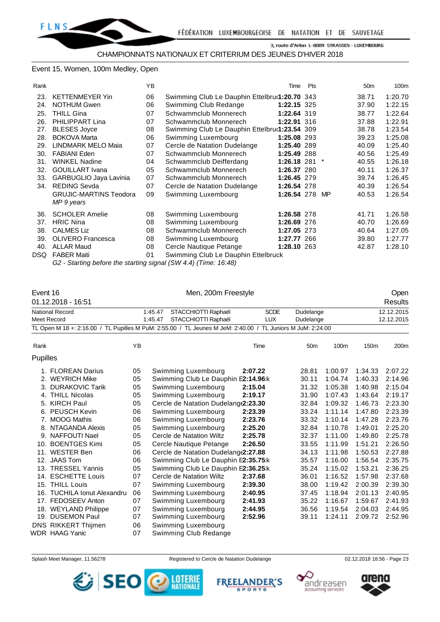## Event 15, Women, 100m Medley, Open

| Rank |                               | YB |                                               | Time           | Pts | 50 <sub>m</sub> | 100m    |
|------|-------------------------------|----|-----------------------------------------------|----------------|-----|-----------------|---------|
| 23.  | <b>KETTENMEYER Yin</b>        | 06 | Swimming Club Le Dauphin Ettelbrur1:20.70 343 |                |     | 38.71           | 1:20.70 |
| 24.  | <b>NOTHUM Gwen</b>            | 06 | Swimming Club Redange                         | 1:22.15 325    |     | 37.90           | 1:22.15 |
| 25.  | <b>THILL Gina</b>             | 07 | Schwammclub Monnerech                         | 1:22.64 319    |     | 38.77           | 1:22.64 |
| 26.  | PHILIPPART Lina               | 07 | Schwammclub Monnerech                         | 1:22.91 316    |     | 37.88           | 1:22.91 |
| 27.  | <b>BLESES Joyce</b>           | 08 | Swimming Club Le Dauphin Ettelbru(1:23.54 309 |                |     | 38.78           | 1:23.54 |
| 28.  | <b>BOKOVA Marta</b>           | 06 | Swimming Luxembourg                           | 1:25.08 293    |     | 39.23           | 1:25.08 |
| 29.  | LINDMARK MELO Maia            | 07 | Cercle de Natation Dudelange                  | 1:25.40 289    |     | 40.09           | 1:25.40 |
| 30.  | <b>FABIANI Eden</b>           | 07 | Schwammclub Monnerech                         | 1:25.49 288    |     | 40.56           | 1:25.49 |
| 31.  | <b>WINKEL Nadine</b>          | 04 | Schwammclub Deifferdang                       | 1:26.18 281    |     | 40.55           | 1:26.18 |
| 32.  | <b>GOUILLART</b> Ivana        | 05 | Schwammclub Monnerech                         | 1:26.37 280    |     | 40.11           | 1:26.37 |
| 33.  | GARBUGLIO Jaya Lavinia        | 07 | Schwammclub Monnerech                         | 1:26.45 279    |     | 39.74           | 1:26.45 |
| 34.  | <b>REDING Sevda</b>           | 07 | Cercle de Natation Dudelange                  | 1:26.54 278    |     | 40.39           | 1:26.54 |
|      | <b>GRUJIC-MARTINS Teodora</b> | 09 | Swimming Luxembourg                           | 1:26.54 278 MP |     | 40.53           | 1:26.54 |
|      | MP 9 years                    |    |                                               |                |     |                 |         |
| 36.  | <b>SCHOLER Amelie</b>         | 08 | Swimming Luxembourg                           | 1:26.58 278    |     | 41.71           | 1:26.58 |
| 37.  | <b>HRIC Nina</b>              | 08 | Swimming Luxembourg                           | 1:26.69 276    |     | 40.70           | 1:26.69 |
| 38.  | <b>CALMES Liz</b>             | 08 | Schwammclub Monnerech                         | 1:27.05 273    |     | 40.64           | 1:27.05 |
| 39.  | <b>OLIVERO Francesca</b>      | 08 | Swimming Luxembourg                           | 1:27.77 266    |     | 39.80           | 1:27.77 |
| 40.  | <b>ALLAR Maud</b>             | 08 | Cercle Nautique Petange                       | 1:28.10 263    |     | 42.87           | 1:28.10 |
| DSQ  | <b>FABER Maiti</b>            | 01 | Swimming Club Le Dauphin Ettelbruck           |                |     |                 |         |
|      |                               |    |                                               |                |     |                 |         |

*G2 - Starting before the starting signal (SW 4.4) (Time: 16:48)*

| Event 16 | 01.12.2018 - 16:51          |    | Men, 200m Freestyle                                                                                         |             |                 |         |         | Open<br><b>Results</b> |
|----------|-----------------------------|----|-------------------------------------------------------------------------------------------------------------|-------------|-----------------|---------|---------|------------------------|
|          | <b>National Record</b>      |    | STACCHIOTTI Raphaël<br>1:45.47                                                                              | <b>SCDE</b> | Dudelange       |         |         | 12.12.2015             |
|          | Meet Record                 |    | STACCHIOTTI Raphaël<br>1:45.47                                                                              | <b>LUX</b>  | Dudelange       |         |         | 12.12.2015             |
|          |                             |    | TL Open M 18 +: 2:16.00 / TL Pupilles M PuM: 2:55.00 / TL Jeunes M JeM: 2:40.00 / TL Juniors M JuM: 2:24.00 |             |                 |         |         |                        |
| Rank     |                             | YB |                                                                                                             | Time        | 50 <sub>m</sub> | 100m    | 150m    | 200m                   |
| Pupilles |                             |    |                                                                                                             |             |                 |         |         |                        |
|          | 1. FLOREAN Darius           | 05 | Swimming Luxembourg                                                                                         | 2:07.22     | 28.81           | 1:00.97 | 1:34.33 | 2:07.22                |
|          | 2. WEYRICH Mike             | 05 | Swimming Club Le Dauphin E2:14.96:k                                                                         |             | 30.11           | 1:04.74 | 1:40.33 | 2:14.96                |
|          | 3. DURAKOVIC Tarik          | 05 | Swimming Luxembourg                                                                                         | 2:15.04     | 31.32           | 1:05.38 | 1:40.98 | 2:15.04                |
|          | 4. THILL Nicolas            | 05 | Swimming Luxembourg                                                                                         | 2:19.17     | 31.90           | 1:07.43 | 1:43.64 | 2:19.17                |
|          | 5. KIRCH Paul               | 05 | Cercle de Natation Dudelang(2:23.30                                                                         |             | 32.84           | 1:09.32 | 1:46.73 | 2:23.30                |
|          | 6. PEUSCH Kevin             | 06 | Swimming Luxembourg                                                                                         | 2:23.39     | 33.24           | 1:11.14 | 1:47.80 | 2:23.39                |
|          | 7. MOOG Mathis              | 06 | Swimming Luxembourg                                                                                         | 2:23.76     | 33.32           | 1:10.14 | 1:47.28 | 2:23.76                |
|          | 8. NTAGANDA Alexis          | 05 | Swimming Luxembourg                                                                                         | 2:25.20     | 32.84           | 1:10.78 | 1:49.01 | 2:25.20                |
|          | 9. NAFFOUTI Nael            | 05 | Cercle de Natation Wiltz                                                                                    | 2:25.78     | 32.37           | 1:11.00 | 1:49.80 | 2:25.78                |
|          | 10. BOENTGES Kimi           | 05 | Cercle Nautique Petange                                                                                     | 2:26.50     | 33.55           | 1:11.99 | 1:51.21 | 2:26.50                |
|          | 11. WESTER Ben              | 06 | Cercle de Natation Dudelang (2:27.88                                                                        |             | 34.13           | 1:11.98 | 1:50.53 | 2:27.88                |
|          | 12. JAAS Tom                | 06 | Swimming Club Le Dauphin E2:35.75:k                                                                         |             | 35.57           | 1:16.00 | 1:56.54 | 2:35.75                |
|          | 13. TRESSEL Yannis          | 05 | Swimming Club Le Dauphin E2:36.25:k                                                                         |             | 35.24           | 1:15.02 | 1:53.21 | 2:36.25                |
|          | 14. ESCHETTE Louis          | 07 | Cercle de Natation Wiltz                                                                                    | 2:37.68     | 36.01           | 1:16.52 | 1:57.98 | 2:37.68                |
|          | 15. THILL Louis             | 07 | Swimming Luxembourg                                                                                         | 2:39.30     | 38.00           | 1:19.42 | 2:00.39 | 2:39.30                |
|          | 16. TUCHILA Ionut Alexandru | 06 | Swimming Luxembourg                                                                                         | 2:40.95     | 37.45           | 1:18.94 | 2:01.13 | 2:40.95                |
|          | 17. FEDOSEEV Anton          | 07 | Swimming Luxembourg                                                                                         | 2:41.93     | 35.22           | 1:16.67 | 1:59.67 | 2:41.93                |
|          | 18. WEYLAND Philippe        | 07 | Swimming Luxembourg                                                                                         | 2:44.95     | 36.56           | 1:19.54 | 2:04.03 | 2:44.95                |
|          | 19. DUSEMON Paul            | 07 | Swimming Luxembourg                                                                                         | 2:52.96     | 39.11           | 1:24.11 | 2:09.72 | 2:52.96                |
|          | DNS RIKKERT Thijmen         | 06 | Swimming Luxembourg                                                                                         |             |                 |         |         |                        |
|          | WDR HAAG Yanic              | 07 | Swimming Club Redange                                                                                       |             |                 |         |         |                        |









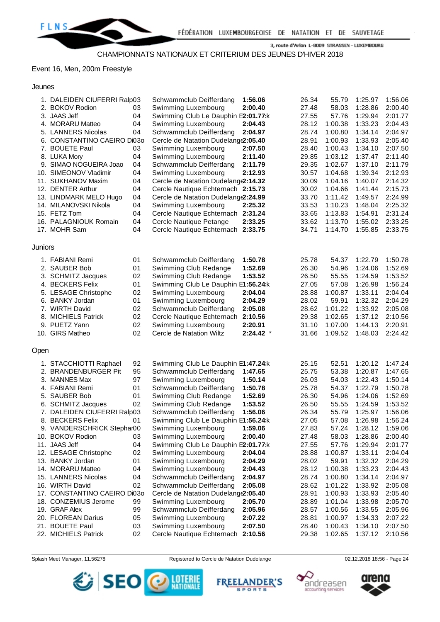

## Event 16, Men, 200m Freestyle

#### Jeunes

|         | 1. DALEIDEN CIUFERRI Ralp03  |    | Schwammclub Deifferdang              | 1:56.06     | 26.34 | 55.79   | 1:25.97 | 1:56.06 |
|---------|------------------------------|----|--------------------------------------|-------------|-------|---------|---------|---------|
|         | 2. BOKOV Rodion              | 03 | Swimming Luxembourg                  | 2:00.40     | 27.48 | 58.03   | 1:28.86 | 2:00.40 |
|         | 3. JAAS Jeff                 | 04 | Swimming Club Le Dauphin E2:01.77:k  |             | 27.55 | 57.76   | 1:29.94 | 2:01.77 |
|         | 4. MORARU Matteo             | 04 | Swimming Luxembourg                  | 2:04.43     | 28.12 | 1:00.38 | 1:33.23 | 2:04.43 |
|         | 5. LANNERS Nicolas           | 04 | Schwammclub Deifferdang              | 2:04.97     | 28.74 | 1:00.80 | 1:34.14 | 2:04.97 |
|         | 6. CONSTANTINO CAEIRO Di03o  |    | Cercle de Natation Dudelang (2:05.40 |             | 28.91 | 1:00.93 | 1:33.93 | 2:05.40 |
|         | 7. BOUETE Paul               | 03 | Swimming Luxembourg                  | 2:07.50     | 28.40 | 1:00.43 | 1:34.10 | 2:07.50 |
|         | 8. LUKA Mory                 | 04 | Swimming Luxembourg                  | 2:11.40     | 29.85 | 1:03.12 | 1:37.47 | 2:11.40 |
|         | 9. SIMAO NOGUEIRA Joao       | 04 | Schwammclub Deifferdang              | 2:11.79     | 29.35 | 1:02.67 | 1:37.10 | 2:11.79 |
|         | 10. SIMEONOV Vladimir        | 04 | Swimming Luxembourg                  | 2:12.93     | 30.57 | 1:04.68 | 1:39.34 | 2:12.93 |
|         | 11. SUKHANOV Maxim           | 04 | Cercle de Natation Dudelang (2:14.32 |             | 30.09 | 1:04.16 | 1:40.07 | 2:14.32 |
|         | 12. DENTER Arthur            | 04 | Cercle Nautique Echternach 2:15.73   |             | 30.02 | 1:04.66 | 1:41.44 | 2:15.73 |
|         | 13. LINDMARK MELO Hugo       | 04 | Cercle de Natation Dudelang (2:24.99 |             | 33.70 | 1:11.42 | 1:49.57 | 2:24.99 |
|         | 14. MILANOVSKI Nikola        | 04 | Swimming Luxembourg                  | 2:25.32     | 33.53 | 1:10.23 | 1:48.04 | 2:25.32 |
|         | 15. FETZ Tom                 | 04 | Cercle Nautique Echternach 2:31.24   |             | 33.65 | 1:13.83 | 1:54.91 | 2:31.24 |
|         | 16. PALAGNIOUK Romain        | 04 | Cercle Nautique Petange              | 2:33.25     | 33.62 | 1:13.70 | 1:55.02 | 2:33.25 |
|         |                              |    |                                      |             |       |         |         |         |
|         | 17. MOHR Sam                 | 04 | Cercle Nautique Echternach 2:33.75   |             | 34.71 | 1:14.70 | 1:55.85 | 2:33.75 |
| Juniors |                              |    |                                      |             |       |         |         |         |
|         | 1. FABIANI Remi              | 01 | Schwammclub Deifferdang              | 1:50.78     | 25.78 | 54.37   | 1:22.79 | 1:50.78 |
|         | 2. SAUBER Bob                | 01 | Swimming Club Redange                | 1:52.69     | 26.30 | 54.96   | 1:24.06 | 1:52.69 |
|         | 3. SCHMITZ Jacques           | 02 | Swimming Club Redange                | 1:53.52     | 26.50 | 55.55   | 1:24.59 | 1:53.52 |
|         | 4. BECKERS Felix             | 01 | Swimming Club Le Dauphin E1:56.24:k  |             | 27.05 | 57.08   | 1:26.98 | 1:56.24 |
|         | 5. LESAGE Christophe         | 02 | Swimming Luxembourg                  | 2:04.04     | 28.88 | 1:00.87 | 1:33.11 | 2:04.04 |
|         | 6. BANKY Jordan              | 01 | Swimming Luxembourg                  | 2:04.29     | 28.02 | 59.91   | 1:32.32 | 2:04.29 |
|         | 7. WIRTH David               | 02 | Schwammclub Deifferdang              | 2:05.08     | 28.62 | 1:01.22 | 1:33.92 | 2:05.08 |
|         | 8. MICHIELS Patrick          | 02 | Cercle Nautique Echternach           | 2:10.56     | 29.38 | 1:02.65 | 1:37.12 | 2:10.56 |
|         | 9. PUETZ Yann                | 02 | Swimming Luxembourg                  | 2:20.91     | 31.10 | 1:07.00 | 1:44.13 | 2:20.91 |
|         | 10. GIRS Matheo              | 02 | Cercle de Natation Wiltz             | $2:24.42$ * | 31.66 | 1:09.52 | 1:48.03 | 2:24.42 |
|         |                              |    |                                      |             |       |         |         |         |
| Open    |                              |    |                                      |             |       |         |         |         |
|         | 1. STACCHIOTTI Raphael       | 92 | Swimming Club Le Dauphin E1:47.24:k  |             | 25.15 | 52.51   | 1:20.12 | 1:47.24 |
|         | 2. BRANDENBURGER Pit         | 95 | Schwammclub Deifferdang              | 1:47.65     | 25.75 | 53.38   | 1:20.87 | 1:47.65 |
|         | 3. MANNES Max                | 97 | Swimming Luxembourg                  | 1:50.14     | 26.03 | 54.03   | 1:22.43 | 1:50.14 |
|         | 4. FABIANI Remi              | 01 | Schwammclub Deifferdang              | 1:50.78     | 25.78 | 54.37   | 1:22.79 | 1:50.78 |
|         | 5. SAUBER Bob                | 01 | Swimming Club Redange                | 1:52.69     | 26.30 | 54.96   | 1:24.06 | 1:52.69 |
|         | 6. SCHMITZ Jacques           | 02 | Swimming Club Redange                | 1:53.52     | 26.50 | 55.55   | 1:24.59 | 1:53.52 |
|         | 7. DALEIDEN CIUFERRI Ralp03  |    | Schwammclub Deifferdang              | 1:56.06     | 26.34 | 55.79   | 1:25.97 | 1:56.06 |
|         | 8. BECKERS Felix             | 01 | Swimming Club Le Dauphin E1:56.24:k  |             | 27.05 | 57.08   | 1:26.98 | 1:56.24 |
|         | 9. VANDERSCHRICK Stephar00   |    | Swimming Luxembourg                  | 1:59.06     | 27.83 | 57.24   | 1:28.12 | 1:59.06 |
|         | 10. BOKOV Rodion             | 03 | Swimming Luxembourg                  | 2:00.40     | 27.48 | 58.03   | 1:28.86 | 2:00.40 |
|         | 11. JAAS Jeff                | 04 | Swimming Club Le Dauphin E2:01.77:k  |             | 27.55 | 57.76   | 1:29.94 | 2:01.77 |
|         | 12. LESAGE Christophe        | 02 | Swimming Luxembourg                  | 2:04.04     | 28.88 | 1:00.87 | 1:33.11 | 2:04.04 |
|         | 13. BANKY Jordan             | 01 | Swimming Luxembourg                  | 2:04.29     | 28.02 | 59.91   | 1:32.32 | 2:04.29 |
|         | 14. MORARU Matteo            | 04 | Swimming Luxembourg                  | 2:04.43     | 28.12 | 1:00.38 | 1:33.23 | 2:04.43 |
|         | 15. LANNERS Nicolas          | 04 | Schwammclub Deifferdang              | 2:04.97     | 28.74 | 1:00.80 | 1:34.14 | 2:04.97 |
|         | 16. WIRTH David              | 02 | Schwammclub Deifferdang              | 2:05.08     | 28.62 | 1:01.22 | 1:33.92 | 2:05.08 |
|         | 17. CONSTANTINO CAEIRO Di030 |    | Cercle de Natation Dudelang (2:05.40 |             | 28.91 | 1:00.93 | 1:33.93 | 2:05.40 |
|         | 18. CONZEMIUS Jerome         | 99 | Swimming Luxembourg                  | 2:05.70     | 28.89 | 1:01.04 | 1:33.98 | 2:05.70 |
|         | 19. GRAF Alex                | 99 | Schwammclub Deifferdang              | 2:05.96     | 28.57 | 1:00.56 | 1:33.55 | 2:05.96 |
|         |                              |    |                                      |             |       |         |         |         |
|         | 20. FLOREAN Darius           | 05 | Swimming Luxembourg                  | 2:07.22     | 28.81 | 1:00.97 | 1:34.33 | 2:07.22 |
|         | 21. BOUETE Paul              | 03 | Swimming Luxembourg                  | 2:07.50     | 28.40 | 1:00.43 | 1:34.10 | 2:07.50 |
|         | 22. MICHIELS Patrick         | 02 | Cercle Nautique Echternach           | 2:10.56     | 29.38 | 1:02.65 | 1:37.12 | 2:10.56 |

Splash Meet Manager, 11.56278 Registered to Cercle de Natation Dudelange **12.12.2018 18:56 - Page 24** CO2.12.2018 18:56 - Page 24







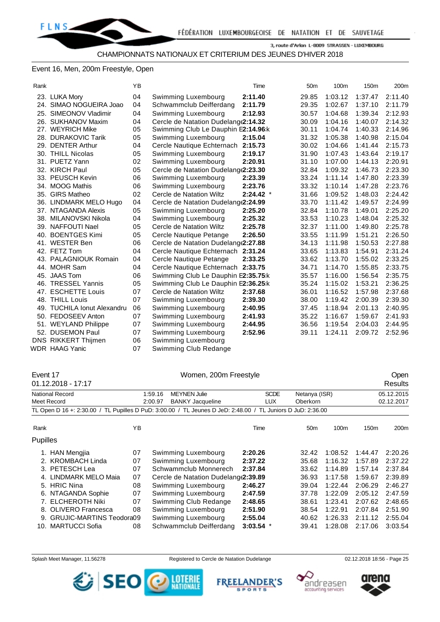## Event 16, Men, 200m Freestyle, Open

| Rank |                             | YB |                                      | Time        | 50 <sub>m</sub> | 100m    | 150 <sub>m</sub> | 200m    |
|------|-----------------------------|----|--------------------------------------|-------------|-----------------|---------|------------------|---------|
|      | 23. LUKA Mory               | 04 | Swimming Luxembourg                  | 2:11.40     | 29.85           | 1:03.12 | 1:37.47          | 2:11.40 |
|      | 24. SIMAO NOGUEIRA Joao     | 04 | Schwammclub Deifferdang              | 2:11.79     | 29.35           | 1:02.67 | 1:37.10          | 2:11.79 |
|      | 25. SIMEONOV Vladimir       | 04 | Swimming Luxembourg                  | 2:12.93     | 30.57           | 1:04.68 | 1:39.34          | 2:12.93 |
|      | 26. SUKHANOV Maxim          | 04 | Cercle de Natation Dudelang(2:14.32  |             | 30.09           | 1:04.16 | 1:40.07          | 2:14.32 |
|      | 27. WEYRICH Mike            | 05 | Swimming Club Le Dauphin E2:14.96:k  |             | 30.11           | 1:04.74 | 1:40.33          | 2:14.96 |
|      | 28. DURAKOVIC Tarik         | 05 | Swimming Luxembourg                  | 2:15.04     | 31.32           | 1:05.38 | 1:40.98          | 2:15.04 |
|      | 29. DENTER Arthur           | 04 | Cercle Nautique Echternach           | 2:15.73     | 30.02           | 1:04.66 | 1:41.44          | 2:15.73 |
|      | 30. THILL Nicolas           | 05 | Swimming Luxembourg                  | 2:19.17     | 31.90           | 1:07.43 | 1:43.64          | 2:19.17 |
|      | 31. PUETZ Yann              | 02 | Swimming Luxembourg                  | 2:20.91     | 31.10           | 1:07.00 | 1:44.13          | 2:20.91 |
|      | 32. KIRCH Paul              | 05 | Cercle de Natation Dudelang(2:23.30  |             | 32.84           | 1:09.32 | 1:46.73          | 2:23.30 |
|      | 33. PEUSCH Kevin            | 06 | Swimming Luxembourg                  | 2:23.39     | 33.24           | 1:11.14 | 1:47.80          | 2:23.39 |
|      | 34. MOOG Mathis             | 06 | Swimming Luxembourg                  | 2:23.76     | 33.32           | 1:10.14 | 1:47.28          | 2:23.76 |
|      | 35. GIRS Matheo             | 02 | Cercle de Natation Wiltz             | $2:24.42$ * | 31.66           | 1:09.52 | 1:48.03          | 2:24.42 |
|      | 36. LINDMARK MELO Hugo      | 04 | Cercle de Natation Dudelang (2:24.99 |             | 33.70           | 1:11.42 | 1:49.57          | 2:24.99 |
|      | 37. NTAGANDA Alexis         | 05 | Swimming Luxembourg                  | 2:25.20     | 32.84           | 1:10.78 | 1:49.01          | 2:25.20 |
|      | 38. MILANOVSKI Nikola       | 04 | Swimming Luxembourg                  | 2:25.32     | 33.53           | 1:10.23 | 1:48.04          | 2:25.32 |
|      | 39. NAFFOUTI Nael           | 05 | Cercle de Natation Wiltz             | 2:25.78     | 32.37           | 1:11.00 | 1:49.80          | 2:25.78 |
|      | 40. BOENTGES Kimi           | 05 | Cercle Nautique Petange              | 2:26.50     | 33.55           | 1:11.99 | 1:51.21          | 2:26.50 |
|      | 41. WESTER Ben              | 06 | Cercle de Natation Dudelang(2:27.88  |             | 34.13           | 1:11.98 | 1:50.53          | 2:27.88 |
|      | 42. FETZ Tom                | 04 | Cercle Nautique Echternach 2:31.24   |             | 33.65           | 1:13.83 | 1:54.91          | 2:31.24 |
|      | 43. PALAGNIOUK Romain       | 04 | Cercle Nautique Petange              | 2:33.25     | 33.62           | 1:13.70 | 1:55.02          | 2:33.25 |
|      | 44. MOHR Sam                | 04 | Cercle Nautique Echternach 2:33.75   |             | 34.71           | 1:14.70 | 1:55.85          | 2:33.75 |
|      | 45. JAAS Tom                | 06 | Swimming Club Le Dauphin E2:35.75:k  |             | 35.57           | 1:16.00 | 1:56.54          | 2:35.75 |
|      | 46. TRESSEL Yannis          | 05 | Swimming Club Le Dauphin E2:36.25:k  |             | 35.24           | 1:15.02 | 1:53.21          | 2:36.25 |
|      | 47. ESCHETTE Louis          | 07 | Cercle de Natation Wiltz             | 2:37.68     | 36.01           | 1:16.52 | 1:57.98          | 2:37.68 |
|      | 48. THILL Louis             | 07 | Swimming Luxembourg                  | 2:39.30     | 38.00           | 1:19.42 | 2:00.39          | 2:39.30 |
|      | 49. TUCHILA Ionut Alexandru | 06 | Swimming Luxembourg                  | 2:40.95     | 37.45           | 1:18.94 | 2:01.13          | 2:40.95 |
|      | 50. FEDOSEEV Anton          | 07 | Swimming Luxembourg                  | 2:41.93     | 35.22           | 1:16.67 | 1:59.67          | 2:41.93 |
|      | 51. WEYLAND Philippe        | 07 | Swimming Luxembourg                  | 2:44.95     | 36.56           | 1:19.54 | 2:04.03          | 2:44.95 |
|      | 52. DUSEMON Paul            | 07 | Swimming Luxembourg                  | 2:52.96     | 39.11           | 1:24.11 | 2:09.72          | 2:52.96 |
|      | DNS RIKKERT Thijmen         | 06 | Swimming Luxembourg                  |             |                 |         |                  |         |
|      | <b>WDR HAAG Yanic</b>       | 07 | Swimming Club Redange                |             |                 |         |                  |         |

| Event 17        | $01.12.2018 - 17:17$                                        |                     | Women, 200m Freestyle                                                |                                                                                                             | Open<br><b>Results</b> |         |                          |         |  |
|-----------------|-------------------------------------------------------------|---------------------|----------------------------------------------------------------------|-------------------------------------------------------------------------------------------------------------|------------------------|---------|--------------------------|---------|--|
|                 | <b>National Record</b><br>Meet Record                       |                     | <b>MEYNEN Julie</b><br>1:59.16<br><b>BANKY Jacqueline</b><br>2:00.97 | <b>SCDE</b><br>Netanya (ISR)<br><b>LUX</b><br>Oberkorn                                                      |                        |         | 05.12.2015<br>02.12.2017 |         |  |
|                 |                                                             |                     |                                                                      | TL Open D 16 +: 2:30.00 / TL Pupilles D PuD: 3:00.00 / TL Jeunes D JeD: 2:48.00 / TL Juniors D JuD: 2:36.00 |                        |         |                          |         |  |
| ΥB<br>Rank      |                                                             |                     |                                                                      | Time                                                                                                        | 50 <sub>m</sub>        | 100m    | 150 <sub>m</sub>         | 200m    |  |
| <b>Pupilles</b> |                                                             |                     |                                                                      |                                                                                                             |                        |         |                          |         |  |
|                 | 1. HAN Mengjia                                              | 07                  | Swimming Luxembourg                                                  | 2:20.26                                                                                                     | 32.42                  | 1:08.52 | 1:44.47                  | 2:20.26 |  |
|                 | 2. KROMBACH Linda                                           | 07                  | Swimming Luxembourg                                                  | 2:37.22                                                                                                     | 35.68                  | 1:16.32 | 1:57.89                  | 2:37.22 |  |
| 3.              | PETESCH Lea                                                 | 07                  | Schwammclub Monnerech                                                | 2:37.84                                                                                                     | 33.62                  | 1:14.89 | 1:57.14                  | 2:37.84 |  |
|                 | LINDMARK MELO Maia                                          | 07                  | Cercle de Natation Dudelang(2:39.89                                  |                                                                                                             | 36.93                  | 1:17.58 | 1:59.67                  | 2:39.89 |  |
|                 | 5. HRIC Nina                                                | 08                  | Swimming Luxembourg                                                  | 2:46.27                                                                                                     | 39.04                  | 1:22.44 | 2:06.29                  | 2:46.27 |  |
|                 | 6. NTAGANDA Sophie                                          | 07                  | Swimming Luxembourg                                                  | 2:47.59                                                                                                     | 37.78                  | 1:22.09 | 2:05.12                  | 2:47.59 |  |
|                 | 7. ELCHEROTH Niki                                           | 07                  | Swimming Club Redange                                                | 2:48.65                                                                                                     | 38.61                  | 1:23.41 | 2:07.62                  | 2:48.65 |  |
|                 | <b>OLIVERO</b> Francesca<br>Swimming Luxembourg<br>08<br>8. |                     |                                                                      | 2:51.90                                                                                                     | 38.54                  | 1:22.91 | 2:07.84                  | 2:51.90 |  |
| 9.              | <b>GRUJIC-MARTINS Teodora09</b>                             | Swimming Luxembourg | 2:55.04                                                              | 40.62                                                                                                       | 1:26.33                | 2:11.12 | 2:55.04                  |         |  |
|                 | 10. MARTUCCI Sofia                                          | 3:03.54             | 39.41                                                                | 1:28.08                                                                                                     | 2:17.06                | 3:03.54 |                          |         |  |

Splash Meet Manager, 11.56278 Registered to Cercle de Natation Dudelange **18.12.2018 18:56 - Page 25** CO2.12.2018 18:56 - Page 25







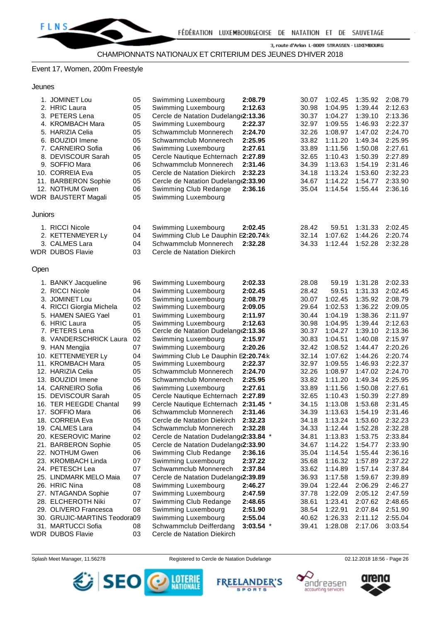## Event 17, Women, 200m Freestyle

#### Jeunes

|         | 1. JOMINET Lou               | 05 | Swimming Luxembourg                    | 2:08.79     | 30.07 | 1:02.45 | 1:35.92 | 2:08.79 |
|---------|------------------------------|----|----------------------------------------|-------------|-------|---------|---------|---------|
|         | 2. HRIC Laura                | 05 | Swimming Luxembourg                    | 2:12.63     | 30.98 | 1:04.95 | 1:39.44 | 2:12.63 |
|         | 3. PETERS Lena               | 05 | Cercle de Natation Dudelang (2:13.36   |             | 30.37 | 1:04.27 | 1:39.10 | 2:13.36 |
|         | 4. KROMBACH Mara             | 05 | Swimming Luxembourg                    | 2:22.37     | 32.97 | 1:09.55 | 1:46.93 | 2:22.37 |
|         | 5. HARIZIA Celia             | 05 | Schwammclub Monnerech                  | 2:24.70     | 32.26 | 1:08.97 | 1:47.02 | 2:24.70 |
|         | 6. BOUZIDI Imene             | 05 | Schwammclub Monnerech                  | 2:25.95     | 33.82 | 1:11.20 | 1:49.34 | 2:25.95 |
|         | 7. CARNEIRO Sofia            | 06 | Swimming Luxembourg                    | 2:27.61     | 33.89 | 1:11.56 | 1:50.08 | 2:27.61 |
|         | 8. DEVISCOUR Sarah           | 05 | Cercle Nautique Echternach             | 2:27.89     | 32.65 | 1:10.43 | 1:50.39 | 2:27.89 |
|         | 9. SOFFIO Mara               | 06 | Schwammclub Monnerech                  | 2:31.46     | 34.39 | 1:13.63 | 1:54.19 | 2:31.46 |
|         | 10. CORREIA Eva              | 05 | Cercle de Natation Diekirch            | 2:32.23     | 34.18 | 1:13.24 | 1:53.60 | 2:32.23 |
|         | 11. BARBERON Sophie          | 05 | Cercle de Natation Dudelang (2:33.90   |             | 34.67 | 1:14.22 | 1:54.77 | 2:33.90 |
|         | 12. NOTHUM Gwen              | 06 | Swimming Club Redange                  | 2:36.16     | 35.04 | 1:14.54 | 1:55.44 | 2:36.16 |
|         | WDR BAUSTERT Magali          | 05 | Swimming Luxembourg                    |             |       |         |         |         |
|         |                              |    |                                        |             |       |         |         |         |
| Juniors |                              |    |                                        |             |       |         |         |         |
|         | 1. RICCI Nicole              | 04 | Swimming Luxembourg                    | 2:02.45     | 28.42 | 59.51   | 1:31.33 | 2:02.45 |
|         | 2. KETTENMEYER Ly            | 04 | Swimming Club Le Dauphin E2:20.74:k    |             | 32.14 | 1:07.62 | 1:44.26 | 2:20.74 |
|         | 3. CALMES Lara               | 04 | Schwammclub Monnerech                  | 2:32.28     | 34.33 | 1:12.44 | 1:52.28 | 2:32.28 |
|         | <b>WDR DUBOS Flavie</b>      | 03 | Cercle de Natation Diekirch            |             |       |         |         |         |
| Open    |                              |    |                                        |             |       |         |         |         |
|         |                              |    |                                        |             |       |         |         |         |
|         | 1. BANKY Jacqueline          | 96 | Swimming Luxembourg                    | 2:02.33     | 28.08 | 59.19   | 1:31.28 | 2:02.33 |
|         | 2. RICCI Nicole              | 04 | Swimming Luxembourg                    | 2:02.45     | 28.42 | 59.51   | 1:31.33 | 2:02.45 |
|         | 3. JOMINET Lou               | 05 | Swimming Luxembourg                    | 2:08.79     | 30.07 | 1:02.45 | 1:35.92 | 2:08.79 |
|         | 4. RICCI Giorgia Michela     | 02 | Swimming Luxembourg                    | 2:09.05     | 29.64 | 1:02.53 | 1:36.22 | 2:09.05 |
|         | 5. HAMEN SAIEG Yael          | 01 | Swimming Luxembourg                    | 2:11.97     | 30.44 | 1:04.19 | 1:38.36 | 2:11.97 |
|         | 6. HRIC Laura                | 05 | Swimming Luxembourg                    | 2:12.63     | 30.98 | 1:04.95 | 1:39.44 | 2:12.63 |
|         | 7. PETERS Lena               | 05 | Cercle de Natation Dudelang (2:13.36   |             | 30.37 | 1:04.27 | 1:39.10 | 2:13.36 |
|         | 8. VANDERSCHRICK Laura       | 02 | Swimming Luxembourg                    | 2:15.97     | 30.83 | 1:04.51 | 1:40.08 | 2:15.97 |
|         | 9. HAN Mengjia               | 07 | Swimming Luxembourg                    | 2:20.26     | 32.42 | 1:08.52 | 1:44.47 | 2:20.26 |
|         | 10. KETTENMEYER Ly           | 04 | Swimming Club Le Dauphin E2:20.74:k    |             | 32.14 | 1:07.62 | 1:44.26 | 2:20.74 |
|         | 11. KROMBACH Mara            | 05 | Swimming Luxembourg                    | 2:22.37     | 32.97 | 1:09.55 | 1:46.93 | 2:22.37 |
|         | 12. HARIZIA Celia            | 05 | Schwammclub Monnerech                  | 2:24.70     | 32.26 | 1:08.97 | 1:47.02 | 2:24.70 |
|         | 13. BOUZIDI Imene            | 05 | Schwammclub Monnerech                  | 2:25.95     | 33.82 | 1:11.20 | 1:49.34 | 2:25.95 |
|         | 14. CARNEIRO Sofia           | 06 | Swimming Luxembourg                    | 2:27.61     | 33.89 | 1:11.56 | 1:50.08 | 2:27.61 |
|         | 15. DEVISCOUR Sarah          | 05 | Cercle Nautique Echternach             | 2:27.89     | 32.65 | 1:10.43 | 1:50.39 | 2:27.89 |
|         | 16. TER HEEGDE Chantal       | 99 | Cercle Nautique Echternach             | $2:31.45$ * | 34.15 | 1:13.08 | 1:53.68 | 2:31.45 |
|         | 17. SOFFIO Mara              | 06 | Schwammclub Monnerech                  | 2:31.46     | 34.39 | 1:13.63 | 1:54.19 | 2:31.46 |
|         | 18. CORREIA Eva              | 05 | Cercle de Natation Diekirch            | 2:32.23     | 34.18 | 1:13.24 | 1:53.60 | 2:32.23 |
|         | 19. CALMES Lara              | 04 | Schwammclub Monnerech                  | 2:32.28     | 34.33 | 1:12.44 | 1:52.28 | 2:32.28 |
|         | 20. KESEROVIC Marine         | 02 | Cercle de Natation Dudelang (2:33.84 * |             | 34.81 | 1:13.83 | 1:53.75 | 2:33.84 |
|         | 21. BARBERON Sophie          | 05 | Cercle de Natation Dudelang(2:33.90    |             | 34.67 | 1:14.22 | 1:54.77 | 2:33.90 |
|         | 22. NOTHUM Gwen              | 06 | Swimming Club Redange                  | 2:36.16     | 35.04 | 1:14.54 | 1:55.44 | 2:36.16 |
|         | 23. KROMBACH Linda           | 07 | Swimming Luxembourg                    | 2:37.22     | 35.68 | 1:16.32 | 1:57.89 | 2:37.22 |
|         | 24. PETESCH Lea              | 07 | Schwammclub Monnerech                  | 2:37.84     | 33.62 | 1:14.89 | 1:57.14 | 2:37.84 |
|         | 25. LINDMARK MELO Maia       | 07 | Cercle de Natation Dudelang (2:39.89   |             | 36.93 | 1:17.58 | 1:59.67 | 2:39.89 |
|         | 26. HRIC Nina                | 08 | Swimming Luxembourg                    | 2:46.27     | 39.04 | 1:22.44 | 2:06.29 | 2:46.27 |
|         | 27. NTAGANDA Sophie          | 07 | Swimming Luxembourg                    | 2:47.59     | 37.78 | 1:22.09 | 2:05.12 | 2:47.59 |
|         | 28. ELCHEROTH Niki           | 07 | Swimming Club Redange                  | 2:48.65     | 38.61 | 1:23.41 | 2:07.62 | 2:48.65 |
|         | 29. OLIVERO Francesca        | 08 | Swimming Luxembourg                    | 2:51.90     | 38.54 | 1:22.91 | 2:07.84 | 2:51.90 |
|         | 30. GRUJIC-MARTINS Teodora09 |    | Swimming Luxembourg                    | 2:55.04     | 40.62 | 1:26.33 | 2:11.12 | 2:55.04 |
|         | 31. MARTUCCI Sofia           | 08 | Schwammclub Deifferdang                | $3:03.54$ * | 39.41 | 1:28.08 | 2:17.06 | 3:03.54 |
|         | <b>WDR DUBOS Flavie</b>      | 03 | Cercle de Natation Diekirch            |             |       |         |         |         |

Splash Meet Manager, 11.56278 Registered to Cercle de Natation Dudelange **12.12.2018 18:56 - Page 26** Splash Meet Manager, 11.56278







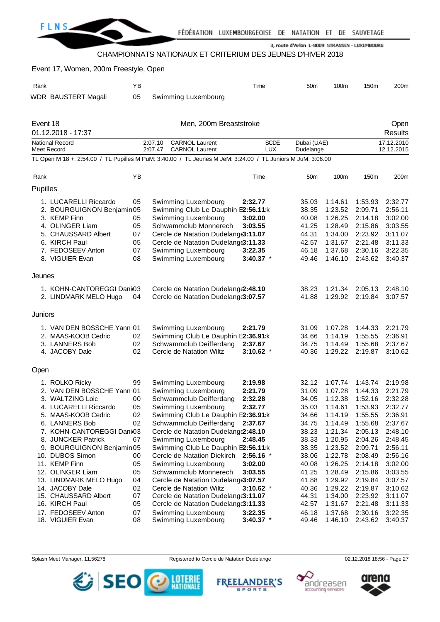

| Event 17, Women, 200m Freestyle, Open                                                                                                                                                                                                                                                                                                           |                                                                      |         |                                                                                                                                                                                                                                                                                                                                                                                                                                                               |                                                                                                                    |                                                                                                                            |                                                                                                                                                                         |                                                                                                                                                                   |                                                                                                                                                                   |
|-------------------------------------------------------------------------------------------------------------------------------------------------------------------------------------------------------------------------------------------------------------------------------------------------------------------------------------------------|----------------------------------------------------------------------|---------|---------------------------------------------------------------------------------------------------------------------------------------------------------------------------------------------------------------------------------------------------------------------------------------------------------------------------------------------------------------------------------------------------------------------------------------------------------------|--------------------------------------------------------------------------------------------------------------------|----------------------------------------------------------------------------------------------------------------------------|-------------------------------------------------------------------------------------------------------------------------------------------------------------------------|-------------------------------------------------------------------------------------------------------------------------------------------------------------------|-------------------------------------------------------------------------------------------------------------------------------------------------------------------|
| Rank                                                                                                                                                                                                                                                                                                                                            | ΥB                                                                   |         |                                                                                                                                                                                                                                                                                                                                                                                                                                                               | Time                                                                                                               | 50 <sub>m</sub>                                                                                                            | 100m                                                                                                                                                                    | 150m                                                                                                                                                              | 200m                                                                                                                                                              |
| WDR BAUSTERT Magali                                                                                                                                                                                                                                                                                                                             | 05                                                                   |         | Swimming Luxembourg                                                                                                                                                                                                                                                                                                                                                                                                                                           |                                                                                                                    |                                                                                                                            |                                                                                                                                                                         |                                                                                                                                                                   |                                                                                                                                                                   |
| Event 18                                                                                                                                                                                                                                                                                                                                        |                                                                      |         | Men, 200m Breaststroke                                                                                                                                                                                                                                                                                                                                                                                                                                        |                                                                                                                    |                                                                                                                            |                                                                                                                                                                         | Open                                                                                                                                                              |                                                                                                                                                                   |
| 01.12.2018 - 17:37<br><b>National Record</b>                                                                                                                                                                                                                                                                                                    |                                                                      | 2:07.10 | <b>CARNOL Laurent</b>                                                                                                                                                                                                                                                                                                                                                                                                                                         | <b>SCDE</b>                                                                                                        | Dubai (UAE)                                                                                                                |                                                                                                                                                                         | Results<br>17.12.2010                                                                                                                                             |                                                                                                                                                                   |
| Meet Record                                                                                                                                                                                                                                                                                                                                     |                                                                      | 2:07.47 | <b>CARNOL Laurent</b>                                                                                                                                                                                                                                                                                                                                                                                                                                         | LUX                                                                                                                | Dudelange                                                                                                                  |                                                                                                                                                                         |                                                                                                                                                                   | 12.12.2015                                                                                                                                                        |
| TL Open M 18 +: 2:54.00 / TL Pupilles M PuM: 3:40.00 / TL Jeunes M JeM: 3:24.00 / TL Juniors M JuM: 3:06.00                                                                                                                                                                                                                                     |                                                                      |         |                                                                                                                                                                                                                                                                                                                                                                                                                                                               |                                                                                                                    |                                                                                                                            |                                                                                                                                                                         |                                                                                                                                                                   |                                                                                                                                                                   |
| Rank                                                                                                                                                                                                                                                                                                                                            | ΥB                                                                   |         |                                                                                                                                                                                                                                                                                                                                                                                                                                                               | Time                                                                                                               | 50 <sub>m</sub>                                                                                                            | 100m                                                                                                                                                                    | 150m                                                                                                                                                              | 200m                                                                                                                                                              |
| Pupilles                                                                                                                                                                                                                                                                                                                                        |                                                                      |         |                                                                                                                                                                                                                                                                                                                                                                                                                                                               |                                                                                                                    |                                                                                                                            |                                                                                                                                                                         |                                                                                                                                                                   |                                                                                                                                                                   |
| 1. LUCARELLI Riccardo<br>2. BOURGUIGNON Benjamin05<br>3. KEMP Finn<br>4. OLINGER Liam<br>5. CHAUSSARD Albert<br>6. KIRCH Paul<br>7. FEDOSEEV Anton<br>8. VIGUIER Evan                                                                                                                                                                           | 05<br>05<br>05<br>07<br>05<br>07<br>08                               |         | Swimming Luxembourg<br>Swimming Club Le Dauphin E2:56.11:k<br>Swimming Luxembourg<br>Schwammclub Monnerech<br>Cercle de Natation Dudelang(3:11.07<br>Cercle de Natation Dudelang(3:11.33<br>Swimming Luxembourg<br>Swimming Luxembourg                                                                                                                                                                                                                        | 2:32.77<br>3:02.00<br>3:03.55<br>3:22.35<br>$3:40.37$ *                                                            | 35.03<br>38.35<br>40.08<br>41.25<br>44.31<br>42.57<br>46.18<br>49.46                                                       | 1:14.61<br>1:23.52<br>1:26.25<br>1:28.49<br>1:34.00<br>1:31.67<br>1:37.68<br>1:46.10                                                                                    | 1:53.93<br>2:09.71<br>2:14.18<br>2:15.86<br>2:23.92<br>2:21.48<br>2:30.16<br>2:43.62                                                                              | 2:32.77<br>2:56.11<br>3:02.00<br>3:03.55<br>3:11.07<br>3:11.33<br>3:22.35<br>3:40.37                                                                              |
| Jeunes                                                                                                                                                                                                                                                                                                                                          |                                                                      |         |                                                                                                                                                                                                                                                                                                                                                                                                                                                               |                                                                                                                    |                                                                                                                            |                                                                                                                                                                         |                                                                                                                                                                   |                                                                                                                                                                   |
| 1. KOHN-CANTOREGGI Dani03<br>2. LINDMARK MELO Hugo                                                                                                                                                                                                                                                                                              | 04                                                                   |         | Cercle de Natation Dudelang (2:48.10<br>Cercle de Natation Dudelang(3:07.57                                                                                                                                                                                                                                                                                                                                                                                   |                                                                                                                    | 38.23<br>41.88                                                                                                             | 1:21.34<br>1:29.92                                                                                                                                                      | 2:05.13<br>2:19.84                                                                                                                                                | 2:48.10<br>3:07.57                                                                                                                                                |
| Juniors                                                                                                                                                                                                                                                                                                                                         |                                                                      |         |                                                                                                                                                                                                                                                                                                                                                                                                                                                               |                                                                                                                    |                                                                                                                            |                                                                                                                                                                         |                                                                                                                                                                   |                                                                                                                                                                   |
| 1. VAN DEN BOSSCHE Yann 01<br>2. MAAS-KOOB Cedric<br>3. LANNERS Bob<br>4. JACOBY Dale                                                                                                                                                                                                                                                           | 02<br>02<br>02                                                       |         | Swimming Luxembourg<br>Swimming Club Le Dauphin E2:36.91:k<br>Schwammclub Deifferdang<br>Cercle de Natation Wiltz                                                                                                                                                                                                                                                                                                                                             | 2:21.79<br>2:37.67<br>$3:10.62$ *                                                                                  | 31.09<br>34.66<br>34.75<br>40.36                                                                                           | 1:07.28<br>1:14.19<br>1:14.49<br>1:29.22                                                                                                                                | 1:44.33<br>1:55.55<br>1:55.68<br>2:19.87                                                                                                                          | 2:21.79<br>2:36.91<br>2:37.67<br>3:10.62                                                                                                                          |
| Open                                                                                                                                                                                                                                                                                                                                            |                                                                      |         |                                                                                                                                                                                                                                                                                                                                                                                                                                                               |                                                                                                                    |                                                                                                                            |                                                                                                                                                                         |                                                                                                                                                                   |                                                                                                                                                                   |
| 1. ROLKO Ricky<br>2. VAN DEN BOSSCHE Yann 01<br>3. WALTZING Loic<br>4. LUCARELLI Riccardo<br>5. MAAS-KOOB Cedric<br>6. LANNERS Bob<br>7. KOHN-CANTOREGGI Dani03<br>8. JUNCKER Patrick<br>9. BOURGUIGNON Benjamin05<br>10. DUBOS Simon<br>11. KEMP Finn<br>12. OLINGER Liam<br>13. LINDMARK MELO Hugo<br>14. JACOBY Dale<br>15. CHAUSSARD Albert | 99<br>00<br>05<br>02<br>02<br>67<br>00<br>05<br>05<br>04<br>02<br>07 |         | Swimming Luxembourg<br>Swimming Luxembourg<br>Schwammclub Deifferdang<br>Swimming Luxembourg<br>Swimming Club Le Dauphin E2:36.91:k<br>Schwammclub Deifferdang<br>Cercle de Natation Dudelang (2:48.10<br>Swimming Luxembourg<br>Swimming Club Le Dauphin E2:56.11:k<br>Cercle de Natation Diekirch<br>Swimming Luxembourg<br>Schwammclub Monnerech<br>Cercle de Natation Dudelang(3:07.57<br>Cercle de Natation Wiltz<br>Cercle de Natation Dudelang 3:11.07 | 2:19.98<br>2:21.79<br>2:32.28<br>2:32.77<br>2:37.67<br>2:48.45<br>$2:56.16$ *<br>3:02.00<br>3:03.55<br>$3:10.62$ * | 32.12<br>34.05<br>35.03<br>34.66<br>34.75<br>38.23<br>38.33<br>38.35<br>38.06<br>40.08<br>41.25<br>41.88<br>40.36<br>44.31 | 1:07.74<br>31.09 1:07.28<br>1:12.38<br>1:14.61<br>1:14.19<br>1:14.49<br>1:21.34<br>1:20.95<br>1:23.52<br>1:22.78<br>1:26.25<br>1:28.49<br>1:29.92<br>1:29.22<br>1:34.00 | 1:43.74<br>1:44.33<br>1:52.16<br>1:53.93<br>1:55.55<br>1:55.68<br>2:05.13<br>2:04.26<br>2:09.71<br>2:08.49<br>2:14.18<br>2:15.86<br>2:19.84<br>2:19.87<br>2:23.92 | 2:19.98<br>2:21.79<br>2:32.28<br>2:32.77<br>2:36.91<br>2:37.67<br>2:48.10<br>2:48.45<br>2:56.11<br>2:56.16<br>3:02.00<br>3:03.55<br>3:07.57<br>3:10.62<br>3:11.07 |
| 16. KIRCH Paul<br>17. FEDOSEEV Anton<br>18. VIGUIER Evan                                                                                                                                                                                                                                                                                        | 05<br>07<br>08                                                       |         | Cercle de Natation Dudelang 3:11.33<br>Swimming Luxembourg<br>Swimming Luxembourg                                                                                                                                                                                                                                                                                                                                                                             | 3:22.35<br>3:40.37 $*$                                                                                             | 42.57<br>46.18<br>49.46                                                                                                    | 1:31.67<br>1:37.68<br>1:46.10                                                                                                                                           | 2:21.48<br>2:30.16<br>2:43.62                                                                                                                                     | 3:11.33<br>3:22.35<br>3:40.37                                                                                                                                     |

Splash Meet Manager, 11.56278 **Registered to Cercle de Natation Dudelange 12.2018 18:56 - Page 27** CO2.12.2018 18:56 - Page 27







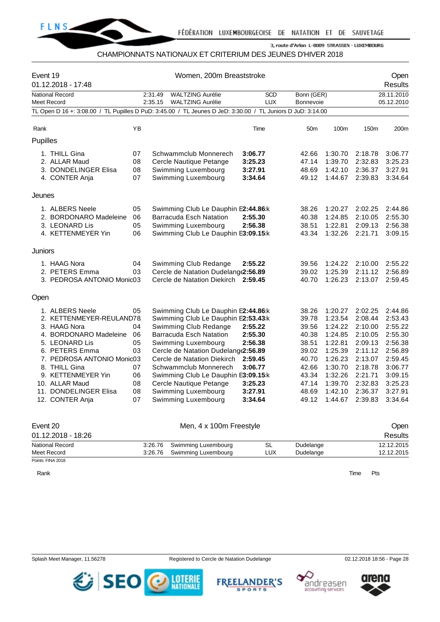

## CHAMPIONNATS NATIONAUX ET CRITERIUM DES JEUNES D'HIVER 2018

| Event 19 | 01.12.2018 - 17:48         |    | Women, 200m Breaststroke                                                                                    |            | Open<br><b>Results</b> |         |         |            |
|----------|----------------------------|----|-------------------------------------------------------------------------------------------------------------|------------|------------------------|---------|---------|------------|
|          | <b>National Record</b>     |    | <b>WALTZING Aurélie</b><br>2:31.49                                                                          | <b>SCD</b> | Bonn (GER)             |         |         | 28.11.2010 |
|          | Meet Record                |    | 2:35.15<br><b>WALTZING Aurélie</b>                                                                          | <b>LUX</b> | <b>Bonnevoie</b>       |         |         | 05.12.2010 |
|          |                            |    | TL Open D 16 +: 3:08.00 / TL Pupilles D PuD: 3:45.00 / TL Jeunes D JeD: 3:30.00 / TL Juniors D JuD: 3:14.00 |            |                        |         |         |            |
| Rank     |                            | YB |                                                                                                             | Time       | 50m                    | 100m    | 150m    | 200m       |
| Pupilles |                            |    |                                                                                                             |            |                        |         |         |            |
|          |                            |    |                                                                                                             |            |                        |         |         |            |
|          | 1. THILL Gina              | 07 | Schwammclub Monnerech                                                                                       | 3:06.77    | 42.66                  | 1:30.70 | 2:18.78 | 3:06.77    |
|          | 2. ALLAR Maud              | 08 | Cercle Nautique Petange                                                                                     | 3:25.23    | 47.14                  | 1:39.70 | 2:32.83 | 3:25.23    |
|          | 3. DONDELINGER Elisa       | 08 | Swimming Luxembourg                                                                                         | 3:27.91    | 48.69                  | 1:42.10 | 2:36.37 | 3:27.91    |
|          | 4. CONTER Anja             | 07 | Swimming Luxembourg                                                                                         | 3:34.64    | 49.12                  | 1:44.67 | 2:39.83 | 3:34.64    |
| Jeunes   |                            |    |                                                                                                             |            |                        |         |         |            |
|          | 1. ALBERS Neele            | 05 | Swimming Club Le Dauphin E2:44.86:k                                                                         |            | 38.26                  | 1:20.27 | 2:02.25 | 2:44.86    |
|          | 2. BORDONARO Madeleine     | 06 | <b>Barracuda Esch Natation</b>                                                                              | 2:55.30    | 40.38                  | 1:24.85 | 2:10.05 | 2:55.30    |
|          | 3. LEONARD Lis             | 05 | Swimming Luxembourg                                                                                         | 2:56.38    | 38.51                  | 1:22.81 | 2:09.13 | 2:56.38    |
|          | 4. KETTENMEYER Yin         | 06 | Swimming Club Le Dauphin E3:09.15:k                                                                         |            | 43.34                  | 1:32.26 | 2:21.71 | 3:09.15    |
|          |                            |    |                                                                                                             |            |                        |         |         |            |
| Juniors  |                            |    |                                                                                                             |            |                        |         |         |            |
|          | 1. HAAG Nora               | 04 | Swimming Club Redange                                                                                       | 2:55.22    | 39.56                  | 1:24.22 | 2:10.00 | 2:55.22    |
|          | 2. PETERS Emma             | 03 | Cercle de Natation Dudelange2:56.89                                                                         |            | 39.02                  | 1:25.39 | 2:11.12 | 2:56.89    |
|          | 3. PEDROSA ANTONIO Monic03 |    | Cercle de Natation Diekirch 2:59.45                                                                         |            | 40.70                  | 1:26.23 | 2:13.07 | 2:59.45    |
| Open     |                            |    |                                                                                                             |            |                        |         |         |            |
|          | 1. ALBERS Neele            | 05 | Swimming Club Le Dauphin E2:44.86:k                                                                         |            | 38.26                  | 1:20.27 | 2:02.25 | 2:44.86    |
|          | 2. KETTENMEYER-REULAND78.  |    | Swimming Club Le Dauphin E2:53.43:k                                                                         |            | 39.78                  | 1:23.54 | 2:08.44 | 2:53.43    |
|          | 3.  HAAG Nora              | 04 | Swimming Club Redange                                                                                       | 2:55.22    | 39.56                  | 1:24.22 | 2:10.00 | 2:55.22    |
|          | 4. BORDONARO Madeleine     | 06 | Barracuda Esch Natation                                                                                     | 2:55.30    | 40.38                  | 1:24.85 | 2:10.05 | 2:55.30    |
|          | 5. LEONARD Lis             | 05 | Swimming Luxembourg                                                                                         | 2:56.38    | 38.51                  | 1:22.81 | 2:09.13 | 2:56.38    |
|          | 6. PETERS Emma             | 03 | Cercle de Natation Dudelang (2:56.89                                                                        |            | 39.02                  | 1:25.39 | 2:11.12 | 2:56.89    |
|          | 7. PEDROSA ANTONIO Monic03 |    | Cercle de Natation Diekirch                                                                                 | 2:59.45    | 40.70                  | 1:26.23 | 2:13.07 | 2:59.45    |
|          | 8. THILL Gina              | 07 | Schwammclub Monnerech                                                                                       | 3:06.77    | 42.66                  | 1:30.70 | 2:18.78 | 3:06.77    |
|          | 9. KETTENMEYER Yin         | 06 | Swimming Club Le Dauphin E3:09.15:k                                                                         |            | 43.34                  | 1:32.26 | 2:21.71 | 3:09.15    |
|          | 10. ALLAR Maud             | 08 | Cercle Nautique Petange                                                                                     | 3:25.23    | 47.14                  | 1:39.70 | 2:32.83 | 3:25.23    |
|          | 11. DONDELINGER Elisa      | 08 | Swimming Luxembourg                                                                                         | 3:27.91    | 48.69                  | 1:42.10 | 2:36.37 | 3:27.91    |
|          | 12. CONTER Anja            | 07 | Swimming Luxembourg                                                                                         | 3:34.64    | 49.12                  | 1:44.67 | 2:39.83 | 3:34.64    |

| Event 20               |  |                             | Men, 4 x 100m Freestyle |           |            |  |  |
|------------------------|--|-----------------------------|-------------------------|-----------|------------|--|--|
| $01.12.2018 - 18.26$   |  |                             |                         |           | Results    |  |  |
| <b>National Record</b> |  | 3:26.76 Swimming Luxembourg | -SL                     | Dudelange | 12.12.2015 |  |  |
| Meet Record            |  | 3:26.76 Swimming Luxembourg | <b>LUX</b>              | Dudelange | 12.12.2015 |  |  |
| Points: FINA 2018      |  |                             |                         |           |            |  |  |

Rank **Time Pts** 

Splash Meet Manager, 11.56278 **Registered to Cercle de Natation Dudelange 12.2018 18:56 - Page 28** CO2.12.2018 18:56 - Page 28







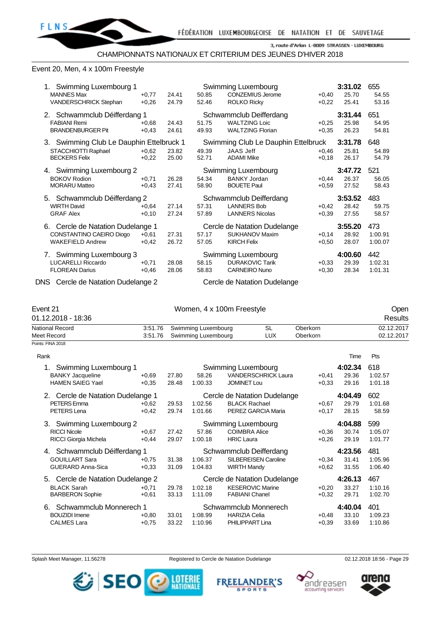#### Event 20, Men, 4 x 100m Freestyle

| 1. Swimming Luxembourg 1<br><b>MANNES Max</b><br><b>VANDERSCHRICK Stephan</b>            | $+0.77$<br>$+0,26$ | 24.41<br>24.79 | 50.85<br>52.46 | Swimming Luxembourg<br><b>CONZEMIUS Jerome</b><br><b>ROLKO Ricky</b>          | $+0,40$<br>$+0,22$ | 3:31.02<br>25.70<br>25.41 | 655<br>54.55<br>53.16     |
|------------------------------------------------------------------------------------------|--------------------|----------------|----------------|-------------------------------------------------------------------------------|--------------------|---------------------------|---------------------------|
| 2. Schwammclub Déifferdang 1<br><b>FABIANI Remi</b><br><b>BRANDENBURGER Pit</b>          | $+0.68$<br>$+0,43$ | 24.43<br>24.61 | 51.75<br>49.93 | Schwammclub Deifferdang<br><b>WALTZING Loic</b><br><b>WALTZING Florian</b>    | $+0.25$<br>$+0,35$ | 3:31.44<br>25.98<br>26.23 | 651<br>54.95<br>54.81     |
| 3. Swimming Club Le Dauphin Ettelbruck 1<br>STACCHIOTTI Raphael<br><b>BECKERS Felix</b>  | $+0.62$<br>$+0,22$ | 23.82<br>25.00 | 49.39<br>52.71 | Swimming Club Le Dauphin Ettelbruck 3:31.78<br>JAAS Jeff<br><b>ADAMI Mike</b> | $+0.46$<br>$+0.18$ | 25.81<br>26.17            | 648<br>54.89<br>54.79     |
| 4. Swimming Luxembourg 2<br><b>BOKOV Rodion</b><br><b>MORARU Matteo</b>                  | $+0.71$<br>$+0,43$ | 26.28<br>27.41 | 54.34<br>58.90 | Swimming Luxembourg<br><b>BANKY Jordan</b><br><b>BOUETE Paul</b>              | $+0.44$<br>$+0.59$ | 3:47.72<br>26.37<br>27.52 | 521<br>56.05<br>58.43     |
| 5. Schwammclub Déifferdang 2<br><b>WIRTH David</b><br><b>GRAF Alex</b>                   | $+0.64$<br>$+0,10$ | 27.14<br>27.24 | 57.31<br>57.89 | Schwammclub Deifferdang<br><b>LANNERS Bob</b><br><b>LANNERS Nicolas</b>       | $+0,42$<br>$+0.39$ | 3:53.52<br>28.42<br>27.55 | 483<br>59.75<br>58.57     |
| 6. Cercle de Natation Dudelange 1<br>CONSTANTINO CAEIRO Diogo<br><b>WAKEFIELD Andrew</b> | $+0.61$<br>$+0,42$ | 27.31<br>26.72 | 57.17<br>57.05 | Cercle de Natation Dudelange<br><b>SUKHANOV Maxim</b><br><b>KIRCH Felix</b>   | $+0.14$<br>$+0.50$ | 3:55.20<br>28.92<br>28.07 | 473<br>1:00.91<br>1:00.07 |
| 7. Swimming Luxembourg 3<br><b>LUCARELLI Riccardo</b><br><b>FLOREAN Darius</b>           | $+0,71$<br>$+0,46$ | 28.08<br>28.06 | 58.15<br>58.83 | Swimming Luxembourg<br><b>DURAKOVIC Tarik</b><br><b>CARNEIRO Nuno</b>         | $+0.33$<br>$+0,30$ | 4:00.60<br>29.39<br>28.34 | 442<br>1:02.31<br>1:01.31 |

DNS Cercle de Natation Dudelange 2 Cercle de Natation Dudelange

### Event 21 Communication of the UV Women, 4 x 100m Freestyle Communication of the Open

01.12.2018 - 18:36 Results National Record **3:51.76 Swimming Luxembourg SL** Oberkorn 02.12.2017 Meet Record 3:51.76 Swimming Luxembourg LUX Oberkorn 02.12.2017 Points: FINA 2018 Rank Time Pts 1. Swimming Luxembourg 1 Swimming Luxembourg **4:02.34** 618 BANKY Jacqueline +0,69 27.80 58.26 VANDERSCHRICK Laura +0,41 29.36 1:02.57 HAMEN SAIEG Yael +0,35 28.48 1:00.33 JOMINET Lou +0,33 29.16 1:01.18 2. Cercle de Natation Dudelange 1 Cercle de Natation Dudelange **4:04.49** 602 PETERS Emma +0,62 29.53 1:02.56 BLACK Rachael +0,67 29.79 1:01.68 PETERS Lena +0,42 29.74 1:01.66 PEREZ GARCIA Maria +0,17 28.15 58.59 3. Swimming Luxembourg 2 Swimming Luxembourg **4:04.88** 599 COIMBRA Alice RICCI Giorgia Michela +0,44 29.07 1:00.18 HRIC Laura +0,26 29.19 1:01.77 4. Schwammclub Déifferdang 1 Schwammclub Deifferdang **4:23.56** 481 GOUILLART Sara +0,75 31.38 1:06.37 SILBEREISEN Caroline +0,34 31.41 1:05.96 GUERARD Anna-Sica 5. Cercle de Natation Dudelange 2 Cercle de Natation Dudelange **4:26.13** 467 BLACK Sarah +0,71 29.78 1:02.18 KESEROVIC Marine +0,20 33.27 1:10.16 BARBERON Sophie +0,61 33.13 1:11.09 FABIANI Chanel +0,32 29.71 1:02.70

| 6. Schwammclub Monnerech 1 |         |       |         | Schwammclub Monnerech |         | 4:40.04 | -401    |  |
|----------------------------|---------|-------|---------|-----------------------|---------|---------|---------|--|
| <b>BOUZIDI</b> Imene       | $+0.80$ | 33.01 | 1:08.99 | HARIZIA Celia         | +0.48   | 33.10   | 1:09.23 |  |
| CALMES Lara                | $+0.75$ | 33.22 | 1:10.96 | PHILIPPART Lina       | $+0.39$ | -33.69  | 1:10.86 |  |

Splash Meet Manager, 11.56278 Registered to Cercle de Natation Dudelange **19.12.2018 18:56 - Page 29** CO2.12.2018 18:56 - Page 29





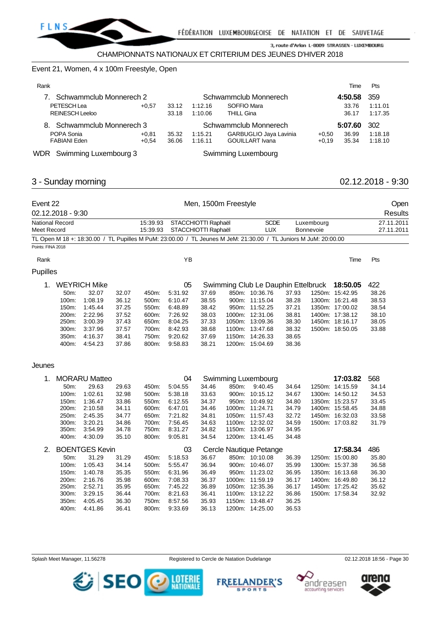

# Event 21, Women, 4 x 100m Freestyle, Open

| . . |
|-----|
|-----|

| Rank                       |         |       |         |                        |         | Time    | Pts     |
|----------------------------|---------|-------|---------|------------------------|---------|---------|---------|
| 7. Schwammclub Monnerech 2 |         |       |         | Schwammclub Monnerech  |         | 4:50.58 | - 359   |
| PETESCH Lea                | $+0.57$ | 33.12 | 1:12.16 | SOFFIO Mara            |         | 33.76   | 1:11.01 |
| <b>REINESCH Leeloo</b>     |         | 33.18 | 1:10.06 | <b>THILL Gina</b>      |         | 36.17   | 1:17.35 |
| 8. Schwammclub Monnerech 3 |         |       |         | Schwammclub Monnerech  |         | 5:07.60 | 302     |
| POPA Sonia                 | $+0.81$ | 35.32 | 1:15.21 | GARBUGLIO Jaya Lavinia | $+0.50$ | 36.99   | 1:18.18 |
| <b>FABIANI Eden</b>        | $+0.54$ | 36.06 | 1:16.11 | <b>GOUILLART</b> Ivana | $+0.19$ | 35.34   | 1:18.10 |
|                            |         |       |         |                        |         |         |         |

WDR Swimming Luxembourg 3 Swimming Luxembourg 3

## 3 - Sunday morning 02.12.2018 - 9:30

| Event 22               |                   |                       |       |          |         |                     | Men, 1500m Freestyle |                                                                                                                 |       |                  |                   | Open       |  |
|------------------------|-------------------|-----------------------|-------|----------|---------|---------------------|----------------------|-----------------------------------------------------------------------------------------------------------------|-------|------------------|-------------------|------------|--|
|                        | 02.12.2018 - 9:30 |                       |       |          |         |                     |                      |                                                                                                                 |       |                  |                   | Results    |  |
| <b>National Record</b> |                   |                       |       | 15:39.93 |         | STACCHIOTTI Raphaël |                      | <b>SCDE</b>                                                                                                     |       | Luxembourg       |                   | 27.11.2011 |  |
| Meet Record            |                   |                       |       | 15:39.93 |         | STACCHIOTTI Raphaël |                      | <b>LUX</b>                                                                                                      |       | <b>Bonnevoie</b> |                   | 27.11.2011 |  |
|                        |                   |                       |       |          |         |                     |                      | TL Open M 18 +: 18:30.00 / TL Pupilles M PuM: 23:00.00 / TL Jeunes M JeM: 21:30.00 / TL Juniors M JuM: 20:00.00 |       |                  |                   |            |  |
| Points: FINA 2018      |                   |                       |       |          |         |                     |                      |                                                                                                                 |       |                  |                   |            |  |
| Rank                   |                   |                       |       |          | YB      |                     |                      |                                                                                                                 |       |                  | Time              | Pts        |  |
| Pupilles               |                   |                       |       |          |         |                     |                      |                                                                                                                 |       |                  |                   |            |  |
| 1.                     |                   | <b>WEYRICH Mike</b>   |       |          | 05      |                     |                      | Swimming Club Le Dauphin Ettelbruck 18:50.05                                                                    |       |                  |                   | 422        |  |
|                        | 50m:              | 32.07                 | 32.07 | 450m:    | 5:31.92 | 37.69               |                      | 850m: 10:36.76                                                                                                  | 37.93 |                  | 1250m: 15:42.95   | 38.26      |  |
|                        | 100m:             | 1:08.19               | 36.12 | 500m:    | 6:10.47 | 38.55               |                      | 900m: 11:15.04                                                                                                  | 38.28 |                  | 1300m: 16:21.48   | 38.53      |  |
|                        | 150m:             | 1:45.44               | 37.25 | 550m:    | 6:48.89 | 38.42               |                      | 950m: 11:52.25                                                                                                  | 37.21 |                  | 1350m: 17:00.02   | 38.54      |  |
|                        | 200m:             | 2:22.96               | 37.52 | 600m:    | 7:26.92 | 38.03               |                      | 1000m: 12:31.06                                                                                                 | 38.81 |                  | 1400m: 17:38.12   | 38.10      |  |
|                        | 250m:             | 3:00.39               | 37.43 | 650m:    | 8:04.25 | 37.33               |                      | 1050m: 13:09.36                                                                                                 | 38.30 |                  | 1450m: 18:16.17   | 38.05      |  |
|                        | 300m:             | 3:37.96               | 37.57 | 700m:    | 8:42.93 | 38.68               |                      | 1100m: 13:47.68                                                                                                 | 38.32 |                  | 1500m: 18:50.05   | 33.88      |  |
|                        | 350m:             | 4:16.37               | 38.41 | 750m:    | 9:20.62 | 37.69               |                      | 1150m: 14:26.33                                                                                                 | 38.65 |                  |                   |            |  |
|                        | 400m:             | 4:54.23               | 37.86 | 800m:    | 9:58.83 | 38.21               |                      | 1200m: 15:04.69                                                                                                 | 38.36 |                  |                   |            |  |
| Jeunes                 |                   |                       |       |          |         |                     |                      |                                                                                                                 |       |                  |                   |            |  |
| 1.                     |                   | <b>MORARU Matteo</b>  |       |          | 04      |                     |                      | Swimming Luxembourg                                                                                             |       |                  | 17:03.82          | 568        |  |
|                        | 50m:              | 29.63                 | 29.63 | 450m:    | 5:04.55 | 34.46               | 850m:                | 9:40.45                                                                                                         | 34.64 |                  | 1250m: 14:15.59   | 34.14      |  |
|                        | 100m:             | 1:02.61               | 32.98 | 500m:    | 5:38.18 | 33.63               |                      | 900m: 10:15.12                                                                                                  | 34.67 |                  | 1300m: 14:50.12   | 34.53      |  |
|                        | 150m:             | 1:36.47               | 33.86 | 550m:    | 6:12.55 | 34.37               |                      | 950m: 10:49.92                                                                                                  | 34.80 |                  | 1350m: 15:23.57   | 33.45      |  |
|                        | 200m:             | 2:10.58               | 34.11 | 600m:    | 6:47.01 | 34.46               |                      | 1000m: 11:24.71                                                                                                 | 34.79 |                  | 1400m: 15:58.45   | 34.88      |  |
|                        | 250m:             | 2:45.35               | 34.77 | 650m:    | 7:21.82 | 34.81               |                      | 1050m: 11:57.43                                                                                                 | 32.72 |                  | 1450m: 16:32.03   | 33.58      |  |
|                        | 300m:             | 3:20.21               | 34.86 | 700m:    | 7:56.45 | 34.63               |                      | 1100m: 12:32.02                                                                                                 | 34.59 |                  | 1500m: 17:03.82   | 31.79      |  |
|                        | 350m:             | 3:54.99               | 34.78 | 750m:    | 8:31.27 | 34.82               |                      | 1150m: 13:06.97                                                                                                 | 34.95 |                  |                   |            |  |
|                        | 400m:             | 4:30.09               | 35.10 | 800m:    | 9:05.81 | 34.54               |                      | 1200m: 13:41.45                                                                                                 | 34.48 |                  |                   |            |  |
| 2.                     |                   | <b>BOENTGES Kevin</b> |       |          | 03      |                     |                      | Cercle Nautique Petange                                                                                         |       |                  | 17:58.34          | 486        |  |
|                        | 50m:              | 31.29                 | 31.29 | 450m:    | 5:18.53 | 36.67               |                      | 850m: 10:10.08                                                                                                  | 36.39 |                  | 1250m: 15:00.80   | 35.80      |  |
|                        | 100m:             | 1:05.43               | 34.14 | 500m:    | 5:55.47 | 36.94               |                      | 900m: 10:46.07                                                                                                  | 35.99 |                  | 1300m: 15:37.38   | 36.58      |  |
|                        | 150m <sup>.</sup> | 1:40.78               | २५ २५ | 550m.    | 6.31.96 | 36.49               |                      | $950m + 11.2302$                                                                                                | 36.95 |                  | $1350m + 16.1368$ | 36.30      |  |

| $50m$ : | 31.29         | 31.29 | 450m. | 5:18.53       | 36.67 | 850m: 10:10.08  | 36.39 | 1250m: 15:00.80 | 35.80 |
|---------|---------------|-------|-------|---------------|-------|-----------------|-------|-----------------|-------|
| 100m:   | 1:05.43       | 34.14 | 500m: | 5:55.47       | 36.94 | 900m: 10:46.07  | 35.99 | 1300m: 15:37.38 | 36.58 |
| 150m:   | 1:40.78       | 35.35 | 550m: | 6:31.96       | 36.49 | 950m: 11:23.02  | 36.95 | 1350m: 16:13.68 | 36.30 |
|         | 200m: 2:16.76 | 35.98 | 600m: | 7:08.33       | 36.37 | 1000m: 11:59.19 | 36.17 | 1400m: 16:49.80 | 36.12 |
|         | 250m: 2:52.71 | 35.95 |       | 650m: 7:45.22 | 36.89 | 1050m: 12:35.36 | 36.17 | 1450m: 17:25.42 | 35.62 |
|         | 300m: 3:29.15 | 36.44 | 700m: | 8:21.63       | 36.41 | 1100m: 13:12.22 | 36.86 | 1500m: 17:58.34 | 32.92 |
| 350m:   | 4:05.45       | 36.30 | 750m: | 8:57.56       | 35.93 | 1150m: 13:48.47 | 36.25 |                 |       |
| 400m:   | 4:41.86       | 36.41 | 800m: | 9:33.69       | 36.13 | 1200m: 14:25.00 | 36.53 |                 |       |









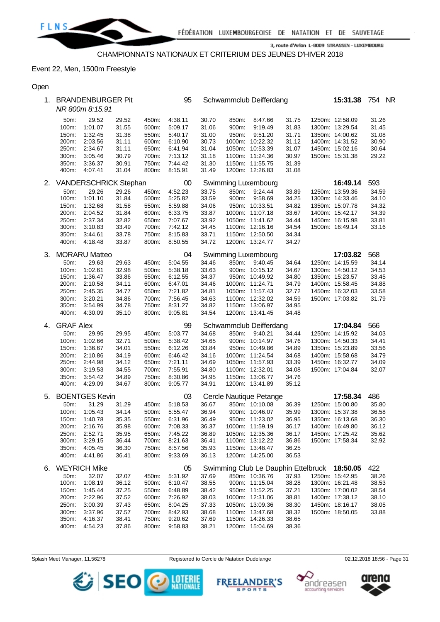

## Event 22, Men, 1500m Freestyle

## Open

| 1. |                                          | <b>BRANDENBURGER Pit</b><br>NR 800m 8:15.91       |                                           |                                           | 95                                                  |                                           |                         | Schwammclub Deifferdang                                                  |                                           | 15:31.38                                                                                    | 754 NR                                    |  |
|----|------------------------------------------|---------------------------------------------------|-------------------------------------------|-------------------------------------------|-----------------------------------------------------|-------------------------------------------|-------------------------|--------------------------------------------------------------------------|-------------------------------------------|---------------------------------------------------------------------------------------------|-------------------------------------------|--|
|    | 50m:<br>100m:<br>150m:<br>200m:<br>250m: | 29.52<br>1:01.07<br>1:32.45<br>2:03.56<br>2:34.67 | 29.52<br>31.55<br>31.38<br>31.11<br>31.11 | 450m:<br>500m:<br>550m:<br>600m:<br>650m: | 4:38.11<br>5:09.17<br>5:40.17<br>6:10.90<br>6:41.94 | 30.70<br>31.06<br>31.00<br>30.73<br>31.04 | 850m:<br>900m:<br>950m: | 8:47.66<br>9:19.49<br>9:51.20<br>1000m: 10:22.32<br>1050m: 10:53.39      | 31.75<br>31.83<br>31.71<br>31.12<br>31.07 | 1250m: 12:58.09<br>1300m: 13:29.54<br>1350m: 14:00.62<br>1400m: 14:31.52<br>1450m: 15:02.16 | 31.26<br>31.45<br>31.08<br>30.90<br>30.64 |  |
|    | 300m:<br>350m:<br>400m:                  | 3:05.46<br>3:36.37<br>4:07.41                     | 30.79<br>30.91<br>31.04                   | 700m:<br>750m:<br>800m:                   | 7:13.12<br>7:44.42<br>8:15.91                       | 31.18<br>31.30<br>31.49                   |                         | 1100m: 11:24.36<br>1150m: 11:55.75<br>1200m: 12:26.83                    | 30.97<br>31.39<br>31.08                   | 1500m: 15:31.38                                                                             | 29.22                                     |  |
| 2. |                                          | VANDERSCHRICK Stephan                             |                                           |                                           | 00                                                  |                                           |                         | Swimming Luxembourg                                                      |                                           | 16:49.14                                                                                    | 593                                       |  |
|    | 50m:<br>100m:<br>150m:<br>200m:          | 29.26<br>1:01.10<br>1:32.68<br>2:04.52            | 29.26<br>31.84<br>31.58<br>31.84          | 450m:<br>500m:<br>550m:<br>600m:          | 4:52.23<br>5:25.82<br>5:59.88<br>6:33.75            | 33.75<br>33.59<br>34.06<br>33.87          | 850m:<br>900m:          | 9:24.44<br>9:58.69<br>950m: 10:33.51<br>1000m: 11:07.18                  | 33.89<br>34.25<br>34.82<br>33.67          | 1250m: 13:59.36<br>1300m: 14:33.46<br>1350m: 15:07.78<br>1400m: 15:42.17                    | 34.59<br>34.10<br>34.32<br>34.39          |  |
|    | 250m:<br>300m:<br>350m:<br>400m:         | 2:37.34<br>3:10.83<br>3:44.61<br>4:18.48          | 32.82<br>33.49<br>33.78<br>33.87          | 650m:<br>700m:<br>750m:<br>800m:          | 7:07.67<br>7:42.12<br>8:15.83<br>8:50.55            | 33.92<br>34.45<br>33.71<br>34.72          |                         | 1050m: 11:41.62<br>1100m: 12:16.16<br>1150m: 12:50.50<br>1200m: 13:24.77 | 34.44<br>34.54<br>34.34<br>34.27          | 1450m: 16:15.98<br>1500m: 16:49.14                                                          | 33.81<br>33.16                            |  |
| 3. |                                          | <b>MORARU Matteo</b>                              |                                           |                                           | 04                                                  |                                           |                         | Swimming Luxembourg                                                      |                                           | 17:03.82                                                                                    | 568                                       |  |
|    | 50m:<br>100m:<br>150m:                   | 29.63<br>1:02.61<br>1:36.47                       | 29.63<br>32.98<br>33.86                   | 450m:<br>500m:<br>550m:                   | 5:04.55<br>5:38.18<br>6:12.55                       | 34.46<br>33.63<br>34.37                   | 850m:                   | 9:40.45<br>900m: 10:15.12<br>950m: 10:49.92                              | 34.64<br>34.67<br>34.80                   | 1250m: 14:15.59<br>1300m: 14:50.12<br>1350m: 15:23.57                                       | 34.14<br>34.53<br>33.45                   |  |
|    | 200m:<br>250m:<br>300m:                  | 2:10.58<br>2:45.35<br>3:20.21                     | 34.11<br>34.77<br>34.86                   | 600m:<br>650m:<br>700m:                   | 6:47.01<br>7:21.82<br>7:56.45                       | 34.46<br>34.81<br>34.63                   |                         | 1000m: 11:24.71<br>1050m: 11:57.43<br>1100m: 12:32.02                    | 34.79<br>32.72<br>34.59                   | 1400m: 15:58.45<br>1450m: 16:32.03<br>1500m: 17:03.82                                       | 34.88<br>33.58<br>31.79                   |  |
|    | 350m:<br>400m:                           | 3:54.99<br>4:30.09                                | 34.78<br>35.10                            | 750m:<br>800m:                            | 8:31.27<br>9:05.81                                  | 34.82<br>34.54                            |                         | 1150m: 13:06.97<br>1200m: 13:41.45                                       | 34.95<br>34.48                            |                                                                                             |                                           |  |
| 4. | <b>GRAF Alex</b>                         |                                                   |                                           |                                           | 99                                                  |                                           |                         | Schwammclub Deifferdang                                                  |                                           | 17:04.84                                                                                    | 566<br>34.03                              |  |
|    | 50m:<br>100m:                            | 29.95<br>1:02.66                                  | 29.95<br>32.71                            | 450m:<br>500m:                            | 5.03.77<br>5:38.42                                  | 34.68<br>34.65                            | 850m:                   | 9:40.21<br>900m: 10:14.97                                                | 34.44<br>34.76                            | 1250m: 14:15.92<br>1300m: 14:50.33                                                          | 34.41                                     |  |
|    | 150m:                                    | 1:36.67                                           | 34.01                                     | 550m:                                     | 6:12.26                                             | 33.84                                     |                         | 950m: 10:49.86                                                           | 34.89                                     | 1350m: 15:23.89                                                                             | 33.56                                     |  |
|    | 200m:                                    | 2:10.86                                           | 34.19                                     | 600m:                                     | 6:46.42                                             | 34.16                                     |                         | 1000m: 11:24.54                                                          | 34.68                                     | 1400m: 15:58.68                                                                             | 34.79                                     |  |
|    | 250m:                                    | 2:44.98                                           | 34.12                                     | 650m:                                     | 7:21.11                                             | 34.69                                     |                         | 1050m: 11:57.93                                                          | 33.39                                     | 1450m: 16:32.77                                                                             | 34.09                                     |  |
|    | 300m:                                    | 3:19.53                                           | 34.55                                     | 700m:                                     | 7:55.91                                             | 34.80                                     |                         | 1100m: 12:32.01                                                          | 34.08                                     | 1500m: 17:04.84                                                                             | 32.07                                     |  |
|    | 350m.<br>400m:                           | 3:54.42<br>4:29.09                                | 34.89<br>34.67                            | 750m:<br>800m:                            | 8:30.86<br>9:05.77                                  | 34.95<br>34.91                            |                         | 1150m: 13:06.77<br>1200m: 13:41.89                                       | 34.76<br>35.12                            |                                                                                             |                                           |  |
| 5. |                                          | <b>BOENTGES Kevin</b>                             |                                           |                                           | 03                                                  |                                           |                         | Cercle Nautique Petange                                                  |                                           | 17:58.34                                                                                    | 486                                       |  |
|    | 50m:<br>100m:                            | 31.29<br>1:05.43                                  | 31.29<br>34.14                            | 450m:<br>500m:                            | 5:18.53<br>5:55.47                                  | 36.67<br>36.94                            |                         | 850m: 10:10.08<br>900m: 10:46.07                                         | 36.39<br>35.99                            | 1250m: 15:00.80<br>1300m: 15:37.38                                                          | 35.80<br>36.58                            |  |
|    | 150m:                                    | 1:40.78                                           | 35.35                                     | 550m:                                     | 6:31.96                                             | 36.49                                     |                         | 950m: 11:23.02                                                           | 36.95                                     | 1350m: 16:13.68                                                                             | 36.30                                     |  |
|    |                                          | 200m: 2:16.76                                     | 35.98                                     |                                           | 600m: 7:08.33                                       | 36.37                                     |                         | 1000m: 11:59.19                                                          | 36.17                                     | 1400m: 16:49.80                                                                             | 36.12                                     |  |
|    | 250m:                                    | 2:52.71                                           | 35.95                                     | 650m:                                     | 7:45.22                                             | 36.89                                     |                         | 1050m: 12:35.36                                                          | 36.17                                     | 1450m: 17:25.42                                                                             | 35.62                                     |  |
|    | 300m:                                    | 3:29.15                                           | 36.44                                     | 700m:                                     | 8:21.63                                             | 36.41                                     |                         | 1100m: 13:12.22                                                          | 36.86                                     | 1500m: 17:58.34                                                                             | 32.92                                     |  |
|    | 350m:<br>400m:                           | 4:05.45<br>4:41.86                                | 36.30<br>36.41                            | 750m:<br>800m:                            | 8:57.56<br>9:33.69                                  | 35.93<br>36.13                            |                         | 1150m: 13:48.47<br>1200m: 14:25.00                                       | 36.25<br>36.53                            |                                                                                             |                                           |  |
| 6. |                                          | <b>WEYRICH Mike</b>                               |                                           |                                           | 05                                                  |                                           |                         | Swimming Club Le Dauphin Ettelbruck 18:50.05                             |                                           |                                                                                             | 422                                       |  |
|    | 50m:                                     | 32.07                                             | 32.07                                     | 450m:                                     | 5:31.92                                             | 37.69                                     |                         | 850m: 10:36.76                                                           | 37.93                                     | 1250m: 15:42.95                                                                             | 38.26                                     |  |
|    | 100m:                                    | 1:08.19                                           | 36.12                                     | 500m:                                     | 6:10.47                                             | 38.55                                     |                         | 900m: 11:15.04                                                           | 38.28                                     | 1300m: 16:21.48                                                                             | 38.53                                     |  |
|    | 150m:<br>200m:                           | 1:45.44<br>2:22.96                                | 37.25<br>37.52                            | 550m:<br>600m:                            | 6:48.89<br>7:26.92                                  | 38.42<br>38.03                            |                         | 950m: 11:52.25<br>1000m: 12:31.06                                        | 37.21<br>38.81                            | 1350m: 17:00.02<br>1400m: 17:38.12                                                          | 38.54<br>38.10                            |  |
|    | 250m:                                    | 3:00.39                                           | 37.43                                     | 650m:                                     | 8:04.25                                             | 37.33                                     |                         | 1050m: 13:09.36                                                          | 38.30                                     | 1450m: 18:16.17                                                                             | 38.05                                     |  |
|    | 300m:                                    | 3:37.96                                           | 37.57                                     | 700m:                                     | 8:42.93                                             | 38.68                                     |                         | 1100m: 13:47.68                                                          | 38.32                                     | 1500m: 18:50.05                                                                             | 33.88                                     |  |
|    | 350m:                                    | 4:16.37                                           | 38.41                                     | 750m:                                     | 9:20.62                                             | 37.69                                     |                         | 1150m: 14:26.33                                                          | 38.65                                     |                                                                                             |                                           |  |
|    | 400m:                                    | 4:54.23                                           | 37.86                                     | 800m:                                     | 9:58.83                                             | 38.21                                     |                         | 1200m: 15:04.69                                                          | 38.36                                     |                                                                                             |                                           |  |
|    |                                          |                                                   |                                           |                                           |                                                     |                                           |                         |                                                                          |                                           |                                                                                             |                                           |  |

Splash Meet Manager, 11.56278 Registered to Cercle de Natation Dudelange **12.12.2018 18:56 - Page 31** CO2.12.2018 18:56 - Page 31







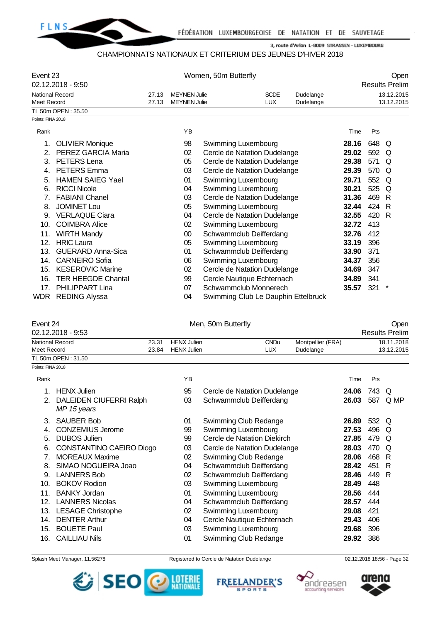

### CHAMPIONNATS NATIONAUX ET CRITERIUM DES JEUNES D'HIVER 2018

| Event 23           | 02.12.2018 - 9:50                                                 | Women, 50m Butterfly |                           |                              |             |           |            |       | Open<br><b>Results Prelim</b> |  |  |  |  |
|--------------------|-------------------------------------------------------------------|----------------------|---------------------------|------------------------------|-------------|-----------|------------|-------|-------------------------------|--|--|--|--|
|                    | <b>National Record</b>                                            | 27.13                | <b>MEYNEN Julie</b>       |                              | <b>SCDE</b> | Dudelange | 13.12.2015 |       |                               |  |  |  |  |
| <b>Meet Record</b> |                                                                   | 27.13                | <b>MEYNEN Julie</b>       |                              | <b>LUX</b>  | Dudelange |            |       | 13.12.2015                    |  |  |  |  |
|                    | TL 50m OPEN: 35.50                                                |                      |                           |                              |             |           |            |       |                               |  |  |  |  |
| Points: FINA 2018  |                                                                   |                      |                           |                              |             |           |            |       |                               |  |  |  |  |
| Rank               |                                                                   |                      | <b>YB</b>                 |                              |             |           | Time       | Pts   |                               |  |  |  |  |
|                    | <b>OLIVIER Monique</b>                                            |                      | 98                        | Swimming Luxembourg          |             |           | 28.16      | 648   | O                             |  |  |  |  |
| 2.                 | PEREZ GARCIA Maria                                                |                      | 02                        | Cercle de Natation Dudelange |             |           | 29.02      | 592 Q |                               |  |  |  |  |
| 3.                 | PETERS Lena                                                       |                      | 05                        | Cercle de Natation Dudelange |             |           | 29.38      | 571   | Q                             |  |  |  |  |
| 4.                 | <b>PETERS Emma</b>                                                |                      | 03                        | Cercle de Natation Dudelange |             |           | 29.39      | 570 Q |                               |  |  |  |  |
| 5.                 | <b>HAMEN SAIEG Yael</b>                                           |                      | Swimming Luxembourg<br>01 |                              |             |           | 29.71      | 552   | Q                             |  |  |  |  |
| 6.                 | <b>RICCI Nicole</b>                                               |                      | 04                        | Swimming Luxembourg          |             |           |            | 525 Q |                               |  |  |  |  |
| 7.                 | <b>FABIANI Chanel</b>                                             |                      | 03                        | Cercle de Natation Dudelange |             |           | 31.36      | 469   | R                             |  |  |  |  |
| 8.                 | <b>JOMINET Lou</b>                                                |                      | 05                        | Swimming Luxembourg          |             |           | 32.44      | 424   | - R                           |  |  |  |  |
| 9.                 | <b>VERLAQUE Ciara</b>                                             |                      | 04                        | Cercle de Natation Dudelange |             |           | 32.55      | 420   | R                             |  |  |  |  |
| 10.                | <b>COIMBRA Alice</b>                                              |                      | 02                        | Swimming Luxembourg          |             |           | 32.72      | 413   |                               |  |  |  |  |
| 11.                | <b>WIRTH Mandy</b>                                                |                      | $00\,$                    | Schwammclub Deifferdang      |             |           | 32.76      | 412   |                               |  |  |  |  |
| 12.                | <b>HRIC Laura</b>                                                 |                      | 05                        | Swimming Luxembourg          |             |           | 33.19      | 396   |                               |  |  |  |  |
| 13.                | <b>GUERARD Anna-Sica</b>                                          |                      | 01                        | Schwammclub Deifferdang      |             |           | 33.90      | 371   |                               |  |  |  |  |
| 14.                | <b>CARNEIRO Sofia</b>                                             |                      | 06                        | Swimming Luxembourg          |             |           | 34.37      | 356   |                               |  |  |  |  |
| 15.                | <b>KESEROVIC Marine</b>                                           |                      | 02                        | Cercle de Natation Dudelange |             |           | 34.69      | 347   |                               |  |  |  |  |
| 16.                | <b>TER HEEGDE Chantal</b>                                         |                      | 99                        | Cercle Nautique Echternach   |             |           | 34.89      | 341   |                               |  |  |  |  |
| 17.                | <b>PHILIPPART Lina</b>                                            |                      | 07                        | Schwammclub Monnerech        |             |           | 35.57      | 321   | *                             |  |  |  |  |
| <b>WDR</b>         | <b>REDING Alyssa</b><br>Swimming Club Le Dauphin Ettelbruck<br>04 |                      |                           |                              |             |           |            |       |                               |  |  |  |  |

| Event 24               |       |             | Men, 50m Butterfly |                   |                       |  |  |  |
|------------------------|-------|-------------|--------------------|-------------------|-----------------------|--|--|--|
| $02.12.2018 - 9.53$    |       |             |                    |                   | <b>Results Prelim</b> |  |  |  |
| <b>National Record</b> | 23.31 | HENX Julien | <b>CNDu</b>        | Montpellier (FRA) | 18.11.2018            |  |  |  |
| Meet Record            | 23.84 | HENX Julien | <b>LUX</b>         | Dudelange         | 13.12.2015            |  |  |  |
| TL 50m OPEN: 31.50     |       |             |                    |                   |                       |  |  |  |
| Points: FINA 2018      |       |             |                    |                   |                       |  |  |  |

| Rank |                                               | ΥB |                              | Time  | Pts |      |
|------|-----------------------------------------------|----|------------------------------|-------|-----|------|
|      | <b>HENX</b> Julien                            | 95 | Cercle de Natation Dudelange | 24.06 | 743 | Q    |
| 2.   | <b>DALEIDEN CIUFERRI Ralph</b><br>MP 15 years | 03 | Schwammclub Deifferdang      | 26.03 | 587 | Q MP |
| 3.   | <b>SAUBER Bob</b>                             | 01 | Swimming Club Redange        | 26.89 | 532 | Q    |
| 4.   | <b>CONZEMIUS Jerome</b>                       | 99 | Swimming Luxembourg          | 27.53 | 496 | Q    |
| 5.   | <b>DUBOS Julien</b>                           | 99 | Cercle de Natation Diekirch  | 27.85 | 479 | Q    |
| 6.   | CONSTANTINO CAEIRO Diogo                      | 03 | Cercle de Natation Dudelange | 28.03 | 470 | Q    |
| 7.   | <b>MOREAUX Maxime</b>                         | 02 | Swimming Club Redange        | 28.06 | 468 | R    |
| 8.   | SIMAO NOGUEIRA Joao                           | 04 | Schwammclub Deifferdang      | 28.42 | 451 | R    |
| 9.   | <b>LANNERS Bob</b>                            | 02 | Schwammclub Deifferdang      | 28.46 | 449 | R    |
| 10.  | <b>BOKOV Rodion</b>                           | 03 | Swimming Luxembourg          | 28.49 | 448 |      |
| 11.  | <b>BANKY Jordan</b>                           | 01 | Swimming Luxembourg          | 28.56 | 444 |      |
| 12.  | <b>LANNERS Nicolas</b>                        | 04 | Schwammclub Deifferdang      | 28.57 | 444 |      |
| 13.  | <b>LESAGE Christophe</b>                      | 02 | Swimming Luxembourg          | 29.08 | 421 |      |
| 14.  | <b>DENTER Arthur</b>                          | 04 | Cercle Nautique Echternach   | 29.43 | 406 |      |
| 15.  | <b>BOUETE Paul</b>                            | 03 | Swimming Luxembourg          | 29.68 | 396 |      |
| 16.  | <b>CAILLIAU Nils</b>                          | 01 | Swimming Club Redange        | 29.92 | 386 |      |

Splash Meet Manager, 11.56278 **Registered to Cercle de Natation Dudelange 12.2018 18:56 - Page 32** CO2.12.2018 18:56 - Page 32









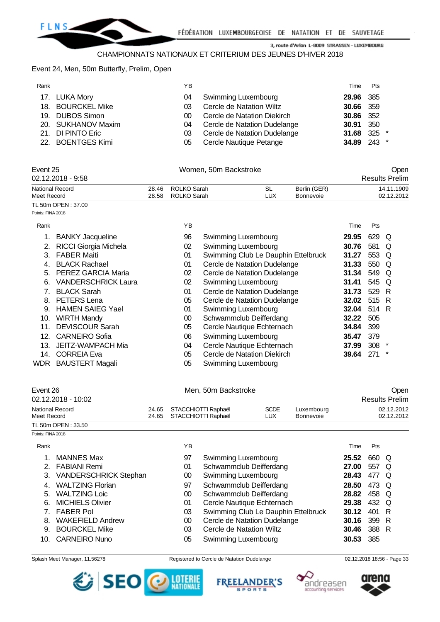## Event 24, Men, 50m Butterfly, Prelim, Open

| Rank |                    | ΥB |                              | Time             | <b>Pts</b>    |
|------|--------------------|----|------------------------------|------------------|---------------|
|      | 17. LUKA Mory      | 04 | Swimming Luxembourg          | 29.96 385        |               |
|      | 18. BOURCKEL Mike  | 03 | Cercle de Natation Wiltz     | 30.66 359        |               |
|      | 19. DUBOS Simon    | ററ | Cercle de Natation Diekirch  | 30.86 352        |               |
|      | 20. SUKHANOV Maxim | 04 | Cercle de Natation Dudelange | <b>30.91</b> 350 |               |
|      | 21. DI PINTO Eric  | 03 | Cercle de Natation Dudelange |                  | 31.68 325 $*$ |
|      | 22. BOENTGES Kimi  | 05 | Cercle Nautique Petange      |                  | 34.89 243 $*$ |

| Event 25<br>$02.12.2018 - 9.58$ |       | Women. 50m Backstroke |     |                  | Open<br><b>Results Prelim</b> |
|---------------------------------|-------|-----------------------|-----|------------------|-------------------------------|
| <b>National Record</b>          |       | 28.46 ROLKO Sarah     | SL  | Berlin (GER)     | 14.11.1909                    |
| Meet Record                     | 28.58 | ROLKO Sarah           | LUX | <b>Bonnevoie</b> | 02.12.2012                    |
| TL 50m OPEN: 37.00              |       |                       |     |                  |                               |

Points: FINA 2018

| Rank            |                              | ΥB |                                     | Time  | Pts   |         |
|-----------------|------------------------------|----|-------------------------------------|-------|-------|---------|
|                 | <b>BANKY Jacqueline</b>      | 96 | Swimming Luxembourg                 | 29.95 | 629 Q |         |
| 2.              | <b>RICCI Giorgia Michela</b> | 02 | <b>Swimming Luxembourg</b>          | 30.76 | 581   | O       |
| 3.              | <b>FABER Maiti</b>           | 01 | Swimming Club Le Dauphin Ettelbruck | 31.27 | 553 Q |         |
|                 | <b>BLACK Rachael</b>         | 01 | Cercle de Natation Dudelange        | 31.33 | 550 Q |         |
| 5.              | PEREZ GARCIA Maria           | 02 | Cercle de Natation Dudelange        | 31.34 | 549 Q |         |
| 6.              | <b>VANDERSCHRICK Laura</b>   | 02 | Swimming Luxembourg                 | 31.41 | 545 Q |         |
|                 | <b>BLACK Sarah</b>           | 01 | Cercle de Natation Dudelange        | 31.73 | 529 R |         |
| 8.              | PETERS Lena                  | 05 | Cercle de Natation Dudelange        | 32.02 | 515 R |         |
| 9.              | <b>HAMEN SAIEG Yael</b>      | 01 | Swimming Luxembourg                 | 32.04 | 514 R |         |
| 10.             | <b>WIRTH Mandy</b>           | 00 | Schwammclub Deifferdang             | 32.22 | 505   |         |
| 11.             | <b>DEVISCOUR Sarah</b>       | 05 | Cercle Nautique Echternach          | 34.84 | 399   |         |
| 12.             | <b>CARNEIRO Sofia</b>        | 06 | Swimming Luxembourg                 | 35.47 | 379   |         |
| 13.             | JEITZ-WAMPACH Mia            | 04 | Cercle Nautique Echternach          | 37.99 | 308   |         |
| 14 <sub>1</sub> | CORREIA Eva                  | 05 | Cercle de Natation Diekirch         | 39.64 | 271   | $\star$ |
| WDR             | <b>BAUSTERT Magali</b>       | 05 | Swimming Luxembourg                 |       |       |         |

| Event 26<br>02.12.2018 - 10:02        | Men, 50m Backstroke                                    |                    | Open<br><b>Results Prelim</b>  |                  |                          |
|---------------------------------------|--------------------------------------------------------|--------------------|--------------------------------|------------------|--------------------------|
| <b>National Record</b><br>Meet Record | 24.65 STACCHIOTTI Raphaël<br>24.65 STACCHIOTTI Raphaël | <b>SCDE</b><br>LUX | Luxembourg<br><b>Bonnevoie</b> |                  | 02.12.2012<br>02.12.2012 |
| TL 50m OPEN : 33.50                   |                                                        |                    |                                |                  |                          |
| Points: FINA 2018                     |                                                        |                    |                                |                  |                          |
| $D = 1$                               | $\sqrt{2}$                                             |                    |                                | $T_{\text{max}}$ | n.                       |

| Rank |                          | ΥB |                                     | Time  | Pts   |  |
|------|--------------------------|----|-------------------------------------|-------|-------|--|
|      | <b>MANNES Max</b>        | 97 | Swimming Luxembourg                 | 25.52 | 660 Q |  |
|      | 2. FABIANI Remi          | 01 | Schwammclub Deifferdang             | 27.00 | 557 Q |  |
|      | 3. VANDERSCHRICK Stephan | 00 | Swimming Luxembourg                 | 28.43 | 477 Q |  |
|      | 4. WALTZING Florian      | 97 | Schwammclub Deifferdang             | 28.50 | 473 Q |  |
|      | 5. WALTZING Loic         | 00 | Schwammclub Deifferdang             | 28.82 | 458 Q |  |
| 6.   | <b>MICHIELS Olivier</b>  | 01 | Cercle Nautique Echternach          | 29.38 | 432 Q |  |
|      | <b>FABER Pol</b>         | 03 | Swimming Club Le Dauphin Ettelbruck | 30.12 | 401 R |  |
| 8.   | <b>WAKEFIELD Andrew</b>  | 00 | Cercle de Natation Dudelange        | 30.16 | 399 R |  |
| 9.   | <b>BOURCKEL Mike</b>     | 03 | Cercle de Natation Wiltz            | 30.46 | 388 R |  |
|      | 10. CARNEIRO Nuno        | 05 | Swimming Luxembourg                 | 30.53 | 385   |  |
|      |                          |    |                                     |       |       |  |

Splash Meet Manager, 11.56278 **Registered to Cercle de Natation Dudelange 12.12.2018 18:56 - Page 33** CO2.12.2018 18:56 - Page 33







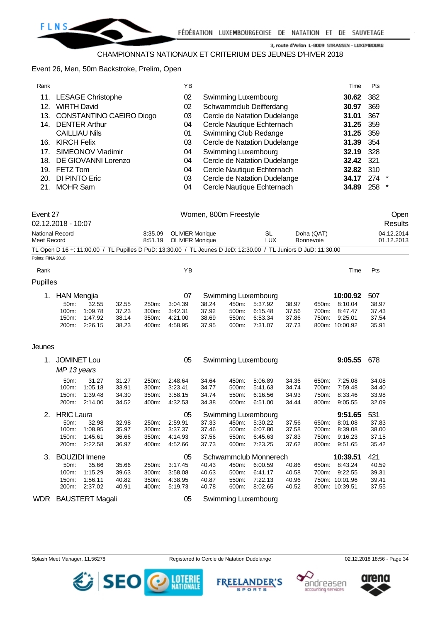## Event 26, Men, 50m Backstroke, Prelim, Open

| Rank            |                              | ΥB |                              | Time  | <b>Pts</b>    |
|-----------------|------------------------------|----|------------------------------|-------|---------------|
|                 | 11. LESAGE Christophe        | 02 | Swimming Luxembourg          | 30.62 | 382           |
| 12.             | <b>WIRTH David</b>           | 02 | Schwammclub Deifferdang      | 30.97 | 369           |
|                 | 13. CONSTANTINO CAEIRO Diogo | 03 | Cercle de Natation Dudelange | 31.01 | 367           |
|                 | 14. DENTER Arthur            | 04 | Cercle Nautique Echternach   | 31.25 | 359           |
|                 | <b>CAILLIAU Nils</b>         | 01 | Swimming Club Redange        | 31.25 | 359           |
| 16.             | <b>KIRCH Felix</b>           | 03 | Cercle de Natation Dudelange | 31.39 | 354           |
| 17 <sub>1</sub> | SIMEONOV Vladimir            | 04 | Swimming Luxembourg          | 32.19 | 328           |
| 18.             | DE GIOVANNI Lorenzo          | 04 | Cercle de Natation Dudelange | 32.42 | 321           |
| 19.             | FETZ Tom                     | 04 | Cercle Nautique Echternach   | 32.82 | 310           |
| 20.             | DI PINTO Eric                | 03 | Cercle de Natation Dudelange | 34.17 | 274           |
| 21.             | <b>MOHR Sam</b>              | 04 | Cercle Nautique Echternach   | 34.89 | 258<br>$\ast$ |

| Event 27          |                        |                        |       | Women, 800m Freestyle |                                                  |       |       |                                                                                                                 |       |                         |                |                          | Open |  |
|-------------------|------------------------|------------------------|-------|-----------------------|--------------------------------------------------|-------|-------|-----------------------------------------------------------------------------------------------------------------|-------|-------------------------|----------------|--------------------------|------|--|
|                   | 02.12.2018 - 10:07     |                        |       |                       |                                                  |       |       |                                                                                                                 |       |                         |                | Results                  |      |  |
| Meet Record       | <b>National Record</b> |                        |       | 8:35.09<br>8:51.19    | <b>OLIVIER Monique</b><br><b>OLIVIER Monique</b> |       |       | <b>SL</b><br>LUX                                                                                                |       | Doha (QAT)<br>Bonnevoie |                | 04.12.2014<br>01.12.2013 |      |  |
|                   |                        |                        |       |                       |                                                  |       |       | TL Open D 16 +: 11:00.00 / TL Pupilles D PuD: 13:30.00 / TL Jeunes D JeD: 12:30.00 / TL Juniors D JuD: 11:30.00 |       |                         |                |                          |      |  |
| Points: FINA 2018 |                        |                        |       |                       |                                                  |       |       |                                                                                                                 |       |                         |                |                          |      |  |
| Rank              |                        |                        |       |                       | YB                                               |       |       |                                                                                                                 |       |                         | Time           | Pts                      |      |  |
| Pupilles          |                        |                        |       |                       |                                                  |       |       |                                                                                                                 |       |                         |                |                          |      |  |
| 1.                | <b>HAN Mengjia</b>     |                        |       |                       | 07                                               |       |       | Swimming Luxembourg                                                                                             |       |                         | 10:00.92       | 507                      |      |  |
|                   | 50m:                   | 32.55                  | 32.55 | 250m:                 | 3:04.39                                          | 38.24 | 450m: | 5:37.92                                                                                                         | 38.97 | 650m:                   | 8:10.04        | 38.97                    |      |  |
|                   | 100m:                  | 1:09.78                | 37.23 | 300m:                 | 3:42.31                                          | 37.92 | 500m: | 6:15.48                                                                                                         | 37.56 | 700m:                   | 8:47.47        | 37.43                    |      |  |
|                   | 150m:                  | 1:47.92                | 38.14 | 350m:                 | 4:21.00                                          | 38.69 | 550m: | 6:53.34                                                                                                         | 37.86 | 750m:                   | 9:25.01        | 37.54                    |      |  |
|                   | 200m:                  | 2:26.15                | 38.23 | 400m:                 | 4:58.95                                          | 37.95 | 600m: | 7:31.07                                                                                                         | 37.73 |                         | 800m: 10:00.92 | 35.91                    |      |  |
| Jeunes            |                        |                        |       |                       |                                                  |       |       |                                                                                                                 |       |                         |                |                          |      |  |
| 1.                | <b>JOMINET Lou</b>     |                        |       |                       | 05                                               |       |       | Swimming Luxembourg                                                                                             |       |                         | 9:05.55        | 678                      |      |  |
|                   | MP 13 years            |                        |       |                       |                                                  |       |       |                                                                                                                 |       |                         |                |                          |      |  |
|                   | 50m:                   | 31.27                  | 31.27 | 250m:                 | 2:48.64                                          | 34.64 | 450m: | 5:06.89                                                                                                         | 34.36 | 650m:                   | 7:25.08        | 34.08                    |      |  |
|                   | 100m:                  | 1:05.18                | 33.91 | 300m:                 | 3:23.41                                          | 34.77 | 500m: | 5:41.63                                                                                                         | 34.74 | 700m:                   | 7:59.48        | 34.40                    |      |  |
|                   | 150m:                  | 1:39.48                | 34.30 | 350m:                 | 3:58.15                                          | 34.74 | 550m: | 6:16.56                                                                                                         | 34.93 | 750m:                   | 8:33.46        | 33.98                    |      |  |
|                   | 200m:                  | 2:14.00                | 34.52 | 400m:                 | 4:32.53                                          | 34.38 | 600m: | 6:51.00                                                                                                         | 34.44 | 800m:                   | 9:05.55        | 32.09                    |      |  |
| 2.                | <b>HRIC Laura</b>      |                        |       |                       | 05                                               |       |       | Swimming Luxembourg                                                                                             |       |                         | 9:51.65        | 531                      |      |  |
|                   | 50m:                   | 32.98                  | 32.98 | 250m:                 | 2.59.91                                          | 37.33 | 450m: | 5:30.22                                                                                                         | 37.56 | 650m:                   | 8:01.08        | 37.83                    |      |  |
|                   | 100m:                  | 1:08.95                | 35.97 | 300m:                 | 3:37.37                                          | 37.46 | 500m: | 6:07.80                                                                                                         | 37.58 | 700m:                   | 8:39.08        | 38.00                    |      |  |
|                   | 150m:                  | 1:45.61                | 36.66 | 350m:                 | 4:14.93                                          | 37.56 | 550m: | 6:45.63                                                                                                         | 37.83 | 750m:                   | 9:16.23        | 37.15                    |      |  |
|                   | 200m:                  | 2:22.58                | 36.97 | 400m:                 | 4:52.66                                          | 37.73 | 600m: | 7:23.25                                                                                                         | 37.62 | 800m:                   | 9:51.65        | 35.42                    |      |  |
| 3.                |                        | <b>BOUZIDI</b> Imene   |       |                       | 05                                               |       |       | Schwammclub Monnerech                                                                                           |       |                         | 10:39.51       | 421                      |      |  |
|                   | 50m:                   | 35.66                  | 35.66 | 250m:                 | 3:17.45                                          | 40.43 | 450m: | 6:00.59                                                                                                         | 40.86 | 650m:                   | 8:43.24        | 40.59                    |      |  |
|                   | 100m:                  | 1:15.29                | 39.63 | 300m:                 | 3:58.08                                          | 40.63 | 500m: | 6:41.17                                                                                                         | 40.58 | 700m:                   | 9:22.55        | 39.31                    |      |  |
|                   | 150m:                  | 1:56.11                | 40.82 | 350m:                 | 4:38.95                                          | 40.87 | 550m: | 7:22.13                                                                                                         | 40.96 |                         | 750m: 10:01.96 | 39.41                    |      |  |
|                   | 200m:                  | 2:37.02                | 40.91 | 400m:                 | 5:19.73                                          | 40.78 | 600m: | 8:02.65                                                                                                         | 40.52 |                         | 800m: 10:39.51 | 37.55                    |      |  |
| WDR               |                        | <b>BAUSTERT Magali</b> |       |                       | 05                                               |       |       | Swimming Luxembourg                                                                                             |       |                         |                |                          |      |  |

Splash Meet Manager, 11.56278 Registered to Cercle de Natation Dudelange **12.12.2018 18:56 - Page 34** CO2.12.2018 18:56 - Page 34





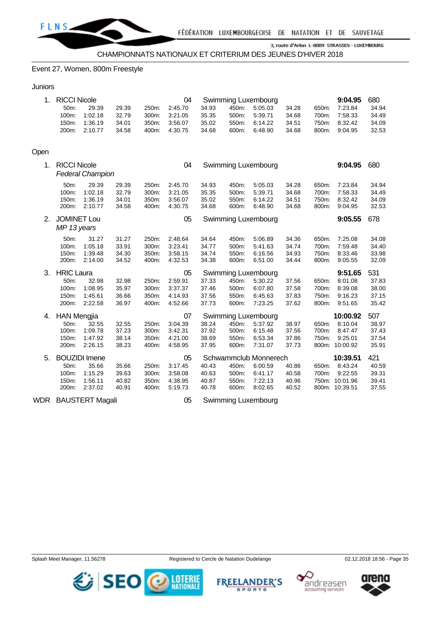

## Event 27, Women, 800m Freestyle

#### Juniors

| 1.   | <b>RICCI Nicole</b><br>04<br>Swimming Luxembourg |                         |                |                |                    |                |                |                       | 9:04.95        | 680            |                           |                |
|------|--------------------------------------------------|-------------------------|----------------|----------------|--------------------|----------------|----------------|-----------------------|----------------|----------------|---------------------------|----------------|
|      | 50m:                                             | 29.39                   | 29.39          | 250m:          | 2:45.70            | 34.93          | 450m:          | 5:05.03               | 34.28          | 650m:          | 7:23.84                   | 34.94          |
|      | 100m:                                            | 1:02.18                 | 32.79          | 300m:          | 3:21.05            | 35.35          | 500m:          | 5:39.71               | 34.68          | 700m:          | 7:58.33                   | 34.49          |
|      | 150m:                                            | 1:36.19                 | 34.01          | 350m:          | 3:56.07            | 35.02          | 550m:          | 6:14.22               | 34.51          | 750m:          | 8:32.42                   | 34.09          |
|      | 200m:                                            | 2:10.77                 | 34.58          | 400m:          | 4:30.75            | 34.68          | 600m:          | 6:48.90               | 34.68          | 800m:          | 9:04.95                   | 32.53          |
|      |                                                  |                         |                |                |                    |                |                |                       |                |                |                           |                |
| Open |                                                  |                         |                |                |                    |                |                |                       |                |                |                           |                |
| 1.   | <b>RICCI Nicole</b>                              |                         |                |                | 04                 |                |                | Swimming Luxembourg   |                |                | 9:04.95                   | 680            |
|      |                                                  | <b>Federal Champion</b> |                |                |                    |                |                |                       |                |                |                           |                |
|      | 50m:                                             | 29.39                   | 29.39          | 250m:          | 2:45.70            | 34.93          | 450m:          | 5:05.03               | 34.28          | 650m:          | 7:23.84                   | 34.94          |
|      | 100m:                                            | 1:02.18                 | 32.79          | 300m:          | 3:21.05            | 35.35          | 500m:          | 5.39.71               | 34.68          | 700m:          | 7:58.33                   | 34.49          |
|      | 150m:                                            | 1:36.19                 | 34.01          | 350m:          | 3:56.07            | 35.02          | 550m:          | 6:14.22               | 34.51          | 750m:          | 8:32.42                   | 34.09          |
|      | 200m:                                            | 2:10.77                 | 34.58          | 400m:          | 4:30.75            | 34.68          | 600m:          | 6:48.90               | 34.68          | 800m:          | 9:04.95                   | 32.53          |
| 2.   | JOMINET Lou                                      |                         |                |                | 05                 |                |                | Swimming Luxembourg   |                |                | 9:05.55                   | 678            |
|      | MP 13 years                                      |                         |                |                |                    |                |                |                       |                |                |                           |                |
|      | 50m:                                             | 31.27                   | 31.27          | 250m:          | 2:48.64            | 34.64          | 450m:          | 5:06.89               | 34.36          | 650m:          | 7:25.08                   | 34.08          |
|      | 100m:                                            | 1:05.18                 | 33.91          | 300m:          | 3:23.41            | 34.77          | 500m:          | 5:41.63               | 34.74          | 700m:          | 7:59.48                   | 34.40          |
|      | 150m:<br>200m:                                   | 1:39.48                 | 34.30<br>34.52 | 350m:<br>400m: | 3:58.15<br>4:32.53 | 34.74          | 550m:<br>600m: | 6:16.56<br>6:51.00    | 34.93<br>34.44 | 750m:<br>800m: | 8:33.46<br>9:05.55        | 33.98          |
|      |                                                  | 2:14.00                 |                |                |                    | 34.38          |                |                       |                |                |                           | 32.09          |
| 3.   | <b>HRIC Laura</b>                                |                         |                |                | 05                 |                |                | Swimming Luxembourg   |                |                | 9:51.65                   | 531            |
|      | 50m:                                             | 32.98                   | 32.98          | 250m:          | 2:59.91            | 37.33          | 450m:          | 5:30.22               | 37.56          | 650m:          | 8:01.08                   | 37.83          |
|      | 100m:                                            | 1:08.95                 | 35.97          | 300m:          | 3:37.37            | 37.46          | 500m:          | 6:07.80               | 37.58          | 700m:          | 8:39.08                   | 38.00          |
|      | 150m:<br>200m:                                   | 1:45.61<br>2:22.58      | 36.66<br>36.97 | 350m:<br>400m: | 4:14.93<br>4:52.66 | 37.56<br>37.73 | 550m:<br>600m: | 6:45.63<br>7:23.25    | 37.83<br>37.62 | 750m:<br>800m: | 9:16.23<br>9:51.65        | 37.15<br>35.42 |
|      |                                                  |                         |                |                |                    |                |                |                       |                |                |                           |                |
|      | 4. HAN Mengjia                                   |                         |                |                | 07                 |                |                | Swimming Luxembourg   |                |                | 10:00.92                  | 507            |
|      | 50m:                                             | 32.55                   | 32.55          | 250m:          | 3:04.39            | 38.24          | 450m:          | 5:37.92               | 38.97          | 650m:          | 8:10.04                   | 38.97          |
|      | 100m:<br>150m:                                   | 1:09.78<br>1:47.92      | 37.23<br>38.14 | 300m:<br>350m: | 3.42.31<br>4:21.00 | 37.92<br>38.69 | 500m:<br>550m: | 6:15.48<br>6:53.34    | 37.56<br>37.86 | 700m:<br>750m: | 8:47.47<br>9:25.01        | 37.43<br>37.54 |
|      | 200m:                                            | 2:26.15                 | 38.23          | 400m:          | 4:58.95            | 37.95          | 600m:          | 7:31.07               | 37.73          |                | 800m: 10:00.92            | 35.91          |
|      |                                                  |                         |                |                |                    |                |                |                       |                |                |                           |                |
| 5.   |                                                  | <b>BOUZIDI</b> Imene    |                |                | 05                 |                |                | Schwammclub Monnerech |                |                | 10:39.51                  | 421            |
|      | 50m:                                             | 35.66                   | 35.66          | 250m:          | 3:17.45            | 40.43          | 450m:          | 6:00.59               | 40.86          | 650m:          | 8:43.24                   | 40.59          |
|      | 100m:<br>150m:                                   | 1:15.29<br>1:56.11      | 39.63<br>40.82 | 300m:<br>350m: | 3:58.08<br>4:38.95 | 40.63<br>40.87 | 500m:<br>550m: | 6:41.17<br>7:22.13    | 40.58<br>40.96 | 700m:          | 9:22.55<br>750m: 10:01.96 | 39.31<br>39.41 |
|      | 200m:                                            | 2:37.02                 | 40.91          | 400m:          | 5:19.73            | 40.78          | 600m:          | 8:02.65               | 40.52          |                | 800m: 10:39.51            | 37.55          |
|      |                                                  |                         |                |                |                    |                |                |                       |                |                |                           |                |
|      | WDR BAUSTERT Magali                              |                         |                |                | 05                 |                |                | Swimming Luxembourg   |                |                |                           |                |







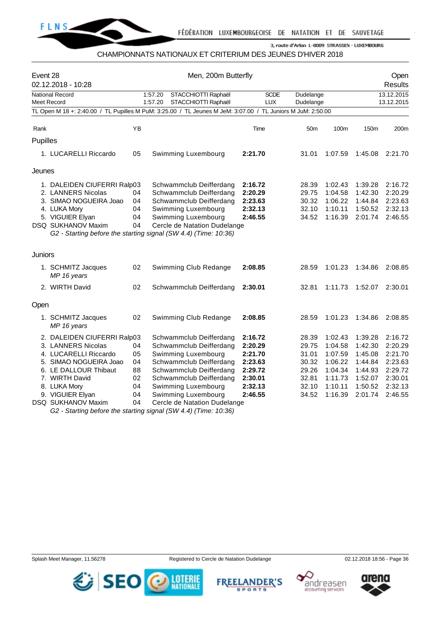

## CHAMPIONNATS NATIONAUX ET CRITERIUM DES JEUNES D'HIVER 2018

| Event 28 | 02.12.2018 - 10:28                                                                                                                    |                            | Men, 200m Butterfly                                                                                                                                                                                                            |                                                     | Open<br><b>Results</b>                    |                                                     |                                                     |                                                     |
|----------|---------------------------------------------------------------------------------------------------------------------------------------|----------------------------|--------------------------------------------------------------------------------------------------------------------------------------------------------------------------------------------------------------------------------|-----------------------------------------------------|-------------------------------------------|-----------------------------------------------------|-----------------------------------------------------|-----------------------------------------------------|
|          | <b>National Record</b><br>Meet Record                                                                                                 |                            | 1:57.20<br>STACCHIOTTI Raphaël<br>STACCHIOTTI Raphaël<br>1:57.20                                                                                                                                                               | <b>SCDE</b><br><b>LUX</b>                           | Dudelange<br>Dudelange                    |                                                     | 13.12.2015<br>13.12.2015                            |                                                     |
|          |                                                                                                                                       |                            | TL Open M 18 +: 2:40.00 / TL Pupilles M PuM: 3:25.00 / TL Jeunes M JeM: 3:07.00 / TL Juniors M JuM: 2:50.00                                                                                                                    |                                                     |                                           |                                                     |                                                     |                                                     |
|          |                                                                                                                                       |                            |                                                                                                                                                                                                                                |                                                     |                                           |                                                     |                                                     |                                                     |
| Rank     |                                                                                                                                       | YB                         |                                                                                                                                                                                                                                | Time                                                | 50 <sub>m</sub>                           | 100m                                                | 150m                                                | 200m                                                |
| Pupilles |                                                                                                                                       |                            |                                                                                                                                                                                                                                |                                                     |                                           |                                                     |                                                     |                                                     |
|          | 1. LUCARELLI Riccardo                                                                                                                 | 05                         | Swimming Luxembourg                                                                                                                                                                                                            | 2:21.70                                             | 31.01                                     | 1:07.59                                             | 1:45.08                                             | 2:21.70                                             |
| Jeunes   |                                                                                                                                       |                            |                                                                                                                                                                                                                                |                                                     |                                           |                                                     |                                                     |                                                     |
|          | 1. DALEIDEN CIUFERRI Ralp03<br>2. LANNERS Nicolas<br>3. SIMAO NOGUEIRA Joao<br>4. LUKA Mory<br>5. VIGUIER Elyan<br>DSQ SUKHANOV Maxim | 04<br>04<br>04<br>04<br>04 | Schwammclub Deifferdang<br>Schwammclub Deifferdang<br>Schwammclub Deifferdang<br>Swimming Luxembourg<br>Swimming Luxembourg<br>Cercle de Natation Dudelange<br>G2 - Starting before the starting signal (SW 4.4) (Time: 10:36) | 2:16.72<br>2:20.29<br>2:23.63<br>2:32.13<br>2:46.55 | 28.39<br>29.75<br>30.32<br>32.10<br>34.52 | 1:02.43<br>1:04.58<br>1:06.22<br>1:10.11<br>1:16.39 | 1:39.28<br>1:42.30<br>1:44.84<br>1:50.52<br>2:01.74 | 2:16.72<br>2:20.29<br>2:23.63<br>2:32.13<br>2:46.55 |
| Juniors  |                                                                                                                                       |                            |                                                                                                                                                                                                                                |                                                     |                                           |                                                     |                                                     |                                                     |
|          | 1. SCHMITZ Jacques<br>MP 16 years                                                                                                     | 02                         | Swimming Club Redange                                                                                                                                                                                                          | 2:08.85                                             | 28.59                                     | 1:01.23                                             | 1:34.86                                             | 2:08.85                                             |
|          | 2. WIRTH David                                                                                                                        | 02                         | Schwammclub Deifferdang                                                                                                                                                                                                        | 2:30.01                                             | 32.81                                     | 1:11.73                                             | 1:52.07                                             | 2:30.01                                             |
| Open     |                                                                                                                                       |                            |                                                                                                                                                                                                                                |                                                     |                                           |                                                     |                                                     |                                                     |
|          | 1. SCHMITZ Jacques<br>MP 16 years                                                                                                     | 02                         | Swimming Club Redange                                                                                                                                                                                                          | 2:08.85                                             | 28.59                                     | 1:01.23                                             | 1:34.86                                             | 2:08.85                                             |
|          | 2. DALEIDEN CIUFERRI Ralp03<br>3. LANNERS Nicolas                                                                                     | 04                         | Schwammclub Deifferdang<br>Schwammclub Deifferdang                                                                                                                                                                             | 2:16.72<br>2:20.29                                  | 28.39<br>29.75                            | 1:02.43<br>1:04.58                                  | 1:39.28<br>1:42.30                                  | 2:16.72<br>2:20.29                                  |
|          | 4. LUCARELLI Riccardo<br>5. SIMAO NOGUEIRA Joao<br>6. LE DALLOUR Thibaut                                                              | 05<br>04<br>88             | Swimming Luxembourg<br>Schwammclub Deifferdang<br>Schwammclub Deifferdang                                                                                                                                                      | 2:21.70<br>2:23.63<br>2:29.72                       | 31.01<br>30.32<br>29.26                   | 1:07.59<br>1:06.22<br>1:04.34                       | 1:45.08<br>1:44.84<br>1:44.93                       | 2:21.70<br>2:23.63<br>2:29.72                       |
|          | 7. WIRTH David<br>8. LUKA Mory<br>9. VIGUIER Elyan<br>DSQ SUKHANOV Maxim                                                              | 02<br>04<br>04<br>04       | Schwammclub Deifferdang<br>Swimming Luxembourg<br>Swimming Luxembourg<br>Cercle de Natation Dudelange                                                                                                                          | 2:30.01<br>2:32.13<br>2:46.55                       | 32.81<br>32.10<br>34.52                   | 1:11.73<br>1:10.11<br>1:16.39                       | 1:52.07<br>1:50.52<br>2:01.74                       | 2:30.01<br>2:32.13<br>2:46.55                       |

*G2 - Starting before the starting signal (SW 4.4) (Time: 10:36)*

Splash Meet Manager, 11.56278 **Registered to Cercle de Natation Dudelange 12.2018 18:56 - Page 36** Cercle de Natation Dudelange





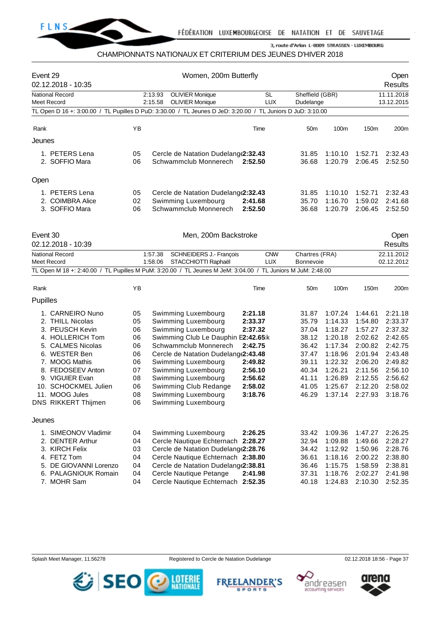

## CHAMPIONNATS NATIONAUX ET CRITERIUM DES JEUNES D'HIVER 2018

| Event 29 | 02.12.2018 - 10:35                                                                                                         |    |                    | Women, 200m Butterfly                            |                         |                              |         |         | Open<br>Results          |
|----------|----------------------------------------------------------------------------------------------------------------------------|----|--------------------|--------------------------------------------------|-------------------------|------------------------------|---------|---------|--------------------------|
|          | <b>National Record</b><br>Meet Record                                                                                      |    | 2:13.93<br>2:15.58 | <b>OLIVIER Monique</b><br><b>OLIVIER Monique</b> | <b>SL</b><br><b>LUX</b> | Sheffield (GBR)<br>Dudelange |         |         | 11.11.2018<br>13.12.2015 |
|          | TL Open D 16 +: 3:00.00 / TL Pupilles D PuD: 3:30.00 / TL Jeunes D JeD: 3:20.00 / TL Juniors D JuD: 3:10.00                |    |                    |                                                  |                         |                              |         |         |                          |
| Rank     |                                                                                                                            | YB |                    |                                                  | Time                    | 50 <sub>m</sub>              | 100m    | 150m    | 200m                     |
|          |                                                                                                                            |    |                    |                                                  |                         |                              |         |         |                          |
| Jeunes   |                                                                                                                            |    |                    |                                                  |                         |                              |         |         |                          |
|          | 1. PETERS Lena                                                                                                             | 05 |                    | Cercle de Natation Dudelang(2:32.43              |                         | 31.85                        | 1:10.10 | 1:52.71 | 2:32.43                  |
|          | 2. SOFFIO Mara                                                                                                             | 06 |                    | Schwammclub Monnerech                            | 2:52.50                 | 36.68                        | 1:20.79 | 2:06.45 | 2:52.50                  |
| Open     |                                                                                                                            |    |                    |                                                  |                         |                              |         |         |                          |
|          | 1. PETERS Lena                                                                                                             | 05 |                    | Cercle de Natation Dudelang(2:32.43              |                         | 31.85                        | 1:10.10 | 1:52.71 | 2:32.43                  |
|          | 2. COIMBRA Alice                                                                                                           | 02 |                    | Swimming Luxembourg                              | 2:41.68                 | 35.70                        | 1:16.70 | 1:59.02 | 2:41.68                  |
|          | 3. SOFFIO Mara                                                                                                             | 06 |                    | Schwammclub Monnerech                            | 2:52.50                 | 36.68                        | 1:20.79 | 2:06.45 | 2:52.50                  |
|          |                                                                                                                            |    |                    |                                                  |                         |                              |         |         |                          |
| Event 30 |                                                                                                                            |    |                    | Men, 200m Backstroke                             |                         |                              |         |         | Open                     |
|          | 02.12.2018 - 10:39                                                                                                         |    |                    |                                                  |                         |                              |         |         | <b>Results</b>           |
|          | <b>National Record</b>                                                                                                     |    | 1:57.38            | SCHNEIDERS J.- François                          | <b>CNW</b>              | Chartres (FRA)               |         |         | 22.11.2012               |
|          | Meet Record<br>TL Open M 18 +: 2:40.00 / TL Pupilles M PuM: 3:20.00 / TL Jeunes M JeM: 3:04.00 / TL Juniors M JuM: 2:48.00 |    | 1:58.06            | STACCHIOTTI Raphaël                              | <b>LUX</b>              | <b>Bonnevoie</b>             |         |         | 02.12.2012               |
|          |                                                                                                                            |    |                    |                                                  |                         |                              |         |         |                          |
| Rank     |                                                                                                                            | ΥB |                    |                                                  | Time                    | 50 <sub>m</sub>              | 100m    | 150m    | 200m                     |
| Pupilles |                                                                                                                            |    |                    |                                                  |                         |                              |         |         |                          |
|          | 1. CARNEIRO Nuno                                                                                                           | 05 |                    | Swimming Luxembourg                              | 2:21.18                 | 31.87                        | 1:07.24 | 1:44.61 | 2:21.18                  |
|          | 2. THILL Nicolas                                                                                                           | 05 |                    | Swimming Luxembourg                              | 2:33.37                 | 35.79                        | 1:14.33 | 1:54.80 | 2:33.37                  |
|          | 3. PEUSCH Kevin                                                                                                            | 06 |                    | Swimming Luxembourg                              | 2:37.32                 | 37.04                        | 1:18.27 | 1:57.27 | 2:37.32                  |
|          | 4. HOLLERICH Tom                                                                                                           | 06 |                    | Swimming Club Le Dauphin E2:42.65:k              |                         | 38.12                        | 1:20.18 | 2:02.62 | 2:42.65                  |
|          | 5. CALMES Nicolas                                                                                                          | 06 |                    | Schwammclub Monnerech                            | 2:42.75                 | 36.42                        | 1:17.34 | 2:00.82 | 2:42.75                  |
|          | 6. WESTER Ben                                                                                                              | 06 |                    | Cercle de Natation Dudelang(2:43.48              |                         | 37.47                        | 1:18.96 | 2:01.94 | 2:43.48                  |
|          | 7. MOOG Mathis                                                                                                             | 06 |                    | Swimming Luxembourg                              | 2:49.82                 | 39.11                        | 1:22.32 | 2:06.20 | 2:49.82                  |
|          | 8. FEDOSEEV Anton                                                                                                          | 07 |                    | Swimming Luxembourg                              | 2:56.10                 | 40.34                        | 1:26.21 | 2:11.56 | 2:56.10                  |
|          | 9. VIGUIER Evan                                                                                                            | 08 |                    | Swimming Luxembourg                              | 2:56.62                 | 41.11                        | 1:26.89 | 2:12.55 | 2:56.62                  |
|          | 10. SCHOCKMEL Julien                                                                                                       | 06 |                    | Swimming Club Redange                            | 2:58.02                 | 41.05                        | 1:25.67 | 2:12.20 | 2:58.02                  |
|          | 11. MOOG Jules                                                                                                             | 08 |                    | Swimming Luxembourg                              | 3:18.76                 | 46.29                        | 1:37.14 | 2:27.93 | 3:18.76                  |
|          | DNS RIKKERT Thijmen                                                                                                        | 06 |                    | Swimming Luxembourg                              |                         |                              |         |         |                          |
| Jeunes   |                                                                                                                            |    |                    |                                                  |                         |                              |         |         |                          |
|          | 1. SIMEONOV Vladimir                                                                                                       | 04 |                    | Swimming Luxembourg                              | 2:26.25                 | 33.42                        | 1:09.36 | 1:47.27 | 2:26.25                  |
|          | 2. DENTER Arthur                                                                                                           | 04 |                    | Cercle Nautique Echternach 2:28.27               |                         | 32.94                        | 1:09.88 | 1:49.66 | 2:28.27                  |
|          | 3. KIRCH Felix                                                                                                             | 03 |                    | Cercle de Natation Dudelang (2:28.76             |                         | 34.42                        | 1:12.92 | 1:50.96 | 2:28.76                  |
|          | 4. FETZ Tom                                                                                                                | 04 |                    | Cercle Nautique Echternach 2:38.80               |                         | 36.61                        | 1:18.16 | 2:00.22 | 2:38.80                  |
|          | 5. DE GIOVANNI Lorenzo                                                                                                     | 04 |                    | Cercle de Natation Dudelang (2:38.81             |                         | 36.46                        | 1:15.75 | 1:58.59 | 2:38.81                  |
|          | 6. PALAGNIOUK Romain                                                                                                       | 04 |                    | Cercle Nautique Petange                          | 2:41.98                 | 37.31                        | 1:18.76 | 2:02.27 | 2:41.98                  |
|          | 7. MOHR Sam                                                                                                                | 04 |                    | Cercle Nautique Echternach 2:52.35               |                         | 40.18                        | 1:24.83 | 2:10.30 | 2:52.35                  |

Splash Meet Manager, 11.56278 **Registered to Cercle de Natation Dudelange 12.2018 18:56 - Page 37** C2.12.2018 18:56 - Page 37







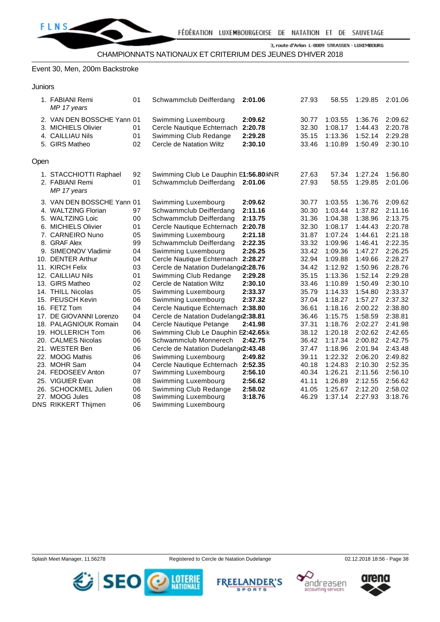## Event 30, Men, 200m Backstroke

| Juniors |
|---------|
|         |

|      | 1. FABIANI Remi<br>MP 17 years | 01 | Schwammclub Deifferdang               | 2:01.06 | 27.93 | 58.55   | 1:29.85 | 2:01.06 |
|------|--------------------------------|----|---------------------------------------|---------|-------|---------|---------|---------|
|      | 2. VAN DEN BOSSCHE Yann 01     |    | Swimming Luxembourg                   | 2:09.62 | 30.77 | 1:03.55 | 1:36.76 | 2:09.62 |
|      | 3. MICHIELS Olivier            | 01 | Cercle Nautique Echternach            | 2:20.78 | 32.30 | 1:08.17 | 1:44.43 | 2:20.78 |
|      | 4. CAILLIAU Nils               | 01 | Swimming Club Redange                 | 2:29.28 | 35.15 | 1:13.36 | 1:52.14 | 2:29.28 |
|      | 5. GIRS Matheo                 | 02 | Cercle de Natation Wiltz              | 2:30.10 | 33.46 | 1:10.89 | 1:50.49 | 2:30.10 |
| Open |                                |    |                                       |         |       |         |         |         |
|      | 1. STACCHIOTTI Raphael         | 92 | Swimming Club Le Dauphin E1:56.80:kNR |         | 27.63 | 57.34   | 1:27.24 | 1:56.80 |
|      | 2. FABIANI Remi<br>MP 17 years | 01 | Schwammclub Deifferdang               | 2:01.06 | 27.93 | 58.55   | 1:29.85 | 2:01.06 |
|      | 3. VAN DEN BOSSCHE Yann 01     |    | Swimming Luxembourg                   | 2:09.62 | 30.77 | 1:03.55 | 1:36.76 | 2:09.62 |
|      | 4. WALTZING Florian            | 97 | Schwammclub Deifferdang               | 2:11.16 | 30.30 | 1:03.44 | 1:37.82 | 2:11.16 |
|      | 5. WALTZING Loic               | 00 | Schwammclub Deifferdang               | 2:13.75 | 31.36 | 1:04.38 | 1:38.96 | 2:13.75 |
|      | 6. MICHIELS Olivier            | 01 | Cercle Nautique Echternach            | 2:20.78 | 32.30 | 1:08.17 | 1:44.43 | 2:20.78 |
|      | 7. CARNEIRO Nuno               | 05 | Swimming Luxembourg                   | 2:21.18 | 31.87 | 1:07.24 | 1:44.61 | 2:21.18 |
|      | 8. GRAF Alex                   | 99 | Schwammclub Deifferdang               | 2:22.35 | 33.32 | 1:09.96 | 1:46.41 | 2:22.35 |
|      | 9. SIMEONOV Vladimir           | 04 | Swimming Luxembourg                   | 2:26.25 | 33.42 | 1:09.36 | 1:47.27 | 2:26.25 |
|      | 10. DENTER Arthur              | 04 | Cercle Nautique Echternach 2:28.27    |         | 32.94 | 1:09.88 | 1:49.66 | 2:28.27 |
|      | 11. KIRCH Felix                | 03 | Cercle de Natation Dudelang(2:28.76   |         | 34.42 | 1:12.92 | 1:50.96 | 2:28.76 |
|      | 12. CAILLIAU Nils              | 01 | Swimming Club Redange                 | 2:29.28 | 35.15 | 1:13.36 | 1:52.14 | 2:29.28 |
|      | 13. GIRS Matheo                | 02 | Cercle de Natation Wiltz              | 2:30.10 | 33.46 | 1:10.89 | 1:50.49 | 2:30.10 |
|      | 14. THILL Nicolas              | 05 | Swimming Luxembourg                   | 2:33.37 | 35.79 | 1:14.33 | 1:54.80 | 2:33.37 |
|      | 15. PEUSCH Kevin               | 06 | Swimming Luxembourg                   | 2:37.32 | 37.04 | 1:18.27 | 1:57.27 | 2:37.32 |
|      | 16. FETZ Tom                   | 04 | Cercle Nautique Echternach            | 2:38.80 | 36.61 | 1:18.16 | 2:00.22 | 2:38.80 |
|      | 17. DE GIOVANNI Lorenzo        | 04 | Cercle de Natation Dudelang (2:38.81  |         | 36.46 | 1:15.75 | 1:58.59 | 2:38.81 |
|      | 18. PALAGNIOUK Romain          | 04 | Cercle Nautique Petange               | 2:41.98 | 37.31 | 1:18.76 | 2:02.27 | 2:41.98 |
|      | 19. HOLLERICH Tom              | 06 | Swimming Club Le Dauphin E2:42.65:k   |         | 38.12 | 1:20.18 | 2:02.62 | 2:42.65 |
|      | 20. CALMES Nicolas             | 06 | Schwammclub Monnerech                 | 2:42.75 | 36.42 | 1:17.34 | 2:00.82 | 2:42.75 |
|      | 21. WESTER Ben                 | 06 | Cercle de Natation Dudelang(2:43.48   |         | 37.47 | 1:18.96 | 2:01.94 | 2:43.48 |
|      | 22. MOOG Mathis                | 06 | Swimming Luxembourg                   | 2:49.82 | 39.11 | 1:22.32 | 2:06.20 | 2:49.82 |
|      | 23. MOHR Sam                   | 04 | Cercle Nautique Echternach            | 2:52.35 | 40.18 | 1:24.83 | 2:10.30 | 2:52.35 |
|      | 24. FEDOSEEV Anton             | 07 | Swimming Luxembourg                   | 2:56.10 | 40.34 | 1:26.21 | 2:11.56 | 2:56.10 |
|      | 25. VIGUIER Evan               | 08 | Swimming Luxembourg                   | 2:56.62 | 41.11 | 1:26.89 | 2:12.55 | 2:56.62 |
|      | 26. SCHOCKMEL Julien           | 06 | Swimming Club Redange                 | 2:58.02 | 41.05 | 1:25.67 | 2:12.20 | 2:58.02 |
|      | 27. MOOG Jules                 | 08 | Swimming Luxembourg                   | 3:18.76 | 46.29 | 1:37.14 | 2:27.93 | 3:18.76 |
|      | <b>DNS RIKKERT Thijmen</b>     | 06 | Swimming Luxembourg                   |         |       |         |         |         |









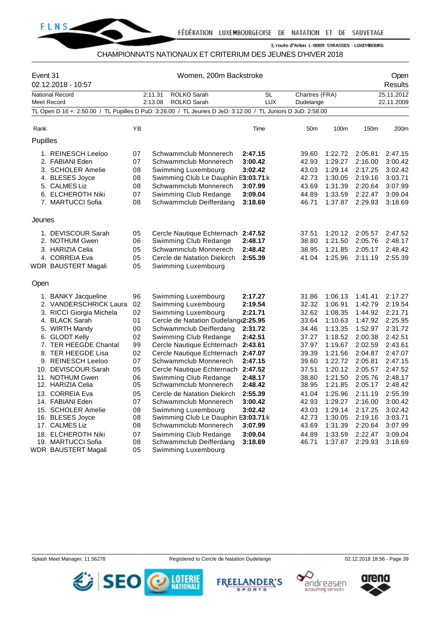

## CHAMPIONNATS NATIONAUX ET CRITERIUM DES JEUNES D'HIVER 2018

| Event 31<br>02.12.2018 - 10:57                                                                              |                                                   | Open<br><b>Results</b>               |           |                 |         |         |            |
|-------------------------------------------------------------------------------------------------------------|---------------------------------------------------|--------------------------------------|-----------|-----------------|---------|---------|------------|
| <b>National Record</b>                                                                                      |                                                   | 2:11.31<br>ROLKO Sarah               | <b>SL</b> | Chartres (FRA)  |         |         | 25.11.2012 |
| Meet Record                                                                                                 | ROLKO Sarah<br><b>LUX</b><br>2:13.08<br>Dudelange |                                      |           |                 |         |         | 22.11.2009 |
| TL Open D 16 +: 2:50.00 / TL Pupilles D PuD: 3:26.00 / TL Jeunes D JeD: 3:12.00 / TL Juniors D JuD: 2:58.00 |                                                   |                                      |           |                 |         |         |            |
| Rank                                                                                                        | YB                                                |                                      | Time      | 50 <sub>m</sub> | 100m    | 150m    | 200m       |
| Pupilles                                                                                                    |                                                   |                                      |           |                 |         |         |            |
| 1. REINESCH Leeloo                                                                                          | 07                                                | Schwammclub Monnerech                | 2:47.15   | 39.60           | 1:22.72 | 2:05.81 | 2:47.15    |
| 2. FABIANI Eden                                                                                             | 07                                                | Schwammclub Monnerech                | 3:00.42   | 42.93           | 1:29.27 | 2:16.00 | 3:00.42    |
| 3. SCHOLER Amelie                                                                                           | 08                                                | Swimming Luxembourg                  | 3:02.42   | 43.03           | 1:29.14 | 2:17.25 | 3:02.42    |
| 4. BLESES Joyce                                                                                             | 08                                                | Swimming Club Le Dauphin E3:03.71:k  |           | 42.73           | 1:30.05 | 2:19.16 | 3:03.71    |
| 5. CALMES Liz                                                                                               | 08                                                | Schwammclub Monnerech                | 3:07.99   | 43.69           | 1:31.39 | 2:20.64 | 3:07.99    |
| 6. ELCHEROTH Niki                                                                                           | 07                                                | Swimming Club Redange                | 3:09.04   | 44.89           | 1:33.59 | 2:22.47 | 3:09.04    |
| 7. MARTUCCI Sofia                                                                                           | 08                                                | Schwammclub Deifferdang              | 3:18.69   | 46.71           | 1:37.87 | 2:29.93 | 3:18.69    |
| Jeunes                                                                                                      |                                                   |                                      |           |                 |         |         |            |
| 1. DEVISCOUR Sarah                                                                                          | 05                                                | Cercle Nautique Echternach 2:47.52   |           | 37.51           | 1:20.12 | 2:05.57 | 2:47.52    |
| 2. NOTHUM Gwen                                                                                              | 06                                                | Swimming Club Redange                | 2:48.17   | 38.80           | 1:21.50 | 2:05.76 | 2:48.17    |
| 3. HARIZIA Celia                                                                                            | 05                                                | Schwammclub Monnerech                | 2:48.42   | 38.95           | 1:21.85 | 2:05.17 | 2:48.42    |
| 4. CORREIA Eva                                                                                              | 05                                                | Cercle de Natation Diekirch          | 2:55.39   | 41.04           | 1:25.96 | 2:11.19 | 2:55.39    |
| WDR BAUSTERT Magali                                                                                         | 05                                                | Swimming Luxembourg                  |           |                 |         |         |            |
| Open                                                                                                        |                                                   |                                      |           |                 |         |         |            |
| 1. BANKY Jacqueline                                                                                         | 96                                                | Swimming Luxembourg                  | 2:17.27   | 31.86           | 1:06.13 | 1:41.41 | 2:17.27    |
| 2. VANDERSCHRICK Laura                                                                                      | 02                                                | Swimming Luxembourg                  | 2:19.54   | 32.32           | 1:06.91 | 1:42.79 | 2:19.54    |
| 3. RICCI Giorgia Michela                                                                                    | 02                                                | Swimming Luxembourg                  | 2:21.71   | 32.62           | 1:08.35 | 1:44.92 | 2:21.71    |
| 4. BLACK Sarah                                                                                              | 01                                                | Cercle de Natation Dudelang (2:25.95 |           | 33.64           | 1:10.63 | 1:47.92 | 2:25.95    |
| 5. WIRTH Mandy                                                                                              | 00                                                | Schwammclub Deifferdang              | 2:31.72   | 34.46           | 1:13.35 | 1:52.97 | 2:31.72    |
| 6. GLODT Kelly                                                                                              | 02                                                | Swimming Club Redange                | 2:42.51   | 37.27           | 1:18.52 | 2:00.38 | 2:42.51    |
| 7. TER HEEGDE Chantal                                                                                       | 99                                                | Cercle Nautique Echternach           | 2:43.61   | 37.97           | 1:19.67 | 2:02.59 | 2:43.61    |
| 8. TER HEEGDE Lisa                                                                                          | 02                                                | Cercle Nautique Echternach           | 2:47.07   | 39.39           | 1:21.56 | 2:04.87 | 2:47.07    |
| 9. REINESCH Leeloo                                                                                          | 07                                                | Schwammclub Monnerech                | 2:47.15   | 39.60           | 1:22.72 | 2:05.81 | 2:47.15    |
| 10. DEVISCOUR Sarah                                                                                         | 05                                                | Cercle Nautique Echternach           | 2:47.52   | 37.51           | 1:20.12 | 2:05.57 | 2:47.52    |
| 11. NOTHUM Gwen                                                                                             | 06                                                | Swimming Club Redange                | 2:48.17   | 38.80           | 1:21.50 | 2:05.76 | 2:48.17    |
| 12. HARIZIA Celia                                                                                           | 05                                                | Schwammclub Monnerech                | 2:48.42   | 38.95           | 1:21.85 | 2:05.17 | 2:48.42    |
| 13. CORREIA Eva                                                                                             | 05                                                | Cercle de Natation Diekirch          | 2:55.39   | 41.04           | 1:25.96 | 2:11.19 | 2:55.39    |
| 14. FABIANI Eden                                                                                            | 07                                                | Schwammclub Monnerech                | 3:00.42   | 42.93           | 1:29.27 | 2:16.00 | 3:00.42    |
| 15. SCHOLER Amelie                                                                                          | 08                                                | Swimming Luxembourg                  | 3:02.42   | 43.03           | 1:29.14 | 2:17.25 | 3:02.42    |
| 16. BLESES Joyce                                                                                            | 08                                                | Swimming Club Le Dauphin E3:03.71:k  |           | 42.73           | 1:30.05 | 2:19.16 | 3:03.71    |
| 17. CALMES Liz                                                                                              | 08                                                | Schwammclub Monnerech                | 3:07.99   | 43.69           | 1:31.39 | 2:20.64 | 3:07.99    |
| 18. ELCHEROTH Niki                                                                                          | 07                                                | Swimming Club Redange                | 3:09.04   | 44.89           | 1:33.59 | 2:22.47 | 3:09.04    |
| 19. MARTUCCI Sofia                                                                                          | 08                                                | Schwammclub Deifferdang              | 3:18.69   | 46.71           | 1:37.87 | 2:29.93 | 3:18.69    |
| WDR BAUSTERT Magali                                                                                         | 05                                                | Swimming Luxembourg                  |           |                 |         |         |            |









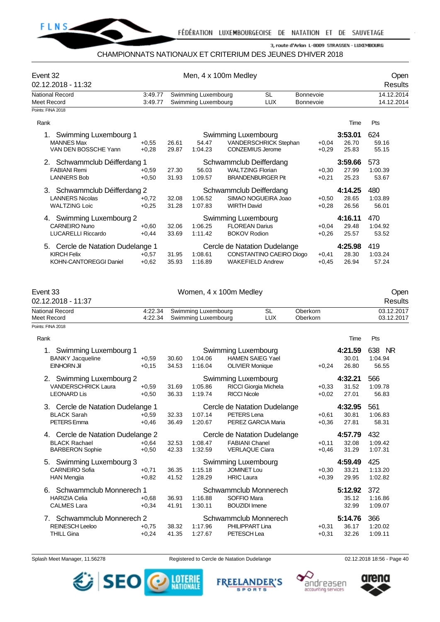

### CHAMPIONNATS NATIONAUX ET CRITERIUM DES JEUNES D'HIVER 2018

| Event 32<br>02.12.2018 - 11:32                                           |                    |                | Men, 4 x 100m Medley                       |                                                                         |                         |                               |                           | Open<br>Results          |
|--------------------------------------------------------------------------|--------------------|----------------|--------------------------------------------|-------------------------------------------------------------------------|-------------------------|-------------------------------|---------------------------|--------------------------|
| <b>National Record</b><br>Meet Record                                    | 3:49.77<br>3:49.77 |                | Swimming Luxembourg<br>Swimming Luxembourg |                                                                         | <b>SL</b><br><b>LUX</b> | Bonnevoie<br><b>Bonnevoie</b> |                           | 14.12.2014<br>14.12.2014 |
| Points: FINA 2018                                                        |                    |                |                                            |                                                                         |                         |                               |                           | Pts                      |
| Rank                                                                     |                    |                |                                            |                                                                         |                         |                               | Time                      |                          |
| Swimming Luxembourg 1<br>1.<br><b>MANNES Max</b><br>VAN DEN BOSSCHE Yann | $+0,55$<br>$+0,28$ | 26.61<br>29.87 | 54.47<br>1:04.23                           | Swimming Luxembourg<br>VANDERSCHRICK Stephan<br><b>CONZEMIUS Jerome</b> |                         | $+0,04$<br>$+0,29$            | 3:53.01<br>26.70<br>25.83 | 624<br>59.16<br>55.15    |
| 2. Schwammclub Déifferdang 1                                             |                    |                |                                            | Schwammclub Deifferdang                                                 |                         |                               | 3:59.66                   | 573                      |
| <b>FABIANI Remi</b><br><b>LANNERS Bob</b>                                | $+0,59$<br>$+0,50$ | 27.30<br>31.93 | 56.03<br>1:09.57                           | <b>WALTZING Florian</b><br><b>BRANDENBURGER Pit</b>                     |                         | $+0,30$<br>$+0,21$            | 27.99<br>25.23            | 1:00.39<br>53.67         |
| 3. Schwammclub Déifferdang 2                                             |                    |                |                                            | Schwammclub Deifferdang                                                 |                         |                               | 4:14.25                   | 480                      |
| <b>LANNERS Nicolas</b><br><b>WALTZING Loic</b>                           | $+0,72$<br>$+0,25$ | 32.08<br>31.28 | 1:06.52<br>1:07.83                         | SIMAO NOGUEIRA Joao<br><b>WIRTH David</b>                               |                         | $+0,50$<br>$+0,28$            | 28.65<br>26.56            | 1:03.89<br>56.01         |
| 4. Swimming Luxembourg 2                                                 |                    |                |                                            | Swimming Luxembourg                                                     |                         |                               | 4:16.11                   | 470                      |
| <b>CARNEIRO Nuno</b><br><b>LUCARELLI Riccardo</b>                        | $+0,60$<br>$+0,44$ | 32.06<br>33.69 | 1:06.25<br>1:11.42                         | <b>FLOREAN Darius</b><br><b>BOKOV Rodion</b>                            |                         | $+0,04$<br>$+0,26$            | 29.48<br>25.57            | 1:04.92<br>53.52         |
| 5. Cercle de Natation Dudelange 1                                        |                    |                |                                            | Cercle de Natation Dudelange                                            |                         |                               | 4:25.98                   | 419                      |
| <b>KIRCH Felix</b><br>KOHN-CANTOREGGI Daniel                             | $+0,57$<br>$+0.62$ | 31.95<br>35.93 | 1:08.61<br>1:16.89                         | CONSTANTINO CAEIRO Diogo<br><b>WAKEFIELD Andrew</b>                     |                         | $+0,41$<br>$+0,45$            | 28.30<br>26.94            | 1:03.24<br>57.24         |
| Event 33<br>02.12.2018 - 11:37                                           |                    |                |                                            | Women, 4 x 100m Medley                                                  |                         |                               |                           | Open<br><b>Results</b>   |
| National Record<br>Meet Record                                           | 4:22.34<br>4:22.34 |                | Swimming Luxembourg<br>Swimming Luxembourg |                                                                         | <b>SL</b><br><b>LUX</b> | Oberkorn<br>Oberkorn          |                           | 03.12.2017<br>03.12.2017 |
| Points: FINA 2018                                                        |                    |                |                                            |                                                                         |                         |                               |                           |                          |
| Rank                                                                     |                    |                |                                            |                                                                         |                         |                               | Time                      | Pts                      |
| Swimming Luxembourg 1<br>1.                                              |                    |                |                                            | Swimming Luxembourg                                                     |                         |                               | 4:21.59                   | 638<br>NR.               |
| <b>BANKY Jacqueline</b>                                                  | $+0,59$            | 30.60          | 1:04.06                                    | <b>HAMEN SAIEG Yael</b>                                                 |                         |                               | 30.01                     | 1:04.94                  |
| <b>EINHORN Jil</b>                                                       | $+0,15$            | 34.53          | 1:16.04                                    | <b>OLIVIER Monique</b>                                                  |                         | $+0,24$                       | 26.80                     | 56.55                    |
| 2. Swimming Luxembourg 2                                                 |                    |                |                                            | Swimming Luxembourg                                                     |                         |                               | 4:32.21                   | 566                      |
| <b>VANDERSCHRICK Laura</b>                                               | $+0,59$            | 31.69          | 1:05.86                                    | RICCI Giorgia Michela                                                   |                         | $+0,33$                       | 31.52                     | 1:09.78                  |
| LEONARD Lis                                                              | +0.50              | 36.33          | 1:19.74                                    | <b>RICCI Nicole</b>                                                     |                         | $+0.02$                       | 27.01                     | 56.83                    |
| 3. Cercle de Natation Dudelange 1                                        |                    |                |                                            | Cercle de Natation Dudelange                                            |                         |                               | 4:32.95                   | 561                      |
| <b>BLACK Sarah</b>                                                       | $+0,59$            | 32.33          | 1:07.14                                    | PETERS Lena                                                             |                         | +0,61                         | 30.81                     | 1:06.83                  |
| PETERS Emma                                                              | $+0,46$            | 36.49          | 1:20.67                                    | PEREZ GARCIA Maria                                                      |                         | $+0,36$                       | 27.81                     | 58.31                    |
| 4. Cercle de Natation Dudelange 2                                        |                    |                |                                            | Cercle de Natation Dudelange                                            |                         |                               | 4:57.79                   | 432                      |
| <b>BLACK Rachael</b><br><b>BARBERON Sophie</b>                           | $+0.64$<br>$+0,50$ | 32.53<br>42.33 | 1:08.47<br>1:32.59                         | <b>FABIANI Chanel</b><br><b>VERLAQUE Ciara</b>                          |                         | $+0,11$<br>$+0,46$            | 32.08<br>31.29            | 1:09.42<br>1:07.31       |
| 5. Swimming Luxembourg 3                                                 |                    |                |                                            | Swimming Luxembourg                                                     |                         |                               | 4:59.49                   | 425                      |
| <b>CARNEIRO Sofia</b><br><b>HAN Mengjia</b>                              | $+0,71$<br>$+0,82$ | 36.35<br>41.52 | 1:15.18<br>1:28.29                         | <b>JOMINET Lou</b><br><b>HRIC Laura</b>                                 |                         | $+0,30$<br>$+0,39$            | 33.21<br>29.95            | 1:13.20<br>1:02.82       |
| 6. Schwammclub Monnerech 1                                               |                    |                |                                            | Schwammclub Monnerech                                                   |                         |                               | 5:12.92                   | 372                      |
| <b>HARIZIA Celia</b>                                                     | $+0,68$            | 36.93          | 1:16.88                                    | SOFFIO Mara                                                             |                         |                               | 35.12                     | 1:16.86                  |
| <b>CALMES Lara</b>                                                       | $+0,34$            | 41.91          | 1:30.11                                    | <b>BOUZIDI</b> Imene                                                    |                         |                               | 32.99                     | 1:09.07                  |
| 7. Schwammclub Monnerech 2                                               |                    |                |                                            | Schwammclub Monnerech                                                   |                         |                               | 5:14.76                   | 366                      |
| <b>REINESCH Leeloo</b>                                                   | $+0,75$            | 38.32          | 1:17.96                                    | PHILIPPART Lina                                                         |                         | $+0,31$                       | 36.17                     | 1:20.02                  |
| <b>THILL Gina</b>                                                        | $+0,24$            | 41.35          | 1:27.67                                    | PETESCH Lea                                                             |                         | $+0,31$                       | 32.26                     | 1:09.11                  |

Splash Meet Manager, 11.56278 **Registered to Cercle de Natation Dudelange 12.2018 18:56 - Page 40** Cercle de Natation Dudelange





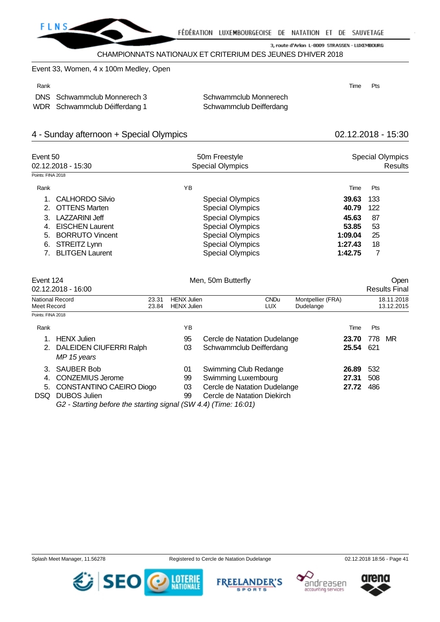

CHAMPIONNATS NATIONAUX ET CRITERIUM DES JEUNES D'HIVER 2018

## Event 33, Women, 4 x 100m Medley, Open

#### Rank **Time Pts**

DNS Schwammclub Monnerech 3 Schwammclub Monnerech WDR Schwammclub Déifferdang 1 Schwammclub Deifferdang

## 4 - Sunday afternoon + Special Olympics 02.12.2018 - 15:30

| Event 50<br>02.12.2018 - 15:30 |                        | 50m Freestyle<br><b>Special Olympics</b> | <b>Special Olympics</b><br>Results |     |  |
|--------------------------------|------------------------|------------------------------------------|------------------------------------|-----|--|
| Points: FINA 2018              |                        |                                          |                                    |     |  |
| Rank                           |                        | ΥB                                       | Time                               | Pts |  |
|                                | CALHORDO Silvio        | <b>Special Olympics</b>                  | 39.63                              | 133 |  |
|                                | 2. OTTENS Marten       | <b>Special Olympics</b>                  | 40.79                              | 122 |  |
|                                | LAZZARINI Jeff         | <b>Special Olympics</b>                  | 45.63                              | 87  |  |
| 4.                             | <b>EISCHEN Laurent</b> | <b>Special Olympics</b>                  | 53.85                              | 53  |  |
| 5.                             | <b>BORRUTO Vincent</b> | <b>Special Olympics</b>                  | 1:09.04                            | 25  |  |
| 6.                             | STREITZ Lynn           | <b>Special Olympics</b>                  | 1:27.43                            | 18  |  |
|                                | <b>BLITGEN Laurent</b> | <b>Special Olympics</b>                  | 1:42.75                            | 7   |  |

| Event 124              |                                                                                          |                |                                          | Men, 50m Butterfly                                                                                          |                    |                                |                         |                   | Open                     |
|------------------------|------------------------------------------------------------------------------------------|----------------|------------------------------------------|-------------------------------------------------------------------------------------------------------------|--------------------|--------------------------------|-------------------------|-------------------|--------------------------|
|                        | 02.12.2018 - 16:00                                                                       |                |                                          |                                                                                                             |                    |                                |                         |                   | <b>Results Final</b>     |
| Meet Record            | National Record                                                                          | 23.31<br>23.84 | <b>HENX Julien</b><br><b>HENX Julien</b> |                                                                                                             | <b>CNDu</b><br>LUX | Montpellier (FRA)<br>Dudelange |                         |                   | 18.11.2018<br>13.12.2015 |
| Points: FINA 2018      |                                                                                          |                |                                          |                                                                                                             |                    |                                |                         |                   |                          |
| Rank                   |                                                                                          |                | ΥB                                       |                                                                                                             |                    |                                | Time                    | Pts               |                          |
| 2.                     | <b>HENX</b> Julien<br>DALEIDEN CIUFERRI Ralph<br>MP 15 years                             |                | 95<br>03                                 | Cercle de Natation Dudelange<br>Schwammclub Deifferdang                                                     |                    |                                | 23.70<br>25.54          | 778<br>621        | MR                       |
| 3.<br>4.<br>5.<br>DSQ. | <b>SAUBER Bob</b><br>CONZEMIUS Jerome<br>CONSTANTINO CAEIRO Diogo<br><b>DUBOS Julien</b> |                | 01<br>99<br>03<br>99                     | Swimming Club Redange<br>Swimming Luxembourg<br>Cercle de Natation Dudelange<br>Cercle de Natation Diekirch |                    |                                | 26.89<br>27.31<br>27.72 | 532<br>508<br>486 |                          |

*G2 - Starting before the starting signal (SW 4.4) (Time: 16:01)*

SEO

**FREELANDER'S** 

**SPORTS** 

**LOTERIE** 



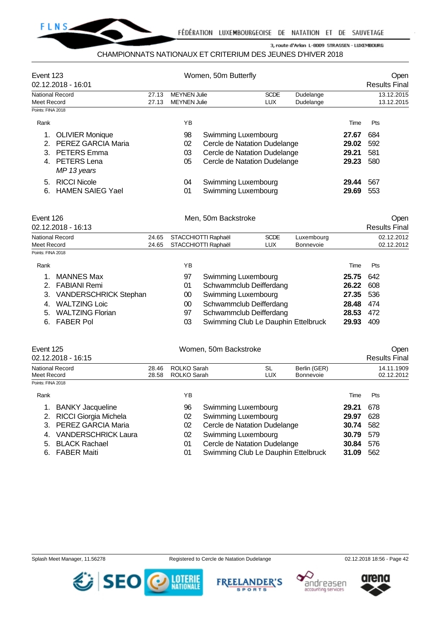

## CHAMPIONNATS NATIONAUX ET CRITERIUM DES JEUNES D'HIVER 2018

| Event 123                        | 02.12.2018 - 16:01                                                                                  |                |                            | Women, 50m Butterfly                       |                                                                                              |                                  |                                  | Open<br><b>Results Final</b> |
|----------------------------------|-----------------------------------------------------------------------------------------------------|----------------|----------------------------|--------------------------------------------|----------------------------------------------------------------------------------------------|----------------------------------|----------------------------------|------------------------------|
|                                  | <b>National Record</b>                                                                              | 27.13          | <b>MEYNEN Julie</b>        |                                            | <b>SCDE</b>                                                                                  | Dudelange                        |                                  | 13.12.2015                   |
| Meet Record                      |                                                                                                     | 27.13          | <b>MEYNEN Julie</b>        |                                            | <b>LUX</b>                                                                                   | Dudelange                        |                                  | 13.12.2015                   |
| Points: FINA 2018                |                                                                                                     |                |                            |                                            |                                                                                              |                                  |                                  |                              |
| Rank                             |                                                                                                     |                | ΥB                         |                                            |                                                                                              |                                  | Time                             | Pts                          |
| 1.<br>2.<br>3.                   | <b>OLIVIER Monique</b><br>PEREZ GARCIA Maria<br><b>PETERS Emma</b><br>4. PETERS Lena<br>MP 13 years |                | 98<br>02<br>03<br>05       | Swimming Luxembourg                        | Cercle de Natation Dudelange<br>Cercle de Natation Dudelange<br>Cercle de Natation Dudelange |                                  | 27.67<br>29.02<br>29.21<br>29.23 | 684<br>592<br>581<br>580     |
| 5.<br>6.                         | <b>RICCI Nicole</b><br><b>HAMEN SAIEG Yael</b>                                                      |                | 04<br>01                   | Swimming Luxembourg<br>Swimming Luxembourg |                                                                                              |                                  | 29.44<br>29.69                   | 567<br>553                   |
| Event 126                        | 02.12.2018 - 16:13                                                                                  |                |                            | Men, 50m Backstroke                        |                                                                                              |                                  |                                  | Open<br><b>Results Final</b> |
|                                  | <b>National Record</b>                                                                              | 24.65          |                            | STACCHIOTTI Raphaël                        | <b>SCDE</b>                                                                                  | Luxembourg                       |                                  | 02.12.2012                   |
| Meet Record<br>Points: FINA 2018 |                                                                                                     | 24.65          |                            | STACCHIOTTI Raphaël                        | <b>LUX</b>                                                                                   | <b>Bonnevoie</b>                 |                                  | 02.12.2012                   |
|                                  |                                                                                                     |                |                            |                                            |                                                                                              |                                  |                                  |                              |
| Rank                             |                                                                                                     |                | ΥB                         |                                            |                                                                                              |                                  | Time                             | Pts                          |
| 1.                               | <b>MANNES Max</b>                                                                                   |                | 97                         | Swimming Luxembourg                        |                                                                                              |                                  | 25.75                            | 642                          |
| 2.                               | <b>FABIANI Remi</b>                                                                                 |                | 01                         |                                            | Schwammclub Deifferdang                                                                      |                                  | 26.22                            | 608                          |
| 3.                               | VANDERSCHRICK Stephan                                                                               |                | 00                         | Swimming Luxembourg                        |                                                                                              |                                  | 27.35                            | 536                          |
| 4.                               | <b>WALTZING Loic</b>                                                                                |                | $00\,$                     |                                            | Schwammclub Deifferdang                                                                      |                                  | 28.48                            | 474                          |
| 5.                               | <b>WALTZING Florian</b>                                                                             |                | 97                         |                                            | Schwammclub Deifferdang                                                                      |                                  | 28.53                            | 472                          |
| 6.                               | <b>FABER Pol</b>                                                                                    |                | 03                         |                                            | Swimming Club Le Dauphin Ettelbruck                                                          |                                  | 29.93                            | 409                          |
| Event 125                        | 02.12.2018 - 16:15                                                                                  |                |                            | Women, 50m Backstroke                      |                                                                                              |                                  |                                  | Open<br><b>Results Final</b> |
| Meet Record                      | <b>National Record</b>                                                                              | 28.46<br>28.58 | ROLKO Sarah<br>ROLKO Sarah |                                            | <b>SL</b><br><b>LUX</b>                                                                      | Berlin (GER)<br><b>Bonnevoie</b> |                                  | 14.11.1909<br>02.12.2012     |
| Points: FINA 2018                |                                                                                                     |                |                            |                                            |                                                                                              |                                  |                                  |                              |
| Rank                             |                                                                                                     |                | ΥB                         |                                            |                                                                                              |                                  | Time                             | Pts                          |
| 1.                               | <b>BANKY Jacqueline</b>                                                                             |                | 96                         | <b>Swimming Luxembourg</b>                 |                                                                                              |                                  | 29.21                            | 678                          |
| 2.                               | <b>RICCI Giorgia Michela</b>                                                                        |                | 02                         | <b>Swimming Luxembourg</b>                 |                                                                                              |                                  | 29.97                            | 628                          |
| 3.                               | PEREZ GARCIA Maria                                                                                  |                | 02                         |                                            | Cercle de Natation Dudelange                                                                 |                                  | 30.74                            | 582                          |
| 4.                               | <b>VANDERSCHRICK Laura</b>                                                                          |                | 02                         | Swimming Luxembourg                        |                                                                                              |                                  | 30.79                            | 579                          |
| 5.                               | <b>BLACK Rachael</b>                                                                                |                | 01                         |                                            | Cercle de Natation Dudelange                                                                 |                                  | 30.84                            | 576                          |

6. FABER Maiti 01 Swimming Club Le Dauphin Ettelbruck **31.09** 562

Splash Meet Manager, 11.56278 **Registered to Cercle de Natation Dudelange 12.12.2018 18:56 - Page 42** CO2.12.2018 18:56 - Page 42







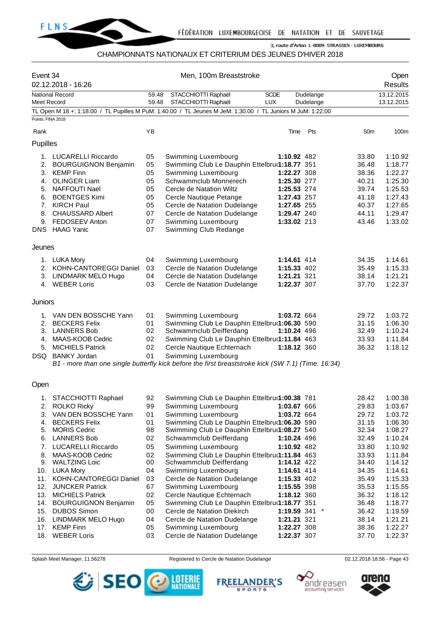

## CHAMPIONNATS NATIONAUX ET CRITERIUM DES JEUNES D'HIVER 2018

| Event 34<br>02.12.2018 - 16:26 |                             |       | Men, 100m Breaststroke                                                                                      |             |                 |                 | Open<br><b>Results</b> |
|--------------------------------|-----------------------------|-------|-------------------------------------------------------------------------------------------------------------|-------------|-----------------|-----------------|------------------------|
|                                | <b>National Record</b>      | 59.48 | STACCHIOTTI Raphaël                                                                                         | <b>SCDE</b> | Dudelange       |                 | 13.12.2015             |
| Meet Record                    |                             | 59.48 | STACCHIOTTI Raphaël                                                                                         | <b>LUX</b>  | Dudelange       |                 | 13.12.2015             |
| Points: FINA 2018              |                             |       | TL Open M 18 +: 1:18.00 / TL Pupilles M PuM: 1:40.00 / TL Jeunes M JeM: 1:30.00 / TL Juniors M JuM: 1:22.00 |             |                 |                 |                        |
|                                |                             |       |                                                                                                             |             |                 |                 |                        |
| Rank                           |                             | ΥB    |                                                                                                             | Time        | Pts             | 50 <sub>m</sub> | 100m                   |
| Pupilles                       |                             |       |                                                                                                             |             |                 |                 |                        |
|                                | 1. LUCARELLI Riccardo       | 05    | Swimming Luxembourg                                                                                         | 1:10.92 482 |                 | 33.80           | 1:10.92                |
| 2.                             | <b>BOURGUIGNON Benjamin</b> | 05    | Swimming Club Le Dauphin Ettelbru(1:18.77 351                                                               |             |                 | 36.48           | 1:18.77                |
| 3.                             | <b>KEMP Finn</b>            | 05    | Swimming Luxembourg                                                                                         | 1:22.27 308 |                 | 38.36           | 1:22.27                |
| 4.                             | <b>OLINGER Liam</b>         | 05    | Schwammclub Monnerech                                                                                       | 1:25.30 277 |                 | 40.21           | 1:25.30                |
|                                | 5. NAFFOUTI Nael            | 05    | Cercle de Natation Wiltz                                                                                    | 1:25.53 274 |                 | 39.74           | 1:25.53                |
| 6.                             | <b>BOENTGES Kimi</b>        | 05    | Cercle Nautique Petange                                                                                     | 1:27.43 257 |                 | 41.18           | 1:27.43                |
| 7.                             | <b>KIRCH Paul</b>           | 05    | Cercle de Natation Dudelange                                                                                | 1:27.65 255 |                 | 40.37           | 1:27.65                |
| 8.                             | <b>CHAUSSARD Albert</b>     | 07    | Cercle de Natation Dudelange                                                                                | 1:29.47 240 |                 | 44.11           | 1:29.47                |
| 9.                             | FEDOSEEV Anton              | 07    | Swimming Luxembourg                                                                                         | 1:33.02 213 |                 | 43.46           | 1:33.02                |
| DNS                            | <b>HAAG Yanic</b>           | 07    | Swimming Club Redange                                                                                       |             |                 |                 |                        |
| Jeunes                         |                             |       |                                                                                                             |             |                 |                 |                        |
|                                |                             |       |                                                                                                             |             |                 |                 |                        |
| 1.                             | <b>LUKA Mory</b>            | 04    | Swimming Luxembourg                                                                                         | 1:14.61 414 |                 | 34.35           | 1:14.61                |
|                                | 2. KOHN-CANTOREGGI Daniel   | 03    | Cercle de Natation Dudelange                                                                                | 1:15.33 402 |                 | 35.49           | 1:15.33                |
| 3.                             | LINDMARK MELO Hugo          | 04    | Cercle de Natation Dudelange                                                                                | 1:21.21 321 |                 | 38.14           | 1:21.21                |
|                                | 4. WEBER Loris              | 03    | Cercle de Natation Dudelange                                                                                | 1:22.37 307 |                 | 37.70           | 1:22.37                |
| Juniors                        |                             |       |                                                                                                             |             |                 |                 |                        |
| 1.                             | VAN DEN BOSSCHE Yann        | 01    | Swimming Luxembourg                                                                                         | 1:03.72 664 |                 | 29.72           | 1:03.72                |
| 2.                             | <b>BECKERS Felix</b>        | 01    | Swimming Club Le Dauphin Ettelbru(1:06.30 590                                                               |             |                 | 31.15           | 1:06.30                |
|                                | 3. LANNERS Bob              | 02    | Schwammclub Deifferdang                                                                                     | 1:10.24 496 |                 | 32.49           | 1:10.24                |
|                                | 4. MAAS-KOOB Cedric         | 02    | Swimming Club Le Dauphin Ettelbru(1:11.84 463                                                               |             |                 | 33.93           | 1:11.84                |
|                                | 5. MICHIELS Patrick         | 02    | Cercle Nautique Echternach                                                                                  | 1:18.12 360 |                 | 36.32           | 1:18.12                |
|                                | DSQ BANKY Jordan            | 01    | Swimming Luxembourg                                                                                         |             |                 |                 |                        |
|                                |                             |       | B1 - more than one single butterfly kick before the first breaststroke kick (SW 7.1) (Time: 16:34)          |             |                 |                 |                        |
| Open                           |                             |       |                                                                                                             |             |                 |                 |                        |
| 1.                             | STACCHIOTTI Raphael         | 92    | Swimming Club Le Dauphin Ettelbru(1:00.38 781                                                               |             |                 | 28.42           | 1:00.38                |
| 2.                             | <b>ROLKO Ricky</b>          | 99    | Swimming Luxembourg                                                                                         | 1:03.67 666 |                 | 29.83           | 1:03.67                |
| 3.                             | VAN DEN BOSSCHE Yann        | 01    | Swimming Luxembourg                                                                                         | 1:03.72 664 |                 | 29.72           | 1:03.72                |
| 4.                             | <b>BECKERS Felix</b>        | 01    | Swimming Club Le Dauphin Ettelbru(1:06.30 590                                                               |             |                 | 31.15           | 1:06.30                |
| 5.                             | <b>MORIS Cedric</b>         | 98    | Swimming Club Le Dauphin Ettelbru(1:08.27 540                                                               |             |                 | 32.34           | 1:08.27                |
| 6.                             | <b>LANNERS Bob</b>          | 02    | Schwammclub Deifferdang                                                                                     | 1:10.24 496 |                 | 32.49           | 1:10.24                |
| 7.                             | LUCARELLI Riccardo          | 05    | Swimming Luxembourg                                                                                         | 1:10.92 482 |                 | 33.80           | 1:10.92                |
| 8.                             | MAAS-KOOB Cedric            | 02    | Swimming Club Le Dauphin Ettelbru(1:11.84 463                                                               |             |                 | 33.93           | 1:11.84                |
| 9.                             | <b>WALTZING Loic</b>        | 00    | Schwammclub Deifferdang                                                                                     | 1:14.12 422 |                 | 34.40           | 1:14.12                |
| 10.                            | LUKA Mory                   | 04    | Swimming Luxembourg                                                                                         | 1:14.61 414 |                 | 34.35           | 1:14.61                |
| 11.                            | KOHN-CANTOREGGI Daniel      | 03    | Cercle de Natation Dudelange                                                                                | 1:15.33 402 |                 | 35.49           | 1:15.33                |
| 12.                            | <b>JUNCKER Patrick</b>      | 67    | Swimming Luxembourg                                                                                         | 1:15.55 398 |                 | 35.53           | 1:15.55                |
| 13.                            | <b>MICHIELS Patrick</b>     | 02    | Cercle Nautique Echternach                                                                                  | 1:18.12 360 |                 | 36.32           | 1:18.12                |
| 14.                            | <b>BOURGUIGNON Benjamin</b> | 05    | Swimming Club Le Dauphin Ettelbru(1:18.77 351                                                               |             |                 | 36.48           | 1:18.77                |
| 15.                            | <b>DUBOS Simon</b>          | 00    | Cercle de Natation Diekirch                                                                                 |             | 1:19.59 341 $*$ | 36.42           | 1:19.59                |
|                                | 16. LINDMARK MELO Hugo      | 04    | Cercle de Natation Dudelange                                                                                | 1:21.21 321 |                 | 38.14           | 1:21.21                |
| 17.                            | <b>KEMP Finn</b>            | 05    | Swimming Luxembourg                                                                                         | 1:22.27 308 |                 | 38.36           | 1:22.27                |
|                                | 18. WEBER Loris             | 03    | Cercle de Natation Dudelange                                                                                | 1:22.37 307 |                 | 37.70           | 1:22.37                |

Splash Meet Manager, 11.56278 **Registered to Cercle de Natation Dudelange 12.2018 18:56 - Page 43** CO2.12.2018 18:56 - Page 43







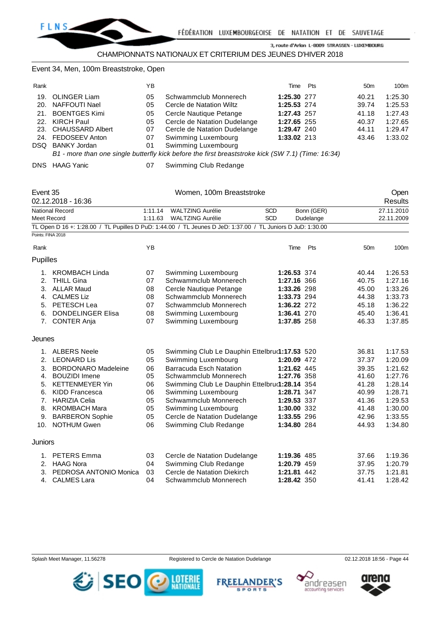CHAMPIONNATS NATIONAUX ET CRITERIUM DES JEUNES D'HIVER 2018

Event 34, Men, 100m Breaststroke, Open

| Rank |                      | YB. |                                                                                                    | Time        | Pts | 50 <sub>m</sub> | 100 <sub>m</sub> |
|------|----------------------|-----|----------------------------------------------------------------------------------------------------|-------------|-----|-----------------|------------------|
|      | 19. OLINGER Liam     | 05  | Schwammclub Monnerech                                                                              | 1:25.30 277 |     | 40.21           | 1:25.30          |
|      | 20. NAFFOUTI Nael    | 05  | Cercle de Natation Wiltz                                                                           | 1:25.53 274 |     | 39.74           | 1:25.53          |
| 21.  | BOENTGES Kimi        | 05  | Cercle Nautique Petange                                                                            | 1:27.43 257 |     | 41.18           | 1:27.43          |
|      | 22. KIRCH Paul       | 05  | Cercle de Natation Dudelange                                                                       | 1:27.65 255 |     | 40.37           | 1:27.65          |
|      | 23. CHAUSSARD Albert | 07  | Cercle de Natation Dudelange                                                                       | 1:29.47 240 |     | 44.11           | 1:29.47          |
|      | 24. FEDOSEEV Anton   | 07  | Swimming Luxembourg                                                                                | 1:33.02 213 |     | 43.46           | 1:33.02          |
| DSQ. | BANKY Jordan         | 01  | Swimming Luxembourg                                                                                |             |     |                 |                  |
|      |                      |     | B1 - more than one single butterfly kick before the first breaststroke kick (SW 7.1) (Time: 16:34) |             |     |                 |                  |

DNS HAAG Yanic 07 Swimming Club Redange

| Event 35           | 02.12.2018 - 16:36         |         | Women, 100m Breaststroke                                                                                    |             | Open<br>Results |                 |            |
|--------------------|----------------------------|---------|-------------------------------------------------------------------------------------------------------------|-------------|-----------------|-----------------|------------|
|                    | <b>National Record</b>     | 1:11.14 | <b>WALTZING Aurélie</b><br><b>SCD</b>                                                                       |             | Bonn (GER)      |                 | 27.11.2010 |
| <b>Meet Record</b> |                            | 1:11.63 | <b>WALTZING Aurélie</b>                                                                                     | SCD         | Dudelange       |                 | 22.11.2009 |
|                    |                            |         | TL Open D 16 +: 1:28.00 / TL Pupilles D PuD: 1:44.00 / TL Jeunes D JeD: 1:37.00 / TL Juniors D JuD: 1:30.00 |             |                 |                 |            |
| Points: FINA 2018  |                            |         |                                                                                                             |             |                 |                 |            |
| Rank               |                            | YB      |                                                                                                             | Time        | Pts             | 50 <sub>m</sub> | 100m       |
| Pupilles           |                            |         |                                                                                                             |             |                 |                 |            |
| 1.                 | <b>KROMBACH Linda</b>      | 07      | Swimming Luxembourg                                                                                         | 1:26.53 374 |                 | 40.44           | 1:26.53    |
| 2.                 | <b>THILL Gina</b>          | 07      | Schwammclub Monnerech                                                                                       | 1:27.16 366 |                 | 40.75           | 1:27.16    |
| 3.                 | <b>ALLAR Maud</b>          | 08      | Cercle Nautique Petange                                                                                     | 1:33.26 298 |                 | 45.00           | 1:33.26    |
| 4.                 | <b>CALMES Liz</b>          | 08      | Schwammclub Monnerech                                                                                       | 1:33.73 294 |                 | 44.38           | 1:33.73    |
| 5.                 | PETESCH Lea                | 07      | Schwammclub Monnerech                                                                                       | 1:36.22 272 |                 | 45.18           | 1:36.22    |
| 6.                 | <b>DONDELINGER Elisa</b>   | 08      | Swimming Luxembourg                                                                                         | 1:36.41 270 |                 | 45.40           | 1:36.41    |
| 7.                 | <b>CONTER Anja</b>         | 07      | Swimming Luxembourg                                                                                         | 1:37.85 258 |                 | 46.33           | 1:37.85    |
| Jeunes             |                            |         |                                                                                                             |             |                 |                 |            |
|                    | 1. ALBERS Neele            | 05      | Swimming Club Le Dauphin Ettelbru(1:17.53 520                                                               |             |                 | 36.81           | 1:17.53    |
| 2.                 | <b>LEONARD Lis</b>         | 05      | Swimming Luxembourg                                                                                         | 1:20.09 472 |                 | 37.37           | 1:20.09    |
| 3.                 | <b>BORDONARO Madeleine</b> | 06      | <b>Barracuda Esch Natation</b>                                                                              | 1:21.62 445 |                 | 39.35           | 1:21.62    |
| 4.                 | <b>BOUZIDI</b> Imene       | 05      | Schwammclub Monnerech                                                                                       | 1:27.76 358 |                 | 41.60           | 1:27.76    |
| 5.                 | <b>KETTENMEYER Yin</b>     | 06      | Swimming Club Le Dauphin Ettelbru(1:28.14 354                                                               |             |                 | 41.28           | 1:28.14    |
| 6.                 | <b>KIDD Francesca</b>      | 06      | Swimming Luxembourg                                                                                         | 1:28.71 347 |                 | 40.99           | 1:28.71    |
| 7.                 | <b>HARIZIA Celia</b>       | 05      | Schwammclub Monnerech                                                                                       | 1:29.53 337 |                 | 41.36           | 1:29.53    |
| 8.                 | <b>KROMBACH Mara</b>       | 05      | Swimming Luxembourg                                                                                         | 1:30.00 332 |                 | 41.48           | 1:30.00    |
| 9.                 | <b>BARBERON Sophie</b>     | 05      | Cercle de Natation Dudelange                                                                                | 1:33.55 296 |                 | 42.96           | 1:33.55    |
| 10.                | <b>NOTHUM Gwen</b>         | 06      | Swimming Club Redange                                                                                       | 1:34.80 284 |                 | 44.93           | 1:34.80    |
| Juniors            |                            |         |                                                                                                             |             |                 |                 |            |
|                    | 1. PETERS Emma             | 03      | Cercle de Natation Dudelange                                                                                | 1:19.36 485 |                 | 37.66           | 1:19.36    |
|                    | 2. HAAG Nora               | 04      | Swimming Club Redange                                                                                       | 1:20.79 459 |                 | 37.95           | 1:20.79    |
| 3.                 | PEDROSA ANTONIO Monica     | 03      | Cercle de Natation Diekirch                                                                                 | 1:21.81 442 |                 | 37.75           | 1:21.81    |
| 4.                 | <b>CALMES Lara</b>         | 04      | Schwammclub Monnerech                                                                                       | 1:28.42 350 |                 | 41.41           | 1:28.42    |







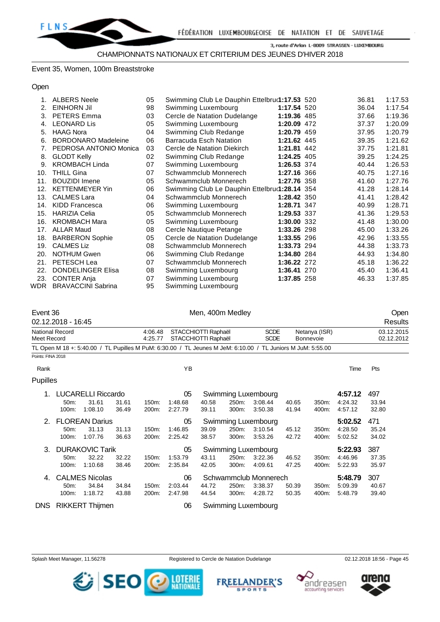#### Event 35, Women, 100m Breaststroke

Open

| 1.   | <b>ALBERS Neele</b>        | 05 | Swimming Club Le Dauphin Ettelbru(1:17.53 520 |             | 36.81 | 1:17.53 |
|------|----------------------------|----|-----------------------------------------------|-------------|-------|---------|
| 2.   | <b>EINHORN Jil</b>         | 98 | Swimming Luxembourg                           | 1:17.54 520 | 36.04 | 1:17.54 |
| 3.   | <b>PETERS Emma</b>         | 03 | Cercle de Natation Dudelange                  | 1:19.36 485 | 37.66 | 1:19.36 |
| 4.   | <b>LEONARD Lis</b>         | 05 | Swimming Luxembourg                           | 1:20.09 472 | 37.37 | 1:20.09 |
| 5.   | <b>HAAG Nora</b>           | 04 | Swimming Club Redange                         | 1:20.79 459 | 37.95 | 1:20.79 |
| 6.   | <b>BORDONARO Madeleine</b> | 06 | Barracuda Esch Natation                       | 1:21.62 445 | 39.35 | 1:21.62 |
| 7.   | PEDROSA ANTONIO Monica     | 03 | Cercle de Natation Diekirch                   | 1:21.81 442 | 37.75 | 1:21.81 |
| 8.   | <b>GLODT Kelly</b>         | 02 | Swimming Club Redange                         | 1:24.25 405 | 39.25 | 1:24.25 |
| 9.   | <b>KROMBACH Linda</b>      | 07 | Swimming Luxembourg                           | 1:26.53 374 | 40.44 | 1:26.53 |
| 10.  | THILL Gina                 | 07 | Schwammclub Monnerech                         | 1:27.16 366 | 40.75 | 1:27.16 |
| 11.  | <b>BOUZIDI</b> Imene       | 05 | Schwammclub Monnerech                         | 1:27.76 358 | 41.60 | 1:27.76 |
| 12.  | <b>KETTENMEYER Yin</b>     | 06 | Swimming Club Le Dauphin Ettelbrud: 28.14 354 |             | 41.28 | 1:28.14 |
| 13.  | <b>CALMES Lara</b>         | 04 | Schwammclub Monnerech                         | 1:28.42 350 | 41.41 | 1:28.42 |
| 14.  | <b>KIDD Francesca</b>      | 06 | Swimming Luxembourg                           | 1:28.71 347 | 40.99 | 1:28.71 |
| 15.  | <b>HARIZIA Celia</b>       | 05 | Schwammclub Monnerech                         | 1:29.53 337 | 41.36 | 1:29.53 |
| 16.  | <b>KROMBACH Mara</b>       | 05 | Swimming Luxembourg                           | 1:30.00 332 | 41.48 | 1:30.00 |
| 17.  | <b>ALLAR Maud</b>          | 08 | Cercle Nautique Petange                       | 1:33.26 298 | 45.00 | 1:33.26 |
| 18.  | <b>BARBERON Sophie</b>     | 05 | Cercle de Natation Dudelange                  | 1:33.55 296 | 42.96 | 1:33.55 |
| 19.  | <b>CALMES Liz</b>          | 08 | Schwammclub Monnerech                         | 1:33.73 294 | 44.38 | 1:33.73 |
| 20.  | <b>NOTHUM Gwen</b>         | 06 | Swimming Club Redange                         | 1:34.80 284 | 44.93 | 1:34.80 |
| 21.  | PETESCH Lea                | 07 | Schwammclub Monnerech                         | 1:36.22 272 | 45.18 | 1:36.22 |
| 22.  | <b>DONDELINGER Elisa</b>   | 08 | Swimming Luxembourg                           | 1:36.41 270 | 45.40 | 1:36.41 |
| 23.  | <b>CONTER Anja</b>         | 07 | Swimming Luxembourg                           | 1:37.85 258 | 46.33 | 1:37.85 |
| WDR. | <b>BRAVACCINI Sabrina</b>  | 95 | Swimming Luxembourg                           |             |       |         |

| Event 36                              | 02.12.2018 - 16:45 |                                               |                |                    |                          |                     | Men, 400m Medley |                                                                                                             |                |                                   |                               | Open<br>Results          |
|---------------------------------------|--------------------|-----------------------------------------------|----------------|--------------------|--------------------------|---------------------|------------------|-------------------------------------------------------------------------------------------------------------|----------------|-----------------------------------|-------------------------------|--------------------------|
| <b>National Record</b><br>Meet Record |                    |                                               |                | 4:06.48<br>4:25.77 | STACCHIOTTI Raphaël      | STACCHIOTTI Raphaël |                  | <b>SCDE</b><br><b>SCDE</b>                                                                                  |                | Netanya (ISR)<br><b>Bonnevoie</b> |                               | 03.12.2015<br>02.12.2012 |
|                                       |                    |                                               |                |                    |                          |                     |                  | TL Open M 18 +: 5:40.00 / TL Pupilles M PuM: 6:30.00 / TL Jeunes M JeM: 6:10.00 / TL Juniors M JuM: 5:55.00 |                |                                   |                               |                          |
| Points: FINA 2018                     |                    |                                               |                |                    |                          |                     |                  |                                                                                                             |                |                                   |                               |                          |
| Rank                                  |                    |                                               |                |                    | ΥB                       |                     |                  |                                                                                                             |                |                                   | Time                          | Pts                      |
| Pupilles                              |                    |                                               |                |                    |                          |                     |                  |                                                                                                             |                |                                   |                               |                          |
|                                       | 50m:<br>100m:      | <b>LUCARELLI Riccardo</b><br>31.61<br>1:08.10 | 31.61<br>36.49 | 150m:<br>200m:     | 05<br>1:48.68<br>2:27.79 | 40.58<br>39.11      | 250m:<br>300m:   | Swimming Luxembourg<br>3:08.44<br>3:50.38                                                                   | 40.65<br>41.94 | 350m:<br>400m:                    | 4:57.12<br>4:24.32<br>4:57.12 | 497<br>33.94<br>32.80    |
| 2.                                    | $50m$ :<br>100m:   | <b>FLOREAN Darius</b><br>31.13<br>1:07.76     | 31.13<br>36.63 | 150m:<br>200m:     | 05<br>1:46.85<br>2:25.42 | 39.09<br>38.57      | 250m:<br>300m:   | Swimming Luxembourg<br>3:10.54<br>3:53.26                                                                   | 45.12<br>42.72 | 350m:<br>400m:                    | 5:02.52<br>4:28.50<br>5:02.52 | 471<br>35.24<br>34.02    |
| 3.                                    | 50m:<br>100m:      | <b>DURAKOVIC Tarik</b><br>32.22<br>1:10.68    | 32.22<br>38.46 | 150m:<br>200m:     | 05<br>1:53.79<br>2:35.84 | 43.11<br>42.05      | 250m:<br>300m:   | Swimming Luxembourg<br>3:22.36<br>4:09.61                                                                   | 46.52<br>47.25 | 350m:<br>400m:                    | 5:22.93<br>4:46.96<br>5:22.93 | 387<br>37.35<br>35.97    |
| 4.                                    | 50m:<br>100m:      | <b>CALMES Nicolas</b><br>34.84<br>1:18.72     | 34.84<br>43.88 | 150m:<br>200m:     | 06<br>2:03.44<br>2:47.98 | 44.72<br>44.54      | 250m:<br>300m:   | Schwammclub Monnerech<br>3:38.37<br>4:28.72                                                                 | 50.39<br>50.35 | 350m:<br>400m:                    | 5:48.79<br>5:09.39<br>5:48.79 | 307<br>40.67<br>39.40    |

DNS RIKKERT Thijmen 06 Swimming Luxembourg

Splash Meet Manager, 11.56278 Registered to Cercle de Natation Dudelange **12.12.2018 18:56 - Page 45** Splash Meet Manager, 11.56278







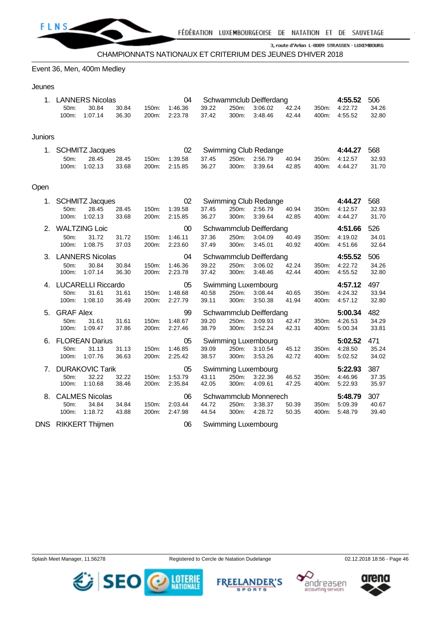

Event 36, Men, 400m Medley

#### Jeunes

|         | 50m:<br>100m:    | 1. LANNERS Nicolas<br>30.84<br>1:07.14 | 30.84<br>36.30 | 150m:<br>200m: | 04<br>1:46.36<br>2:23.78 | 39.22<br>37.42 | 250m:<br>300m: | Schwammclub Deifferdang<br>3:06.02<br>3:48.46 | 42.24<br>42.44 | 350m:<br>400m: | 4:55.52<br>4:22.72<br>4:55.52 | 506<br>34.26<br>32.80 |
|---------|------------------|----------------------------------------|----------------|----------------|--------------------------|----------------|----------------|-----------------------------------------------|----------------|----------------|-------------------------------|-----------------------|
| Juniors |                  |                                        |                |                |                          |                |                |                                               |                |                |                               |                       |
| 1.      |                  | <b>SCHMITZ Jacques</b>                 |                |                | 02                       |                |                | Swimming Club Redange                         |                |                | 4:44.27                       | 568                   |
|         | 50m:             | 28.45                                  | 28.45          | 150m:          | 1:39.58                  | 37.45          | 250m:          | 2:56.79                                       | 40.94          | 350m:          | 4:12.57                       | 32.93                 |
|         | 100m:            | 1:02.13                                | 33.68          | 200m:          | 2:15.85                  | 36.27          | 300m:          | 3:39.64                                       | 42.85          | 400m:          | 4:44.27                       | 31.70                 |
| Open    |                  |                                        |                |                |                          |                |                |                                               |                |                |                               |                       |
|         |                  | 1. SCHMITZ Jacques                     |                |                | 02                       |                |                | Swimming Club Redange                         |                |                | 4:44.27                       | 568                   |
|         | 50m:             | 28.45                                  | 28.45          | 150m:          | 1:39.58                  | 37.45          | 250m:          | 2:56.79                                       | 40.94          | 350m:          | 4:12.57                       | 32.93                 |
|         | 100m:            | 1:02.13                                | 33.68          | 200m:          | 2:15.85                  | 36.27          | 300m:          | 3:39.64                                       | 42.85          | 400m:          | 4:44.27                       | 31.70                 |
|         |                  | 2. WALTZING Loic                       |                |                | 00                       |                |                | Schwammclub Deifferdang                       |                |                | 4:51.66                       | 526                   |
|         | 50m:             | 31.72                                  | 31.72          | 150m:          | 1:46.11                  | 37.36          | 250m:          | 3:04.09                                       | 40.49          | 350m:          | 4:19.02                       | 34.01                 |
|         | 100m:            | 1:08.75                                | 37.03          | 200m:          | 2:23.60                  | 37.49          | 300m:          | 3:45.01                                       | 40.92          | 400m:          | 4:51.66                       | 32.64                 |
|         |                  | 3. LANNERS Nicolas                     |                |                | 04                       |                |                | Schwammclub Deifferdang                       |                |                | 4:55.52                       | 506                   |
|         | 50m:<br>100m:    | 30.84<br>1:07.14                       | 30.84<br>36.30 | 150m:<br>200m: | 1:46.36<br>2:23.78       | 39.22<br>37.42 | 250m:<br>300m: | 3:06.02<br>3:48.46                            | 42.24<br>42.44 | 350m:<br>400m: | 4:22.72<br>4:55.52            | 34.26<br>32.80        |
|         |                  |                                        |                |                |                          |                |                |                                               |                |                |                               |                       |
|         | 50m:             | 4. LUCARELLI Riccardo<br>31.61         | 31.61          | 150m:          | 05<br>1:48.68            | 40.58          | 250m:          | Swimming Luxembourg<br>3:08.44                | 40.65          | 350m:          | 4:57.12<br>4:24.32            | 497<br>33.94          |
|         | 100m:            | 1:08.10                                | 36.49          | 200m:          | 2:27.79                  | 39.11          | 300m:          | 3:50.38                                       | 41.94          | 400m:          | 4:57.12                       | 32.80                 |
| 5.      | <b>GRAF Alex</b> |                                        |                |                | 99                       |                |                |                                               |                |                | 5:00.34                       | 482                   |
|         | 50m:             | 31.61                                  | 31.61          | 150m:          | 1:48.67                  | 39.20          | 250m:          | Schwammclub Deifferdang<br>3:09.93            | 42.47          | 350m:          | 4:26.53                       | 34.29                 |
|         | 100m:            | 1:09.47                                | 37.86          | 200m:          | 2:27.46                  | 38.79          | 300m:          | 3:52.24                                       | 42.31          | 400m:          | 5:00.34                       | 33.81                 |
| 6.      |                  | <b>FLOREAN Darius</b>                  |                |                | 05                       |                |                | Swimming Luxembourg                           |                |                | 5:02.52                       | 471                   |
|         | 50m:             | 31.13                                  | 31.13          | 150m:          | 1:46.85                  | 39.09          | 250m:          | 3:10.54                                       | 45.12          | 350m:          | 4:28.50                       | 35.24                 |
|         | 100m:            | 1:07.76                                | 36.63          | 200m:          | 2:25.42                  | 38.57          | 300m:          | 3:53.26                                       | 42.72          | 400m:          | 5:02.52                       | 34.02                 |
| 7.      |                  | <b>DURAKOVIC Tarik</b>                 |                |                | 05                       |                |                | Swimming Luxembourg                           |                |                | 5:22.93                       | 387                   |
|         | 50m:             | 32.22                                  | 32.22          | 150m:          | 1:53.79                  | 43.11          | 250m:          | 3:22.36                                       | 46.52          | 350m:          | 4:46.96                       | 37.35                 |
|         | 100m:            | 1:10.68                                | 38.46          | 200m:          | 2:35.84                  | 42.05          | 300m:          | 4.09.61                                       | 47.25          | 400m:          | 5:22.93                       | 35.97                 |
| 8.      |                  | <b>CALMES Nicolas</b>                  |                |                | 06                       |                |                | Schwammclub Monnerech                         |                |                | 5:48.79                       | 307                   |
|         | 50m:<br>100m:    | 34.84<br>1:18.72                       | 34.84<br>43.88 | 150m:<br>200m: | 2:03.44<br>2:47.98       | 44.72<br>44.54 | 250m:<br>300m: | 3:38.37<br>4:28.72                            | 50.39<br>50.35 | 350m:<br>400m: | 5:09.39<br>5:48.79            | 40.67<br>39.40        |
|         |                  |                                        |                |                |                          |                |                |                                               |                |                |                               |                       |

DNS RIKKERT Thijmen 06 Swimming Luxembourg







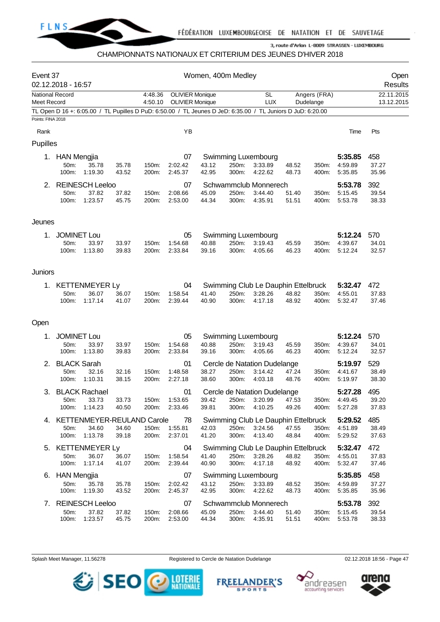

## CHAMPIONNATS NATIONAUX ET CRITERIUM DES JEUNES D'HIVER 2018

| Event 37                       | 02.12.2018 - 16:57         |                        |                |                               |                                                  | Women, 400m Medley |                |                                                                                                             |                |                           |                                |                          | Open<br>Results |
|--------------------------------|----------------------------|------------------------|----------------|-------------------------------|--------------------------------------------------|--------------------|----------------|-------------------------------------------------------------------------------------------------------------|----------------|---------------------------|--------------------------------|--------------------------|-----------------|
| National Record<br>Meet Record |                            |                        |                | 4:48.36<br>4:50.10            | <b>OLIVIER Monique</b><br><b>OLIVIER Monique</b> |                    |                | <b>SL</b><br>LUX                                                                                            |                | Angers (FRA)<br>Dudelange |                                | 22.11.2015<br>13.12.2015 |                 |
|                                |                            |                        |                |                               |                                                  |                    |                | TL Open D 16 +: 6:05.00 / TL Pupilles D PuD: 6:50.00 / TL Jeunes D JeD: 6:35.00 / TL Juniors D JuD: 6:20.00 |                |                           |                                |                          |                 |
| Points: FINA 2018              |                            |                        |                |                               |                                                  |                    |                |                                                                                                             |                |                           |                                |                          |                 |
| Rank                           |                            |                        |                |                               | YB                                               |                    |                |                                                                                                             |                |                           | Time                           | Pts                      |                 |
| Pupilles                       |                            |                        |                |                               |                                                  |                    |                |                                                                                                             |                |                           |                                |                          |                 |
|                                | 1. HAN Mengjia             |                        |                |                               | 07                                               |                    |                | Swimming Luxembourg                                                                                         |                |                           | 5:35.85                        | 458                      |                 |
|                                | 50m:<br>100m:              | 35.78<br>1:19.30       | 35.78<br>43.52 | 150m:<br>200m:                | 2:02.42<br>2:45.37                               | 43.12<br>42.95     | 250m:<br>300m: | 3:33.89<br>4:22.62                                                                                          | 48.52<br>48.73 | 350m:<br>400m:            | 4.59.89<br>5:35.85             | 37.27<br>35.96           |                 |
| 2.                             |                            | <b>REINESCH Leeloo</b> |                |                               | 07                                               |                    |                | Schwammclub Monnerech                                                                                       |                |                           | 5:53.78                        | 392                      |                 |
|                                | 50m:                       | 37.82                  | 37.82          | 150m:                         | 2:08.66                                          | 45.09              | 250m:          | 3:44.40                                                                                                     | 51.40          | 350m:                     | 5:15.45                        | 39.54                    |                 |
|                                | 100m:                      | 1:23.57                | 45.75          | 200m:                         | 2:53.00                                          | 44.34              | 300m:          | 4:35.91                                                                                                     | 51.51          | 400m:                     | 5:53.78                        | 38.33                    |                 |
| Jeunes                         |                            |                        |                |                               |                                                  |                    |                |                                                                                                             |                |                           |                                |                          |                 |
| 1.                             | <b>JOMINET Lou</b>         |                        |                |                               | 05                                               |                    |                | Swimming Luxembourg                                                                                         |                |                           | 5:12.24                        | 570                      |                 |
|                                | 50m:                       | 33.97                  | 33.97          | 150m:                         | 1:54.68                                          | 40.88              | 250m:          | 3:19.43                                                                                                     | 45.59          | 350m:                     | 4:39.67                        | 34.01                    |                 |
|                                | 100m:                      | 1:13.80                | 39.83          | 200m:                         | 2:33.84                                          | 39.16              | 300m:          | 4:05.66                                                                                                     | 46.23          | 400m:                     | 5:12.24                        | 32.57                    |                 |
| Juniors                        |                            |                        |                |                               |                                                  |                    |                |                                                                                                             |                |                           |                                |                          |                 |
|                                |                            | 1. KETTENMEYER Ly      |                |                               | 04                                               |                    |                | Swimming Club Le Dauphin Ettelbruck                                                                         |                |                           | 5:32.47                        | 472                      |                 |
|                                | 50m:                       | 36.07                  | 36.07          | 150m:                         | 1:58.54                                          | 41.40              | 250m:          | 3:28.26                                                                                                     | 48.82          | 350m:                     | 4:55.01                        | 37.83                    |                 |
|                                | 100m:                      | 1:17.14                | 41.07          | 200m:                         | 2:39.44                                          | 40.90              | 300m:          | 4:17.18                                                                                                     | 48.92          | 400m:                     | 5:32.47                        | 37.46                    |                 |
| Open                           |                            |                        |                |                               |                                                  |                    |                |                                                                                                             |                |                           |                                |                          |                 |
| 1.                             | <b>JOMINET Lou</b>         |                        |                |                               | 05                                               |                    |                | Swimming Luxembourg                                                                                         |                |                           | 5:12.24                        | 570                      |                 |
|                                | 50m:                       | 33.97                  | 33.97          | 150m:                         | 1:54.68                                          | 40.88              | 250m:          | 3:19.43                                                                                                     | 45.59          | 350m:                     | 4:39.67                        | 34.01                    |                 |
|                                | 100m:                      | 1:13.80                | 39.83          | 200m:                         | 2:33.84                                          | 39.16              | 300m:          | 4:05.66                                                                                                     | 46.23          | 400m:                     | 5:12.24                        | 32.57                    |                 |
| 2.                             | <b>BLACK Sarah</b><br>50m: | 32.16                  | 32.16          | 150m:                         | 01<br>1:48.58                                    | 38.27              | 250m:          | Cercle de Natation Dudelange<br>3:14.42                                                                     | 47.24          | 350m:                     | 5:19.97<br>4:41.67             | 529<br>38.49             |                 |
|                                | 100m:                      | 1:10.31                | 38.15          | 200m:                         | 2:27.18                                          | 38.60              | 300m:          | 4:03.18                                                                                                     | 48.76          | 400m:                     | 5:19.97                        | 38.30                    |                 |
|                                |                            | 3. BLACK Rachael       |                |                               | 01                                               |                    |                | Cercle de Natation Dudelange                                                                                |                |                           | 5:27.28                        | 495                      |                 |
|                                | 50m:                       | 33.73<br>100m: 1:14.23 | 33.73<br>40.50 |                               | 150m: 1:53.65<br>200m: 2:33.46                   | 39.42<br>39.81     |                | 250m: 3:20.99 47.53<br>300m: 4:10.25                                                                        | 49.26          |                           | 350m: 4:49.45<br>400m: 5:27.28 | 39.20<br>37.83           |                 |
|                                |                            |                        |                | 4. KETTENMEYER-REULAND Carole | 78                                               |                    |                | Swimming Club Le Dauphin Ettelbruck                                                                         |                |                           |                                | 485                      |                 |
|                                | 50m:                       | 34.60                  | 34.60          | 150m:                         | 1:55.81                                          | 42.03              |                | 250m: 3:24.56                                                                                               | 47.55          |                           | 5:29.52<br>350m: 4:51.89       | 38.49                    |                 |
|                                |                            | 100m: 1:13.78          | 39.18          | 200m:                         | 2:37.01                                          | 41.20              |                | 300m: 4:13.40                                                                                               | 48.84          | 400m:                     | 5:29.52                        | 37.63                    |                 |
|                                |                            | 5. KETTENMEYER Ly      |                |                               | 04                                               |                    |                | Swimming Club Le Dauphin Ettelbruck                                                                         |                |                           | 5:32.47                        | 472                      |                 |
|                                | 50m:<br>100m:              | 36.07<br>1:17.14       | 36.07<br>41.07 | 150m:<br>200m:                | 1:58.54<br>2:39.44                               | 41.40<br>40.90     | 250m:<br>300m: | 3:28.26<br>4:17.18                                                                                          | 48.82<br>48.92 | 350m:<br>400m:            | 4:55.01<br>5:32.47             | 37.83<br>37.46           |                 |
|                                | 6. HAN Mengjia             |                        |                |                               | 07                                               |                    |                | Swimming Luxembourg                                                                                         |                |                           | 5:35.85                        | 458                      |                 |
|                                | 50m:                       | 35.78                  | 35.78          | 150m:                         | 2:02.42                                          | 43.12              | 250m:          | 3:33.89                                                                                                     | 48.52          | 350m:                     | 4:59.89                        | 37.27                    |                 |
|                                | 100m:                      | 1:19.30                | 43.52          | 200m:                         | 2:45.37                                          | 42.95              | 300m:          | 4:22.62                                                                                                     | 48.73          | 400m:                     | 5.35.85                        | 35.96                    |                 |
|                                |                            | 7. REINESCH Leeloo     |                |                               | 07                                               |                    |                | Schwammclub Monnerech                                                                                       |                |                           | 5:53.78                        | 392                      |                 |
|                                | 50m:<br>100m:              | 37.82<br>1:23.57       | 37.82<br>45.75 | 150m:<br>200m:                | 2:08.66<br>2:53.00                               | 45.09<br>44.34     | 250m:<br>300m: | 3:44.40<br>4:35.91                                                                                          | 51.40<br>51.51 | 350m:<br>400m:            | 5:15.45<br>5:53.78             | 39.54<br>38.33           |                 |
|                                |                            |                        |                |                               |                                                  |                    |                |                                                                                                             |                |                           |                                |                          |                 |

Splash Meet Manager, 11.56278 **Registered to Cercle de Natation Dudelange 12.2018 18:56 - Page 47** CO2.12.2018 18:56 - Page 47







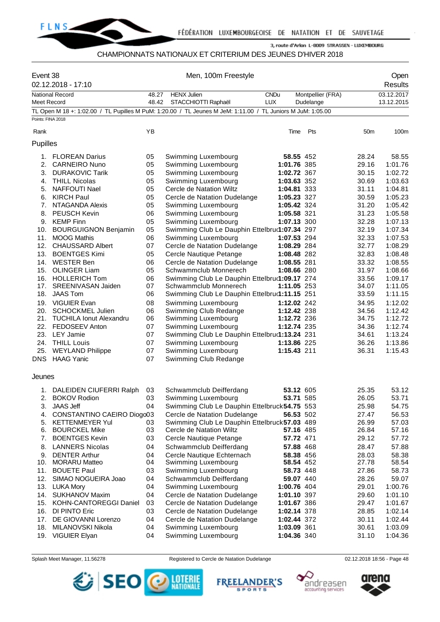

## CHAMPIONNATS NATIONAUX ET CRITERIUM DES JEUNES D'HIVER 2018

| <b>HENX Julien</b><br><b>CNDu</b><br>Montpellier (FRA)<br>03.12.2017<br><b>National Record</b><br>48.27<br><b>LUX</b><br>48.42<br>STACCHIOTTI Raphaël<br>Dudelange<br>13.12.2015<br>Meet Record<br>TL Open M 18 +: 1:02.00 / TL Pupilles M PuM: 1:20.00 / TL Jeunes M JeM: 1:11.00 / TL Juniors M JuM: 1:05.00<br>Points: FINA 2018<br>YB<br>Pts<br>50 <sub>m</sub><br>100m<br>Rank<br>Time<br>Pupilles<br><b>FLOREAN Darius</b><br>05<br>Swimming Luxembourg<br>58.55 452<br>28.24<br>58.55<br>1.<br>2.<br>CARNEIRO Nuno<br>05<br>1:01.76 385<br>29.16<br>1:01.76<br>Swimming Luxembourg<br>3.<br><b>DURAKOVIC Tarik</b><br>05<br>Swimming Luxembourg<br>1:02.72 367<br>1:02.72<br>30.15<br>Swimming Luxembourg<br>1:03.63<br><b>THILL Nicolas</b><br>05<br>1:03.63 352<br>30.69<br>4.<br>Cercle de Natation Wiltz<br>1:04.81<br>5.<br><b>NAFFOUTI Nael</b><br>05<br>1:04.81 333<br>31.11<br><b>KIRCH Paul</b><br>05<br>1:05.23 327<br>1:05.23<br>6.<br>Cercle de Natation Dudelange<br>30.59<br>05<br>1:05.42<br>7.<br>NTAGANDA Alexis<br>Swimming Luxembourg<br>1:05.42 324<br>31.20<br>06<br>31.23<br>1:05.58<br>8.<br><b>PEUSCH Kevin</b><br>Swimming Luxembourg<br>1:05.58 321<br><b>KEMP Finn</b><br>05<br>Swimming Luxembourg<br>1:07.13 300<br>32.28<br>1:07.13<br>9.<br>05<br>Swimming Club Le Dauphin Ettelbru(1:07.34 297<br>1:07.34<br><b>BOURGUIGNON Benjamin</b><br>32.19<br>10.<br>06<br><b>MOOG Mathis</b><br>Swimming Luxembourg<br>1:07.53 294<br>32.33<br>1:07.53<br>11.<br>12.<br><b>CHAUSSARD Albert</b><br>07<br>Cercle de Natation Dudelange<br>1:08.29 284<br>1:08.29<br>32.77<br>13.<br>05<br>1:08.48 282<br>32.83<br>1:08.48<br><b>BOENTGES Kimi</b><br>Cercle Nautique Petange<br><b>WESTER Ben</b><br>06<br>Cercle de Natation Dudelange<br>1:08.55 281<br>1:08.55<br>14.<br>33.32<br>1:08.66<br><b>OLINGER Liam</b><br>05<br>Schwammclub Monnerech<br>1:08.66 280<br>31.97<br>15.<br><b>HOLLERICH Tom</b><br>06<br>Swimming Club Le Dauphin Ettelbru(1:09.17 274<br>1:09.17<br>16.<br>33.56<br>Schwammclub Monnerech<br><b>SREENIVASAN Jaiden</b><br>07<br>1:11.05 253<br>34.07<br>1:11.05<br>17.<br>1:11.15<br>18.<br><b>JAAS Tom</b><br>06<br>Swimming Club Le Dauphin Ettelbru(1:11.15 251<br>33.59<br>19. VIGUIER Evan<br>08<br>1:12.02 242<br>1:12.02<br>Swimming Luxembourg<br>34.95<br>1:12.42<br><b>SCHOCKMEL Julien</b><br>06<br>Swimming Club Redange<br>1:12.42 238<br>34.56<br>20.<br>1:12.72<br><b>TUCHILA Ionut Alexandru</b><br>06<br>Swimming Luxembourg<br>1:12.72 236<br>34.75<br>21.<br>07<br>1:12.74<br>22.<br>FEDOSEEV Anton<br>Swimming Luxembourg<br>1:12.74 235<br>34.36<br>23.<br>07<br>Swimming Club Le Dauphin Ettelbru(1:13.24 231<br>1:13.24<br><b>LEY Jamie</b><br>34.61<br>07<br>1:13.86<br>24.<br><b>THILL Louis</b><br>Swimming Luxembourg<br>1:13.86 225<br>36.26<br>07<br>Swimming Luxembourg<br>1:15.43 211<br>36.31<br>1:15.43<br>25.<br><b>WEYLAND Philippe</b><br><b>HAAG Yanic</b><br>07<br>Swimming Club Redange<br>Jeunes<br>25.35<br>53.12<br>1. DALEIDEN CIUFERRI Ralph<br>03<br>Schwammclub Deifferdang<br>53.12 605<br><b>BOKOV Rodion</b><br>Swimming Luxembourg<br>26.05<br>53.71<br>2.<br>03<br>53.71 585<br><b>JAAS Jeff</b><br>04<br>Swimming Club Le Dauphin Ettelbruck 54.75 553<br>3.<br>25.98<br>54.75<br>CONSTANTINO CAEIRO Diogo03<br>Cercle de Natation Dudelange<br>56.53<br>56.53 502<br>27.47<br>4.<br>Swimming Club Le Dauphin Ettelbruck 57.03 489<br>5.<br><b>KETTENMEYER Yul</b><br>26.99<br>57.03<br>03<br>03<br><b>BOURCKEL Mike</b><br>Cercle de Natation Wiltz<br>57.16 485<br>26.84<br>57.16<br>6.<br><b>BOENTGES Kevin</b><br>03<br>Cercle Nautique Petange<br>57.72 471<br>29.12<br>57.72<br>7.<br>57.88<br>8.<br><b>LANNERS Nicolas</b><br>04<br>Schwammclub Deifferdang<br>57.88 468<br>28.47<br>04<br>Cercle Nautique Echternach<br>58.38<br>9.<br><b>DENTER Arthur</b><br>58.38 456<br>28.03<br><b>MORARU Matteo</b><br>04<br>Swimming Luxembourg<br>58.54 452<br>27.78<br>58.54<br>10.<br><b>BOUETE Paul</b><br>03<br>27.86<br>11.<br>Swimming Luxembourg<br>58.73 448<br>58.73<br>12.<br>Schwammclub Deifferdang<br>59.07 440<br>28.26<br>59.07<br>SIMAO NOGUEIRA Joao<br>04<br>1:00.76<br>13.<br><b>LUKA Mory</b><br>04<br>Swimming Luxembourg<br>1:00.76 404<br>29.01<br><b>SUKHANOV Maxim</b><br>Cercle de Natation Dudelange<br>1:01.10<br>04<br>1:01.10 397<br>29.60<br>14.<br>1:01.67<br>15.<br>KOHN-CANTOREGGI Daniel<br>03<br>Cercle de Natation Dudelange<br>1:01.67 386<br>29.47<br>16.<br>DI PINTO Eric<br>1:02.14<br>03<br>Cercle de Natation Dudelange<br>1:02.14 378<br>28.85<br>1:02.44<br>17.<br>DE GIOVANNI Lorenzo<br>04<br>Cercle de Natation Dudelange<br>1:02.44 372<br>30.11<br>1:03.09<br>18.<br>MILANOVSKI Nikola<br>04<br>Swimming Luxembourg<br>1:03.09 361<br>30.61<br>Swimming Luxembourg<br>1:04.36<br>19. VIGUIER Elyan<br>04<br>1:04.36 340<br>31.10 | Event 38   | 02.12.2018 - 17:10 | Men, 100m Freestyle |  | Open<br><b>Results</b> |
|-------------------------------------------------------------------------------------------------------------------------------------------------------------------------------------------------------------------------------------------------------------------------------------------------------------------------------------------------------------------------------------------------------------------------------------------------------------------------------------------------------------------------------------------------------------------------------------------------------------------------------------------------------------------------------------------------------------------------------------------------------------------------------------------------------------------------------------------------------------------------------------------------------------------------------------------------------------------------------------------------------------------------------------------------------------------------------------------------------------------------------------------------------------------------------------------------------------------------------------------------------------------------------------------------------------------------------------------------------------------------------------------------------------------------------------------------------------------------------------------------------------------------------------------------------------------------------------------------------------------------------------------------------------------------------------------------------------------------------------------------------------------------------------------------------------------------------------------------------------------------------------------------------------------------------------------------------------------------------------------------------------------------------------------------------------------------------------------------------------------------------------------------------------------------------------------------------------------------------------------------------------------------------------------------------------------------------------------------------------------------------------------------------------------------------------------------------------------------------------------------------------------------------------------------------------------------------------------------------------------------------------------------------------------------------------------------------------------------------------------------------------------------------------------------------------------------------------------------------------------------------------------------------------------------------------------------------------------------------------------------------------------------------------------------------------------------------------------------------------------------------------------------------------------------------------------------------------------------------------------------------------------------------------------------------------------------------------------------------------------------------------------------------------------------------------------------------------------------------------------------------------------------------------------------------------------------------------------------------------------------------------------------------------------------------------------------------------------------------------------------------------------------------------------------------------------------------------------------------------------------------------------------------------------------------------------------------------------------------------------------------------------------------------------------------------------------------------------------------------------------------------------------------------------------------------------------------------------------------------------------------------------------------------------------------------------------------------------------------------------------------------------------------------------------------------------------------------------------------------------------------------------------------------------------------------------------------------------------------------------------------------------------------------------------------------------------------------------------------------------------------------------------------------------------------------------------------------------------------------------------------------------------|------------|--------------------|---------------------|--|------------------------|
|                                                                                                                                                                                                                                                                                                                                                                                                                                                                                                                                                                                                                                                                                                                                                                                                                                                                                                                                                                                                                                                                                                                                                                                                                                                                                                                                                                                                                                                                                                                                                                                                                                                                                                                                                                                                                                                                                                                                                                                                                                                                                                                                                                                                                                                                                                                                                                                                                                                                                                                                                                                                                                                                                                                                                                                                                                                                                                                                                                                                                                                                                                                                                                                                                                                                                                                                                                                                                                                                                                                                                                                                                                                                                                                                                                                                                                                                                                                                                                                                                                                                                                                                                                                                                                                                                                                                                                                                                                                                                                                                                                                                                                                                                                                                                                                                                                                                                                 |            |                    |                     |  |                        |
|                                                                                                                                                                                                                                                                                                                                                                                                                                                                                                                                                                                                                                                                                                                                                                                                                                                                                                                                                                                                                                                                                                                                                                                                                                                                                                                                                                                                                                                                                                                                                                                                                                                                                                                                                                                                                                                                                                                                                                                                                                                                                                                                                                                                                                                                                                                                                                                                                                                                                                                                                                                                                                                                                                                                                                                                                                                                                                                                                                                                                                                                                                                                                                                                                                                                                                                                                                                                                                                                                                                                                                                                                                                                                                                                                                                                                                                                                                                                                                                                                                                                                                                                                                                                                                                                                                                                                                                                                                                                                                                                                                                                                                                                                                                                                                                                                                                                                                 |            |                    |                     |  |                        |
|                                                                                                                                                                                                                                                                                                                                                                                                                                                                                                                                                                                                                                                                                                                                                                                                                                                                                                                                                                                                                                                                                                                                                                                                                                                                                                                                                                                                                                                                                                                                                                                                                                                                                                                                                                                                                                                                                                                                                                                                                                                                                                                                                                                                                                                                                                                                                                                                                                                                                                                                                                                                                                                                                                                                                                                                                                                                                                                                                                                                                                                                                                                                                                                                                                                                                                                                                                                                                                                                                                                                                                                                                                                                                                                                                                                                                                                                                                                                                                                                                                                                                                                                                                                                                                                                                                                                                                                                                                                                                                                                                                                                                                                                                                                                                                                                                                                                                                 |            |                    |                     |  |                        |
|                                                                                                                                                                                                                                                                                                                                                                                                                                                                                                                                                                                                                                                                                                                                                                                                                                                                                                                                                                                                                                                                                                                                                                                                                                                                                                                                                                                                                                                                                                                                                                                                                                                                                                                                                                                                                                                                                                                                                                                                                                                                                                                                                                                                                                                                                                                                                                                                                                                                                                                                                                                                                                                                                                                                                                                                                                                                                                                                                                                                                                                                                                                                                                                                                                                                                                                                                                                                                                                                                                                                                                                                                                                                                                                                                                                                                                                                                                                                                                                                                                                                                                                                                                                                                                                                                                                                                                                                                                                                                                                                                                                                                                                                                                                                                                                                                                                                                                 |            |                    |                     |  |                        |
|                                                                                                                                                                                                                                                                                                                                                                                                                                                                                                                                                                                                                                                                                                                                                                                                                                                                                                                                                                                                                                                                                                                                                                                                                                                                                                                                                                                                                                                                                                                                                                                                                                                                                                                                                                                                                                                                                                                                                                                                                                                                                                                                                                                                                                                                                                                                                                                                                                                                                                                                                                                                                                                                                                                                                                                                                                                                                                                                                                                                                                                                                                                                                                                                                                                                                                                                                                                                                                                                                                                                                                                                                                                                                                                                                                                                                                                                                                                                                                                                                                                                                                                                                                                                                                                                                                                                                                                                                                                                                                                                                                                                                                                                                                                                                                                                                                                                                                 |            |                    |                     |  |                        |
|                                                                                                                                                                                                                                                                                                                                                                                                                                                                                                                                                                                                                                                                                                                                                                                                                                                                                                                                                                                                                                                                                                                                                                                                                                                                                                                                                                                                                                                                                                                                                                                                                                                                                                                                                                                                                                                                                                                                                                                                                                                                                                                                                                                                                                                                                                                                                                                                                                                                                                                                                                                                                                                                                                                                                                                                                                                                                                                                                                                                                                                                                                                                                                                                                                                                                                                                                                                                                                                                                                                                                                                                                                                                                                                                                                                                                                                                                                                                                                                                                                                                                                                                                                                                                                                                                                                                                                                                                                                                                                                                                                                                                                                                                                                                                                                                                                                                                                 |            |                    |                     |  |                        |
|                                                                                                                                                                                                                                                                                                                                                                                                                                                                                                                                                                                                                                                                                                                                                                                                                                                                                                                                                                                                                                                                                                                                                                                                                                                                                                                                                                                                                                                                                                                                                                                                                                                                                                                                                                                                                                                                                                                                                                                                                                                                                                                                                                                                                                                                                                                                                                                                                                                                                                                                                                                                                                                                                                                                                                                                                                                                                                                                                                                                                                                                                                                                                                                                                                                                                                                                                                                                                                                                                                                                                                                                                                                                                                                                                                                                                                                                                                                                                                                                                                                                                                                                                                                                                                                                                                                                                                                                                                                                                                                                                                                                                                                                                                                                                                                                                                                                                                 |            |                    |                     |  |                        |
|                                                                                                                                                                                                                                                                                                                                                                                                                                                                                                                                                                                                                                                                                                                                                                                                                                                                                                                                                                                                                                                                                                                                                                                                                                                                                                                                                                                                                                                                                                                                                                                                                                                                                                                                                                                                                                                                                                                                                                                                                                                                                                                                                                                                                                                                                                                                                                                                                                                                                                                                                                                                                                                                                                                                                                                                                                                                                                                                                                                                                                                                                                                                                                                                                                                                                                                                                                                                                                                                                                                                                                                                                                                                                                                                                                                                                                                                                                                                                                                                                                                                                                                                                                                                                                                                                                                                                                                                                                                                                                                                                                                                                                                                                                                                                                                                                                                                                                 |            |                    |                     |  |                        |
|                                                                                                                                                                                                                                                                                                                                                                                                                                                                                                                                                                                                                                                                                                                                                                                                                                                                                                                                                                                                                                                                                                                                                                                                                                                                                                                                                                                                                                                                                                                                                                                                                                                                                                                                                                                                                                                                                                                                                                                                                                                                                                                                                                                                                                                                                                                                                                                                                                                                                                                                                                                                                                                                                                                                                                                                                                                                                                                                                                                                                                                                                                                                                                                                                                                                                                                                                                                                                                                                                                                                                                                                                                                                                                                                                                                                                                                                                                                                                                                                                                                                                                                                                                                                                                                                                                                                                                                                                                                                                                                                                                                                                                                                                                                                                                                                                                                                                                 |            |                    |                     |  |                        |
|                                                                                                                                                                                                                                                                                                                                                                                                                                                                                                                                                                                                                                                                                                                                                                                                                                                                                                                                                                                                                                                                                                                                                                                                                                                                                                                                                                                                                                                                                                                                                                                                                                                                                                                                                                                                                                                                                                                                                                                                                                                                                                                                                                                                                                                                                                                                                                                                                                                                                                                                                                                                                                                                                                                                                                                                                                                                                                                                                                                                                                                                                                                                                                                                                                                                                                                                                                                                                                                                                                                                                                                                                                                                                                                                                                                                                                                                                                                                                                                                                                                                                                                                                                                                                                                                                                                                                                                                                                                                                                                                                                                                                                                                                                                                                                                                                                                                                                 |            |                    |                     |  |                        |
|                                                                                                                                                                                                                                                                                                                                                                                                                                                                                                                                                                                                                                                                                                                                                                                                                                                                                                                                                                                                                                                                                                                                                                                                                                                                                                                                                                                                                                                                                                                                                                                                                                                                                                                                                                                                                                                                                                                                                                                                                                                                                                                                                                                                                                                                                                                                                                                                                                                                                                                                                                                                                                                                                                                                                                                                                                                                                                                                                                                                                                                                                                                                                                                                                                                                                                                                                                                                                                                                                                                                                                                                                                                                                                                                                                                                                                                                                                                                                                                                                                                                                                                                                                                                                                                                                                                                                                                                                                                                                                                                                                                                                                                                                                                                                                                                                                                                                                 |            |                    |                     |  |                        |
|                                                                                                                                                                                                                                                                                                                                                                                                                                                                                                                                                                                                                                                                                                                                                                                                                                                                                                                                                                                                                                                                                                                                                                                                                                                                                                                                                                                                                                                                                                                                                                                                                                                                                                                                                                                                                                                                                                                                                                                                                                                                                                                                                                                                                                                                                                                                                                                                                                                                                                                                                                                                                                                                                                                                                                                                                                                                                                                                                                                                                                                                                                                                                                                                                                                                                                                                                                                                                                                                                                                                                                                                                                                                                                                                                                                                                                                                                                                                                                                                                                                                                                                                                                                                                                                                                                                                                                                                                                                                                                                                                                                                                                                                                                                                                                                                                                                                                                 |            |                    |                     |  |                        |
|                                                                                                                                                                                                                                                                                                                                                                                                                                                                                                                                                                                                                                                                                                                                                                                                                                                                                                                                                                                                                                                                                                                                                                                                                                                                                                                                                                                                                                                                                                                                                                                                                                                                                                                                                                                                                                                                                                                                                                                                                                                                                                                                                                                                                                                                                                                                                                                                                                                                                                                                                                                                                                                                                                                                                                                                                                                                                                                                                                                                                                                                                                                                                                                                                                                                                                                                                                                                                                                                                                                                                                                                                                                                                                                                                                                                                                                                                                                                                                                                                                                                                                                                                                                                                                                                                                                                                                                                                                                                                                                                                                                                                                                                                                                                                                                                                                                                                                 |            |                    |                     |  |                        |
|                                                                                                                                                                                                                                                                                                                                                                                                                                                                                                                                                                                                                                                                                                                                                                                                                                                                                                                                                                                                                                                                                                                                                                                                                                                                                                                                                                                                                                                                                                                                                                                                                                                                                                                                                                                                                                                                                                                                                                                                                                                                                                                                                                                                                                                                                                                                                                                                                                                                                                                                                                                                                                                                                                                                                                                                                                                                                                                                                                                                                                                                                                                                                                                                                                                                                                                                                                                                                                                                                                                                                                                                                                                                                                                                                                                                                                                                                                                                                                                                                                                                                                                                                                                                                                                                                                                                                                                                                                                                                                                                                                                                                                                                                                                                                                                                                                                                                                 |            |                    |                     |  |                        |
|                                                                                                                                                                                                                                                                                                                                                                                                                                                                                                                                                                                                                                                                                                                                                                                                                                                                                                                                                                                                                                                                                                                                                                                                                                                                                                                                                                                                                                                                                                                                                                                                                                                                                                                                                                                                                                                                                                                                                                                                                                                                                                                                                                                                                                                                                                                                                                                                                                                                                                                                                                                                                                                                                                                                                                                                                                                                                                                                                                                                                                                                                                                                                                                                                                                                                                                                                                                                                                                                                                                                                                                                                                                                                                                                                                                                                                                                                                                                                                                                                                                                                                                                                                                                                                                                                                                                                                                                                                                                                                                                                                                                                                                                                                                                                                                                                                                                                                 |            |                    |                     |  |                        |
|                                                                                                                                                                                                                                                                                                                                                                                                                                                                                                                                                                                                                                                                                                                                                                                                                                                                                                                                                                                                                                                                                                                                                                                                                                                                                                                                                                                                                                                                                                                                                                                                                                                                                                                                                                                                                                                                                                                                                                                                                                                                                                                                                                                                                                                                                                                                                                                                                                                                                                                                                                                                                                                                                                                                                                                                                                                                                                                                                                                                                                                                                                                                                                                                                                                                                                                                                                                                                                                                                                                                                                                                                                                                                                                                                                                                                                                                                                                                                                                                                                                                                                                                                                                                                                                                                                                                                                                                                                                                                                                                                                                                                                                                                                                                                                                                                                                                                                 |            |                    |                     |  |                        |
|                                                                                                                                                                                                                                                                                                                                                                                                                                                                                                                                                                                                                                                                                                                                                                                                                                                                                                                                                                                                                                                                                                                                                                                                                                                                                                                                                                                                                                                                                                                                                                                                                                                                                                                                                                                                                                                                                                                                                                                                                                                                                                                                                                                                                                                                                                                                                                                                                                                                                                                                                                                                                                                                                                                                                                                                                                                                                                                                                                                                                                                                                                                                                                                                                                                                                                                                                                                                                                                                                                                                                                                                                                                                                                                                                                                                                                                                                                                                                                                                                                                                                                                                                                                                                                                                                                                                                                                                                                                                                                                                                                                                                                                                                                                                                                                                                                                                                                 |            |                    |                     |  |                        |
|                                                                                                                                                                                                                                                                                                                                                                                                                                                                                                                                                                                                                                                                                                                                                                                                                                                                                                                                                                                                                                                                                                                                                                                                                                                                                                                                                                                                                                                                                                                                                                                                                                                                                                                                                                                                                                                                                                                                                                                                                                                                                                                                                                                                                                                                                                                                                                                                                                                                                                                                                                                                                                                                                                                                                                                                                                                                                                                                                                                                                                                                                                                                                                                                                                                                                                                                                                                                                                                                                                                                                                                                                                                                                                                                                                                                                                                                                                                                                                                                                                                                                                                                                                                                                                                                                                                                                                                                                                                                                                                                                                                                                                                                                                                                                                                                                                                                                                 |            |                    |                     |  |                        |
|                                                                                                                                                                                                                                                                                                                                                                                                                                                                                                                                                                                                                                                                                                                                                                                                                                                                                                                                                                                                                                                                                                                                                                                                                                                                                                                                                                                                                                                                                                                                                                                                                                                                                                                                                                                                                                                                                                                                                                                                                                                                                                                                                                                                                                                                                                                                                                                                                                                                                                                                                                                                                                                                                                                                                                                                                                                                                                                                                                                                                                                                                                                                                                                                                                                                                                                                                                                                                                                                                                                                                                                                                                                                                                                                                                                                                                                                                                                                                                                                                                                                                                                                                                                                                                                                                                                                                                                                                                                                                                                                                                                                                                                                                                                                                                                                                                                                                                 |            |                    |                     |  |                        |
|                                                                                                                                                                                                                                                                                                                                                                                                                                                                                                                                                                                                                                                                                                                                                                                                                                                                                                                                                                                                                                                                                                                                                                                                                                                                                                                                                                                                                                                                                                                                                                                                                                                                                                                                                                                                                                                                                                                                                                                                                                                                                                                                                                                                                                                                                                                                                                                                                                                                                                                                                                                                                                                                                                                                                                                                                                                                                                                                                                                                                                                                                                                                                                                                                                                                                                                                                                                                                                                                                                                                                                                                                                                                                                                                                                                                                                                                                                                                                                                                                                                                                                                                                                                                                                                                                                                                                                                                                                                                                                                                                                                                                                                                                                                                                                                                                                                                                                 |            |                    |                     |  |                        |
|                                                                                                                                                                                                                                                                                                                                                                                                                                                                                                                                                                                                                                                                                                                                                                                                                                                                                                                                                                                                                                                                                                                                                                                                                                                                                                                                                                                                                                                                                                                                                                                                                                                                                                                                                                                                                                                                                                                                                                                                                                                                                                                                                                                                                                                                                                                                                                                                                                                                                                                                                                                                                                                                                                                                                                                                                                                                                                                                                                                                                                                                                                                                                                                                                                                                                                                                                                                                                                                                                                                                                                                                                                                                                                                                                                                                                                                                                                                                                                                                                                                                                                                                                                                                                                                                                                                                                                                                                                                                                                                                                                                                                                                                                                                                                                                                                                                                                                 |            |                    |                     |  |                        |
|                                                                                                                                                                                                                                                                                                                                                                                                                                                                                                                                                                                                                                                                                                                                                                                                                                                                                                                                                                                                                                                                                                                                                                                                                                                                                                                                                                                                                                                                                                                                                                                                                                                                                                                                                                                                                                                                                                                                                                                                                                                                                                                                                                                                                                                                                                                                                                                                                                                                                                                                                                                                                                                                                                                                                                                                                                                                                                                                                                                                                                                                                                                                                                                                                                                                                                                                                                                                                                                                                                                                                                                                                                                                                                                                                                                                                                                                                                                                                                                                                                                                                                                                                                                                                                                                                                                                                                                                                                                                                                                                                                                                                                                                                                                                                                                                                                                                                                 |            |                    |                     |  |                        |
|                                                                                                                                                                                                                                                                                                                                                                                                                                                                                                                                                                                                                                                                                                                                                                                                                                                                                                                                                                                                                                                                                                                                                                                                                                                                                                                                                                                                                                                                                                                                                                                                                                                                                                                                                                                                                                                                                                                                                                                                                                                                                                                                                                                                                                                                                                                                                                                                                                                                                                                                                                                                                                                                                                                                                                                                                                                                                                                                                                                                                                                                                                                                                                                                                                                                                                                                                                                                                                                                                                                                                                                                                                                                                                                                                                                                                                                                                                                                                                                                                                                                                                                                                                                                                                                                                                                                                                                                                                                                                                                                                                                                                                                                                                                                                                                                                                                                                                 |            |                    |                     |  |                        |
|                                                                                                                                                                                                                                                                                                                                                                                                                                                                                                                                                                                                                                                                                                                                                                                                                                                                                                                                                                                                                                                                                                                                                                                                                                                                                                                                                                                                                                                                                                                                                                                                                                                                                                                                                                                                                                                                                                                                                                                                                                                                                                                                                                                                                                                                                                                                                                                                                                                                                                                                                                                                                                                                                                                                                                                                                                                                                                                                                                                                                                                                                                                                                                                                                                                                                                                                                                                                                                                                                                                                                                                                                                                                                                                                                                                                                                                                                                                                                                                                                                                                                                                                                                                                                                                                                                                                                                                                                                                                                                                                                                                                                                                                                                                                                                                                                                                                                                 |            |                    |                     |  |                        |
|                                                                                                                                                                                                                                                                                                                                                                                                                                                                                                                                                                                                                                                                                                                                                                                                                                                                                                                                                                                                                                                                                                                                                                                                                                                                                                                                                                                                                                                                                                                                                                                                                                                                                                                                                                                                                                                                                                                                                                                                                                                                                                                                                                                                                                                                                                                                                                                                                                                                                                                                                                                                                                                                                                                                                                                                                                                                                                                                                                                                                                                                                                                                                                                                                                                                                                                                                                                                                                                                                                                                                                                                                                                                                                                                                                                                                                                                                                                                                                                                                                                                                                                                                                                                                                                                                                                                                                                                                                                                                                                                                                                                                                                                                                                                                                                                                                                                                                 |            |                    |                     |  |                        |
|                                                                                                                                                                                                                                                                                                                                                                                                                                                                                                                                                                                                                                                                                                                                                                                                                                                                                                                                                                                                                                                                                                                                                                                                                                                                                                                                                                                                                                                                                                                                                                                                                                                                                                                                                                                                                                                                                                                                                                                                                                                                                                                                                                                                                                                                                                                                                                                                                                                                                                                                                                                                                                                                                                                                                                                                                                                                                                                                                                                                                                                                                                                                                                                                                                                                                                                                                                                                                                                                                                                                                                                                                                                                                                                                                                                                                                                                                                                                                                                                                                                                                                                                                                                                                                                                                                                                                                                                                                                                                                                                                                                                                                                                                                                                                                                                                                                                                                 |            |                    |                     |  |                        |
|                                                                                                                                                                                                                                                                                                                                                                                                                                                                                                                                                                                                                                                                                                                                                                                                                                                                                                                                                                                                                                                                                                                                                                                                                                                                                                                                                                                                                                                                                                                                                                                                                                                                                                                                                                                                                                                                                                                                                                                                                                                                                                                                                                                                                                                                                                                                                                                                                                                                                                                                                                                                                                                                                                                                                                                                                                                                                                                                                                                                                                                                                                                                                                                                                                                                                                                                                                                                                                                                                                                                                                                                                                                                                                                                                                                                                                                                                                                                                                                                                                                                                                                                                                                                                                                                                                                                                                                                                                                                                                                                                                                                                                                                                                                                                                                                                                                                                                 |            |                    |                     |  |                        |
|                                                                                                                                                                                                                                                                                                                                                                                                                                                                                                                                                                                                                                                                                                                                                                                                                                                                                                                                                                                                                                                                                                                                                                                                                                                                                                                                                                                                                                                                                                                                                                                                                                                                                                                                                                                                                                                                                                                                                                                                                                                                                                                                                                                                                                                                                                                                                                                                                                                                                                                                                                                                                                                                                                                                                                                                                                                                                                                                                                                                                                                                                                                                                                                                                                                                                                                                                                                                                                                                                                                                                                                                                                                                                                                                                                                                                                                                                                                                                                                                                                                                                                                                                                                                                                                                                                                                                                                                                                                                                                                                                                                                                                                                                                                                                                                                                                                                                                 |            |                    |                     |  |                        |
|                                                                                                                                                                                                                                                                                                                                                                                                                                                                                                                                                                                                                                                                                                                                                                                                                                                                                                                                                                                                                                                                                                                                                                                                                                                                                                                                                                                                                                                                                                                                                                                                                                                                                                                                                                                                                                                                                                                                                                                                                                                                                                                                                                                                                                                                                                                                                                                                                                                                                                                                                                                                                                                                                                                                                                                                                                                                                                                                                                                                                                                                                                                                                                                                                                                                                                                                                                                                                                                                                                                                                                                                                                                                                                                                                                                                                                                                                                                                                                                                                                                                                                                                                                                                                                                                                                                                                                                                                                                                                                                                                                                                                                                                                                                                                                                                                                                                                                 |            |                    |                     |  |                        |
|                                                                                                                                                                                                                                                                                                                                                                                                                                                                                                                                                                                                                                                                                                                                                                                                                                                                                                                                                                                                                                                                                                                                                                                                                                                                                                                                                                                                                                                                                                                                                                                                                                                                                                                                                                                                                                                                                                                                                                                                                                                                                                                                                                                                                                                                                                                                                                                                                                                                                                                                                                                                                                                                                                                                                                                                                                                                                                                                                                                                                                                                                                                                                                                                                                                                                                                                                                                                                                                                                                                                                                                                                                                                                                                                                                                                                                                                                                                                                                                                                                                                                                                                                                                                                                                                                                                                                                                                                                                                                                                                                                                                                                                                                                                                                                                                                                                                                                 |            |                    |                     |  |                        |
|                                                                                                                                                                                                                                                                                                                                                                                                                                                                                                                                                                                                                                                                                                                                                                                                                                                                                                                                                                                                                                                                                                                                                                                                                                                                                                                                                                                                                                                                                                                                                                                                                                                                                                                                                                                                                                                                                                                                                                                                                                                                                                                                                                                                                                                                                                                                                                                                                                                                                                                                                                                                                                                                                                                                                                                                                                                                                                                                                                                                                                                                                                                                                                                                                                                                                                                                                                                                                                                                                                                                                                                                                                                                                                                                                                                                                                                                                                                                                                                                                                                                                                                                                                                                                                                                                                                                                                                                                                                                                                                                                                                                                                                                                                                                                                                                                                                                                                 | <b>DNS</b> |                    |                     |  |                        |
|                                                                                                                                                                                                                                                                                                                                                                                                                                                                                                                                                                                                                                                                                                                                                                                                                                                                                                                                                                                                                                                                                                                                                                                                                                                                                                                                                                                                                                                                                                                                                                                                                                                                                                                                                                                                                                                                                                                                                                                                                                                                                                                                                                                                                                                                                                                                                                                                                                                                                                                                                                                                                                                                                                                                                                                                                                                                                                                                                                                                                                                                                                                                                                                                                                                                                                                                                                                                                                                                                                                                                                                                                                                                                                                                                                                                                                                                                                                                                                                                                                                                                                                                                                                                                                                                                                                                                                                                                                                                                                                                                                                                                                                                                                                                                                                                                                                                                                 |            |                    |                     |  |                        |
|                                                                                                                                                                                                                                                                                                                                                                                                                                                                                                                                                                                                                                                                                                                                                                                                                                                                                                                                                                                                                                                                                                                                                                                                                                                                                                                                                                                                                                                                                                                                                                                                                                                                                                                                                                                                                                                                                                                                                                                                                                                                                                                                                                                                                                                                                                                                                                                                                                                                                                                                                                                                                                                                                                                                                                                                                                                                                                                                                                                                                                                                                                                                                                                                                                                                                                                                                                                                                                                                                                                                                                                                                                                                                                                                                                                                                                                                                                                                                                                                                                                                                                                                                                                                                                                                                                                                                                                                                                                                                                                                                                                                                                                                                                                                                                                                                                                                                                 |            |                    |                     |  |                        |
|                                                                                                                                                                                                                                                                                                                                                                                                                                                                                                                                                                                                                                                                                                                                                                                                                                                                                                                                                                                                                                                                                                                                                                                                                                                                                                                                                                                                                                                                                                                                                                                                                                                                                                                                                                                                                                                                                                                                                                                                                                                                                                                                                                                                                                                                                                                                                                                                                                                                                                                                                                                                                                                                                                                                                                                                                                                                                                                                                                                                                                                                                                                                                                                                                                                                                                                                                                                                                                                                                                                                                                                                                                                                                                                                                                                                                                                                                                                                                                                                                                                                                                                                                                                                                                                                                                                                                                                                                                                                                                                                                                                                                                                                                                                                                                                                                                                                                                 |            |                    |                     |  |                        |
|                                                                                                                                                                                                                                                                                                                                                                                                                                                                                                                                                                                                                                                                                                                                                                                                                                                                                                                                                                                                                                                                                                                                                                                                                                                                                                                                                                                                                                                                                                                                                                                                                                                                                                                                                                                                                                                                                                                                                                                                                                                                                                                                                                                                                                                                                                                                                                                                                                                                                                                                                                                                                                                                                                                                                                                                                                                                                                                                                                                                                                                                                                                                                                                                                                                                                                                                                                                                                                                                                                                                                                                                                                                                                                                                                                                                                                                                                                                                                                                                                                                                                                                                                                                                                                                                                                                                                                                                                                                                                                                                                                                                                                                                                                                                                                                                                                                                                                 |            |                    |                     |  |                        |
|                                                                                                                                                                                                                                                                                                                                                                                                                                                                                                                                                                                                                                                                                                                                                                                                                                                                                                                                                                                                                                                                                                                                                                                                                                                                                                                                                                                                                                                                                                                                                                                                                                                                                                                                                                                                                                                                                                                                                                                                                                                                                                                                                                                                                                                                                                                                                                                                                                                                                                                                                                                                                                                                                                                                                                                                                                                                                                                                                                                                                                                                                                                                                                                                                                                                                                                                                                                                                                                                                                                                                                                                                                                                                                                                                                                                                                                                                                                                                                                                                                                                                                                                                                                                                                                                                                                                                                                                                                                                                                                                                                                                                                                                                                                                                                                                                                                                                                 |            |                    |                     |  |                        |
|                                                                                                                                                                                                                                                                                                                                                                                                                                                                                                                                                                                                                                                                                                                                                                                                                                                                                                                                                                                                                                                                                                                                                                                                                                                                                                                                                                                                                                                                                                                                                                                                                                                                                                                                                                                                                                                                                                                                                                                                                                                                                                                                                                                                                                                                                                                                                                                                                                                                                                                                                                                                                                                                                                                                                                                                                                                                                                                                                                                                                                                                                                                                                                                                                                                                                                                                                                                                                                                                                                                                                                                                                                                                                                                                                                                                                                                                                                                                                                                                                                                                                                                                                                                                                                                                                                                                                                                                                                                                                                                                                                                                                                                                                                                                                                                                                                                                                                 |            |                    |                     |  |                        |
|                                                                                                                                                                                                                                                                                                                                                                                                                                                                                                                                                                                                                                                                                                                                                                                                                                                                                                                                                                                                                                                                                                                                                                                                                                                                                                                                                                                                                                                                                                                                                                                                                                                                                                                                                                                                                                                                                                                                                                                                                                                                                                                                                                                                                                                                                                                                                                                                                                                                                                                                                                                                                                                                                                                                                                                                                                                                                                                                                                                                                                                                                                                                                                                                                                                                                                                                                                                                                                                                                                                                                                                                                                                                                                                                                                                                                                                                                                                                                                                                                                                                                                                                                                                                                                                                                                                                                                                                                                                                                                                                                                                                                                                                                                                                                                                                                                                                                                 |            |                    |                     |  |                        |
|                                                                                                                                                                                                                                                                                                                                                                                                                                                                                                                                                                                                                                                                                                                                                                                                                                                                                                                                                                                                                                                                                                                                                                                                                                                                                                                                                                                                                                                                                                                                                                                                                                                                                                                                                                                                                                                                                                                                                                                                                                                                                                                                                                                                                                                                                                                                                                                                                                                                                                                                                                                                                                                                                                                                                                                                                                                                                                                                                                                                                                                                                                                                                                                                                                                                                                                                                                                                                                                                                                                                                                                                                                                                                                                                                                                                                                                                                                                                                                                                                                                                                                                                                                                                                                                                                                                                                                                                                                                                                                                                                                                                                                                                                                                                                                                                                                                                                                 |            |                    |                     |  |                        |
|                                                                                                                                                                                                                                                                                                                                                                                                                                                                                                                                                                                                                                                                                                                                                                                                                                                                                                                                                                                                                                                                                                                                                                                                                                                                                                                                                                                                                                                                                                                                                                                                                                                                                                                                                                                                                                                                                                                                                                                                                                                                                                                                                                                                                                                                                                                                                                                                                                                                                                                                                                                                                                                                                                                                                                                                                                                                                                                                                                                                                                                                                                                                                                                                                                                                                                                                                                                                                                                                                                                                                                                                                                                                                                                                                                                                                                                                                                                                                                                                                                                                                                                                                                                                                                                                                                                                                                                                                                                                                                                                                                                                                                                                                                                                                                                                                                                                                                 |            |                    |                     |  |                        |
|                                                                                                                                                                                                                                                                                                                                                                                                                                                                                                                                                                                                                                                                                                                                                                                                                                                                                                                                                                                                                                                                                                                                                                                                                                                                                                                                                                                                                                                                                                                                                                                                                                                                                                                                                                                                                                                                                                                                                                                                                                                                                                                                                                                                                                                                                                                                                                                                                                                                                                                                                                                                                                                                                                                                                                                                                                                                                                                                                                                                                                                                                                                                                                                                                                                                                                                                                                                                                                                                                                                                                                                                                                                                                                                                                                                                                                                                                                                                                                                                                                                                                                                                                                                                                                                                                                                                                                                                                                                                                                                                                                                                                                                                                                                                                                                                                                                                                                 |            |                    |                     |  |                        |
|                                                                                                                                                                                                                                                                                                                                                                                                                                                                                                                                                                                                                                                                                                                                                                                                                                                                                                                                                                                                                                                                                                                                                                                                                                                                                                                                                                                                                                                                                                                                                                                                                                                                                                                                                                                                                                                                                                                                                                                                                                                                                                                                                                                                                                                                                                                                                                                                                                                                                                                                                                                                                                                                                                                                                                                                                                                                                                                                                                                                                                                                                                                                                                                                                                                                                                                                                                                                                                                                                                                                                                                                                                                                                                                                                                                                                                                                                                                                                                                                                                                                                                                                                                                                                                                                                                                                                                                                                                                                                                                                                                                                                                                                                                                                                                                                                                                                                                 |            |                    |                     |  |                        |
|                                                                                                                                                                                                                                                                                                                                                                                                                                                                                                                                                                                                                                                                                                                                                                                                                                                                                                                                                                                                                                                                                                                                                                                                                                                                                                                                                                                                                                                                                                                                                                                                                                                                                                                                                                                                                                                                                                                                                                                                                                                                                                                                                                                                                                                                                                                                                                                                                                                                                                                                                                                                                                                                                                                                                                                                                                                                                                                                                                                                                                                                                                                                                                                                                                                                                                                                                                                                                                                                                                                                                                                                                                                                                                                                                                                                                                                                                                                                                                                                                                                                                                                                                                                                                                                                                                                                                                                                                                                                                                                                                                                                                                                                                                                                                                                                                                                                                                 |            |                    |                     |  |                        |
|                                                                                                                                                                                                                                                                                                                                                                                                                                                                                                                                                                                                                                                                                                                                                                                                                                                                                                                                                                                                                                                                                                                                                                                                                                                                                                                                                                                                                                                                                                                                                                                                                                                                                                                                                                                                                                                                                                                                                                                                                                                                                                                                                                                                                                                                                                                                                                                                                                                                                                                                                                                                                                                                                                                                                                                                                                                                                                                                                                                                                                                                                                                                                                                                                                                                                                                                                                                                                                                                                                                                                                                                                                                                                                                                                                                                                                                                                                                                                                                                                                                                                                                                                                                                                                                                                                                                                                                                                                                                                                                                                                                                                                                                                                                                                                                                                                                                                                 |            |                    |                     |  |                        |
|                                                                                                                                                                                                                                                                                                                                                                                                                                                                                                                                                                                                                                                                                                                                                                                                                                                                                                                                                                                                                                                                                                                                                                                                                                                                                                                                                                                                                                                                                                                                                                                                                                                                                                                                                                                                                                                                                                                                                                                                                                                                                                                                                                                                                                                                                                                                                                                                                                                                                                                                                                                                                                                                                                                                                                                                                                                                                                                                                                                                                                                                                                                                                                                                                                                                                                                                                                                                                                                                                                                                                                                                                                                                                                                                                                                                                                                                                                                                                                                                                                                                                                                                                                                                                                                                                                                                                                                                                                                                                                                                                                                                                                                                                                                                                                                                                                                                                                 |            |                    |                     |  |                        |
|                                                                                                                                                                                                                                                                                                                                                                                                                                                                                                                                                                                                                                                                                                                                                                                                                                                                                                                                                                                                                                                                                                                                                                                                                                                                                                                                                                                                                                                                                                                                                                                                                                                                                                                                                                                                                                                                                                                                                                                                                                                                                                                                                                                                                                                                                                                                                                                                                                                                                                                                                                                                                                                                                                                                                                                                                                                                                                                                                                                                                                                                                                                                                                                                                                                                                                                                                                                                                                                                                                                                                                                                                                                                                                                                                                                                                                                                                                                                                                                                                                                                                                                                                                                                                                                                                                                                                                                                                                                                                                                                                                                                                                                                                                                                                                                                                                                                                                 |            |                    |                     |  |                        |
|                                                                                                                                                                                                                                                                                                                                                                                                                                                                                                                                                                                                                                                                                                                                                                                                                                                                                                                                                                                                                                                                                                                                                                                                                                                                                                                                                                                                                                                                                                                                                                                                                                                                                                                                                                                                                                                                                                                                                                                                                                                                                                                                                                                                                                                                                                                                                                                                                                                                                                                                                                                                                                                                                                                                                                                                                                                                                                                                                                                                                                                                                                                                                                                                                                                                                                                                                                                                                                                                                                                                                                                                                                                                                                                                                                                                                                                                                                                                                                                                                                                                                                                                                                                                                                                                                                                                                                                                                                                                                                                                                                                                                                                                                                                                                                                                                                                                                                 |            |                    |                     |  |                        |
|                                                                                                                                                                                                                                                                                                                                                                                                                                                                                                                                                                                                                                                                                                                                                                                                                                                                                                                                                                                                                                                                                                                                                                                                                                                                                                                                                                                                                                                                                                                                                                                                                                                                                                                                                                                                                                                                                                                                                                                                                                                                                                                                                                                                                                                                                                                                                                                                                                                                                                                                                                                                                                                                                                                                                                                                                                                                                                                                                                                                                                                                                                                                                                                                                                                                                                                                                                                                                                                                                                                                                                                                                                                                                                                                                                                                                                                                                                                                                                                                                                                                                                                                                                                                                                                                                                                                                                                                                                                                                                                                                                                                                                                                                                                                                                                                                                                                                                 |            |                    |                     |  |                        |
|                                                                                                                                                                                                                                                                                                                                                                                                                                                                                                                                                                                                                                                                                                                                                                                                                                                                                                                                                                                                                                                                                                                                                                                                                                                                                                                                                                                                                                                                                                                                                                                                                                                                                                                                                                                                                                                                                                                                                                                                                                                                                                                                                                                                                                                                                                                                                                                                                                                                                                                                                                                                                                                                                                                                                                                                                                                                                                                                                                                                                                                                                                                                                                                                                                                                                                                                                                                                                                                                                                                                                                                                                                                                                                                                                                                                                                                                                                                                                                                                                                                                                                                                                                                                                                                                                                                                                                                                                                                                                                                                                                                                                                                                                                                                                                                                                                                                                                 |            |                    |                     |  |                        |
|                                                                                                                                                                                                                                                                                                                                                                                                                                                                                                                                                                                                                                                                                                                                                                                                                                                                                                                                                                                                                                                                                                                                                                                                                                                                                                                                                                                                                                                                                                                                                                                                                                                                                                                                                                                                                                                                                                                                                                                                                                                                                                                                                                                                                                                                                                                                                                                                                                                                                                                                                                                                                                                                                                                                                                                                                                                                                                                                                                                                                                                                                                                                                                                                                                                                                                                                                                                                                                                                                                                                                                                                                                                                                                                                                                                                                                                                                                                                                                                                                                                                                                                                                                                                                                                                                                                                                                                                                                                                                                                                                                                                                                                                                                                                                                                                                                                                                                 |            |                    |                     |  |                        |

Splash Meet Manager, 11.56278 **Registered to Cercle de Natation Dudelange 12.2018 18:56 - Page 48** Cercle de Natation Dudelange





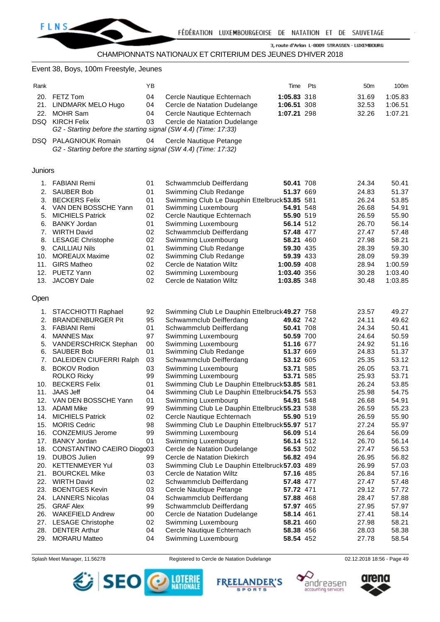

## Event 38, Boys, 100m Freestyle, Jeunes

| Rank       |                                                                                             | YB       |                                                                                                | Time                   | Pts | 50m            | 100m             |
|------------|---------------------------------------------------------------------------------------------|----------|------------------------------------------------------------------------------------------------|------------------------|-----|----------------|------------------|
| 20.        | FETZ Tom                                                                                    | 04       | Cercle Nautique Echternach                                                                     | 1:05.83 318            |     | 31.69          | 1:05.83          |
| 21.        | LINDMARK MELO Hugo                                                                          | 04       | Cercle de Natation Dudelange                                                                   | 1:06.51 308            |     | 32.53          | 1:06.51          |
| 22.        | <b>MOHR Sam</b>                                                                             | 04       | Cercle Nautique Echternach                                                                     | 1:07.21 298            |     | 32.26          | 1:07.21          |
| DSQ.       | <b>KIRCH Felix</b>                                                                          | 03       | Cercle de Natation Dudelange                                                                   |                        |     |                |                  |
|            | G2 - Starting before the starting signal (SW 4.4) (Time: 17:33)                             |          |                                                                                                |                        |     |                |                  |
| DSQ        | <b>PALAGNIOUK Romain</b><br>G2 - Starting before the starting signal (SW 4.4) (Time: 17:32) | 04       | Cercle Nautique Petange                                                                        |                        |     |                |                  |
| Juniors    |                                                                                             |          |                                                                                                |                        |     |                |                  |
|            | 1. FABIANI Remi                                                                             | 01       | Schwammclub Deifferdang                                                                        | 50.41 708              |     | 24.34          | 50.41            |
| 2.         | <b>SAUBER Bob</b>                                                                           | 01       | Swimming Club Redange                                                                          | 51.37 669              |     | 24.83          | 51.37            |
| 3.         | <b>BECKERS Felix</b>                                                                        | 01       | Swimming Club Le Dauphin Ettelbruck 53.85 581                                                  |                        |     | 26.24          | 53.85            |
| 4.         | VAN DEN BOSSCHE Yann                                                                        | 01       | Swimming Luxembourg                                                                            | 54.91 548              |     | 26.68          | 54.91            |
| 5.         | <b>MICHIELS Patrick</b>                                                                     | 02       | Cercle Nautique Echternach                                                                     | 55.90 519              |     | 26.59          | 55.90            |
| 6.         | <b>BANKY Jordan</b>                                                                         | 01       | Swimming Luxembourg                                                                            | 56.14 512              |     | 26.70          | 56.14            |
| 7.         | <b>WIRTH David</b>                                                                          | 02       | Schwammclub Deifferdang                                                                        | 57.48 477              |     | 27.47          | 57.48            |
| 8.         | <b>LESAGE Christophe</b>                                                                    | 02       | Swimming Luxembourg                                                                            | 58.21 460              |     | 27.98          | 58.21            |
| 9.         | <b>CAILLIAU Nils</b>                                                                        | 01       | Swimming Club Redange                                                                          | 59.30 435<br>59.39 433 |     | 28.39          | 59.30            |
| 10.<br>11. | <b>MOREAUX Maxime</b><br><b>GIRS Matheo</b>                                                 | 02<br>02 | Swimming Club Redange<br>Cercle de Natation Wiltz                                              | 1:00.59 408            |     | 28.09<br>28.94 | 59.39<br>1:00.59 |
|            | 12. PUETZ Yann                                                                              | 02       | Swimming Luxembourg                                                                            | 1:03.40 356            |     | 30.28          | 1:03.40          |
|            | 13. JACOBY Dale                                                                             | 02       | Cercle de Natation Wiltz                                                                       | 1:03.85 348            |     | 30.48          | 1:03.85          |
| Open       |                                                                                             |          |                                                                                                |                        |     |                |                  |
|            | 1. STACCHIOTTI Raphael                                                                      | 92       | Swimming Club Le Dauphin Ettelbruck 49.27 758                                                  |                        |     | 23.57          | 49.27            |
| 2.         | <b>BRANDENBURGER Pit</b>                                                                    | 95       | Schwammclub Deifferdang                                                                        | 49.62 742              |     | 24.11          | 49.62            |
| 3.         | FABIANI Remi                                                                                | 01       | Schwammclub Deifferdang                                                                        | 50.41 708              |     | 24.34          | 50.41            |
| 4.         | <b>MANNES Max</b>                                                                           | 97       | Swimming Luxembourg                                                                            | 50.59 700              |     | 24.64          | 50.59            |
| 5.         | <b>VANDERSCHRICK Stephan</b>                                                                | 00       | Swimming Luxembourg                                                                            | 51.16 677              |     | 24.92          | 51.16            |
| 6.         | <b>SAUBER Bob</b>                                                                           | 01       | Swimming Club Redange                                                                          | 51.37 669              |     | 24.83          | 51.37            |
| 7.         | DALEIDEN CIUFERRI Ralph                                                                     | 03       | Schwammclub Deifferdang                                                                        | 53.12 605              |     | 25.35          | 53.12            |
|            | 8. BOKOV Rodion                                                                             | 03       | Swimming Luxembourg                                                                            | 53.71 585              |     | 26.05          | 53.71            |
|            | <b>ROLKO Ricky</b>                                                                          | 99<br>01 | Swimming Luxembourg                                                                            | 53.71 585              |     | 25.93          | 53.71            |
| 11.        | 10. BECKERS Felix<br><b>JAAS Jeff</b>                                                       | 04       | Swimming Club Le Dauphin Ettelbruck 53.85 581<br>Swimming Club Le Dauphin Ettelbruck 54.75 553 |                        |     | 26.24<br>25.98 | 53.85<br>54.75   |
|            | 12. VAN DEN BOSSCHE Yann                                                                    | 01       | Swimming Luxembourg                                                                            | 54.91 548              |     | 26.68          | 54.91            |
|            | 13. ADAMI Mike                                                                              | 99       | Swimming Club Le Dauphin Ettelbruck 55.23 538                                                  |                        |     | 26.59          | 55.23            |
| 14.        | <b>MICHIELS Patrick</b>                                                                     | 02       | Cercle Nautique Echternach                                                                     | 55.90 519              |     | 26.59          | 55.90            |
| 15.        | <b>MORIS Cedric</b>                                                                         | 98       | Swimming Club Le Dauphin Ettelbruck 55.97 517                                                  |                        |     | 27.24          | 55.97            |
| 16.        | <b>CONZEMIUS Jerome</b>                                                                     | 99       | Swimming Luxembourg                                                                            | 56.09 514              |     | 26.64          | 56.09            |
| 17.        | <b>BANKY Jordan</b>                                                                         | 01       | Swimming Luxembourg                                                                            | 56.14 512              |     | 26.70          | 56.14            |
| 18.        | CONSTANTINO CAEIRO Diogo03                                                                  |          | Cercle de Natation Dudelange                                                                   | 56.53 502              |     | 27.47          | 56.53            |
| 19.        | <b>DUBOS Julien</b>                                                                         | 99       | Cercle de Natation Diekirch                                                                    | 56.82 494              |     | 26.95          | 56.82            |
|            | 20. KETTENMEYER Yul                                                                         | 03       | Swimming Club Le Dauphin Ettelbruck 57.03 489                                                  |                        |     | 26.99          | 57.03            |
| 21.        | <b>BOURCKEL Mike</b>                                                                        | 03       | Cercle de Natation Wiltz                                                                       | 57.16 485              |     | 26.84          | 57.16            |
| 22.        | <b>WIRTH David</b>                                                                          | 02       | Schwammclub Deifferdang                                                                        | 57.48 477              |     | 27.47          | 57.48            |
| 23.        | <b>BOENTGES Kevin</b>                                                                       | 03       | Cercle Nautique Petange                                                                        | 57.72 471              |     | 29.12          | 57.72            |
| 24.<br>25. | <b>LANNERS Nicolas</b><br><b>GRAF Alex</b>                                                  | 04<br>99 | Schwammclub Deifferdang                                                                        | 57.88 468              |     | 28.47          | 57.88            |
| 26.        | <b>WAKEFIELD Andrew</b>                                                                     | 00       | Schwammclub Deifferdang<br>Cercle de Natation Dudelange                                        | 57.97 465<br>58.14 461 |     | 27.95<br>27.41 | 57.97<br>58.14   |
| 27.        | <b>LESAGE Christophe</b>                                                                    | 02       | Swimming Luxembourg                                                                            | 58.21 460              |     | 27.98          | 58.21            |
| 28.        | <b>DENTER Arthur</b>                                                                        | 04       | Cercle Nautique Echternach                                                                     | 58.38 456              |     | 28.03          | 58.38            |
| 29.        | <b>MORARU Matteo</b>                                                                        | 04       | Swimming Luxembourg                                                                            | 58.54 452              |     | 27.78          | 58.54            |
|            |                                                                                             |          |                                                                                                |                        |     |                |                  |

Splash Meet Manager, 11.56278 Registered to Cercle de Natation Dudelange **12.12.2018 18:56 - Page 49** CO2.12.2018 18:56 - Page 49







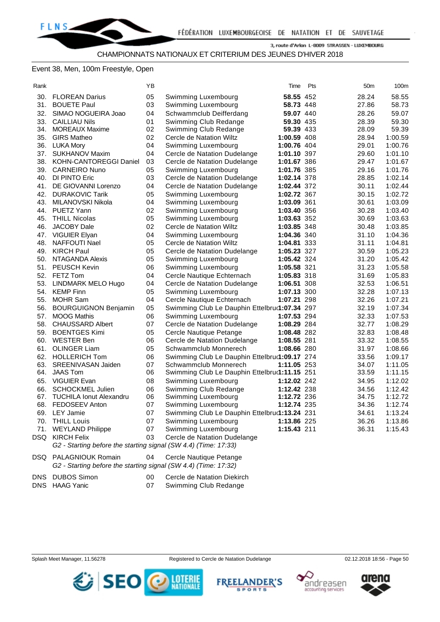## Event 38, Men, 100m Freestyle, Open

| .<br>× |  |
|--------|--|

| Rank |                                                                 | ΥB |                                               | Time        | Pts | 50 <sub>m</sub> | 100m    |
|------|-----------------------------------------------------------------|----|-----------------------------------------------|-------------|-----|-----------------|---------|
|      | 30. FLOREAN Darius                                              | 05 | Swimming Luxembourg                           | 58.55 452   |     | 28.24           | 58.55   |
| 31.  | <b>BOUETE Paul</b>                                              | 03 | Swimming Luxembourg                           | 58.73 448   |     | 27.86           | 58.73   |
| 32.  | SIMAO NOGUEIRA Joao                                             | 04 | Schwammclub Deifferdang                       | 59.07 440   |     | 28.26           | 59.07   |
| 33.  | <b>CAILLIAU Nils</b>                                            | 01 | Swimming Club Redange                         | 59.30 435   |     | 28.39           | 59.30   |
| 34.  | <b>MOREAUX Maxime</b>                                           | 02 | Swimming Club Redange                         | 59.39 433   |     | 28.09           | 59.39   |
| 35.  | <b>GIRS Matheo</b>                                              | 02 | Cercle de Natation Wiltz                      | 1:00.59 408 |     | 28.94           | 1:00.59 |
|      | 36. LUKA Mory                                                   | 04 | Swimming Luxembourg                           | 1:00.76 404 |     | 29.01           | 1:00.76 |
| 37.  | SUKHANOV Maxim                                                  | 04 | Cercle de Natation Dudelange                  | 1:01.10 397 |     | 29.60           | 1:01.10 |
| 38.  | <b>KOHN-CANTOREGGI Daniel</b>                                   | 03 | Cercle de Natation Dudelange                  | 1:01.67 386 |     | 29.47           | 1:01.67 |
|      | 39. CARNEIRO Nuno                                               | 05 | Swimming Luxembourg                           | 1:01.76 385 |     | 29.16           | 1:01.76 |
| 40.  | DI PINTO Eric                                                   | 03 | Cercle de Natation Dudelange                  | 1:02.14 378 |     | 28.85           | 1:02.14 |
| 41.  | DE GIOVANNI Lorenzo                                             | 04 | Cercle de Natation Dudelange                  | 1:02.44 372 |     | 30.11           | 1:02.44 |
| 42.  | <b>DURAKOVIC Tarik</b>                                          | 05 | Swimming Luxembourg                           | 1:02.72 367 |     | 30.15           | 1:02.72 |
| 43.  | MILANOVSKI Nikola                                               | 04 | Swimming Luxembourg                           | 1:03.09 361 |     | 30.61           | 1:03.09 |
|      | 44. PUETZ Yann                                                  | 02 | Swimming Luxembourg                           | 1:03.40 356 |     | 30.28           | 1:03.40 |
| 45.  | <b>THILL Nicolas</b>                                            | 05 | Swimming Luxembourg                           | 1:03.63 352 |     | 30.69           | 1:03.63 |
| 46.  | <b>JACOBY Dale</b>                                              | 02 | Cercle de Natation Wiltz                      | 1:03.85 348 |     | 30.48           | 1:03.85 |
| 47.  | VIGUIER Elyan                                                   | 04 | Swimming Luxembourg                           | 1:04.36 340 |     | 31.10           | 1:04.36 |
| 48.  | <b>NAFFOUTI Nael</b>                                            | 05 | Cercle de Natation Wiltz                      | 1:04.81 333 |     | 31.11           | 1:04.81 |
|      | 49. KIRCH Paul                                                  | 05 | Cercle de Natation Dudelange                  | 1:05.23 327 |     | 30.59           | 1:05.23 |
|      | 50. NTAGANDA Alexis                                             | 05 | Swimming Luxembourg                           | 1:05.42 324 |     | 31.20           | 1:05.42 |
|      | 51. PEUSCH Kevin                                                | 06 | Swimming Luxembourg                           | 1:05.58 321 |     | 31.23           | 1:05.58 |
| 52.  | <b>FETZ Tom</b>                                                 | 04 | Cercle Nautique Echternach                    | 1:05.83 318 |     | 31.69           | 1:05.83 |
| 53.  | LINDMARK MELO Hugo                                              | 04 | Cercle de Natation Dudelange                  | 1:06.51 308 |     | 32.53           | 1:06.51 |
|      | 54. KEMP Finn                                                   | 05 | Swimming Luxembourg                           | 1:07.13 300 |     | 32.28           | 1:07.13 |
| 55.  | <b>MOHR Sam</b>                                                 | 04 | Cercle Nautique Echternach                    | 1:07.21 298 |     | 32.26           | 1:07.21 |
| 56.  | <b>BOURGUIGNON Benjamin</b>                                     | 05 | Swimming Club Le Dauphin Ettelbru(1:07.34 297 |             |     | 32.19           | 1:07.34 |
| 57.  | <b>MOOG Mathis</b>                                              | 06 | Swimming Luxembourg                           | 1:07.53 294 |     | 32.33           | 1:07.53 |
| 58.  | <b>CHAUSSARD Albert</b>                                         | 07 | Cercle de Natation Dudelange                  | 1:08.29 284 |     | 32.77           | 1:08.29 |
| 59.  | <b>BOENTGES Kimi</b>                                            | 05 | Cercle Nautique Petange                       | 1:08.48 282 |     | 32.83           | 1:08.48 |
| 60.  | <b>WESTER Ben</b>                                               | 06 | Cercle de Natation Dudelange                  | 1:08.55 281 |     | 33.32           | 1:08.55 |
| 61.  | <b>OLINGER Liam</b>                                             | 05 | Schwammclub Monnerech                         | 1:08.66 280 |     | 31.97           | 1:08.66 |
|      | 62. HOLLERICH Tom                                               | 06 | Swimming Club Le Dauphin Ettelbru(1:09.17 274 |             |     | 33.56           | 1:09.17 |
|      | 63. SREENIVASAN Jaiden                                          | 07 | Schwammclub Monnerech                         | 1:11.05 253 |     | 34.07           | 1:11.05 |
| 64.  | <b>JAAS Tom</b>                                                 | 06 | Swimming Club Le Dauphin Ettelbru(1:11.15 251 |             |     | 33.59           | 1:11.15 |
| 65.  | <b>VIGUIER Evan</b>                                             | 08 | Swimming Luxembourg                           | 1:12.02 242 |     | 34.95           | 1:12.02 |
| 66.  | <b>SCHOCKMEL Julien</b>                                         | 06 | Swimming Club Redange                         | 1:12.42 238 |     | 34.56           | 1:12.42 |
|      | 67. TUCHILA Ionut Alexandru                                     | 06 | Swimming Luxembourg                           | 1:12.72 236 |     | 34.75           | 1:12.72 |
|      | 68. FEDOSEEV Anton                                              | 07 | Swimming Luxembourg                           | 1:12.74 235 |     | 34.36           | 1:12.74 |
|      | 69. LEY Jamie                                                   | 07 | Swimming Club Le Dauphin Ettelbru(1:13.24 231 |             |     | 34.61           | 1:13.24 |
|      | 70. THILL Louis                                                 | 07 | Swimming Luxembourg                           | 1:13.86 225 |     | 36.26           | 1:13.86 |
|      | 71. WEYLAND Philippe                                            | 07 | Swimming Luxembourg                           | 1:15.43 211 |     | 36.31           | 1:15.43 |
|      | DSQ KIRCH Felix                                                 | 03 | Cercle de Natation Dudelange                  |             |     |                 |         |
|      | G2 - Starting before the starting signal (SW 4.4) (Time: 17:33) |    |                                               |             |     |                 |         |
|      | DSQ PALAGNIOUK Romain                                           | 04 | Cercle Nautique Petange                       |             |     |                 |         |
|      | G2 - Starting before the starting signal (SW 4.4) (Time: 17:32) |    |                                               |             |     |                 |         |
|      |                                                                 |    |                                               |             |     |                 |         |
|      |                                                                 |    |                                               |             |     |                 |         |

| DNS DUBOS Simon | Cercle de Natation Diekirch |
|-----------------|-----------------------------|
| DNS HAAG Yanic  | Swimming Club Redange       |







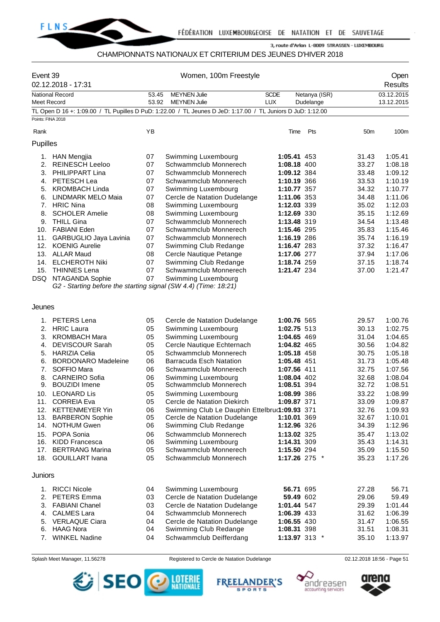

## CHAMPIONNATS NATIONAUX ET CRITERIUM DES JEUNES D'HIVER 2018

| Event 39          | 02.12.2018 - 17:31                                              |                | Women, 100m Freestyle                                                                                       |                            |                            |                 | Open<br><b>Results</b>   |
|-------------------|-----------------------------------------------------------------|----------------|-------------------------------------------------------------------------------------------------------------|----------------------------|----------------------------|-----------------|--------------------------|
| Meet Record       | National Record                                                 | 53.45<br>53.92 | <b>MEYNEN Julie</b><br><b>MEYNEN Julie</b>                                                                  | <b>SCDE</b><br><b>LUX</b>  | Netanya (ISR)<br>Dudelange |                 | 03.12.2015<br>13.12.2015 |
|                   |                                                                 |                | TL Open D 16 +: 1:09.00 / TL Pupilles D PuD: 1:22.00 / TL Jeunes D JeD: 1:17.00 / TL Juniors D JuD: 1:12.00 |                            |                            |                 |                          |
| Points: FINA 2018 |                                                                 |                |                                                                                                             |                            |                            |                 |                          |
| Rank              |                                                                 | ΥB             |                                                                                                             | Time                       | Pts                        | 50 <sub>m</sub> | 100m                     |
| Pupilles          |                                                                 |                |                                                                                                             |                            |                            |                 |                          |
|                   |                                                                 |                |                                                                                                             |                            |                            |                 |                          |
|                   | 1. HAN Mengjia                                                  | 07             | Swimming Luxembourg                                                                                         | 1:05.41 453                |                            | 31.43           | 1:05.41                  |
| 2.                | <b>REINESCH Leeloo</b>                                          | 07             | Schwammclub Monnerech                                                                                       | 1:08.18 400                |                            | 33.27           | 1:08.18                  |
| 3.                | <b>PHILIPPART Lina</b>                                          | 07             | Schwammclub Monnerech                                                                                       | 1:09.12 384                |                            | 33.48           | 1:09.12                  |
| 4.                | PETESCH Lea                                                     | 07             | Schwammclub Monnerech                                                                                       | 1:10.19 366                |                            | 33.53           | 1:10.19                  |
| 5.                | <b>KROMBACH Linda</b>                                           | 07             | Swimming Luxembourg                                                                                         | 1:10.77 357                |                            | 34.32           | 1:10.77                  |
| 6.                | <b>LINDMARK MELO Maia</b>                                       | 07             | Cercle de Natation Dudelange                                                                                | 1:11.06 353                |                            | 34.48           | 1:11.06                  |
| 8.                | 7. HRIC Nina<br><b>SCHOLER Amelie</b>                           | 08<br>08       | Swimming Luxembourg                                                                                         | 1:12.03 339                |                            | 35.02<br>35.15  | 1:12.03<br>1:12.69       |
| 9.                | <b>THILL Gina</b>                                               | 07             | Swimming Luxembourg<br>Schwammclub Monnerech                                                                | 1:12.69 330<br>1:13.48 319 |                            | 34.54           | 1:13.48                  |
| 10.               | <b>FABIANI Eden</b>                                             | 07             | Schwammclub Monnerech                                                                                       | 1:15.46 295                |                            | 35.83           | 1:15.46                  |
| 11.               | GARBUGLIO Jaya Lavinia                                          | 07             | Schwammclub Monnerech                                                                                       | 1:16.19 286                |                            | 35.74           | 1:16.19                  |
| 12.               | <b>KOENIG Aurelie</b>                                           | 07             | Swimming Club Redange                                                                                       | 1:16.47 283                |                            | 37.32           | 1:16.47                  |
|                   | 13. ALLAR Maud                                                  | 08             | Cercle Nautique Petange                                                                                     | 1:17.06 277                |                            | 37.94           | 1:17.06                  |
| 14.               | <b>ELCHEROTH Niki</b>                                           | 07             | Swimming Club Redange                                                                                       | 1:18.74 259                |                            | 37.15           | 1:18.74                  |
| 15.               | <b>THINNES Lena</b>                                             | 07             | Schwammclub Monnerech                                                                                       | 1:21.47 234                |                            | 37.00           | 1:21.47                  |
|                   | DSQ NTAGANDA Sophie                                             | 07             | Swimming Luxembourg                                                                                         |                            |                            |                 |                          |
|                   | G2 - Starting before the starting signal (SW 4.4) (Time: 18:21) |                |                                                                                                             |                            |                            |                 |                          |
|                   |                                                                 |                |                                                                                                             |                            |                            |                 |                          |
| Jeunes            |                                                                 |                |                                                                                                             |                            |                            |                 |                          |
| 1.                | <b>PETERS</b> Lena                                              | 05             | Cercle de Natation Dudelange                                                                                | 1:00.76 565                |                            | 29.57           | 1:00.76                  |
|                   | 2. HRIC Laura                                                   | 05             | Swimming Luxembourg                                                                                         | 1:02.75 513                |                            | 30.13           | 1:02.75                  |
| 3.                | <b>KROMBACH Mara</b>                                            | 05             | Swimming Luxembourg                                                                                         | 1:04.65 469                |                            | 31.04           | 1:04.65                  |
| 4.                | <b>DEVISCOUR Sarah</b>                                          | 05             | Cercle Nautique Echternach                                                                                  | 1:04.82 465                |                            | 30.56           | 1:04.82                  |
| 5.                | <b>HARIZIA Celia</b>                                            | 05             | Schwammclub Monnerech                                                                                       | 1:05.18 458                |                            | 30.75           | 1:05.18                  |
| 6.                | <b>BORDONARO Madeleine</b>                                      | 06             | <b>Barracuda Esch Natation</b>                                                                              | 1:05.48 451                |                            | 31.73           | 1:05.48                  |
| 7.                | SOFFIO Mara                                                     | 06             | Schwammclub Monnerech                                                                                       | 1:07.56 411                |                            | 32.75           | 1:07.56                  |
| 8.                | <b>CARNEIRO Sofia</b>                                           | 06             | Swimming Luxembourg                                                                                         | 1:08.04 402                |                            | 32.68           | 1:08.04                  |
| 9.                | <b>BOUZIDI</b> Imene                                            | 05             | Schwammclub Monnerech                                                                                       | 1:08.51 394                |                            | 32.72           | 1:08.51                  |
| 10.               | <b>LEONARD Lis</b>                                              | 05             | Swimming Luxembourg                                                                                         | 1:08.99 386                |                            | 33.22           | 1:08.99                  |
| 11.               | <b>CORREIA Eva</b>                                              | 05             | Cercle de Natation Diekirch                                                                                 | 1:09.87 371                |                            | 33.09           | 1:09.87                  |
|                   | 12. KETTENMEYER Yin                                             | 06             | Swimming Club Le Dauphin Ettelbru(1:09.93 371                                                               |                            |                            | 32.76           | 1:09.93                  |
| 13.               | <b>BARBERON Sophie</b>                                          | 05             | Cercle de Natation Dudelange                                                                                | 1:10.01 369                |                            | 32.67           | 1:10.01                  |
| 14.               | <b>NOTHUM Gwen</b>                                              | 06             | Swimming Club Redange                                                                                       | 1:12.96 326                |                            | 34.39           | 1:12.96                  |
| 15.               | POPA Sonia                                                      | 06             | Schwammclub Monnerech                                                                                       | 1:13.02 325                |                            | 35.47           | 1:13.02                  |
|                   | 16. KIDD Francesca<br>17. BERTRANG Marina                       | 06<br>05       | Swimming Luxembourg<br>Schwammclub Monnerech                                                                | 1:14.31 309<br>1:15.50 294 |                            | 35.43<br>35.09  | 1:14.31<br>1:15.50       |
|                   | 18. GOUILLART Ivana                                             | 05             | Schwammclub Monnerech                                                                                       |                            | 1:17.26 275 *              | 35.23           | 1:17.26                  |
|                   |                                                                 |                |                                                                                                             |                            |                            |                 |                          |
| Juniors           |                                                                 |                |                                                                                                             |                            |                            |                 |                          |
| 1.                | <b>RICCI Nicole</b>                                             | 04             | Swimming Luxembourg                                                                                         |                            | 56.71 695                  | 27.28           | 56.71                    |
| 2.                | <b>PETERS Emma</b>                                              | 03             | Cercle de Natation Dudelange                                                                                |                            | 59.49 602                  | 29.06           | 59.49                    |
| 3.                | <b>FABIANI Chanel</b>                                           | 03             | Cercle de Natation Dudelange                                                                                | 1:01.44 547                |                            | 29.39           | 1:01.44                  |
| 4.                | <b>CALMES Lara</b>                                              | 04             | Schwammclub Monnerech                                                                                       | 1:06.39 433                |                            | 31.62           | 1:06.39                  |
|                   | 5. VERLAQUE Ciara                                               | 04             | Cercle de Natation Dudelange                                                                                | 1:06.55 430                |                            | 31.47           | 1:06.55                  |
| 6.                | <b>HAAG Nora</b>                                                | 04             | Swimming Club Redange                                                                                       | 1:08.31 398                |                            | 31.51           | 1:08.31                  |
|                   | 7. WINKEL Nadine                                                | 04             | Schwammclub Deifferdang                                                                                     |                            | 1:13.97 313 *              | 35.10           | 1:13.97                  |

Splash Meet Manager, 11.56278 **Registered to Cercle de Natation Dudelange** 02.12.2018 18:56 - Page 51





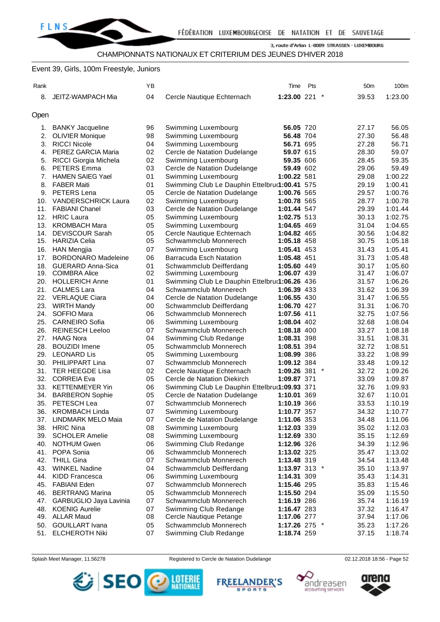

CHAMPIONNATS NATIONAUX ET CRITERIUM DES JEUNES D'HIVER 2018

## Event 39, Girls, 100m Freestyle, Juniors

| Rank       |                                               | ΥB       |                                                                      | Time                       | Pts | 50 <sub>m</sub> | 100m               |
|------------|-----------------------------------------------|----------|----------------------------------------------------------------------|----------------------------|-----|-----------------|--------------------|
| 8.         | JEITZ-WAMPACH Mia                             | 04       | Cercle Nautique Echternach                                           | 1:23.00 221                |     | $\ast$<br>39.53 | 1:23.00            |
|            |                                               |          |                                                                      |                            |     |                 |                    |
| Open       |                                               |          |                                                                      |                            |     |                 |                    |
|            |                                               |          |                                                                      |                            |     |                 |                    |
| 1.         | <b>BANKY Jacqueline</b>                       | 96       | Swimming Luxembourg                                                  | 56.05 720                  |     | 27.17           | 56.05              |
| 2.         | <b>OLIVIER Monique</b>                        | 98       | Swimming Luxembourg                                                  | 56.48 704                  |     | 27.30           | 56.48              |
| 3.         | <b>RICCI Nicole</b>                           | 04       | Swimming Luxembourg                                                  | 56.71 695                  |     | 27.28           | 56.71              |
| 4.         | PEREZ GARCIA Maria                            | 02       | Cercle de Natation Dudelange                                         | 59.07 615                  |     | 28.30           | 59.07              |
| 5.         | RICCI Giorgia Michela                         | 02       | Swimming Luxembourg                                                  | 59.35 606                  |     | 28.45           | 59.35              |
| 6.         | PETERS Emma                                   | 03<br>01 | Cercle de Natation Dudelange                                         | 59.49 602                  |     | 29.06           | 59.49              |
| 7.<br>8.   | <b>HAMEN SAIEG Yael</b><br><b>FABER Maiti</b> | 01       | Swimming Luxembourg<br>Swimming Club Le Dauphin Ettelbru(1:00.41 575 | 1:00.22 581                |     | 29.08<br>29.19  | 1:00.22<br>1:00.41 |
| 9.         | PETERS Lena                                   | 05       |                                                                      | 1:00.76 565                |     | 29.57           | 1:00.76            |
| 10.        | <b>VANDERSCHRICK Laura</b>                    | 02       | Cercle de Natation Dudelange<br>Swimming Luxembourg                  | 1:00.78 565                |     | 28.77           | 1:00.78            |
| 11.        | <b>FABIANI Chanel</b>                         | 03       | Cercle de Natation Dudelange                                         | 1:01.44 547                |     | 29.39           | 1:01.44            |
| 12.        | <b>HRIC Laura</b>                             | 05       | Swimming Luxembourg                                                  | 1:02.75 513                |     | 30.13           | 1:02.75            |
| 13.        | <b>KROMBACH Mara</b>                          | 05       | Swimming Luxembourg                                                  | 1:04.65 469                |     | 31.04           | 1:04.65            |
| 14.        | <b>DEVISCOUR Sarah</b>                        | 05       | Cercle Nautique Echternach                                           | 1:04.82 465                |     | 30.56           | 1:04.82            |
| 15.        | <b>HARIZIA Celia</b>                          | 05       | Schwammclub Monnerech                                                | 1:05.18 458                |     | 30.75           | 1:05.18            |
| 16.        | HAN Mengjia                                   | 07       | Swimming Luxembourg                                                  | 1:05.41 453                |     | 31.43           | 1:05.41            |
| 17.        | <b>BORDONARO Madeleine</b>                    | 06       | <b>Barracuda Esch Natation</b>                                       | 1:05.48 451                |     | 31.73           | 1:05.48            |
| 18.        | <b>GUERARD Anna-Sica</b>                      | 01       | Schwammclub Deifferdang                                              | 1:05.60 449                |     | 30.17           | 1:05.60            |
| 19.        | <b>COIMBRA Alice</b>                          | 02       | Swimming Luxembourg                                                  | 1:06.07 439                |     | 31.47           | 1:06.07            |
| 20.        | <b>HOLLERICH Anne</b>                         | 01       | Swimming Club Le Dauphin Ettelbru(1:06.26 436                        |                            |     | 31.57           | 1:06.26            |
| 21.        | <b>CALMES Lara</b>                            | 04       | Schwammclub Monnerech                                                | 1:06.39 433                |     | 31.62           | 1:06.39            |
| 22.        | <b>VERLAQUE Ciara</b>                         | 04       | Cercle de Natation Dudelange                                         | 1:06.55 430                |     | 31.47           | 1:06.55            |
| 23.        | <b>WIRTH Mandy</b>                            | 00       | Schwammclub Deifferdang                                              | 1:06.70 427                |     | 31.31           | 1:06.70            |
| 24.        | <b>SOFFIO Mara</b>                            | 06       | Schwammclub Monnerech                                                | 1:07.56 411                |     | 32.75           | 1:07.56            |
| 25.        | <b>CARNEIRO Sofia</b>                         | 06       | Swimming Luxembourg                                                  | 1:08.04 402                |     | 32.68           | 1:08.04            |
| 26.        | <b>REINESCH Leeloo</b>                        | 07       | Schwammclub Monnerech                                                | 1:08.18 400                |     | 33.27           | 1:08.18            |
| 27.        | <b>HAAG Nora</b>                              | 04       | Swimming Club Redange                                                | 1:08.31 398                |     | 31.51           | 1:08.31            |
| 28.        | <b>BOUZIDI</b> Imene                          | 05       | Schwammclub Monnerech                                                | 1:08.51 394                |     | 32.72           | 1:08.51            |
| 29.        | <b>LEONARD Lis</b>                            | 05       | Swimming Luxembourg                                                  | 1:08.99 386                |     | 33.22           | 1:08.99            |
| 30.        | PHILIPPART Lina                               | 07       | Schwammclub Monnerech                                                | 1:09.12 384                |     | 33.48           | 1:09.12            |
| 31.        | <b>TER HEEGDE Lisa</b>                        | 02       | Cercle Nautique Echternach                                           | 1:09.26 381                |     | 32.72           | 1:09.26            |
| 32.        | <b>CORREIA Eva</b>                            | 05       | Cercle de Natation Diekirch                                          | 1:09.87 371                |     | 33.09           | 1:09.87            |
| 33.        | <b>KETTENMEYER Yin</b>                        | 06       | Swimming Club Le Dauphin Ettelbru(1:09.93 371                        |                            |     | 32.76           | 1:09.93            |
| 34.        | <b>BARBERON Sophie</b>                        | 05       | Cercle de Natation Dudelange                                         | 1:10.01 369                |     | 32.67           | 1:10.01            |
| 35.        | PETESCH Lea                                   | 07       | Schwammclub Monnerech                                                | 1:10.19 366                |     | 33.53           | 1:10.19            |
| 36.        | <b>KROMBACH Linda</b>                         | 07       | Swimming Luxembourg                                                  | 1:10.77 357                |     | 34.32           | 1:10.77            |
| 37.        | <b>LINDMARK MELO Maia</b>                     | 07       | Cercle de Natation Dudelange                                         | 1:11.06 353                |     | 34.48           | 1:11.06            |
| 38.        | <b>HRIC Nina</b>                              | 08       | Swimming Luxembourg                                                  | 1:12.03 339                |     | 35.02           | 1:12.03            |
| 39.        | <b>SCHOLER Amelie</b>                         | 08       | Swimming Luxembourg                                                  | 1:12.69 330                |     | 35.15           | 1:12.69            |
| 40.        | <b>NOTHUM Gwen</b>                            | 06       | Swimming Club Redange                                                | 1:12.96 326                |     | 34.39           | 1:12.96            |
| 41.        | POPA Sonia                                    | 06       | Schwammclub Monnerech                                                | 1:13.02 325                |     | 35.47           | 1:13.02            |
| 42.        | <b>THILL Gina</b>                             | 07       | Schwammclub Monnerech                                                | 1:13.48 319                |     | 34.54           | 1:13.48            |
| 43.        | <b>WINKEL Nadine</b>                          | 04       | Schwammclub Deifferdang                                              | 1:13.97 313 *              |     | 35.10           | 1:13.97            |
| 44.        | <b>KIDD Francesca</b>                         | 06       | Swimming Luxembourg                                                  | 1:14.31 309                |     | 35.43           | 1:14.31            |
| 45.        | <b>FABIANI Eden</b>                           | 07       | Schwammclub Monnerech                                                | 1:15.46 295                |     | 35.83           | 1:15.46            |
| 46.        | <b>BERTRANG Marina</b>                        | 05       | Schwammclub Monnerech                                                | 1:15.50 294                |     | 35.09           | 1:15.50<br>1:16.19 |
| 47.        | GARBUGLIO Jaya Lavinia                        | 07       | Schwammclub Monnerech                                                | 1:16.19 286                |     | 35.74           |                    |
| 48.<br>49. | <b>KOENIG Aurelie</b><br><b>ALLAR Maud</b>    | 07<br>08 | Swimming Club Redange<br>Cercle Nautique Petange                     | 1:16.47 283<br>1:17.06 277 |     | 37.32<br>37.94  | 1:16.47<br>1:17.06 |
| 50.        | <b>GOUILLART</b> Ivana                        | 05       | Schwammclub Monnerech                                                | 1:17.26 275 *              |     | 35.23           | 1:17.26            |
| 51.        | <b>ELCHEROTH Niki</b>                         | 07       | Swimming Club Redange                                                | 1:18.74 259                |     | 37.15           | 1:18.74            |
|            |                                               |          |                                                                      |                            |     |                 |                    |

Splash Meet Manager, 11.56278 Registered to Cercle de Natation Dudelange **12.12.2018 18:56 - Page 52** C2.12.2018 18:56 - Page 52





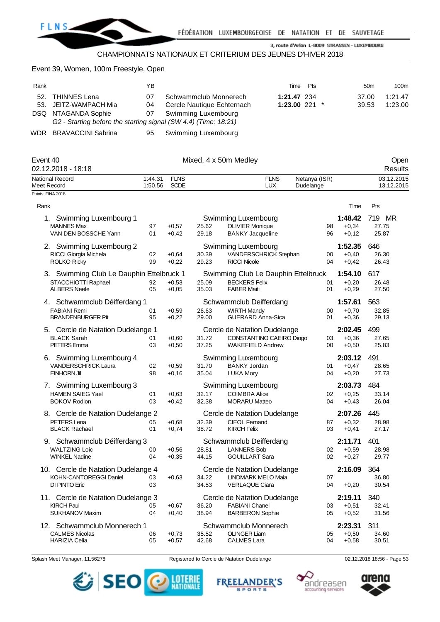

## CHAMPIONNATS NATIONAUX ET CRITERIUM DES JEUNES D'HIVER 2018

## Event 39, Women, 100m Freestyle, Open

| Rank |                                                                 | YΒ |                            |                 | Time Pts | 50 <sub>m</sub> | 100m    |  |
|------|-----------------------------------------------------------------|----|----------------------------|-----------------|----------|-----------------|---------|--|
|      | 52. THINNES Lena                                                | 07 | Schwammclub Monnerech      | 1:21.47 234     |          | 37.00           | 1:21.47 |  |
|      | 53. JEITZ-WAMPACH Mia                                           | 04 | Cercle Nautique Echternach | 1:23.00 221 $*$ |          | 39.53           | 1:23.00 |  |
|      | DSQ NTAGANDA Sophie                                             |    | 07 Swimming Luxembourg     |                 |          |                 |         |  |
|      | G2 - Starting before the starting signal (SW 4.4) (Time: 18:21) |    |                            |                 |          |                 |         |  |

WDR BRAVACCINI Sabrina 95 Swimming Luxembourg

| Event 40<br>02.12.2018 - 18:18                                                         | Mixed, 4 x 50m Medley |                            |                |                                                                                     |                            |                               | Open<br>Results          |  |
|----------------------------------------------------------------------------------------|-----------------------|----------------------------|----------------|-------------------------------------------------------------------------------------|----------------------------|-------------------------------|--------------------------|--|
| National Record<br>Meet Record                                                         | 1:44.31<br>1:50.56    | <b>FLNS</b><br><b>SCDE</b> |                | <b>FLNS</b><br><b>LUX</b>                                                           | Netanya (ISR)<br>Dudelange |                               | 03.12.2015<br>13.12.2015 |  |
| Points: FINA 2018                                                                      |                       |                            |                |                                                                                     |                            |                               |                          |  |
| Rank                                                                                   |                       |                            |                |                                                                                     |                            | Time                          | Pts                      |  |
| 1. Swimming Luxembourg 1<br><b>MANNES Max</b><br>VAN DEN BOSSCHE Yann                  | 97<br>01              | $+0,57$<br>$+0,42$         | 25.62<br>29.18 | Swimming Luxembourg<br><b>OLIVIER Monique</b><br><b>BANKY Jacqueline</b>            | 98<br>96                   | 1:48.42<br>$+0,34$<br>$+0,12$ | 719 MR<br>27.75<br>25.87 |  |
| 2. Swimming Luxembourg 2<br>RICCI Giorgia Michela<br><b>ROLKO Ricky</b>                | 02<br>99              | $+0,64$<br>$+0,22$         | 30.39<br>29.23 | Swimming Luxembourg<br>VANDERSCHRICK Stephan<br><b>RICCI Nicole</b>                 | 00<br>04                   | 1:52.35<br>$+0,40$<br>$+0,42$ | 646<br>26.30<br>26.43    |  |
| 3. Swimming Club Le Dauphin Ettelbruck 1<br>STACCHIOTTI Raphael<br><b>ALBERS Neele</b> | 92<br>05              | $+0.53$<br>$+0,05$         | 25.09<br>35.03 | Swimming Club Le Dauphin Ettelbruck<br><b>BECKERS Felix</b><br><b>FABER Maiti</b>   | 01<br>01                   | 1:54.10<br>$+0.20$<br>$+0,29$ | 617<br>26.48<br>27.50    |  |
| 4. Schwammclub Déifferdang 1                                                           |                       |                            |                | Schwammclub Deifferdang                                                             |                            | 1:57.61                       | 563                      |  |
| <b>FABIANI Remi</b><br><b>BRANDENBURGER Pit</b>                                        | 01<br>95              | $+0.59$<br>$+0,22$         | 26.63<br>29.00 | <b>WIRTH Mandy</b><br><b>GUERARD Anna-Sica</b>                                      | 00<br>01                   | $+0,70$<br>$+0,36$            | 32.85<br>29.13           |  |
| 5. Cercle de Natation Dudelange 1<br><b>BLACK Sarah</b><br>PETERS Emma                 | 01<br>03              | $+0,60$<br>$+0,50$         | 31.72<br>37.25 | Cercle de Natation Dudelange<br>CONSTANTINO CAEIRO Diogo<br><b>WAKEFIELD Andrew</b> | 03<br>00                   | 2:02.45<br>$+0,36$<br>$+0,50$ | 499<br>27.65<br>25.83    |  |
| 6. Swimming Luxembourg 4<br><b>VANDERSCHRICK Laura</b><br>EINHORN Jil                  | 02<br>98              | $+0,59$<br>$+0,16$         | 31.70<br>35.04 | Swimming Luxembourg<br><b>BANKY Jordan</b><br><b>LUKA Mory</b>                      | 01<br>04                   | 2:03.12<br>$+0,47$<br>$+0,20$ | 491<br>28.65<br>27.73    |  |
| 7. Swimming Luxembourg 3                                                               |                       |                            |                | Swimming Luxembourg                                                                 |                            | 2:03.73                       | 484                      |  |
| <b>HAMEN SAIEG Yael</b><br><b>BOKOV Rodion</b>                                         | 01<br>03              | $+0.63$<br>$+0,42$         | 32.17<br>32.38 | <b>COIMBRA Alice</b><br><b>MORARU Matteo</b>                                        | 02<br>04                   | $+0,25$<br>$+0,43$            | 33.14<br>26.04           |  |
| 8. Cercle de Natation Dudelange 2                                                      |                       |                            |                | Cercle de Natation Dudelange                                                        |                            | 2:07.26                       | 445                      |  |
| PETERS Lena<br><b>BLACK Rachael</b>                                                    | 05<br>01              | $+0.68$<br>$+0,74$         | 32.39<br>38.72 | <b>CIEOL Fernand</b><br><b>KIRCH Felix</b>                                          | 87<br>03                   | $+0,32$<br>$+0,41$            | 28.98<br>27.17           |  |
| 9. Schwammclub Déifferdang 3                                                           |                       |                            |                | Schwammclub Deifferdang                                                             |                            | 2:11.71                       | 401                      |  |
| <b>WALTZING Loic</b><br><b>WINKEL Nadine</b>                                           | 00<br>04              | $+0.56$<br>$+0,35$         | 28.81<br>44.15 | <b>LANNERS Bob</b><br><b>GOUILLART Sara</b>                                         | 02<br>02                   | $+0,59$<br>$+0,27$            | 28.98<br>29.77           |  |
| 10. Cercle de Natation Dudelange 4                                                     |                       |                            |                | Cercle de Natation Dudelange                                                        |                            | 2:16.09                       | 364                      |  |
| <b>KOHN-CANTOREGGI Daniel</b>                                                          | 03                    | $+0,63$                    | 34.22          | <b>LINDMARK MELO Maia</b>                                                           | 07                         |                               | 36.80                    |  |
| DI PINTO Eric                                                                          | 03                    |                            | 34.53          | <b>VERLAQUE Ciara</b>                                                               | 04                         | $+0,20$                       | 30.54                    |  |
| 11. Cercle de Natation Dudelange 3                                                     |                       |                            |                | Cercle de Natation Dudelange                                                        |                            | 2:19.11                       | 340                      |  |
| <b>KIRCH Paul</b><br><b>SUKHANOV Maxim</b>                                             | 05<br>04              | $+0,67$<br>$+0,40$         | 36.20<br>38.94 | <b>FABIANI Chanel</b><br><b>BARBERON Sophie</b>                                     | 03<br>05                   | $+0,51$<br>$+0,52$            | 32.41<br>31.56           |  |
| 12. Schwammclub Monnerech 1                                                            |                       |                            |                | Schwammclub Monnerech                                                               |                            | 2:23.31                       | 311                      |  |
| <b>CALMES Nicolas</b><br><b>HARIZIA Celia</b>                                          | 06<br>05              | $+0,73$<br>$+0,57$         | 35.52<br>42.68 | <b>OLINGER Liam</b><br><b>CALMES Lara</b>                                           | 05<br>04                   | $+0,50$<br>$+0,58$            | 34.60<br>30.51           |  |

Splash Meet Manager, 11.56278 Registered to Cercle de Natation Dudelange **12.12.2018 18:56 - Page 53** C2.12.2018 18:56 - Page 53